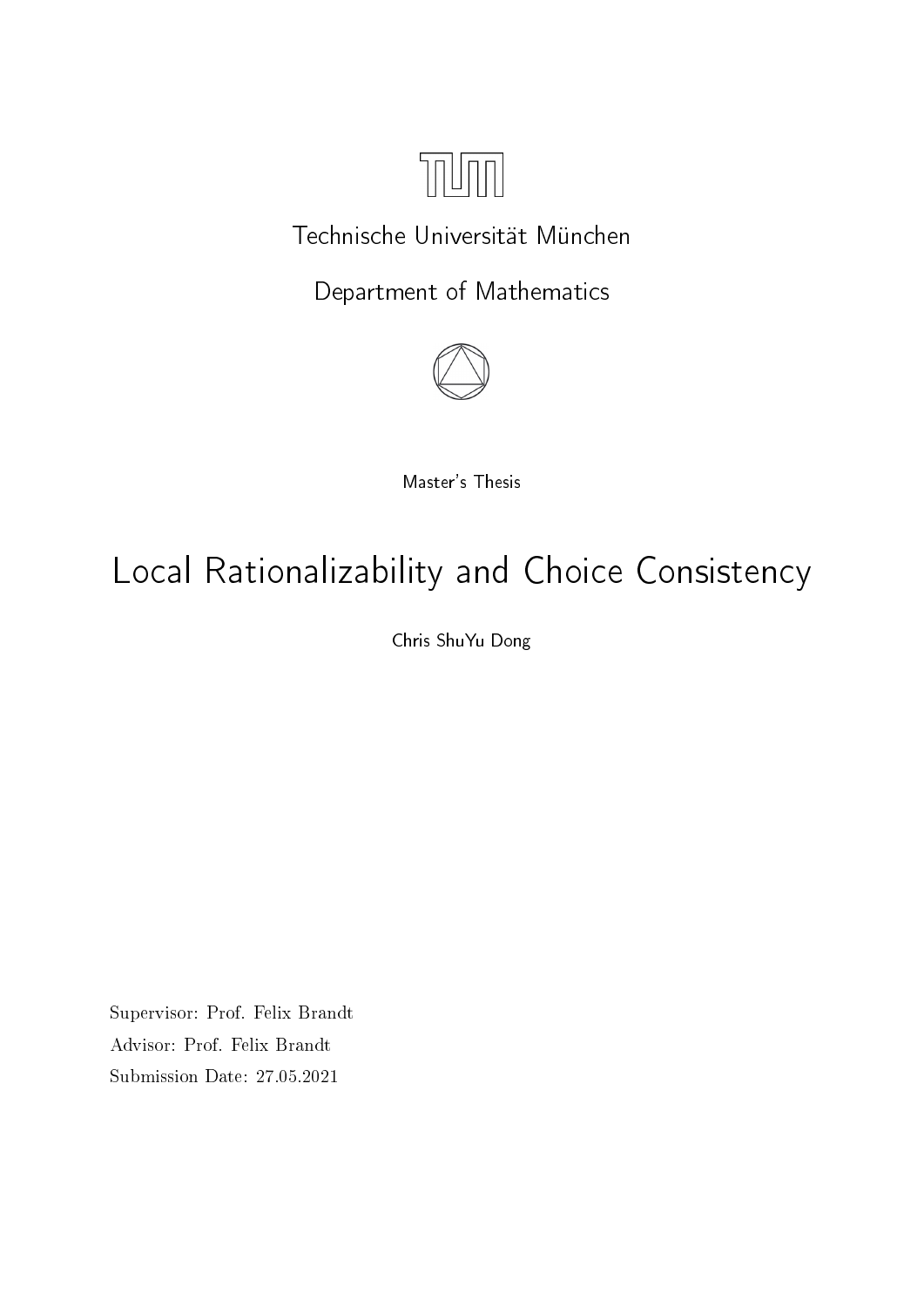

# Technische Universität München

Department of Mathematics



Master's Thesis

# Local Rationalizability and Choice Consistency

Chris ShuYu Dong

Supervisor: Prof. Felix Brandt Advisor: Prof. Felix Brandt Submission Date: 27.05.2021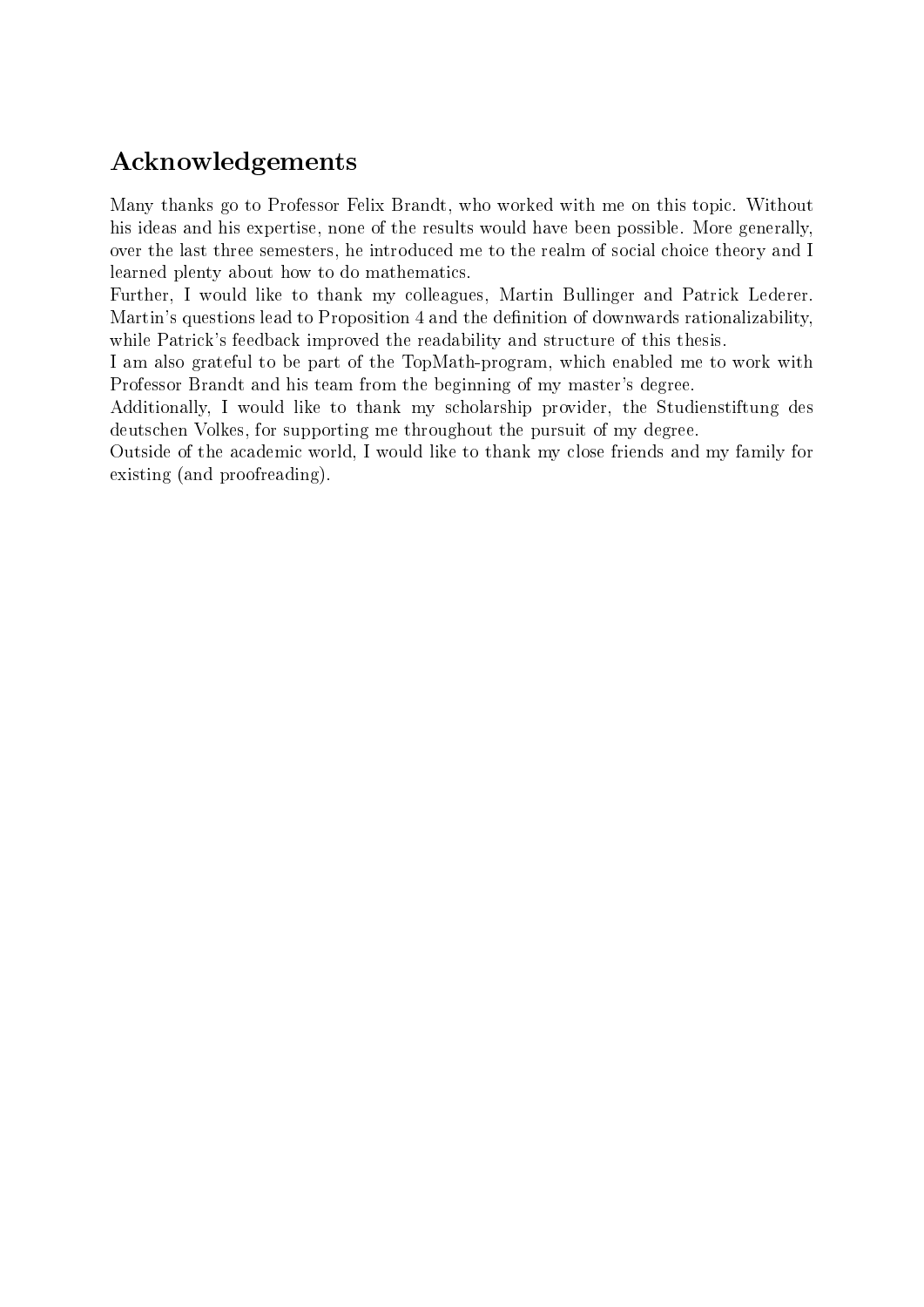# Acknowledgements

Many thanks go to Professor Felix Brandt, who worked with me on this topic. Without his ideas and his expertise, none of the results would have been possible. More generally, over the last three semesters, he introduced me to the realm of social choice theory and I learned plenty about how to do mathematics.

Further, I would like to thank my colleagues, Martin Bullinger and Patrick Lederer. Martin's questions lead to Proposition [4](#page-21-0) and the definition of downwards rationalizability, while Patrick's feedback improved the readability and structure of this thesis.

I am also grateful to be part of the TopMath-program, which enabled me to work with Professor Brandt and his team from the beginning of my master's degree.

Additionally, I would like to thank my scholarship provider, the Studienstiftung des deutschen Volkes, for supporting me throughout the pursuit of my degree.

Outside of the academic world, I would like to thank my close friends and my family for existing (and proofreading).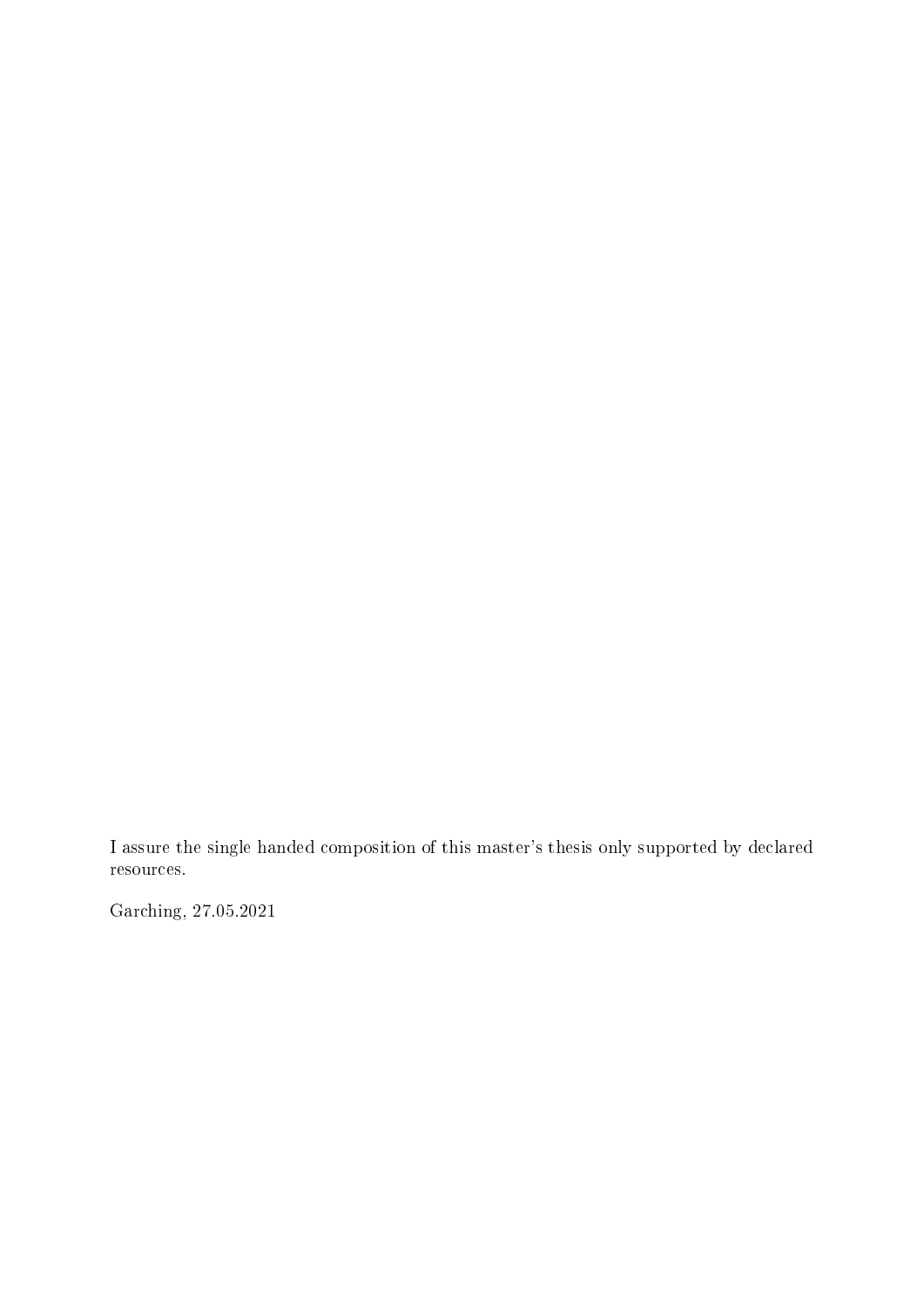I assure the single handed composition of this master's thesis only supported by declared resources.

Garching, 27.05.2021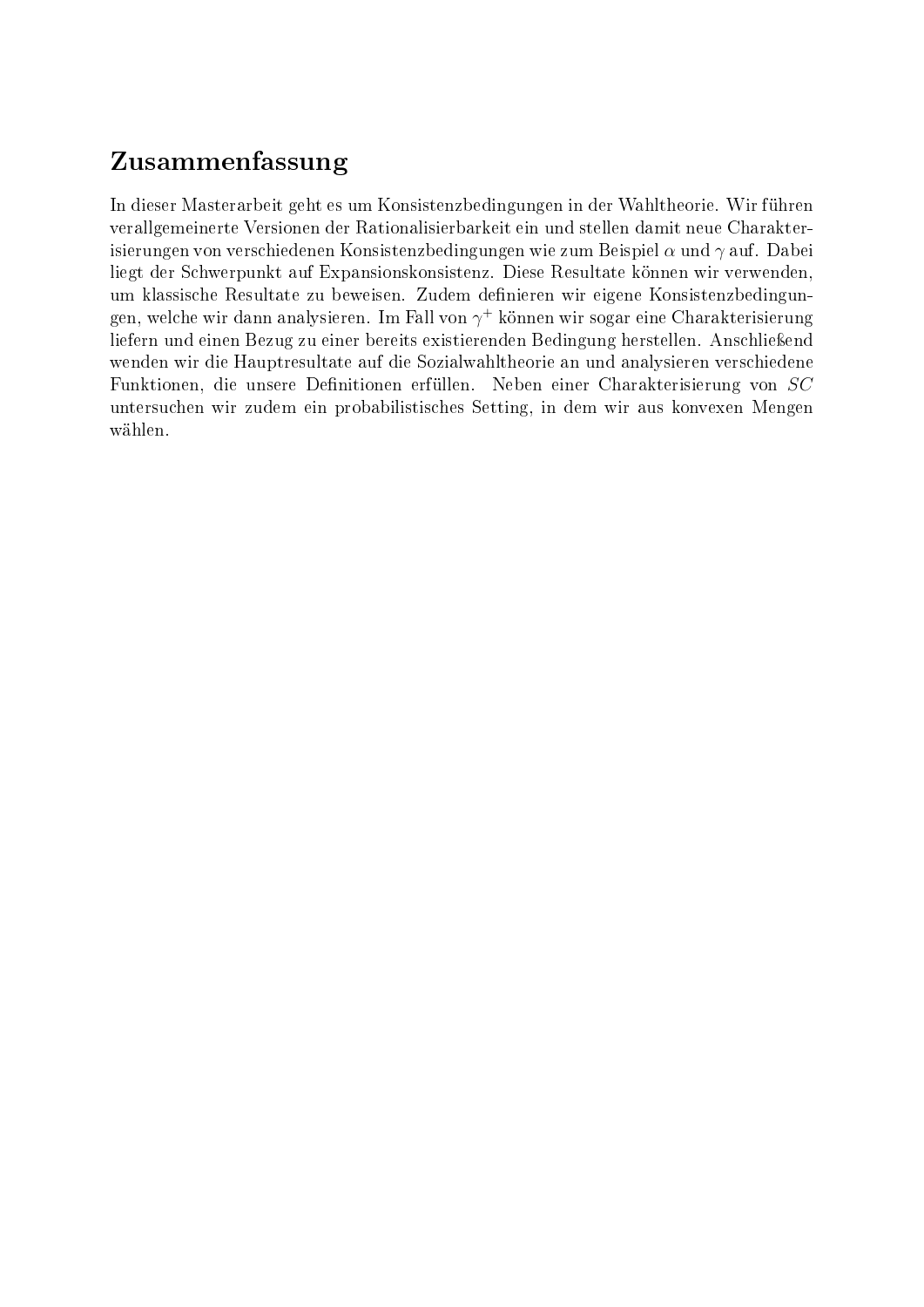# Zusammenfassung

In dieser Masterarbeit geht es um Konsistenzbedingungen in der Wahltheorie. Wir führen verallgemeinerte Versionen der Rationalisierbarkeit ein und stellen damit neue Charakterisierungen von verschiedenen Konsistenzbedingungen wie zum Beispiel  $\alpha$  und  $\gamma$  auf. Dabei liegt der Schwerpunkt auf Expansionskonsistenz. Diese Resultate können wir verwenden, um klassische Resultate zu beweisen. Zudem definieren wir eigene Konsistenzbedingungen, welche wir dann analysieren. Im Fall von  $\gamma^+$  können wir sogar eine Charakterisierung liefern und einen Bezug zu einer bereits existierenden Bedingung herstellen. Anschließend wenden wir die Hauptresultate auf die Sozialwahltheorie an und analysieren verschiedene Funktionen, die unsere Definitionen erfüllen. Neben einer Charakterisierung von SC untersuchen wir zudem ein probabilistisches Setting, in dem wir aus konvexen Mengen wählen.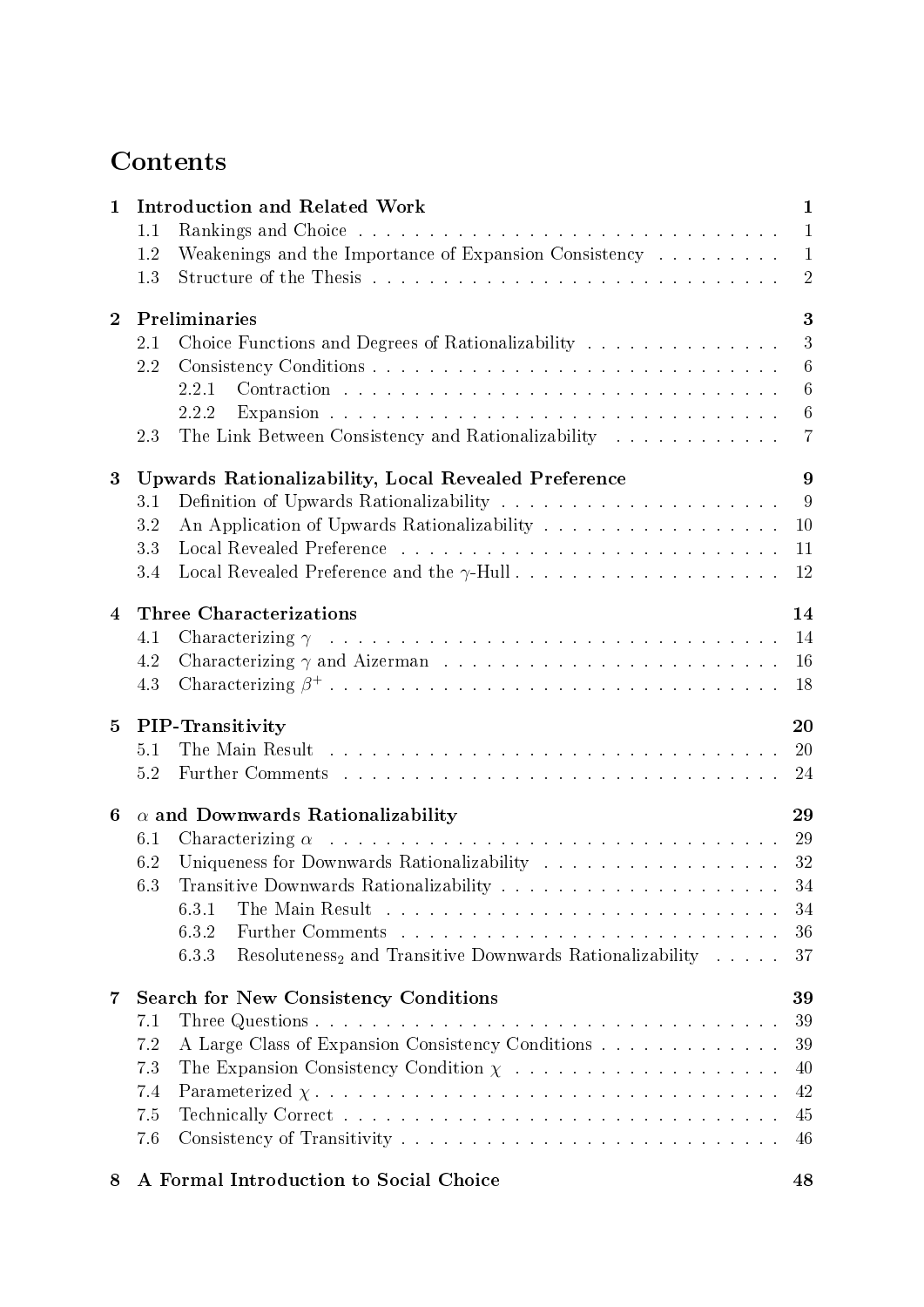# **Contents**

| $\mathbf{1}$            | <b>Introduction and Related Work</b><br>1.1                                                                                                                                               |                                                                |  |  |  |
|-------------------------|-------------------------------------------------------------------------------------------------------------------------------------------------------------------------------------------|----------------------------------------------------------------|--|--|--|
|                         | Weakenings and the Importance of Expansion Consistency<br>1.2<br>1.3                                                                                                                      | $\mathbf{1}$<br>$\mathbf{1}$<br>$\overline{2}$                 |  |  |  |
| $\overline{2}$          | Preliminaries<br>Choice Functions and Degrees of Rationalizability<br>$2.1\,$<br>2.2<br>2.2.1<br>2.2.2<br>The Link Between Consistency and Rationalizability<br>2.3                       | 3<br>3<br>$6\phantom{.}6$<br>$\sqrt{6}$<br>6<br>$\overline{7}$ |  |  |  |
| 3                       | <b>Upwards Rationalizability, Local Revealed Preference</b><br>3.1<br>3.2<br>3.3<br>3.4                                                                                                   | 9<br>$\overline{9}$<br>10<br>11<br>12                          |  |  |  |
| 4                       | <b>Three Characterizations</b><br>4.1<br>4.2<br>4.3                                                                                                                                       | 14<br>14<br>16<br>18                                           |  |  |  |
| 5                       | <b>PIP-Transitivity</b><br>5.1<br>5.2                                                                                                                                                     | 20<br><sup>20</sup><br>24                                      |  |  |  |
| 6                       | $\alpha$ and Downwards Rationalizability<br>6.1<br>6.2<br>6.3<br>6.3.1<br>6.3.2<br>Resoluteness <sub>2</sub> and Transitive Downwards Rationalizability<br>6.3.3                          | 29<br>32<br>-34<br>34<br>36<br>37                              |  |  |  |
| $\overline{\mathbf{7}}$ | <b>Search for New Consistency Conditions</b><br>7.1<br>A Large Class of Expansion Consistency Conditions<br>7.2<br>The Expansion Consistency Condition $\chi$<br>7.3<br>7.4<br>7.5<br>7.6 | 39<br>39<br>39<br>40<br>42<br>45<br>46                         |  |  |  |

### [8 A Formal Introduction to Social Choice](#page-53-0) 48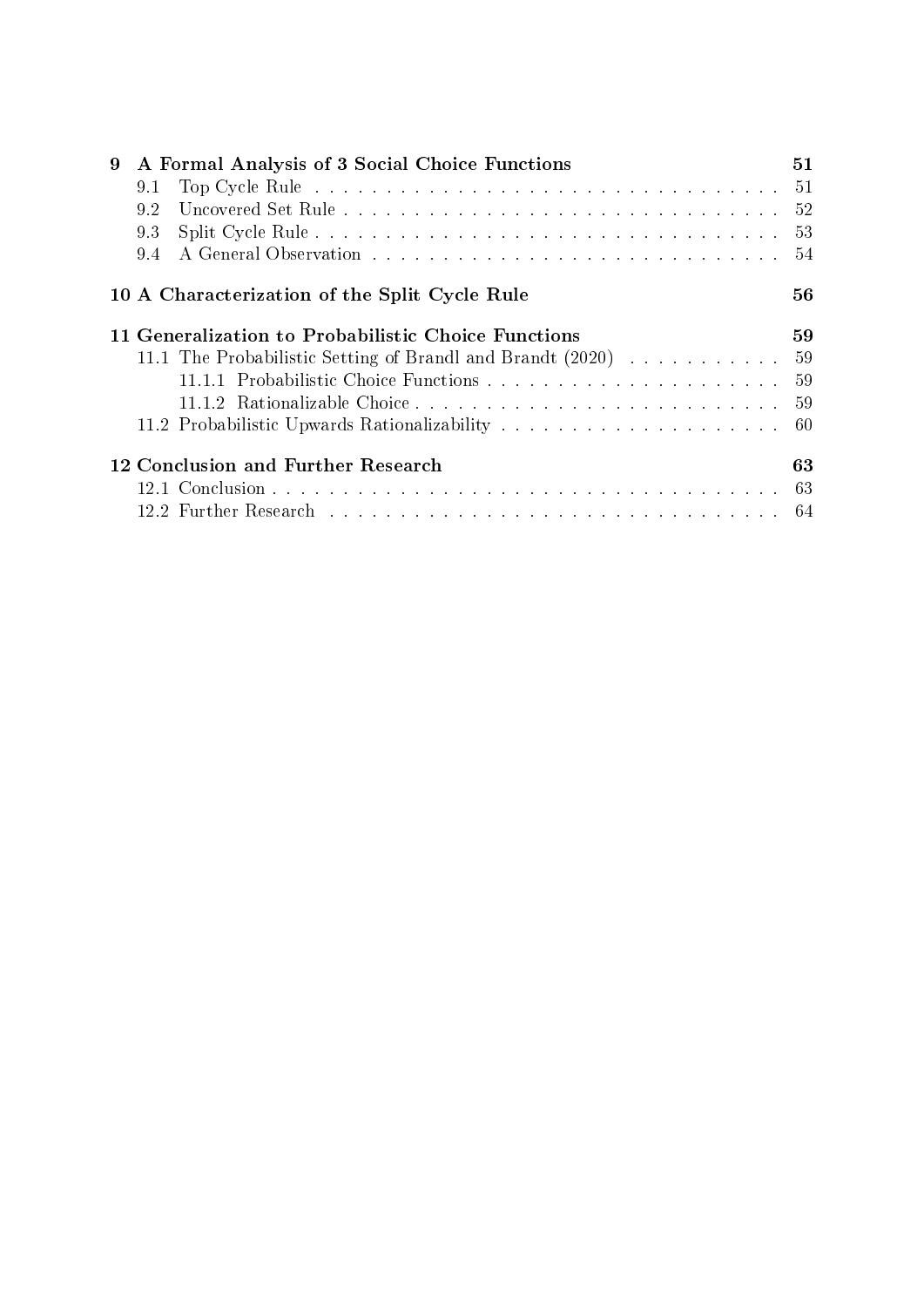| 9 | A Formal Analysis of 3 Social Choice Functions                |    |  |
|---|---------------------------------------------------------------|----|--|
|   | 9.1                                                           |    |  |
|   | 9.2                                                           |    |  |
|   | 9.3                                                           |    |  |
|   | 9.4                                                           |    |  |
|   | 10 A Characterization of the Split Cycle Rule                 | 56 |  |
|   | 11 Generalization to Probabilistic Choice Functions           | 59 |  |
|   | 11.1 The Probabilistic Setting of Brandl and Brandt (2020) 59 |    |  |
|   |                                                               |    |  |
|   |                                                               |    |  |
|   |                                                               |    |  |
|   | 12 Conclusion and Further Research                            | 63 |  |
|   |                                                               |    |  |
|   |                                                               |    |  |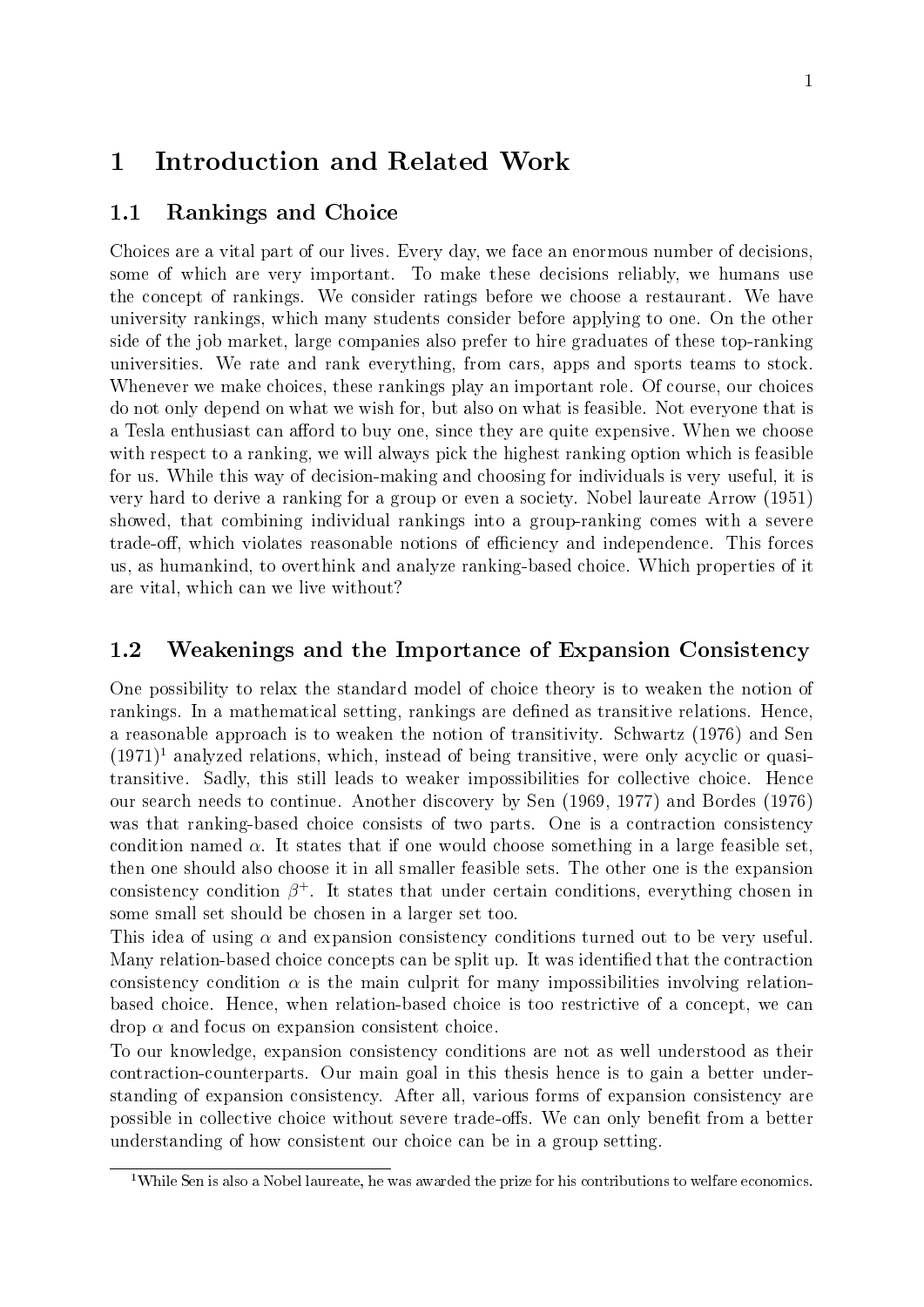## <span id="page-6-0"></span>1 Introduction and Related Work

#### <span id="page-6-1"></span>1.1 Rankings and Choice

Choices are a vital part of our lives. Every day, we face an enormous number of decisions, some of which are very important. To make these decisions reliably, we humans use the concept of rankings. We consider ratings before we choose a restaurant. We have university rankings, which many students consider before applying to one. On the other side of the job market, large companies also prefer to hire graduates of these top-ranking universities. We rate and rank everything, from cars, apps and sports teams to stock. Whenever we make choices, these rankings play an important role. Of course, our choices do not only depend on what we wish for, but also on what is feasible. Not everyone that is a Tesla enthusiast can afford to buy one, since they are quite expensive. When we choose with respect to a ranking, we will always pick the highest ranking option which is feasible for us. While this way of decision-making and choosing for individuals is very useful, it is very hard to derive a ranking for a group or even a society. Nobel laureate [Arrow](#page-70-1) [\(1951\)](#page-70-1) showed, that combining individual rankings into a group-ranking comes with a severe trade-off, which violates reasonable notions of efficiency and independence. This forces us, as humankind, to overthink and analyze ranking-based choice. Which properties of it are vital, which can we live without?

#### <span id="page-6-2"></span>1.2 Weakenings and the Importance of Expansion Consistency

One possibility to relax the standard model of choice theory is to weaken the notion of rankings. In a mathematical setting, rankings are defined as transitive relations. Hence, a reasonable approach is to weaken the notion of transitivity. [Schwartz](#page-71-0) [\(1976\)](#page-71-0) and [Sen](#page-71-1)  $(1971)^1$  $(1971)^1$  $(1971)^1$  analyzed relations, which, instead of being transitive, were only acyclic or quasitransitive. Sadly, this still leads to weaker impossibilities for collective choice. Hence our search needs to continue. Another discovery by [Sen](#page-71-2) [\(1969,](#page-71-2) [1977\)](#page-71-3) and [Bordes](#page-70-2) [\(1976\)](#page-70-2) was that ranking-based choice consists of two parts. One is a contraction consistency condition named  $\alpha$ . It states that if one would choose something in a large feasible set, then one should also choose it in all smaller feasible sets. The other one is the expansion consistency condition  $\beta^+$ . It states that under certain conditions, everything chosen in some small set should be chosen in a larger set too.

This idea of using  $\alpha$  and expansion consistency conditions turned out to be very useful. Many relation-based choice concepts can be split up. It was identified that the contraction consistency condition  $\alpha$  is the main culprit for many impossibilities involving relationbased choice. Hence, when relation-based choice is too restrictive of a concept, we can  $drop \alpha$  and focus on expansion consistent choice.

To our knowledge, expansion consistency conditions are not as well understood as their contraction-counterparts. Our main goal in this thesis hence is to gain a better understanding of expansion consistency. After all, various forms of expansion consistency are possible in collective choice without severe trade-offs. We can only benefit from a better understanding of how consistent our choice can be in a group setting.

<span id="page-6-3"></span><sup>&</sup>lt;sup>1</sup>While Sen is also a Nobel laureate, he was awarded the prize for his contributions to welfare economics.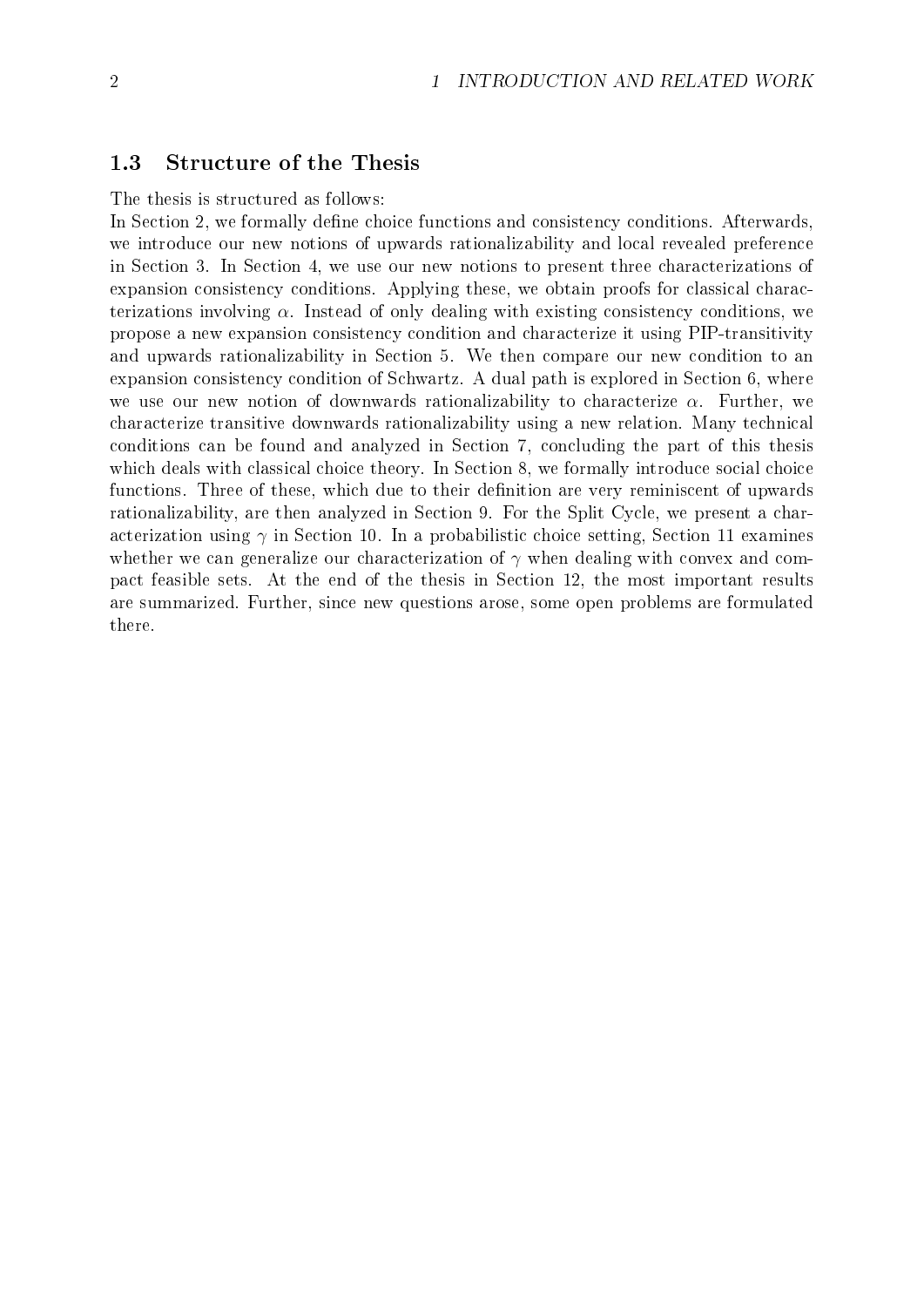#### <span id="page-7-0"></span>1.3 Structure of the Thesis

The thesis is structured as follows:

In Section [2,](#page-8-0) we formally define choice functions and consistency conditions. Afterwards, we introduce our new notions of upwards rationalizability and local revealed preference in Section [3.](#page-14-0) In Section [4,](#page-19-0) we use our new notions to present three characterizations of expansion consistency conditions. Applying these, we obtain proofs for classical characterizations involving  $\alpha$ . Instead of only dealing with existing consistency conditions, we propose a new expansion consistency condition and characterize it using PIP-transitivity and upwards rationalizability in Section [5.](#page-25-0) We then compare our new condition to an expansion consistency condition of Schwartz. A dual path is explored in Section [6,](#page-34-0) where we use our new notion of downwards rationalizability to characterize  $\alpha$ . Further, we characterize transitive downwards rationalizability using a new relation. Many technical conditions can be found and analyzed in Section [7,](#page-44-0) concluding the part of this thesis which deals with classical choice theory. In Section [8,](#page-53-0) we formally introduce social choice functions. Three of these, which due to their definition are very reminiscent of upwards rationalizability, are then analyzed in Section [9.](#page-56-0) For the Split Cycle, we present a characterization using  $\gamma$  in Section [10.](#page-61-0) In a probabilistic choice setting, Section [11](#page-64-0) examines whether we can generalize our characterization of  $\gamma$  when dealing with convex and compact feasible sets. At the end of the thesis in Section [12,](#page-68-0) the most important results are summarized. Further, since new questions arose, some open problems are formulated there.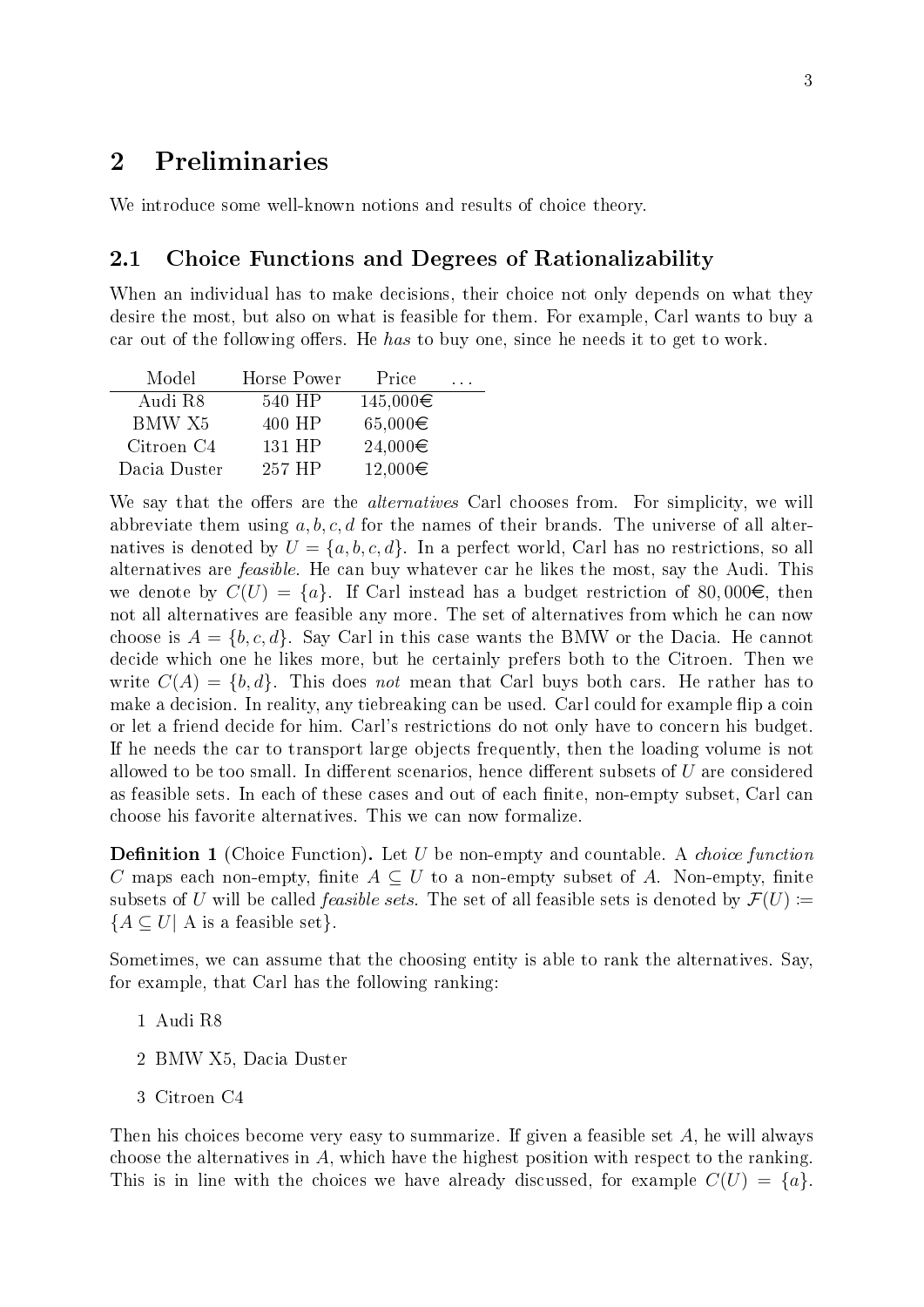# <span id="page-8-0"></span>2 Preliminaries

We introduce some well-known notions and results of choice theory.

#### <span id="page-8-1"></span>2.1 Choice Functions and Degrees of Rationalizability

When an individual has to make decisions, their choice not only depends on what they desire the most, but also on what is feasible for them. For example, Carl wants to buy a car out of the following offers. He has to buy one, since he needs it to get to work.

| Model        | Horse Power | Price        |  |
|--------------|-------------|--------------|--|
| Audi R8      | 540 HP      | 145,000€     |  |
| BMW X5       | 400 HP      | $65,000 \in$ |  |
| Citroen C4   | 131 HP      | 24,000€      |  |
| Dacia Duster | 257 HP      | 12,000€      |  |

We say that the offers are the *alternatives* Carl chooses from. For simplicity, we will abbreviate them using  $a, b, c, d$  for the names of their brands. The universe of all alternatives is denoted by  $U = \{a, b, c, d\}$ . In a perfect world, Carl has no restrictions, so all alternatives are *feasible*. He can buy whatever car he likes the most, say the Audi. This we denote by  $C(U) = \{a\}$ . If Carl instead has a budget restriction of 80,000 $\in$ , then not all alternatives are feasible any more. The set of alternatives from which he can now choose is  $A = \{b, c, d\}$ . Say Carl in this case wants the BMW or the Dacia. He cannot decide which one he likes more, but he certainly prefers both to the Citroen. Then we write  $C(A) = \{b, d\}$ . This does not mean that Carl buys both cars. He rather has to make a decision. In reality, any tiebreaking can be used. Carl could for example flip a coin or let a friend decide for him. Carl's restrictions do not only have to concern his budget. If he needs the car to transport large objects frequently, then the loading volume is not allowed to be too small. In different scenarios, hence different subsets of  $U$  are considered as feasible sets. In each of these cases and out of each finite, non-empty subset, Carl can choose his favorite alternatives. This we can now formalize.

**Definition 1** (Choice Function). Let U be non-empty and countable. A *choice function* C maps each non-empty, finite  $A \subseteq U$  to a non-empty subset of A. Non-empty, finite subsets of U will be called *feasible sets*. The set of all feasible sets is denoted by  $\mathcal{F}(U)$  :=  ${A \subseteq U \mid A \text{ is a feasible set}}.$ 

Sometimes, we can assume that the choosing entity is able to rank the alternatives. Say, for example, that Carl has the following ranking:

- 1 Audi R8
- 2 BMW X5, Dacia Duster
- 3 Citroen C4

Then his choices become very easy to summarize. If given a feasible set  $A$ , he will always choose the alternatives in A, which have the highest position with respect to the ranking. This is in line with the choices we have already discussed, for example  $C(U) = \{a\}$ .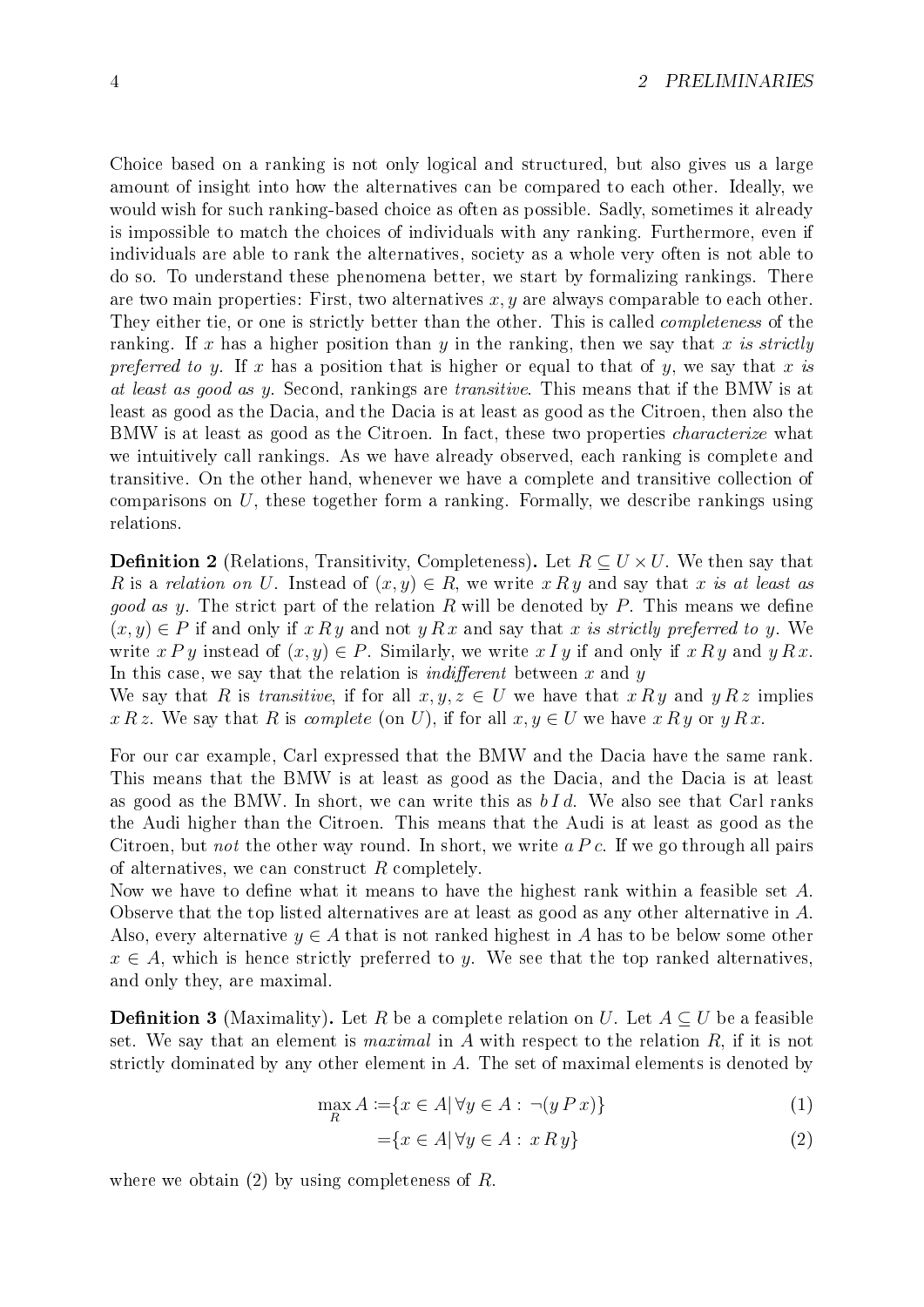Choice based on a ranking is not only logical and structured, but also gives us a large amount of insight into how the alternatives can be compared to each other. Ideally, we would wish for such ranking-based choice as often as possible. Sadly, sometimes it already is impossible to match the choices of individuals with any ranking. Furthermore, even if individuals are able to rank the alternatives, society as a whole very often is not able to do so. To understand these phenomena better, we start by formalizing rankings. There are two main properties: First, two alternatives  $x, y$  are always comparable to each other. They either tie, or one is strictly better than the other. This is called *completeness* of the ranking. If x has a higher position than y in the ranking, then we say that x is strictly preferred to y. If x has a position that is higher or equal to that of y, we say that x is at least as good as y. Second, rankings are transitive. This means that if the BMW is at least as good as the Dacia, and the Dacia is at least as good as the Citroen, then also the BMW is at least as good as the Citroen. In fact, these two properties *characterize* what we intuitively call rankings. As we have already observed, each ranking is complete and transitive. On the other hand, whenever we have a complete and transitive collection of comparisons on U, these together form a ranking. Formally, we describe rankings using relations.

**Definition 2** (Relations, Transitivity, Completeness). Let  $R \subseteq U \times U$ . We then say that R is a relation on U. Instead of  $(x, y) \in R$ , we write x Ry and say that x is at least as *good as y.* The strict part of the relation R will be denoted by P. This means we define  $(x, y) \in P$  if and only if x R y and not y R x and say that x is strictly preferred to y. We write  $x P y$  instead of  $(x, y) \in P$ . Similarly, we write  $x I y$  if and only if  $x R y$  and  $y R x$ . In this case, we say that the relation is *indifferent* between  $x$  and  $y$ 

We say that R is transitive, if for all  $x, y, z \in U$  we have that  $x R y$  and  $y R z$  implies x R z. We say that R is complete (on U), if for all  $x, y \in U$  we have x R y or y R x.

For our car example, Carl expressed that the BMW and the Dacia have the same rank. This means that the BMW is at least as good as the Dacia, and the Dacia is at least as good as the BMW. In short, we can write this as  $bId$ . We also see that Carl ranks the Audi higher than the Citroen. This means that the Audi is at least as good as the Citroen, but not the other way round. In short, we write  $a P c$ . If we go through all pairs of alternatives, we can construct  $R$  completely.

Now we have to define what it means to have the highest rank within a feasible set  $A$ . Observe that the top listed alternatives are at least as good as any other alternative in A. Also, every alternative  $y \in A$  that is not ranked highest in A has to be below some other  $x \in A$ , which is hence strictly preferred to y. We see that the top ranked alternatives, and only they, are maximal.

<span id="page-9-0"></span>**Definition 3** (Maximality). Let R be a complete relation on U. Let  $A \subseteq U$  be a feasible set. We say that an element is *maximal* in  $A$  with respect to the relation  $R$ , if it is not strictly dominated by any other element in A. The set of maximal elements is denoted by

$$
\max_{R} A := \{ x \in A | \forall y \in A : \neg(y \, P \, x) \}
$$
\n<sup>(1)</sup>

$$
=\{x \in A | \forall y \in A : x R y\}
$$
\n<sup>(2)</sup>

where we obtain  $(2)$  by using completeness of R.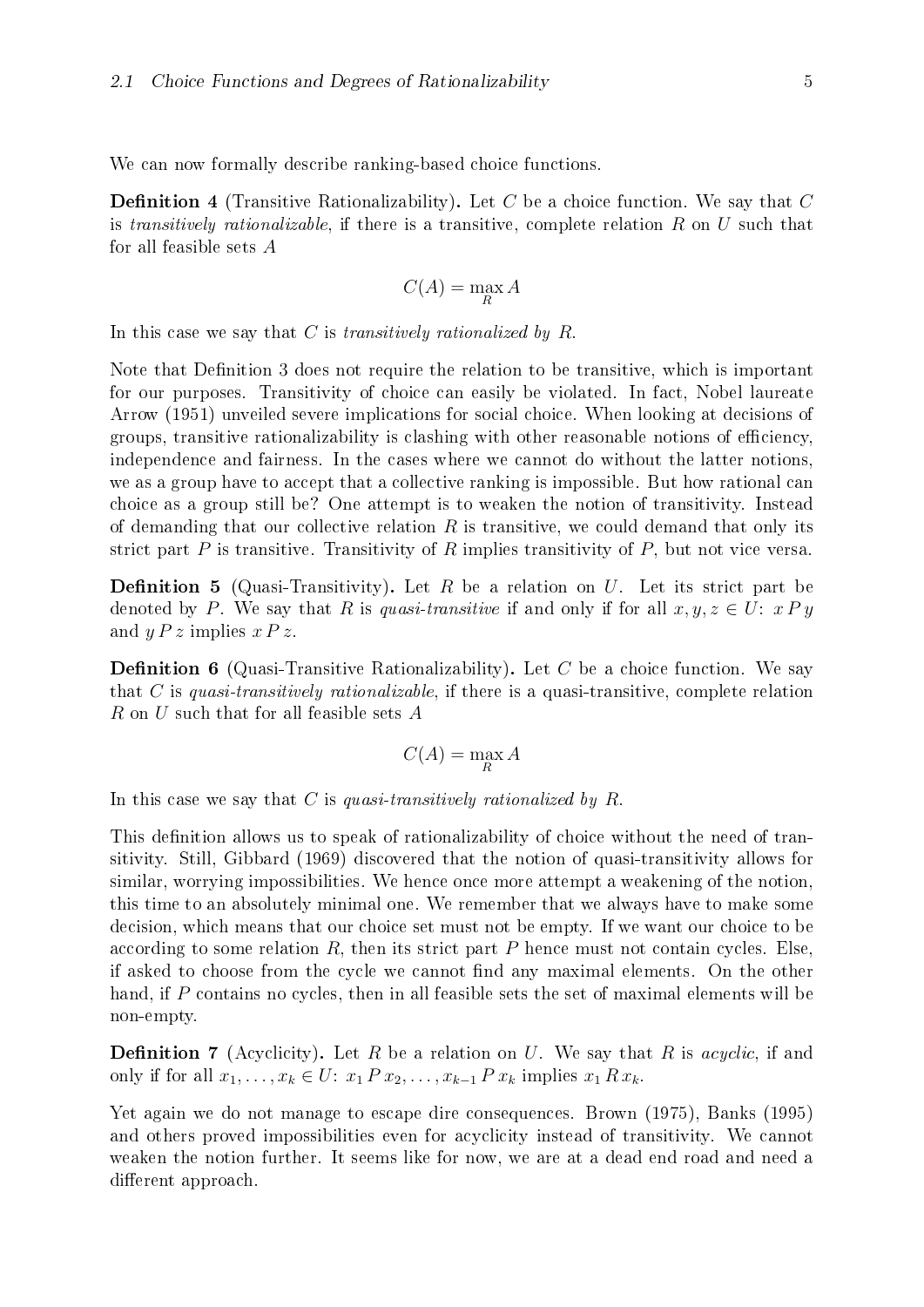We can now formally describe ranking-based choice functions.

**Definition 4** (Transitive Rationalizability). Let C be a choice function. We say that C is transitively rationalizable, if there is a transitive, complete relation  $R$  on  $U$  such that for all feasible sets A

$$
C(A) = \max_{R} A
$$

In this case we say that  $C$  is transitively rationalized by  $R$ .

Note that Definition [3](#page-9-0) does not require the relation to be transitive, which is important for our purposes. Transitivity of choice can easily be violated. In fact, Nobel laureate [Arrow](#page-70-1) [\(1951\)](#page-70-1) unveiled severe implications for social choice. When looking at decisions of groups, transitive rationalizability is clashing with other reasonable notions of eciency, independence and fairness. In the cases where we cannot do without the latter notions, we as a group have to accept that a collective ranking is impossible. But how rational can choice as a group still be? One attempt is to weaken the notion of transitivity. Instead of demanding that our collective relation  $R$  is transitive, we could demand that only its strict part  $P$  is transitive. Transitivity of  $R$  implies transitivity of  $P$ , but not vice versa.

**Definition 5** (Quasi-Transitivity). Let R be a relation on U. Let its strict part be denoted by P. We say that R is quasi-transitive if and only if for all  $x, y, z \in U: xPy$ and  $y P z$  implies  $x P z$ .

**Definition 6** (Quasi-Transitive Rationalizability). Let C be a choice function. We say that C is quasi-transitively rationalizable, if there is a quasi-transitive, complete relation R on U such that for all feasible sets A

$$
C(A) = \max_{R} A
$$

In this case we say that C is quasi-transitively rationalized by  $R$ .

This definition allows us to speak of rationalizability of choice without the need of transitivity. Still, [Gibbard](#page-70-3) [\(1969\)](#page-70-3) discovered that the notion of quasi-transitivity allows for similar, worrying impossibilities. We hence once more attempt a weakening of the notion, this time to an absolutely minimal one. We remember that we always have to make some decision, which means that our choice set must not be empty. If we want our choice to be according to some relation  $R$ , then its strict part  $P$  hence must not contain cycles. Else, if asked to choose from the cycle we cannot find any maximal elements. On the other hand, if P contains no cycles, then in all feasible sets the set of maximal elements will be non-empty.

**Definition 7** (Acyclicity). Let R be a relation on U. We say that R is *acyclic*, if and only if for all  $x_1, \ldots, x_k \in U: x_1 P x_2, \ldots, x_{k-1} P x_k$  implies  $x_1 R x_k$ .

Yet again we do not manage to escape dire consequences. [Brown](#page-70-4) [\(1975\)](#page-70-4), [Banks](#page-70-5) [\(1995\)](#page-70-5) and others proved impossibilities even for acyclicity instead of transitivity. We cannot weaken the notion further. It seems like for now, we are at a dead end road and need a different approach.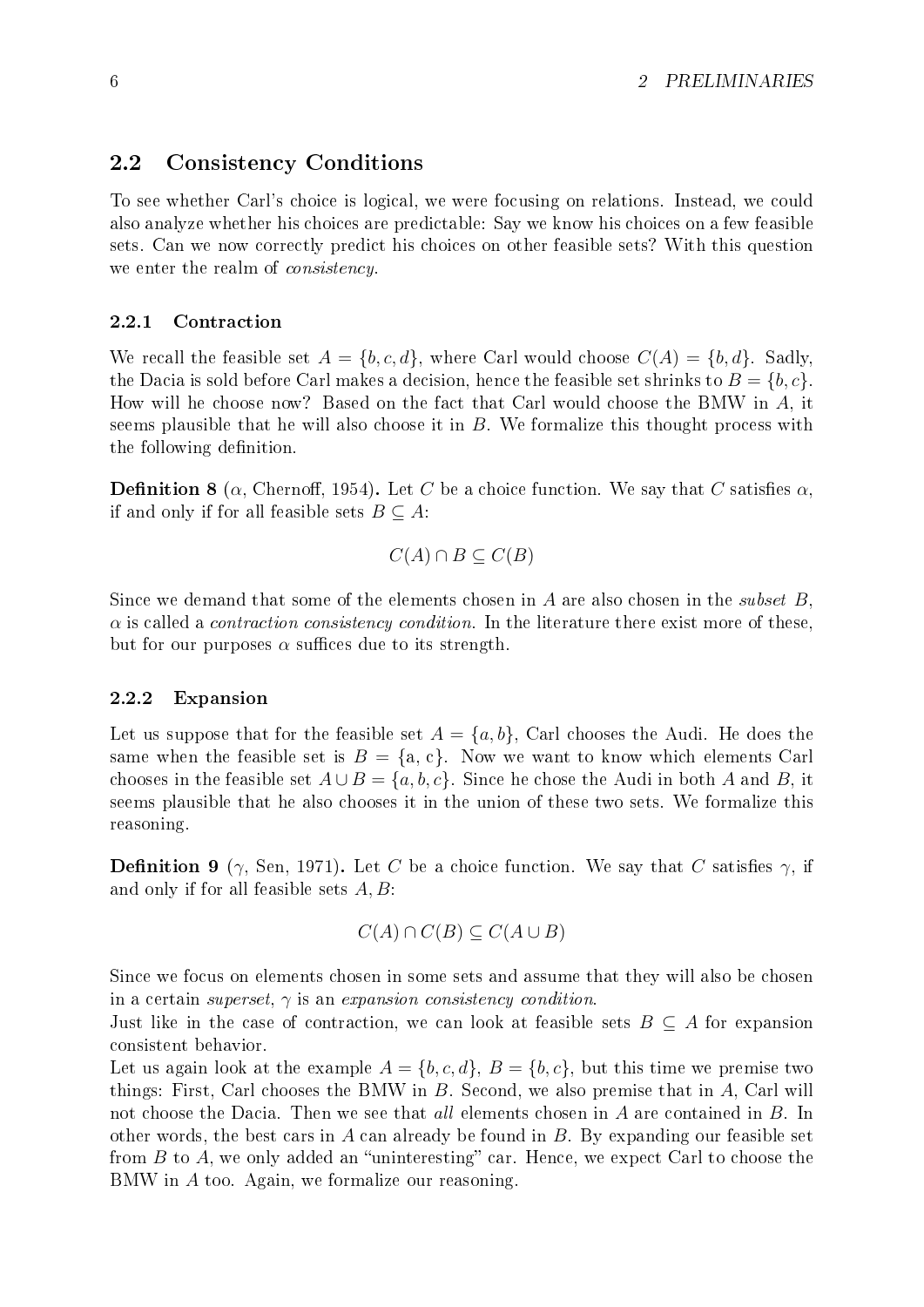#### <span id="page-11-0"></span>2.2 Consistency Conditions

To see whether Carl's choice is logical, we were focusing on relations. Instead, we could also analyze whether his choices are predictable: Say we know his choices on a few feasible sets. Can we now correctly predict his choices on other feasible sets? With this question we enter the realm of consistency.

#### <span id="page-11-1"></span>2.2.1 Contraction

We recall the feasible set  $A = \{b, c, d\}$ , where Carl would choose  $C(A) = \{b, d\}$ . Sadly, the Dacia is sold before Carl makes a decision, hence the feasible set shrinks to  $B = \{b, c\}$ . How will he choose now? Based on the fact that Carl would choose the BMW in A, it seems plausible that he will also choose it in  $B$ . We formalize this thought process with the following definition.

**Definition 8** ( $\alpha$ , Chernoff, 1954). Let C be a choice function. We say that C satisfies  $\alpha$ , if and only if for all feasible sets  $B \subseteq A$ :

$$
C(A) \cap B \subseteq C(B)
$$

Since we demand that some of the elements chosen in A are also chosen in the *subset*  $B$ ,  $\alpha$  is called a *contraction consistency condition*. In the literature there exist more of these, but for our purposes  $\alpha$  suffices due to its strength.

#### <span id="page-11-2"></span>2.2.2 Expansion

Let us suppose that for the feasible set  $A = \{a, b\}$ , Carl chooses the Audi. He does the same when the feasible set is  $B = \{a, c\}$ . Now we want to know which elements Carl chooses in the feasible set  $A \cup B = \{a, b, c\}$ . Since he chose the Audi in both A and B, it seems plausible that he also chooses it in the union of these two sets. We formalize this reasoning.

**Definition 9** ( $\gamma$ , [Sen, 1971\)](#page-71-1). Let C be a choice function. We say that C satisfies  $\gamma$ , if and only if for all feasible sets  $A, B$ :

$$
C(A) \cap C(B) \subseteq C(A \cup B)
$$

Since we focus on elements chosen in some sets and assume that they will also be chosen in a certain *superset*,  $\gamma$  is an *expansion consistency condition*.

Just like in the case of contraction, we can look at feasible sets  $B \subseteq A$  for expansion consistent behavior.

Let us again look at the example  $A = \{b, c, d\}, B = \{b, c\}$ , but this time we premise two things: First, Carl chooses the BMW in  $B$ . Second, we also premise that in  $A$ , Carl will not choose the Dacia. Then we see that all elements chosen in A are contained in B. In other words, the best cars in A can already be found in  $B$ . By expanding our feasible set from  $B$  to  $A$ , we only added an "uninteresting" car. Hence, we expect Carl to choose the BMW in A too. Again, we formalize our reasoning.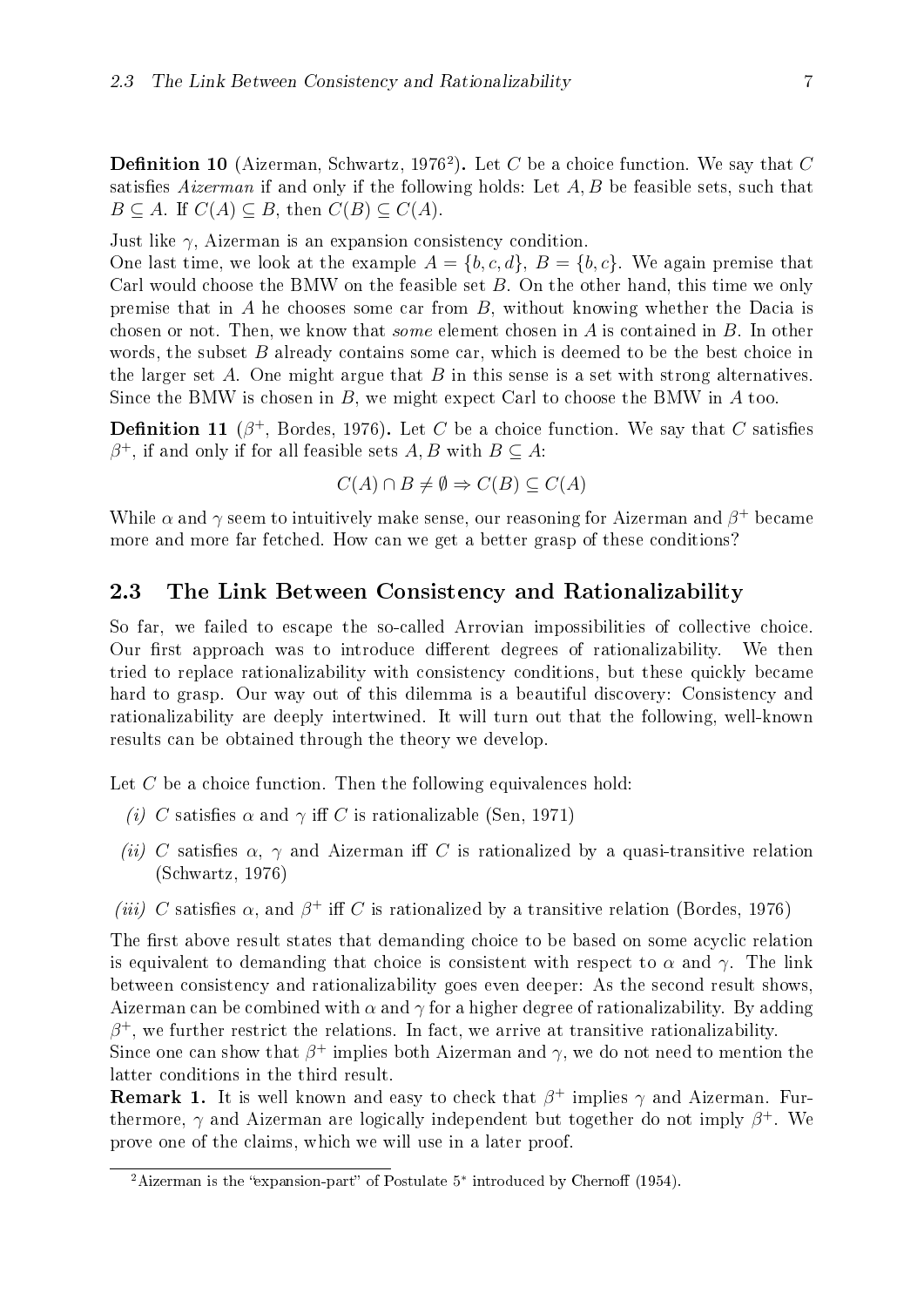**Definition 10** (Aizerman, [Schwartz, 1976](#page-71-0)<sup>[2](#page-12-1)</sup>). Let C be a choice function. We say that C satisfies Aizerman if and only if the following holds: Let  $A, B$  be feasible sets, such that  $B \subseteq A$ . If  $C(A) \subseteq B$ , then  $C(B) \subseteq C(A)$ .

Just like  $\gamma$ , Aizerman is an expansion consistency condition.

One last time, we look at the example  $A = \{b, c, d\}$ ,  $B = \{b, c\}$ . We again premise that Carl would choose the BMW on the feasible set  $B$ . On the other hand, this time we only premise that in A he chooses some car from  $B$ , without knowing whether the Dacia is chosen or not. Then, we know that some element chosen in A is contained in B. In other words, the subset  $B$  already contains some car, which is deemed to be the best choice in the larger set A. One might argue that  $B$  in this sense is a set with strong alternatives. Since the BMW is chosen in  $B$ , we might expect Carl to choose the BMW in  $A$  too.

**Definition 11** ( $\beta^+$ , [Bordes, 1976\)](#page-70-2). Let C be a choice function. We say that C satisfies  $\beta^+$ , if and only if for all feasible sets  $A, B$  with  $B \subseteq A$ :

$$
C(A) \cap B \neq \emptyset \Rightarrow C(B) \subseteq C(A)
$$

While  $\alpha$  and  $\gamma$  seem to intuitively make sense, our reasoning for Aizerman and  $\beta^+$  became more and more far fetched. How can we get a better grasp of these conditions?

#### <span id="page-12-0"></span>2.3 The Link Between Consistency and Rationalizability

So far, we failed to escape the so-called Arrovian impossibilities of collective choice. Our first approach was to introduce different degrees of rationalizability. We then tried to replace rationalizability with consistency conditions, but these quickly became hard to grasp. Our way out of this dilemma is a beautiful discovery: Consistency and rationalizability are deeply intertwined. It will turn out that the following, well-known results can be obtained through the theory we develop.

Let  $C$  be a choice function. Then the following equivalences hold:

- (i) C satisfies  $\alpha$  and  $\gamma$  iff C is rationalizable [\(Sen, 1971\)](#page-71-1)
- (ii) C satisfies  $\alpha$ ,  $\gamma$  and Aizerman iff C is rationalized by a quasi-transitive relation [\(Schwartz, 1976\)](#page-71-0)
- (iii) C satisfies  $\alpha$ , and  $\beta^+$  iff C is rationalized by a transitive relation [\(Bordes, 1976\)](#page-70-2)

The first above result states that demanding choice to be based on some acyclic relation is equivalent to demanding that choice is consistent with respect to  $\alpha$  and  $\gamma$ . The link between consistency and rationalizability goes even deeper: As the second result shows, Aizerman can be combined with  $\alpha$  and  $\gamma$  for a higher degree of rationalizability. By adding  $\beta^+$ , we further restrict the relations. In fact, we arrive at transitive rationalizability.

Since one can show that  $\beta^+$  implies both Aizerman and  $\gamma$ , we do not need to mention the latter conditions in the third result.

**Remark 1.** It is well known and easy to check that  $\beta^+$  implies  $\gamma$  and Aizerman. Furthermore,  $\gamma$  and Aizerman are logically independent but together do not imply  $\beta^+$ . We prove one of the claims, which we will use in a later proof.

<span id="page-12-2"></span><span id="page-12-1"></span><sup>&</sup>lt;sup>2</sup>Aizerman is the "expansion-part" of Postulate  $5^*$  introduced by [Cherno](#page-70-6)ff [\(1954\)](#page-70-6).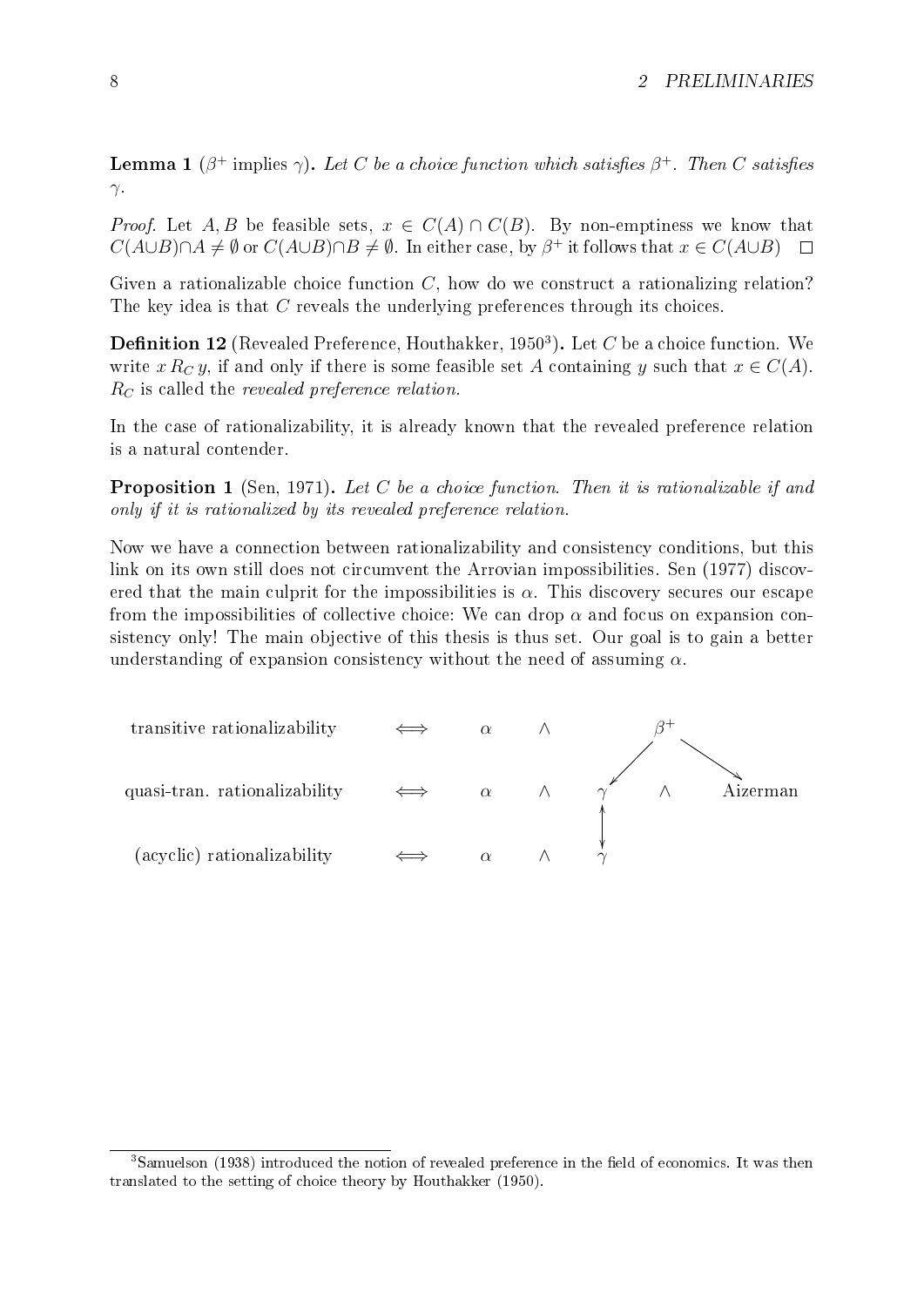**Lemma 1** ( $\beta^+$  implies  $\gamma$ ). Let C be a choice function which satisfies  $\beta^+$ . Then C satisfies  $γ.$ 

*Proof.* Let A, B be feasible sets,  $x \in C(A) \cap C(B)$ . By non-emptiness we know that  $C(A\cup B)\cap A\neq\emptyset$  or  $C(A\cup B)\cap B\neq\emptyset$ . In either case, by  $\beta^+$  it follows that  $x\in C(A\cup B)$ 

Given a rationalizable choice function  $C$ , how do we construct a rationalizing relation? The key idea is that C reveals the underlying preferences through its choices.

<span id="page-13-1"></span>**Definition 12** (Revealed Preference, [Houthakker, 1950](#page-70-7)<sup>[3](#page-13-0)</sup>). Let C be a choice function. We write x  $R_C y$ , if and only if there is some feasible set A containing y such that  $x \in C(A)$ .  $R_C$  is called the revealed preference relation.

In the case of rationalizability, it is already known that the revealed preference relation is a natural contender.

**Proposition 1** [\(Sen, 1971\)](#page-71-1). Let C be a choice function. Then it is rationalizable if and only if it is rationalized by its revealed preference relation.

Now we have a connection between rationalizability and consistency conditions, but this link on its own still does not circumvent the Arrovian impossibilities. [Sen](#page-71-3) [\(1977\)](#page-71-3) discovered that the main culprit for the impossibilities is  $\alpha$ . This discovery secures our escape from the impossibilities of collective choice: We can drop  $\alpha$  and focus on expansion consistency only! The main objective of this thesis is thus set. Our goal is to gain a better understanding of expansion consistency without the need of assuming  $\alpha$ .



<span id="page-13-0"></span> $3$ [Samuelson](#page-71-4) [\(1938\)](#page-71-4) introduced the notion of revealed preference in the field of economics. It was then translated to the setting of choice theory by [Houthakker](#page-70-7) [\(1950\)](#page-70-7).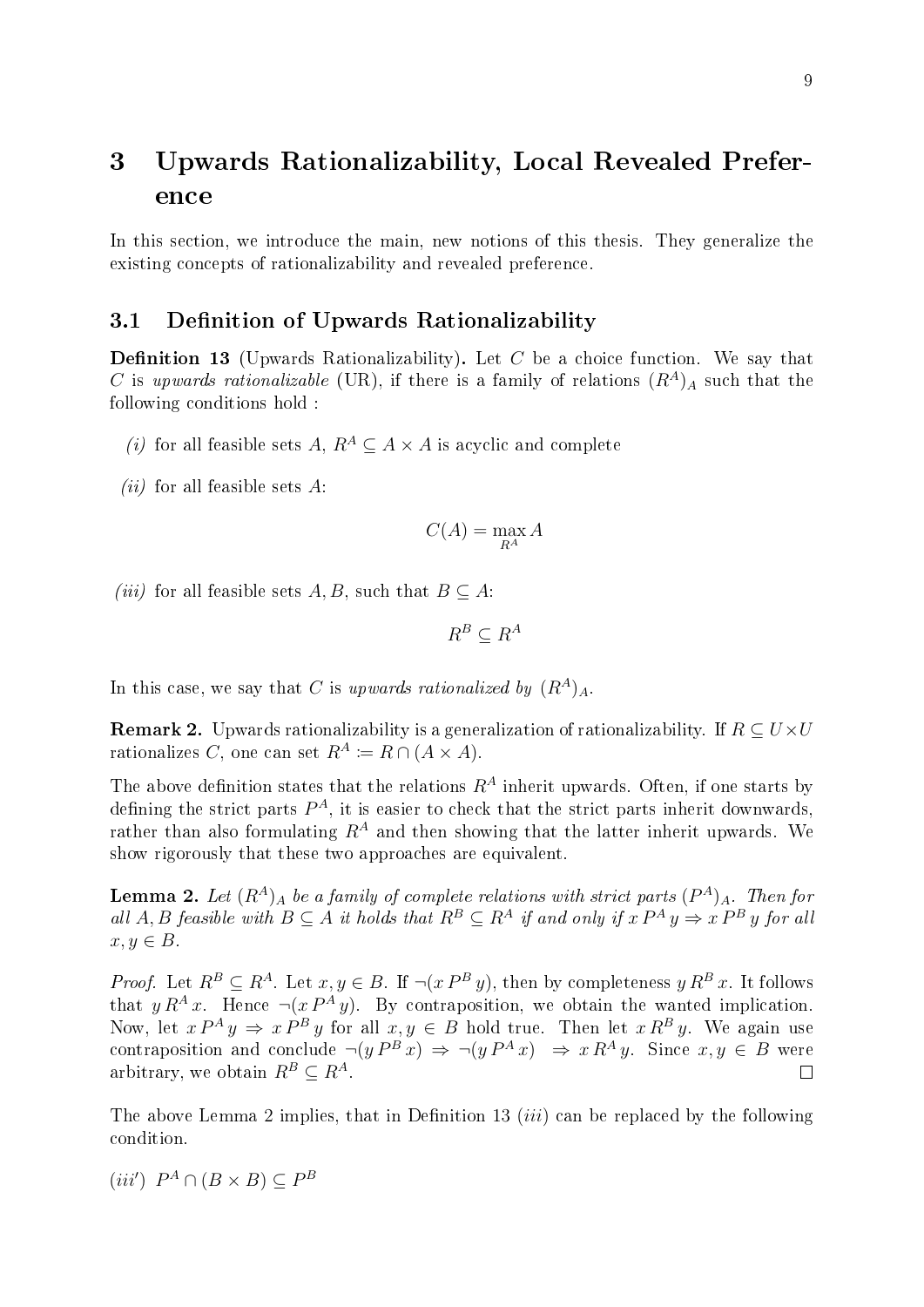# <span id="page-14-0"></span>3 Upwards Rationalizability, Local Revealed Preference

In this section, we introduce the main, new notions of this thesis. They generalize the existing concepts of rationalizability and revealed preference.

#### <span id="page-14-1"></span>3.1 Definition of Upwards Rationalizability

<span id="page-14-3"></span>**Definition 13** (Upwards Rationalizability). Let C be a choice function. We say that C is upwards rationalizable (UR), if there is a family of relations  $(R<sup>A</sup>)<sub>A</sub>$  such that the following conditions hold :

- (i) for all feasible sets A,  $R^A \subseteq A \times A$  is acyclic and complete
- (*ii*) for all feasible sets  $A$ :

$$
C(A) = \max_{R^A} A
$$

(iii) for all feasible sets A, B, such that  $B \subseteq A$ :

$$
R^B \subseteq R^A
$$

In this case, we say that C is upwards rationalized by  $(R<sup>A</sup>)<sub>A</sub>$ .

**Remark 2.** Upwards rationalizability is a generalization of rationalizability. If  $R \subseteq U \times U$ rationalizes C, one can set  $R^A \coloneqq R \cap (A \times A)$ .

The above definition states that the relations  $R^A$  inherit upwards. Often, if one starts by defining the strict parts  $P^A$ , it is easier to check that the strict parts inherit downwards, rather than also formulating  $R^A$  and then showing that the latter inherit upwards. We show rigorously that these two approaches are equivalent.

<span id="page-14-2"></span>**Lemma 2.** Let  $(R^A)_A$  be a family of complete relations with strict parts  $(P^A)_A$ . Then for all A, B feasible with  $B \subseteq A$  it holds that  $R^B \subseteq R^A$  if and only if  $x P^A y \Rightarrow x P^B y$  for all  $x, y \in B$ .

*Proof.* Let  $R^B \subseteq R^A$ . Let  $x, y \in B$ . If  $\neg(x P^B y)$ , then by completeness  $y R^B x$ . It follows that  $y R^A x$ . Hence  $\neg(x P^A y)$ . By contraposition, we obtain the wanted implication. Now, let  $x P^A y \Rightarrow x P^B y$  for all  $x, y \in B$  hold true. Then let  $x R^B y$ . We again use contraposition and conclude  $\neg(y P^B x) \Rightarrow \neg(y P^A x) \Rightarrow x R^A y$ . Since  $x, y \in B$  were arbitrary, we obtain  $R^B \subseteq R^A$ .  $\Box$ 

The above Lemma [2](#page-14-2) implies, that in Definition [13](#page-14-3) *(iii)* can be replaced by the following condition.

$$
(iii') P^A \cap (B \times B) \subseteq P^B
$$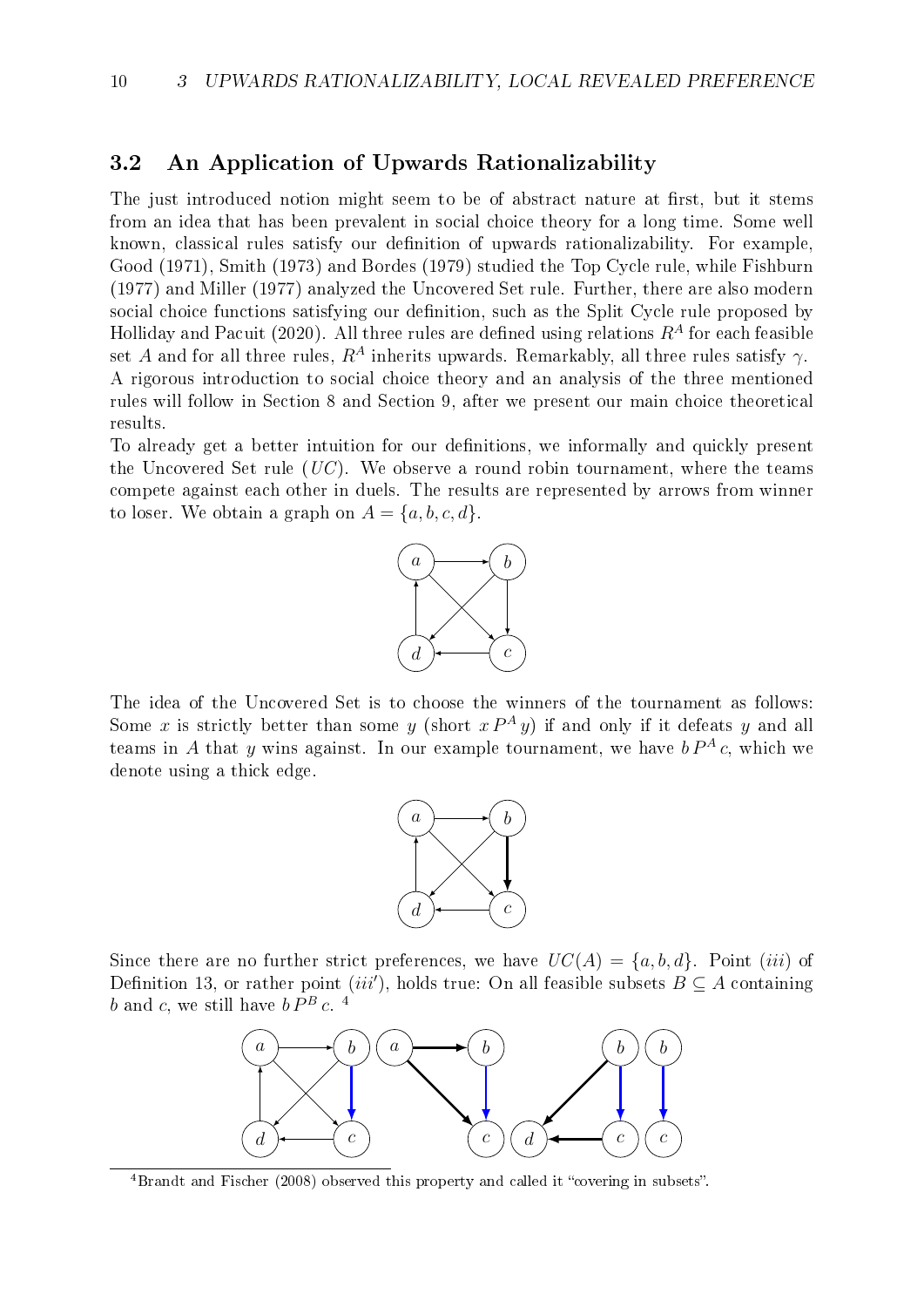#### <span id="page-15-0"></span>3.2 An Application of Upwards Rationalizability

The just introduced notion might seem to be of abstract nature at first, but it stems from an idea that has been prevalent in social choice theory for a long time. Some well known, classical rules satisfy our definition of upwards rationalizability. For example, [Good](#page-70-8) [\(1971\)](#page-70-8), [Smith](#page-71-5) [\(1973\)](#page-71-5) and [Bordes](#page-70-9) [\(1979\)](#page-70-9) studied the Top Cycle rule, while [Fishburn](#page-70-10) [\(1977\)](#page-70-10) and [Miller](#page-71-6) [\(1977\)](#page-71-6) analyzed the Uncovered Set rule. Further, there are also modern social choice functions satisfying our definition, such as the Split Cycle rule proposed by [Holliday and Pacuit](#page-70-11) [\(2020\)](#page-70-11). All three rules are defined using relations  $R^A$  for each feasible set A and for all three rules,  $R^A$  inherits upwards. Remarkably, all three rules satisfy  $\gamma$ . A rigorous introduction to social choice theory and an analysis of the three mentioned rules will follow in Section [8](#page-53-0) and Section [9,](#page-56-0) after we present our main choice theoretical results.

To already get a better intuition for our definitions, we informally and quickly present the Uncovered Set rule  $(UC)$ . We observe a round robin tournament, where the teams compete against each other in duels. The results are represented by arrows from winner to loser. We obtain a graph on  $A = \{a, b, c, d\}.$ 



The idea of the Uncovered Set is to choose the winners of the tournament as follows: Some x is strictly better than some y (short  $x P^A y$ ) if and only if it defeats y and all teams in A that y wins against. In our example tournament, we have  $b P^A c$ , which we denote using a thick edge.



Since there are no further strict preferences, we have  $UC(A) = \{a, b, d\}$ . Point (iii) of Definition [13](#page-14-3), or rather point (iii'), holds true: On all feasible subsets  $B \subseteq A$  containing  $b$  and  $c$ , we still have  $b \, \bar{P}^B \, c$ . <sup>[4](#page-15-1)</sup>



<span id="page-15-1"></span> $4B$ randt and Fischer [\(2008\)](#page-70-12) observed this property and called it "covering in subsets".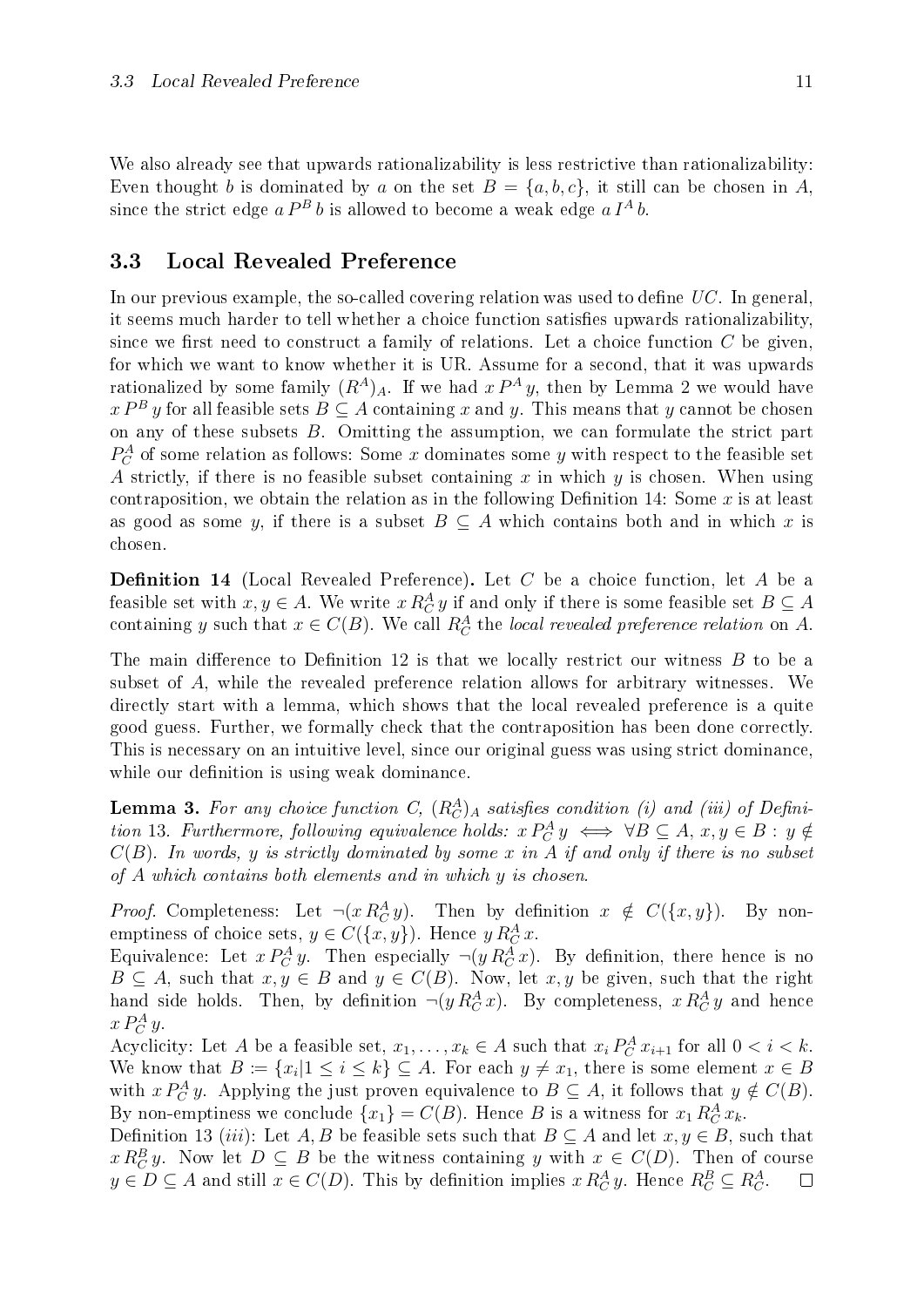We also already see that upwards rationalizability is less restrictive than rationalizability: Even thought b is dominated by a on the set  $B = \{a, b, c\}$ , it still can be chosen in A, since the strict edge  $a P^B b$  is allowed to become a weak edge  $a I^A b$ .

#### <span id="page-16-0"></span>3.3 Local Revealed Preference

In our previous example, the so-called covering relation was used to define  $UC$ . In general, it seems much harder to tell whether a choice function satisfies upwards rationalizability, since we first need to construct a family of relations. Let a choice function  $C$  be given, for which we want to know whether it is UR. Assume for a second, that it was upwards rationalized by some family  $(R^A)_A$ . If we had  $x P^A y$ , then by Lemma [2](#page-14-2) we would have  $x P^B y$  for all feasible sets  $B \subseteq A$  containing x and y. This means that y cannot be chosen on any of these subsets B. Omitting the assumption, we can formulate the strict part  $P_C^A$  of some relation as follows: Some x dominates some y with respect to the feasible set A strictly, if there is no feasible subset containing  $x$  in which  $y$  is chosen. When using contraposition, we obtain the relation as in the following Definition [14](#page-16-1): Some  $x$  is at least as good as some y, if there is a subset  $B \subseteq A$  which contains both and in which x is chosen.

<span id="page-16-1"></span>**Definition 14** (Local Revealed Preference). Let C be a choice function, let A be a feasible set with  $x, y \in A$ . We write  $x R_C^A y$  if and only if there is some feasible set  $B \subseteq A$ containing y such that  $x \in C(B)$ . We call  $R_C^A$  the local revealed preference relation on A.

The main difference to Definition [12](#page-13-1) is that we locally restrict our witness  $B$  to be a subset of A, while the revealed preference relation allows for arbitrary witnesses. We directly start with a lemma, which shows that the local revealed preference is a quite good guess. Further, we formally check that the contraposition has been done correctly. This is necessary on an intuitive level, since our original guess was using strict dominance, while our definition is using weak dominance.

<span id="page-16-2"></span>**Lemma 3.** For any choice function C,  $(R_C^A)_A$  satisfies condition (i) and (iii) of Defini-tion [13](#page-14-3). Furthermore, following equivalence holds:  $x P_C^A y \iff \forall B \subseteq A, x, y \in B : y \notin \mathbb{R}$  $C(B)$ . In words, y is strictly dominated by some x in A if and only if there is no subset of A which contains both elements and in which y is chosen.

*Proof.* Completeness: Let  $\neg(x R_C^A y)$ . Then by definition  $x \notin C({x, y})$ . By nonemptiness of choice sets,  $y \in C({x, y})$ . Hence  $y R_C^A x$ .

Equivalence: Let  $x P_C^A y$ . Then especially  $\neg(y R_C^A x)$ . By definition, there hence is no  $B \subseteq A$ , such that  $x, y \in B$  and  $y \in C(B)$ . Now, let  $x, y$  be given, such that the right hand side holds. Then, by definition  $\neg(y R_C^A x)$ . By completeness,  $x R_C^A y$  and hence  $x P_C^A y$ .

Acyclicity: Let A be a feasible set,  $x_1, \ldots, x_k \in A$  such that  $x_i P_C^A x_{i+1}$  for all  $0 < i < k$ . We know that  $B \coloneqq \{x_i | 1 \leq i \leq k\} \subseteq A$ . For each  $y \neq x_1$ , there is some element  $x \in B$ with  $x P_C^A y$ . Applying the just proven equivalence to  $B \subseteq A$ , it follows that  $y \notin C(B)$ . By non-emptiness we conclude  $\{x_1\} = C(B)$ . Hence B is a witness for  $x_1 R_C^A x_k$ .

Definition [13](#page-14-3) (iii): Let A, B be feasible sets such that  $B \subseteq A$  and let  $x, y \in B$ , such that  $x R_C^B y$ . Now let  $D \subseteq B$  be the witness containing y with  $x \in C(D)$ . Then of course  $y \in D \subseteq A$  and still  $x \in C(D)$ . This by definition implies  $x R_C^A y$ . Hence  $R_C^B \subseteq R_C^A$ .  $\Box$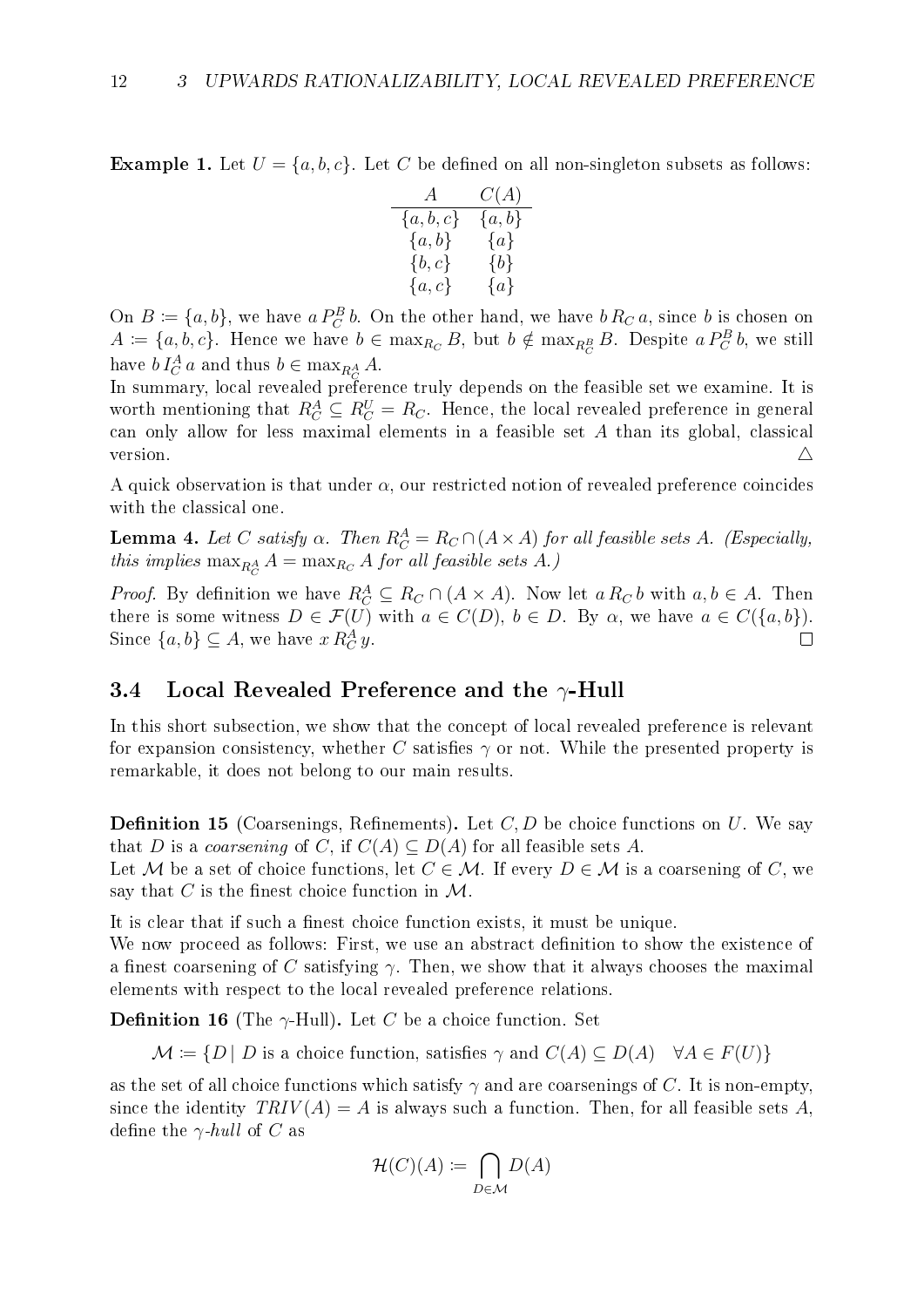**Example 1.** Let  $U = \{a, b, c\}$ . Let C be defined on all non-singleton subsets as follows:

$$
\begin{array}{cc}A&C(A)\\ \{a,b,c\}&\{a,b\}\\ \{a,b\}&\{a\}\\ \{b,c\}&\{b\}\\ \{a,c\}&\{a\}\end{array}
$$

On  $B \coloneqq \{a, b\}$ , we have  $a P_C^B b$ . On the other hand, we have  $b R_C a$ , since b is chosen on  $A \coloneqq \{a, b, c\}$ . Hence we have  $b \in \max_{R_C} B$ , but  $b \notin \max_{R_C^B} B$ . Despite  $a P_C^B b$ , we still have  $b I_C^A a$  and thus  $b \in \max_{R_C^A} A$ .

In summary, local revealed preference truly depends on the feasible set we examine. It is worth mentioning that  $R_C^A \subseteq R_C^U = R_C$ . Hence, the local revealed preference in general can only allow for less maximal elements in a feasible set A than its global, classical version.  $\triangle$ 

A quick observation is that under  $\alpha$ , our restricted notion of revealed preference coincides with the classical one.

<span id="page-17-2"></span>**Lemma 4.** Let C satisfy  $\alpha$ . Then  $R_C^A = R_C \cap (A \times A)$  for all feasible sets A. (Especially, this implies  $\max_{R_C^A} A = \max_{R_C} A$  for all feasible sets A.)

*Proof.* By definition we have  $R_C^A \subseteq R_C \cap (A \times A)$ . Now let  $a R_C b$  with  $a, b \in A$ . Then there is some witness  $D \in \mathcal{F}(U)$  with  $a \in C(D)$ ,  $b \in D$ . By  $\alpha$ , we have  $a \in C({a,b})$ . Since  $\{a, b\} \subseteq A$ , we have  $x R_C^A y$ .  $\Box$ 

#### <span id="page-17-0"></span>3.4 Local Revealed Preference and the  $\gamma$ -Hull

In this short subsection, we show that the concept of local revealed preference is relevant for expansion consistency, whether C satisfies  $\gamma$  or not. While the presented property is remarkable, it does not belong to our main results.

**Definition 15** (Coarsenings, Refinements). Let  $C, D$  be choice functions on  $U$ . We say that D is a coarsening of C, if  $C(A) \subseteq D(A)$  for all feasible sets A.

Let M be a set of choice functions, let  $C \in \mathcal{M}$ . If every  $D \in \mathcal{M}$  is a coarsening of C, we say that C is the finest choice function in  $\mathcal{M}$ .

It is clear that if such a finest choice function exists, it must be unique.

We now proceed as follows: First, we use an abstract definition to show the existence of a finest coarsening of C satisfying  $\gamma$ . Then, we show that it always chooses the maximal elements with respect to the local revealed preference relations.

**Definition 16** (The  $\gamma$ -Hull). Let C be a choice function. Set

 $\mathcal{M} \coloneqq \{D \mid D \text{ is a choice function, satisfies } \gamma \text{ and } C(A) \subseteq D(A) \quad \forall A \in F(U)\}\$ 

<span id="page-17-1"></span>as the set of all choice functions which satisfy  $\gamma$  and are coarsenings of C. It is non-empty, since the identity  $TRIV(A) = A$  is always such a function. Then, for all feasible sets A, define the  $\gamma$ -hull of C as

$$
\mathcal{H}(C)(A) \coloneqq \bigcap_{D \in \mathcal{M}} D(A)
$$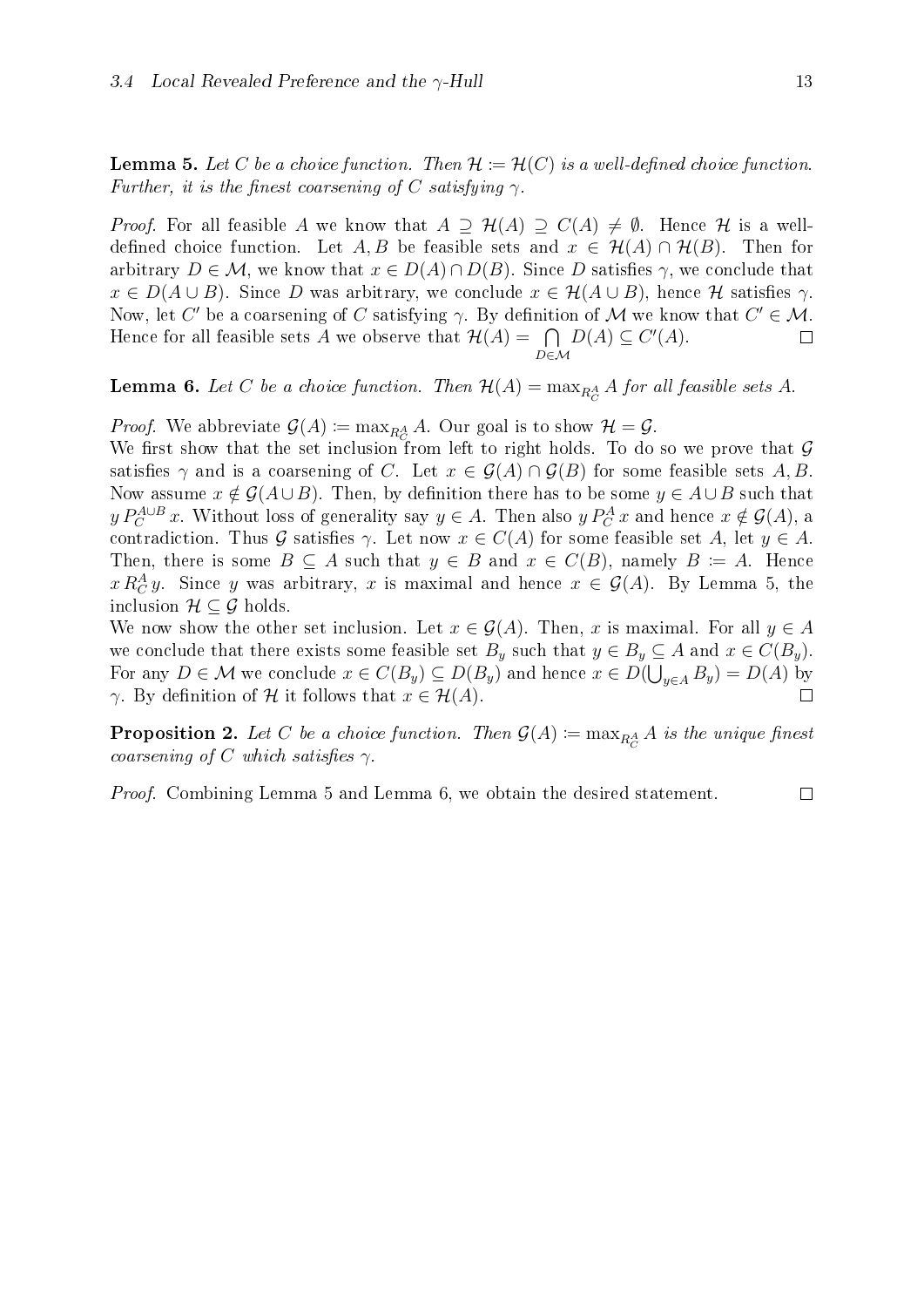**Lemma 5.** Let C be a choice function. Then  $\mathcal{H} := \mathcal{H}(C)$  is a well-defined choice function. Further, it is the finest coarsening of C satisfying  $\gamma$ .

*Proof.* For all feasible A we know that  $A \supseteq H(A) \supseteq C(A) \neq \emptyset$ . Hence H is a welldefined choice function. Let A, B be feasible sets and  $x \in \mathcal{H}(A) \cap \mathcal{H}(B)$ . Then for arbitrary  $D \in \mathcal{M}$ , we know that  $x \in D(A) \cap D(B)$ . Since D satisfies  $\gamma$ , we conclude that  $x \in D(A \cup B)$ . Since D was arbitrary, we conclude  $x \in \mathcal{H}(A \cup B)$ , hence H satisfies  $\gamma$ . Now, let C' be a coarsening of C satisfying  $\gamma$ . By definition of M we know that  $C' \in \mathcal{M}$ .  $D(A) \subseteq C'(A)$ . Hence for all feasible sets A we observe that  $\mathcal{H}(A) = \bigcap$  $\Box$ D∈M

<span id="page-18-0"></span>**Lemma 6.** Let  $C$  be a choice function. Then  $\mathcal{H}(A) = \max_{R_C^A} A$  for all feasible sets  $A$ .

*Proof.* We abbreviate  $\mathcal{G}(A) := \max_{R_C^A} A$ . Our goal is to show  $\mathcal{H} = \mathcal{G}$ .

We first show that the set inclusion from left to right holds. To do so we prove that  $\mathcal G$ satisfies  $\gamma$  and is a coarsening of C. Let  $x \in \mathcal{G}(A) \cap \mathcal{G}(B)$  for some feasible sets A, B. Now assume  $x \notin \mathcal{G}(A \cup B)$ . Then, by definition there has to be some  $y \in A \cup B$  such that  $y P_C^{A \cup B} x$ . Without loss of generality say  $y \in A$ . Then also  $y P_C^A x$  and hence  $x \notin \mathcal{G}(A)$ , a contradiction. Thus G satisfies  $\gamma$ . Let now  $x \in C(A)$  for some feasible set A, let  $y \in A$ . Then, there is some  $B \subseteq A$  such that  $y \in B$  and  $x \in C(B)$ , namely  $B \coloneqq A$ . Hence  $x R_C^A y$ . Since y was arbitrary, x is maximal and hence  $x \in \mathcal{G}(A)$ . By Lemma [5](#page-17-1), the inclusion  $\mathcal{H} \subseteq \mathcal{G}$  holds.

We now show the other set inclusion. Let  $x \in \mathcal{G}(A)$ . Then, x is maximal. For all  $y \in A$ we conclude that there exists some feasible set  $B_y$  such that  $y \in B_y \subseteq A$  and  $x \in C(B_y)$ . For any  $D \in \mathcal{M}$  we conclude  $x \in C(B_y) \subseteq D(B_y)$  and hence  $x \in D(\bigcup_{y \in A} B_y) = D(A)$  by γ. By definition of H it follows that  $x \in H(A)$ .  $\Box$ 

**Proposition 2.** Let C be a choice function. Then  $\mathcal{G}(A) \coloneqq \max_{R_C^A} A$  is the unique finest coarsening of C which satisfies  $\gamma$ .

Proof. Combining Lemma [5](#page-17-1) and Lemma [6](#page-18-0), we obtain the desired statement.

 $\Box$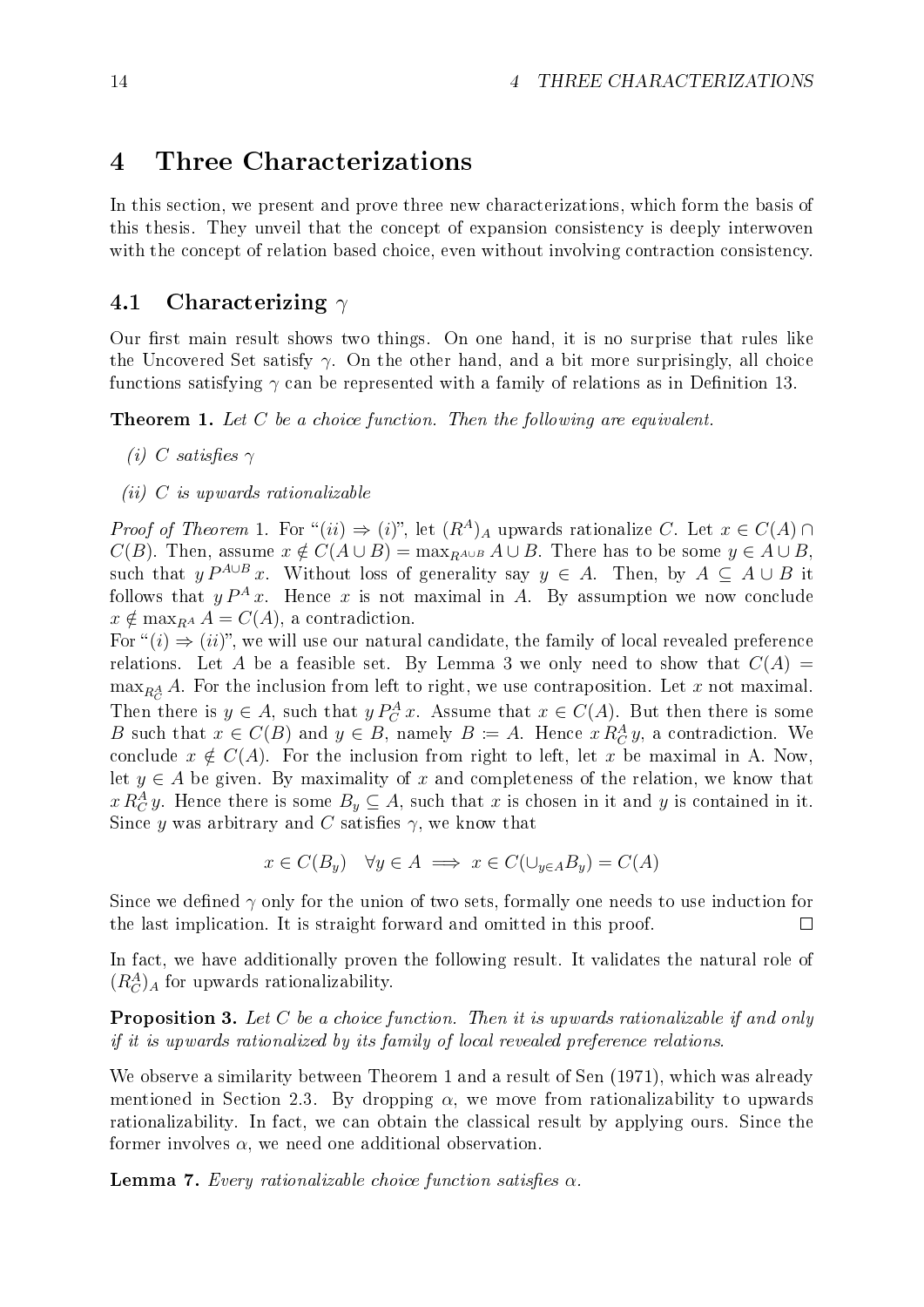### <span id="page-19-0"></span>4 Three Characterizations

In this section, we present and prove three new characterizations, which form the basis of this thesis. They unveil that the concept of expansion consistency is deeply interwoven with the concept of relation based choice, even without involving contraction consistency.

#### <span id="page-19-1"></span>4.1 Characterizing  $\gamma$

Our first main result shows two things. On one hand, it is no surprise that rules like the Uncovered Set satisfy  $\gamma$ . On the other hand, and a bit more surprisingly, all choice functions satisfying  $\gamma$  can be represented with a family of relations as in Definition [13](#page-14-3).

<span id="page-19-2"></span>**Theorem 1.** Let  $C$  be a choice function. Then the following are equivalent.

- (i) C satisfies  $\gamma$
- $(ii)$  C is upwards rationalizable

*Proof of Theorem* [1](#page-19-2). For " $(ii) \Rightarrow (i)$ ", let  $(R^A)_A$  upwards rationalize C. Let  $x \in C(A) \cap$  $C(B)$ . Then, assume  $x \notin C(A \cup B) = \max_{B \cup B} A \cup B$ . There has to be some  $y \in A \cup B$ , such that  $y P^{A\cup B} x$ . Without loss of generality say  $y \in A$ . Then, by  $A \subseteq A \cup B$  it follows that  $y P^A x$ . Hence x is not maximal in A. By assumption we now conclude  $x \notin \max_{B} A = C(A)$ , a contradiction.

For " $(i) \Rightarrow (ii)$ ", we will use our natural candidate, the family of local revealed preference relations. Let A be a feasible set. By Lemma [3](#page-16-2) we only need to show that  $C(A)$  $\max_{R_C^A} A$ . For the inclusion from left to right, we use contraposition. Let x not maximal. Then there is  $y \in A$ , such that  $y P_C^A x$ . Assume that  $x \in C(A)$ . But then there is some B such that  $x \in C(B)$  and  $y \in B$ , namely  $B \coloneqq A$ . Hence  $x R_C^A y$ , a contradiction. We conclude  $x \notin C(A)$ . For the inclusion from right to left, let x be maximal in A. Now, let  $y \in A$  be given. By maximality of x and completeness of the relation, we know that  $x R_C^A y$ . Hence there is some  $B_y \subseteq A$ , such that x is chosen in it and y is contained in it. Since y was arbitrary and C satisfies  $\gamma$ , we know that

$$
x \in C(B_y) \quad \forall y \in A \implies x \in C(\cup_{y \in A} B_y) = C(A)
$$

Since we defined  $\gamma$  only for the union of two sets, formally one needs to use induction for the last implication. It is straight forward and omitted in this proof.  $\Box$ 

In fact, we have additionally proven the following result. It validates the natural role of  $(R_C^A)_A$  for upwards rationalizability.

<span id="page-19-4"></span>**Proposition 3.** Let C be a choice function. Then it is upwards rationalizable if and only if it is upwards rationalized by its family of local revealed preference relations.

We observe a similarity between Theorem [1](#page-19-2) and a result of [Sen](#page-71-1) [\(1971\)](#page-71-1), which was already mentioned in Section [2.3.](#page-12-0) By dropping  $\alpha$ , we move from rationalizability to upwards rationalizability. In fact, we can obtain the classical result by applying ours. Since the former involves  $\alpha$ , we need one additional observation.

<span id="page-19-3"></span>**Lemma 7.** Every rationalizable choice function satisfies  $\alpha$ .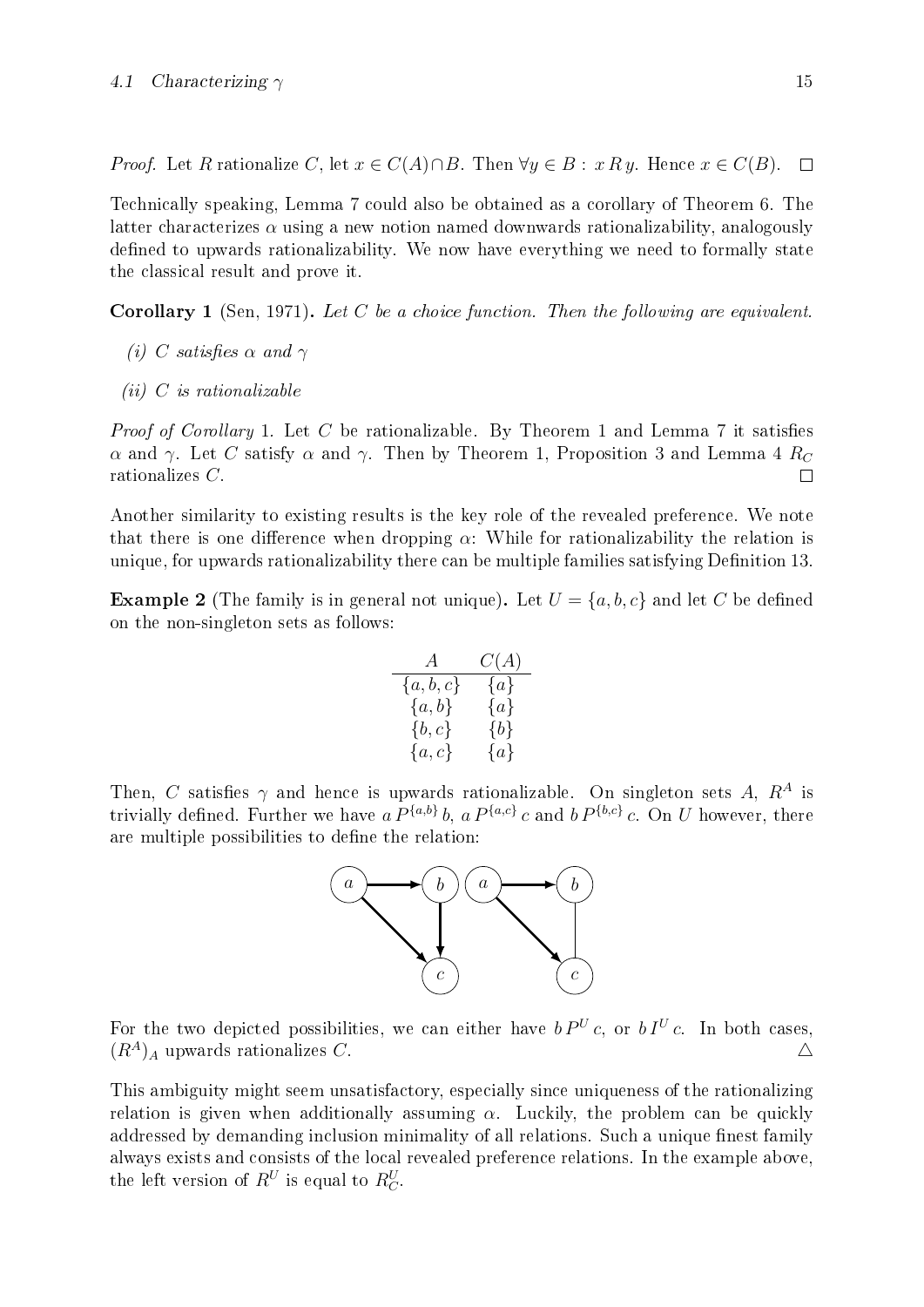*Proof.* Let R rationalize C, let  $x \in C(A) \cap B$ . Then  $\forall y \in B : x \, R \, y$ . Hence  $x \in C(B)$ .  $\Box$ 

Technically speaking, Lemma [7](#page-19-3) could also be obtained as a corollary of Theorem [6](#page-34-2). The latter characterizes  $\alpha$  using a new notion named downwards rationalizability, analogously defined to upwards rationalizability. We now have everything we need to formally state the classical result and prove it.

<span id="page-20-0"></span>**Corollary 1** [\(Sen, 1971\)](#page-71-1). Let C be a choice function. Then the following are equivalent.

- (i) C satisfies  $\alpha$  and  $\gamma$
- $(ii)$  C is rationalizable

*Proof of Corollary* [1](#page-19-2). Let C be rationalizable. By Theorem 1 and Lemma [7](#page-19-3) it satisfies α and γ. Let C satisfy α and γ. Then by Theorem [1](#page-19-2), Proposition [3](#page-19-4) and Lemma [4](#page-17-2)  $R_C$ rationalizes C.  $\Box$ 

Another similarity to existing results is the key role of the revealed preference. We note that there is one difference when dropping  $\alpha$ : While for rationalizability the relation is unique, for upwards rationalizability there can be multiple families satisfying Definition [13](#page-14-3).

**Example 2** (The family is in general not unique). Let  $U = \{a, b, c\}$  and let C be defined on the non-singleton sets as follows:

$$
\begin{array}{cc}A&C(A)\\ \{a,b,c\}&\{a\}\\ \{a,b\}&\{a\}\\ \{b,c\}&\{b\}\\ \{a,c\}&\{a\}\end{array}
$$

Then, C satisfies  $\gamma$  and hence is upwards rationalizable. On singleton sets A,  $R^A$  is trivially defined. Further we have  $a P^{\{a,b\}} b$ ,  $a P^{\{a,c\}} c$  and  $b P^{\{b,c\}} c$ . On U however, there are multiple possibilities to define the relation:



For the two depicted possibilities, we can either have  $bP^{U}c$ , or  $bI^{U}c$ . In both cases,  $(R^A)_A$  upwards rationalizes C.  $\Delta$ 

This ambiguity might seem unsatisfactory, especially since uniqueness of the rationalizing relation is given when additionally assuming  $\alpha$ . Luckily, the problem can be quickly addressed by demanding inclusion minimality of all relations. Such a unique finest family always exists and consists of the local revealed preference relations. In the example above, the left version of  $R^U$  is equal to  $R^U_C$ .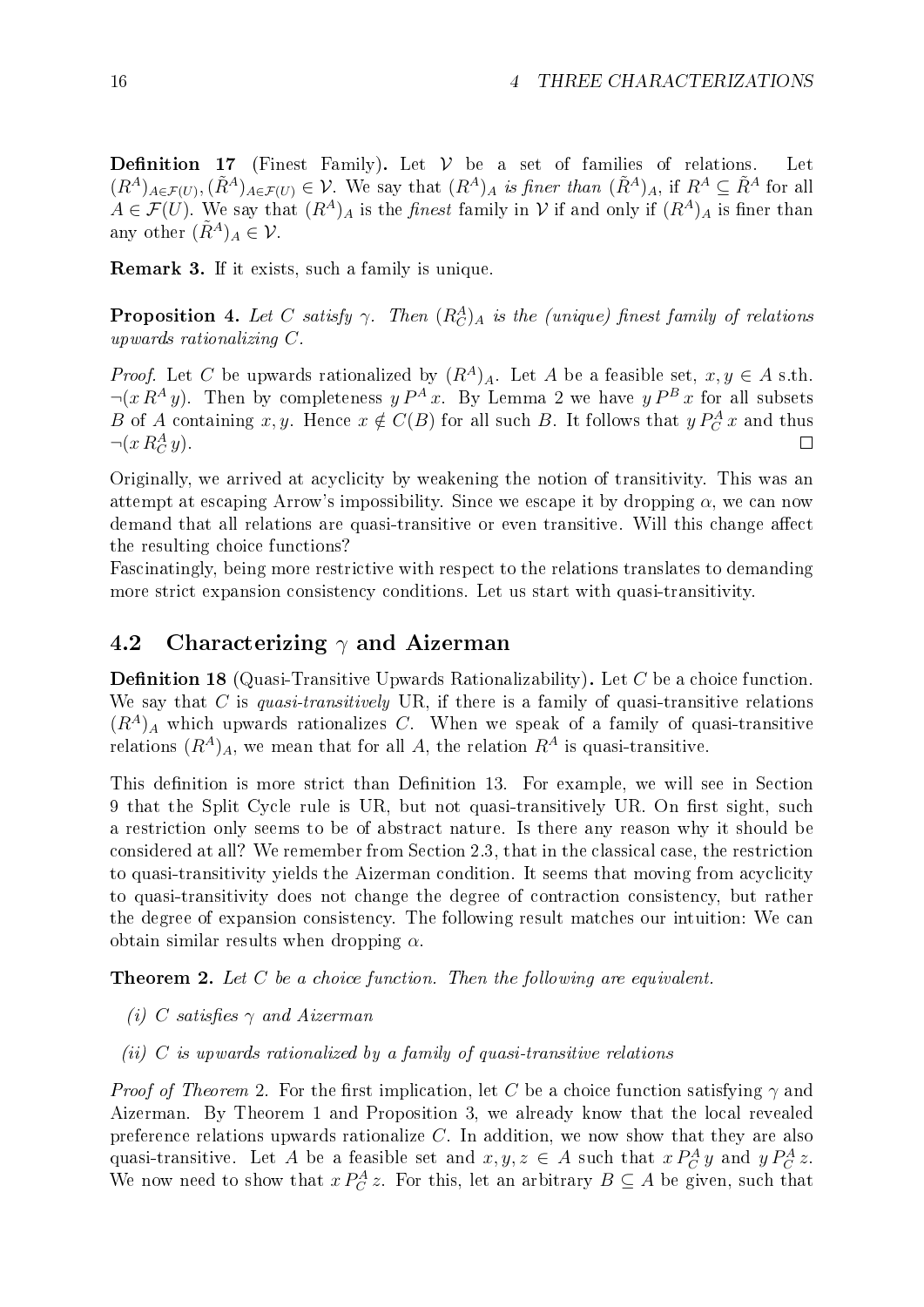Definition 17 (Finest Family). Let  $V$  be a set of families of relations.  $(R^A)_{A\in\mathcal{F}(U)}$ ,  $(\tilde{R}^A)_{A\in\mathcal{F}(U)}\in\mathcal{V}$ . We say that  $(R^A)_A$  is finer than  $(\tilde{R}^A)_A$ , if  $R^A\subseteq\tilde{R}^A$  for all  $A \in \mathcal{F}(U)$ . We say that  $(R^A)_A$  is the *finest* family in V if and only if  $(R^A)_A$  is finer than any other  $(\tilde{R}^A)_A \in \mathcal{V}$ .

Remark 3. If it exists, such a family is unique.

<span id="page-21-0"></span>**Proposition 4.** Let C satisfy  $\gamma$ . Then  $(R_C^A)_A$  is the (unique) finest family of relations upwards rationalizing C.

*Proof.* Let C be upwards rationalized by  $(R<sup>A</sup>)<sub>A</sub>$ . Let A be a feasible set,  $x, y \in A$  s.th.  $\neg(x R^A y)$ . Then by completeness  $y P^A x$ . By Lemma [2](#page-14-2) we have  $y P^B x$  for all subsets B of A containing x, y. Hence  $x \notin C(B)$  for all such B. It follows that  $y P_C^A x$  and thus  $\neg(x R_C^A y).$  $\Box$ 

Originally, we arrived at acyclicity by weakening the notion of transitivity. This was an attempt at escaping Arrow's impossibility. Since we escape it by dropping  $\alpha$ , we can now demand that all relations are quasi-transitive or even transitive. Will this change affect the resulting choice functions?

Fascinatingly, being more restrictive with respect to the relations translates to demanding more strict expansion consistency conditions. Let us start with quasi-transitivity.

#### <span id="page-21-1"></span>4.2 Characterizing  $\gamma$  and Aizerman

<span id="page-21-3"></span>**Definition 18** (Quasi-Transitive Upwards Rationalizability). Let C be a choice function. We say that C is quasi-transitively UR, if there is a family of quasi-transitive relations  $(R<sup>A</sup>)<sub>A</sub>$  which upwards rationalizes C. When we speak of a family of quasi-transitive relations  $(R^A)_A$ , we mean that for all A, the relation  $R^A$  is quasi-transitive.

This definition is more strict than Definition [13](#page-14-3). For example, we will see in Section [9](#page-56-0) that the Split Cycle rule is UR, but not quasi-transitively UR. On first sight, such a restriction only seems to be of abstract nature. Is there any reason why it should be considered at all? We remember from Section [2.3,](#page-12-0) that in the classical case, the restriction to quasi-transitivity yields the Aizerman condition. It seems that moving from acyclicity to quasi-transitivity does not change the degree of contraction consistency, but rather the degree of expansion consistency. The following result matches our intuition: We can obtain similar results when dropping  $\alpha$ .

<span id="page-21-2"></span>**Theorem 2.** Let  $C$  be a choice function. Then the following are equivalent.

- (i) C satisfies  $\gamma$  and Aizerman
- (ii)  $C$  is upwards rationalized by a family of quasi-transitive relations

*Proof of Theorem* [2](#page-21-2). For the first implication, let C be a choice function satisfying  $\gamma$  and Aizerman. By Theorem [1](#page-19-2) and Proposition [3](#page-19-4), we already know that the local revealed preference relations upwards rationalize C. In addition, we now show that they are also quasi-transitive. Let A be a feasible set and  $x, y, z \in A$  such that  $x P_C^A y$  and  $y P_C^A z$ . We now need to show that  $x P_C^A z$ . For this, let an arbitrary  $B \subseteq A$  be given, such that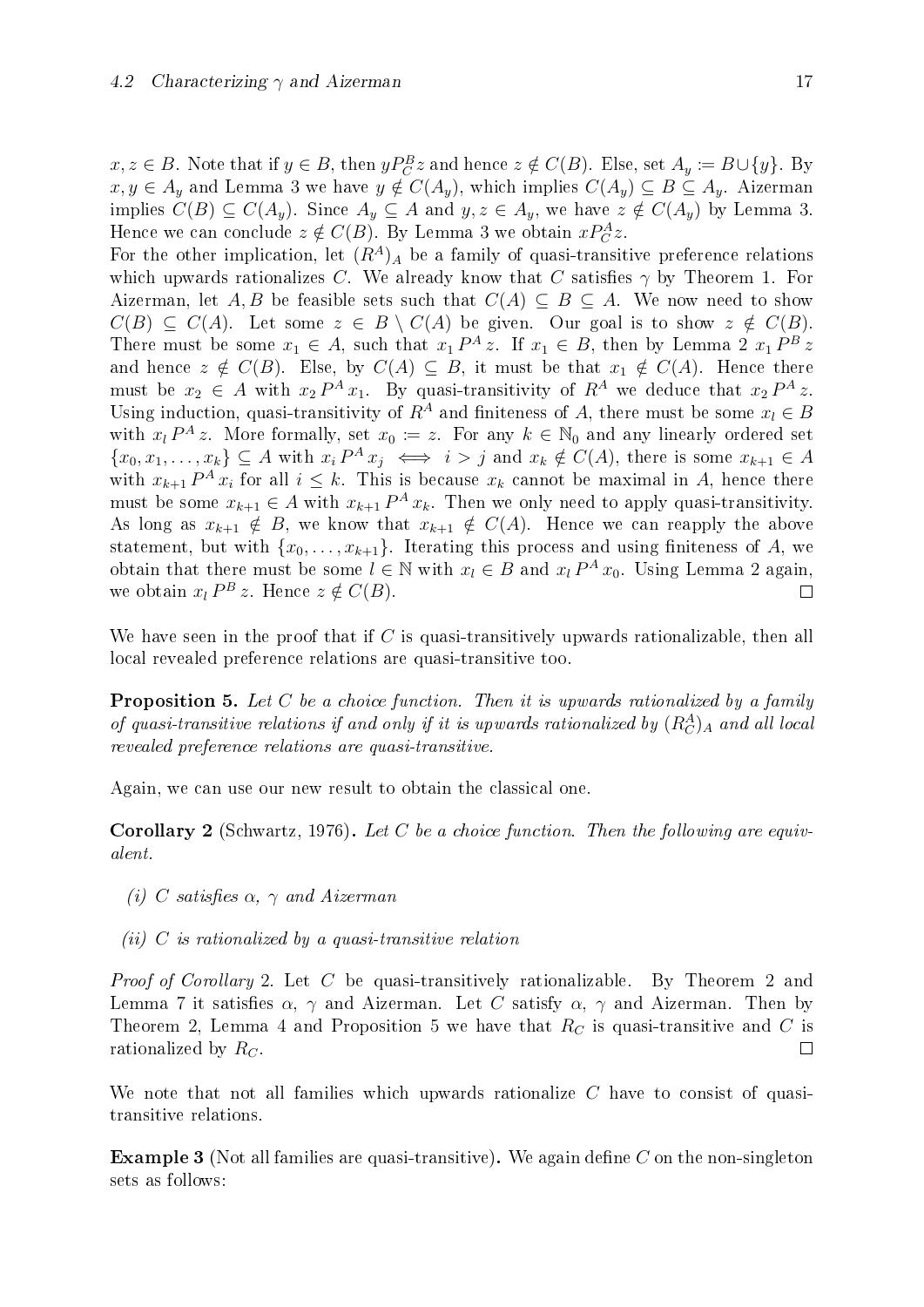$x, z \in B$ . Note that if  $y \in B$ , then  $yP_C^B z$  and hence  $z \notin C(B)$ . Else, set  $A_y \coloneqq B \cup \{y\}$ . By  $x, y \in A_y$  and Lemma [3](#page-16-2) we have  $y \notin C(A_y)$ , which implies  $C(A_y) \subseteq B \subseteq A_y$ . Aizerman implies  $C(B) \subseteq C(A_y)$ . Since  $A_y \subseteq A$  and  $y, z \in A_y$ , we have  $z \notin C(A_y)$  by Lemma [3](#page-16-2). Hence we can conclude  $z \notin C(B)$ . By Lemma [3](#page-16-2) we obtain  $x P_C^A z$ .

For the other implication, let  $(R<sup>A</sup>)<sub>A</sub>$  be a family of quasi-transitive preference relations which upwards rationalizes C. We already know that C satisfies  $\gamma$  by Theorem [1](#page-19-2). For Aizerman, let A, B be feasible sets such that  $C(A) \subseteq B \subseteq A$ . We now need to show  $C(B) \subseteq C(A)$ . Let some  $z \in B \setminus C(A)$  be given. Our goal is to show  $z \notin C(B)$ . There must be some  $x_1 \in A$ , such that  $x_1 P^A z$ . If  $x_1 \in B$ , then by Lemma [2](#page-14-2)  $x_1 P^B z$ and hence  $z \notin C(B)$ . Else, by  $C(A) \subseteq B$ , it must be that  $x_1 \notin C(A)$ . Hence there must be  $x_2 \in A$  with  $x_2 P^A x_1$ . By quasi-transitivity of  $R^A$  we deduce that  $x_2 P^A z$ . Using induction, quasi-transitivity of  $R^A$  and finiteness of A, there must be some  $x_l \in B$ with  $x_l P^A z$ . More formally, set  $x_0 := z$ . For any  $k \in \mathbb{N}_0$  and any linearly ordered set  $\{x_0, x_1, \ldots, x_k\} \subseteq A$  with  $x_i P^A x_j \iff i > j$  and  $x_k \notin C(A)$ , there is some  $x_{k+1} \in A$ with  $x_{k+1} P^A x_i$  for all  $i \leq k$ . This is because  $x_k$  cannot be maximal in A, hence there must be some  $x_{k+1} \in A$  with  $x_{k+1} P^A x_k$ . Then we only need to apply quasi-transitivity. As long as  $x_{k+1} \notin B$ , we know that  $x_{k+1} \notin C(A)$ . Hence we can reapply the above statement, but with  $\{x_0, \ldots, x_{k+1}\}$ . Iterating this process and using finiteness of A, we obtain that there must be some  $l \in \mathbb{N}$  with  $x_l \in B$  and  $x_l P^A x_0$ . Using Lemma [2](#page-14-2) again, we obtain  $x_l P^B z$ . Hence  $z \notin C(B)$ .  $\Box$ 

We have seen in the proof that if  $C$  is quasi-transitively upwards rationalizable, then all local revealed preference relations are quasi-transitive too.

<span id="page-22-1"></span>**Proposition 5.** Let C be a choice function. Then it is upwards rationalized by a family of quasi-transitive relations if and only if it is upwards rationalized by  $(R_C^A)_A$  and all local revealed preference relations are quasi-transitive.

<span id="page-22-0"></span>Again, we can use our new result to obtain the classical one.

**Corollary 2** [\(Schwartz, 1976\)](#page-71-0). Let C be a choice function. Then the following are equivalent.

- (i) C satisfies  $\alpha$ ,  $\gamma$  and Aizerman
- (ii) C is rationalized by a quasi-transitive relation

Proof of Corollary [2](#page-21-2). Let C be quasi-transitively rationalizable. By Theorem 2 and Lemma [7](#page-19-3) it satisfies  $\alpha$ ,  $\gamma$  and Aizerman. Let C satisfy  $\alpha$ ,  $\gamma$  and Aizerman. Then by Theorem [2](#page-21-2), Lemma [4](#page-17-2) and Proposition [5](#page-22-1) we have that  $R_C$  is quasi-transitive and C is rationalized by  $R_C$ .  $\Box$ 

We note that not all families which upwards rationalize  $C$  have to consist of quasitransitive relations.

<span id="page-22-2"></span>**Example 3** (Not all families are quasi-transitive). We again define C on the non-singleton sets as follows: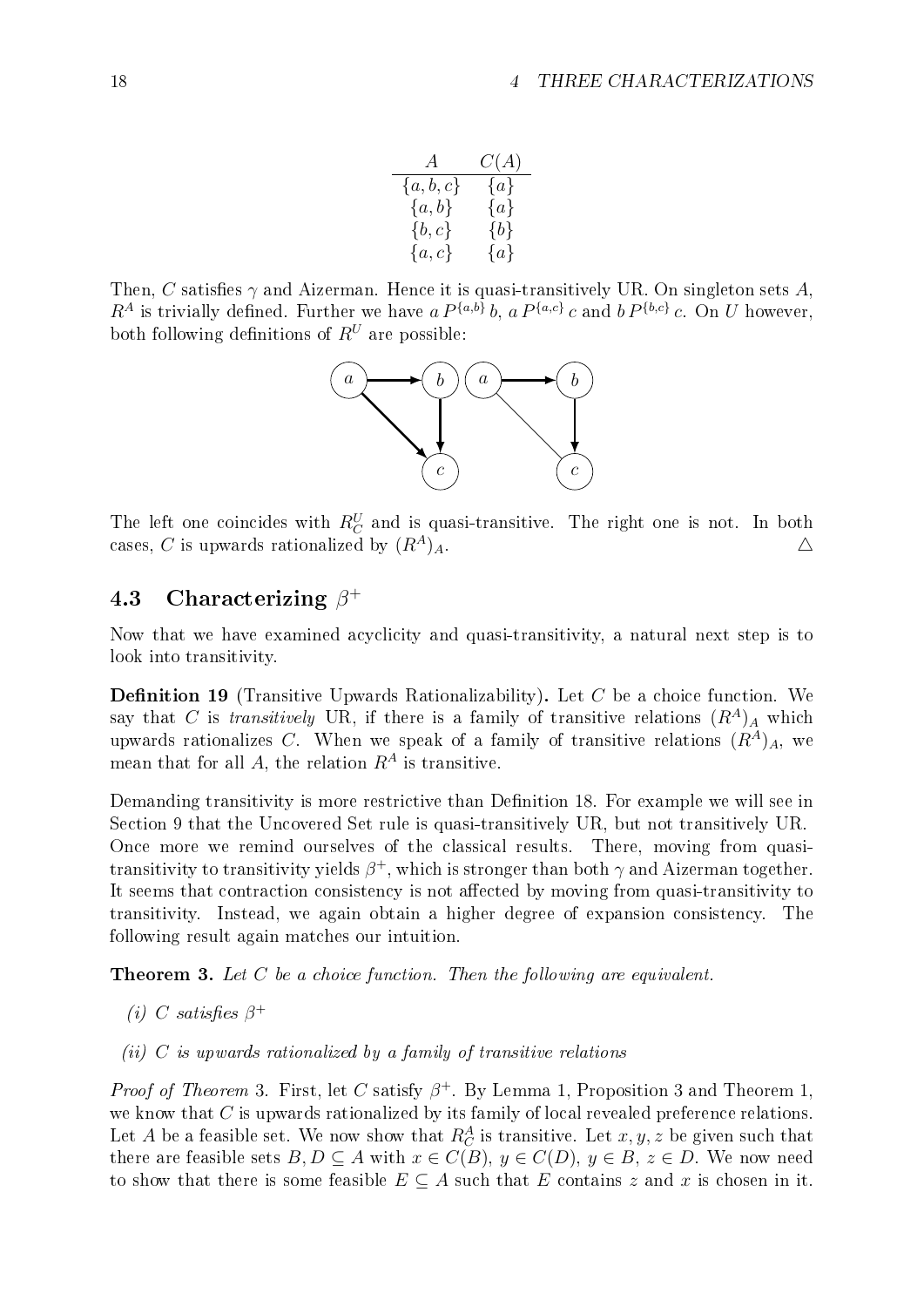| A           | C(A)    |
|-------------|---------|
| $\{a,b,c\}$ | $\{a\}$ |
| ${a,b}$     | $\{a\}$ |
| $\{b,c\}$   | $\{b\}$ |
| $\{a,c\}$   | $\{a\}$ |

Then, C satisfies  $\gamma$  and Aizerman. Hence it is quasi-transitively UR. On singleton sets A,  $R^A$  is trivially defined. Further we have a  $P^{\{a,b\}}b$ , a  $P^{\{a,c\}}c$  and  $b P^{\{b,c\}}c$ . On U however, both following definitions of  $R^U$  are possible:



The left one coincides with  $R_C^U$  and is quasi-transitive. The right one is not. In both cases, C is upwards rationalized by  $(R^A)_A$ .

### <span id="page-23-0"></span>4.3 Characterizing  $\beta^+$

Now that we have examined acyclicity and quasi-transitivity, a natural next step is to look into transitivity.

**Definition 19** (Transitive Upwards Rationalizability). Let  $C$  be a choice function. We say that C is transitively UR, if there is a family of transitive relations  $(R<sup>A</sup>)<sub>A</sub>$  which upwards rationalizes C. When we speak of a family of transitive relations  $(R<sup>A</sup>)<sub>A</sub>$ , we mean that for all A, the relation  $R^A$  is transitive.

Demanding transitivity is more restrictive than Definition [18](#page-21-3). For example we will see in Section [9](#page-56-0) that the Uncovered Set rule is quasi-transitively UR, but not transitively UR. Once more we remind ourselves of the classical results. There, moving from quasitransitivity to transitivity yields  $\beta^+$ , which is stronger than both  $\gamma$  and Aizerman together. It seems that contraction consistency is not affected by moving from quasi-transitivity to transitivity. Instead, we again obtain a higher degree of expansion consistency. The following result again matches our intuition.

<span id="page-23-1"></span>**Theorem 3.** Let  $C$  be a choice function. Then the following are equivalent.

- (i) C satisfies  $\beta^+$
- (ii)  $C$  is upwards rationalized by a family of transitive relations

*Proof of Theorem* [3](#page-19-4). First, let C satisfy  $\beta^+$ . By Lemma [1](#page-19-2), Proposition 3 and Theorem 1, we know that  $C$  is upwards rationalized by its family of local revealed preference relations. Let A be a feasible set. We now show that  $R_C^A$  is transitive. Let  $x, y, z$  be given such that there are feasible sets  $B, D \subseteq A$  with  $x \in C(B), y \in C(D), y \in B, z \in D$ . We now need to show that there is some feasible  $E \subseteq A$  such that E contains z and x is chosen in it.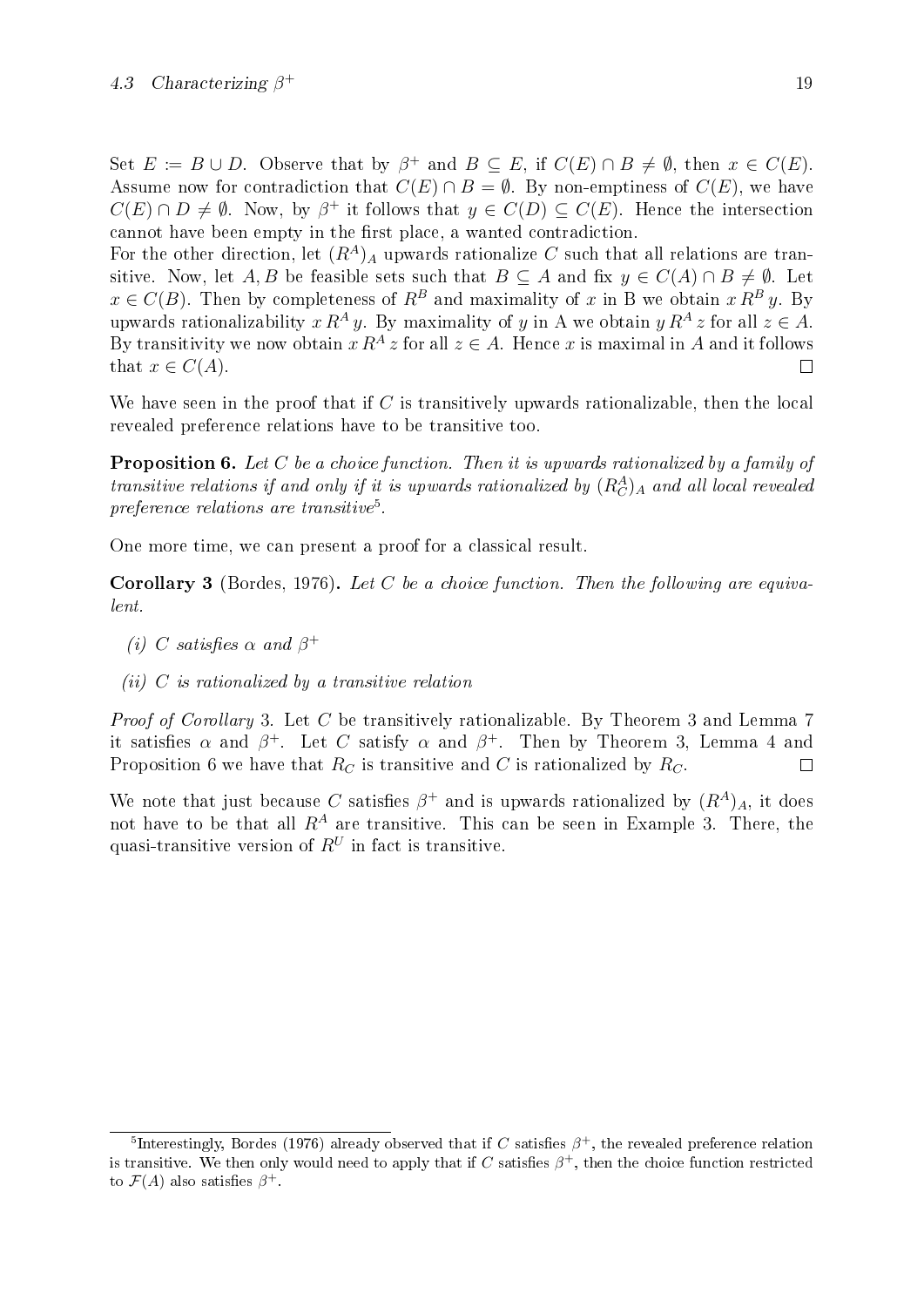Set  $E := B \cup D$ . Observe that by  $\beta^+$  and  $B \subseteq E$ , if  $C(E) \cap B \neq \emptyset$ , then  $x \in C(E)$ . Assume now for contradiction that  $C(E) \cap B = \emptyset$ . By non-emptiness of  $C(E)$ , we have  $C(E) \cap D \neq \emptyset$ . Now, by  $\beta^+$  it follows that  $y \in C(D) \subseteq C(E)$ . Hence the intersection cannot have been empty in the first place, a wanted contradiction.

For the other direction, let  $(R<sup>A</sup>)_A$  upwards rationalize C such that all relations are transitive. Now, let A, B be feasible sets such that  $B \subseteq A$  and fix  $y \in C(A) \cap B \neq \emptyset$ . Let  $x \in C(B)$ . Then by completeness of  $R^B$  and maximality of x in B we obtain  $x R^B y$ . By upwards rationalizability  $x R^A y$ . By maximality of y in A we obtain  $y R^A z$  for all  $z \in A$ . By transitivity we now obtain  $x R^A z$  for all  $z \in A$ . Hence x is maximal in A and it follows that  $x \in C(A)$ .  $\Box$ 

We have seen in the proof that if  $C$  is transitively upwards rationalizable, then the local revealed preference relations have to be transitive too.

<span id="page-24-2"></span>Proposition 6. Let C be a choice function. Then it is upwards rationalized by a family of transitive relations if and only if it is upwards rationalized by  $(R_C^A)_A$  and all local revealed  $\emph{preference relations are transitive}$ <sup>[5](#page-24-0)</sup>.

<span id="page-24-1"></span>One more time, we can present a proof for a classical result.

**Corollary 3** [\(Bordes, 1976\)](#page-70-2). Let C be a choice function. Then the following are equivalent.

- (i) C satisfies  $\alpha$  and  $\beta^+$
- (ii)  $C$  is rationalized by a transitive relation

Proof of Corollary [3](#page-23-1). Let C be transitively rationalizable. By Theorem 3 and Lemma [7](#page-19-3) it satisfies  $\alpha$  and  $\beta^+$ . Let C satisfy  $\alpha$  and  $\beta^+$ . Then by Theorem [3](#page-23-1), Lemma [4](#page-17-2) and Proposition [6](#page-24-2) we have that  $R_C$  is transitive and C is rationalized by  $R_C$ .  $\Box$ 

We note that just because C satisfies  $\beta^+$  and is upwards rationalized by  $(R^A)_A$ , it does not have to be that all  $R^A$  are transitive. This can be seen in Example [3](#page-22-2). There, the quasi-transitive version of  $R^U$  in fact is transitive.

<span id="page-24-0"></span><sup>&</sup>lt;sup>5</sup>Interestingly, [Bordes](#page-70-2) [\(1976\)](#page-70-2) already observed that if C satisfies  $\beta^+$ , the revealed preference relation is transitive. We then only would need to apply that if  $C$  satisfies  $\beta^+$ , then the choice function restricted to  $\mathcal{F}(A)$  also satisfies  $\beta^+$ .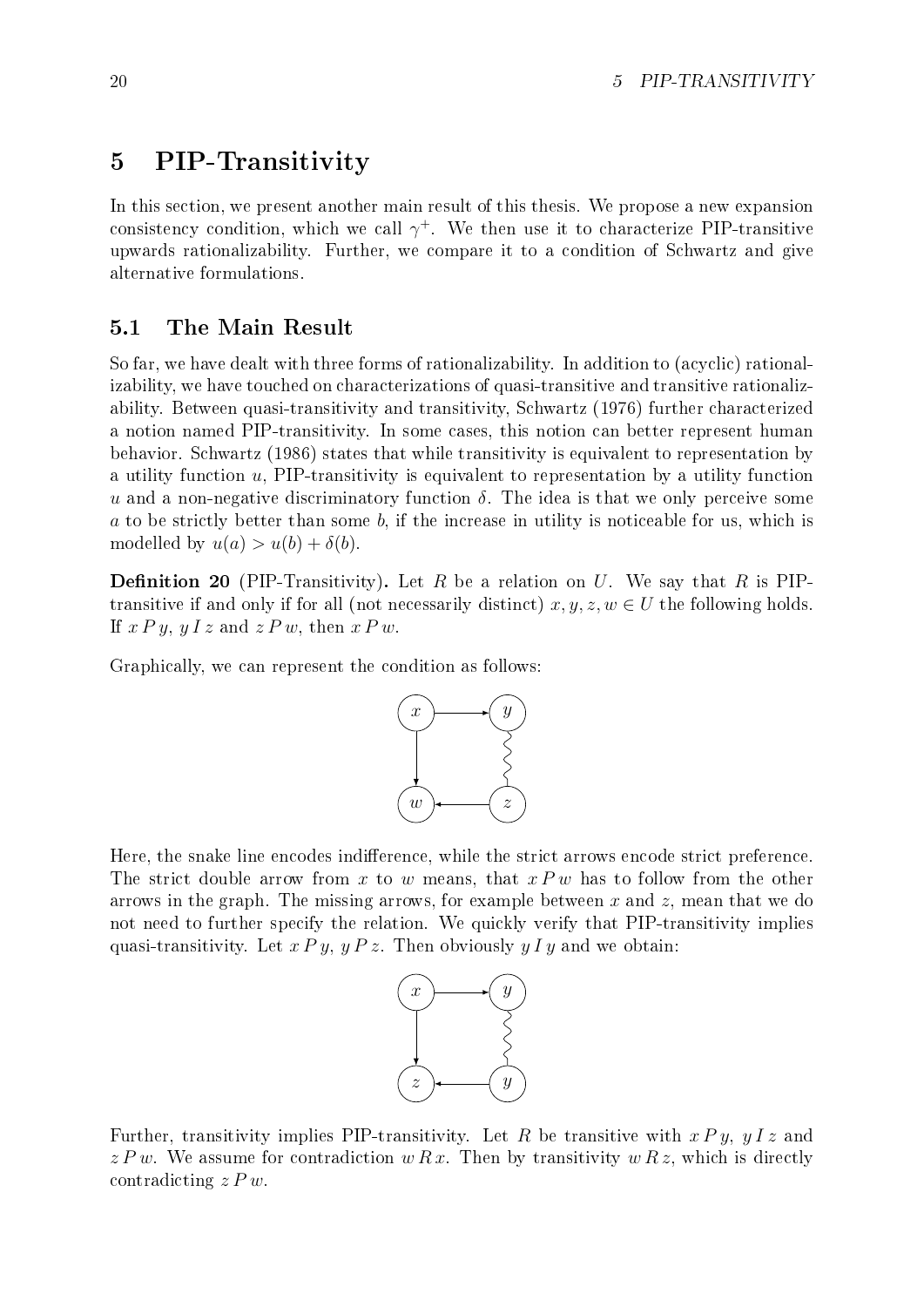### <span id="page-25-0"></span>5 PIP-Transitivity

In this section, we present another main result of this thesis. We propose a new expansion consistency condition, which we call  $\gamma^+$ . We then use it to characterize PIP-transitive upwards rationalizability. Further, we compare it to a condition of Schwartz and give alternative formulations.

#### <span id="page-25-1"></span>5.1 The Main Result

So far, we have dealt with three forms of rationalizability. In addition to (acyclic) rationalizability, we have touched on characterizations of quasi-transitive and transitive rationalizability. Between quasi-transitivity and transitivity, [Schwartz](#page-71-0) [\(1976\)](#page-71-0) further characterized a notion named PIP-transitivity. In some cases, this notion can better represent human behavior. [Schwartz](#page-71-7) [\(1986\)](#page-71-7) states that while transitivity is equivalent to representation by a utility function  $u$ , PIP-transitivity is equivalent to representation by a utility function u and a non-negative discriminatory function  $\delta$ . The idea is that we only perceive some a to be strictly better than some b, if the increase in utility is noticeable for us, which is modelled by  $u(a) > u(b) + \delta(b)$ .

**Definition 20** (PIP-Transitivity). Let R be a relation on U. We say that R is PIPtransitive if and only if for all (not necessarily distinct)  $x, y, z, w \in U$  the following holds. If  $x \, P \, y$ ,  $y \, I \, z$  and  $z \, P \, w$ , then  $x \, P \, w$ .

Graphically, we can represent the condition as follows:



Here, the snake line encodes indifference, while the strict arrows encode strict preference. The strict double arrow from x to w means, that  $x P w$  has to follow from the other arrows in the graph. The missing arrows, for example between x and  $z$ , mean that we do not need to further specify the relation. We quickly verify that PIP-transitivity implies quasi-transitivity. Let  $x \, P \, y$ ,  $y \, P \, z$ . Then obviously  $y \, I \, y$  and we obtain:



<span id="page-25-2"></span>Further, transitivity implies PIP-transitivity. Let R be transitive with  $x \, P \, y$ ,  $y \, I \, z$  and  $z P w$ . We assume for contradiction  $w R x$ . Then by transitivity  $w R z$ , which is directly contradicting  $z P w$ .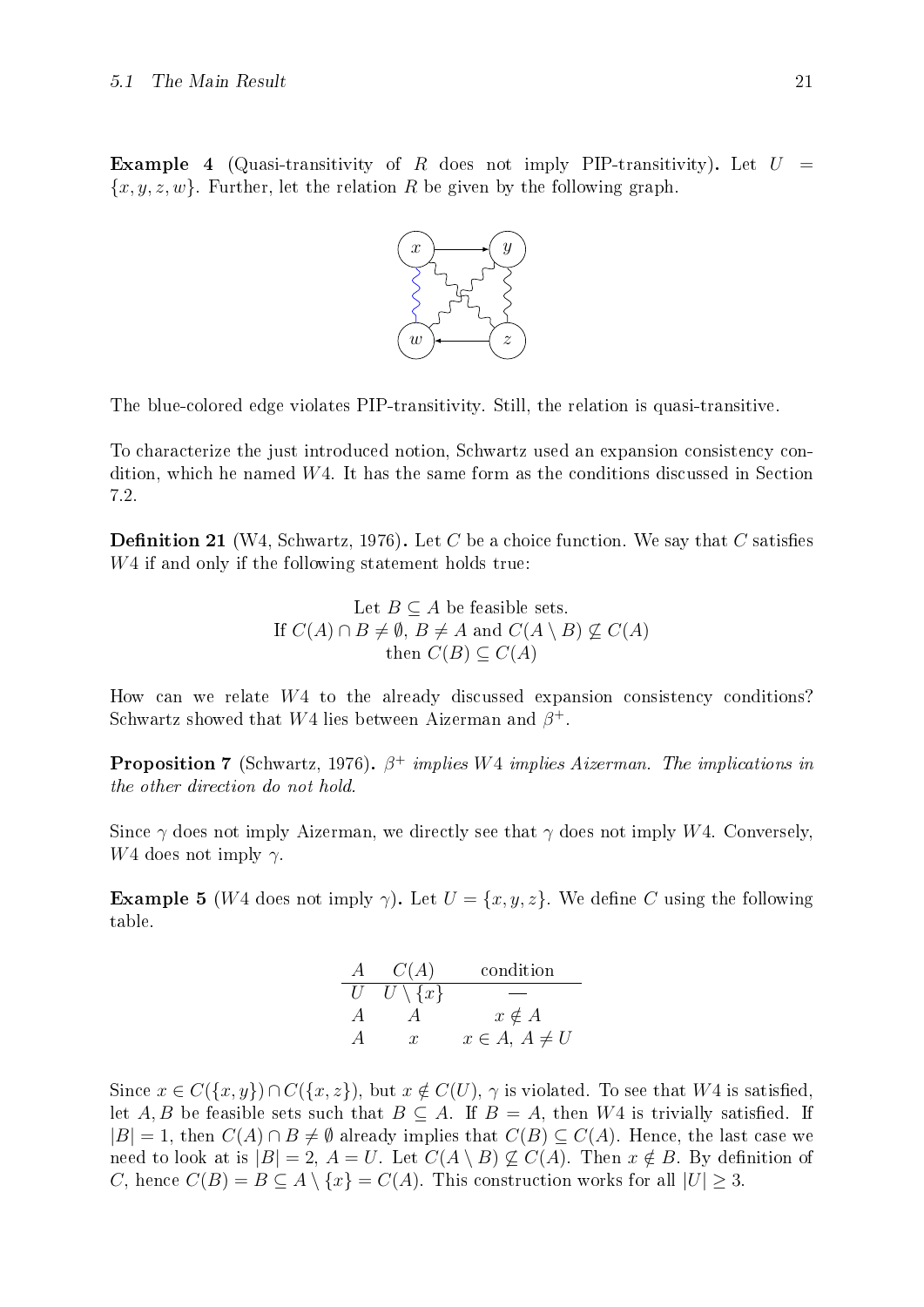**Example 4** (Quasi-transitivity of R does not imply PIP-transitivity). Let  $U =$  ${x, y, z, w}$ . Further, let the relation R be given by the following graph.



The blue-colored edge violates PIP-transitivity. Still, the relation is quasi-transitive.

To characterize the just introduced notion, Schwartz used an expansion consistency condition, which he named  $W4$ . It has the same form as the conditions discussed in Section [7.2.](#page-44-2)

**Definition 21** (W4, [Schwartz, 1976\)](#page-71-0). Let C be a choice function. We say that C satisfies W<sub>4</sub> if and only if the following statement holds true:

Let 
$$
B \subseteq A
$$
 be feasible sets.  
\nIf  $C(A) \cap B \neq \emptyset$ ,  $B \neq A$  and  $C(A \setminus B) \nsubseteq C(A)$   
\nthen  $C(B) \subseteq C(A)$ 

How can we relate  $W_4$  to the already discussed expansion consistency conditions? Schwartz showed that W4 lies between Aizerman and  $\beta^+$ .

**Proposition 7** [\(Schwartz, 1976\)](#page-71-0).  $\beta^+$  implies W4 implies Aizerman. The implications in the other direction do not hold.

Since  $\gamma$  does not imply Aizerman, we directly see that  $\gamma$  does not imply W4. Conversely, W<sub>4</sub> does not imply  $\gamma$ .

**Example 5** (W4 does not imply  $\gamma$ ). Let  $U = \{x, y, z\}$ . We define C using the following table.

| A              | C(A)                | condition           |
|----------------|---------------------|---------------------|
| U              | $U \setminus \{x\}$ |                     |
| $\overline{A}$ |                     | $x \notin A$        |
|                | T                   | $x \in A, A \neq U$ |

Since  $x \in C({x, y}) \cap C({x, z})$ , but  $x \notin C(U)$ ,  $\gamma$  is violated. To see that W4 is satisfied, let A, B be feasible sets such that  $B \subseteq A$ . If  $B = A$ , then W4 is trivially satisfied. If  $|B| = 1$ , then  $C(A) \cap B \neq \emptyset$  already implies that  $C(B) \subseteq C(A)$ . Hence, the last case we need to look at is  $|B| = 2$ ,  $A = U$ . Let  $C(A \setminus B) \not\subseteq C(A)$ . Then  $x \notin B$ . By definition of C, hence  $C(B) = B \subseteq A \setminus \{x\} = C(A)$ . This construction works for all  $|U| > 3$ .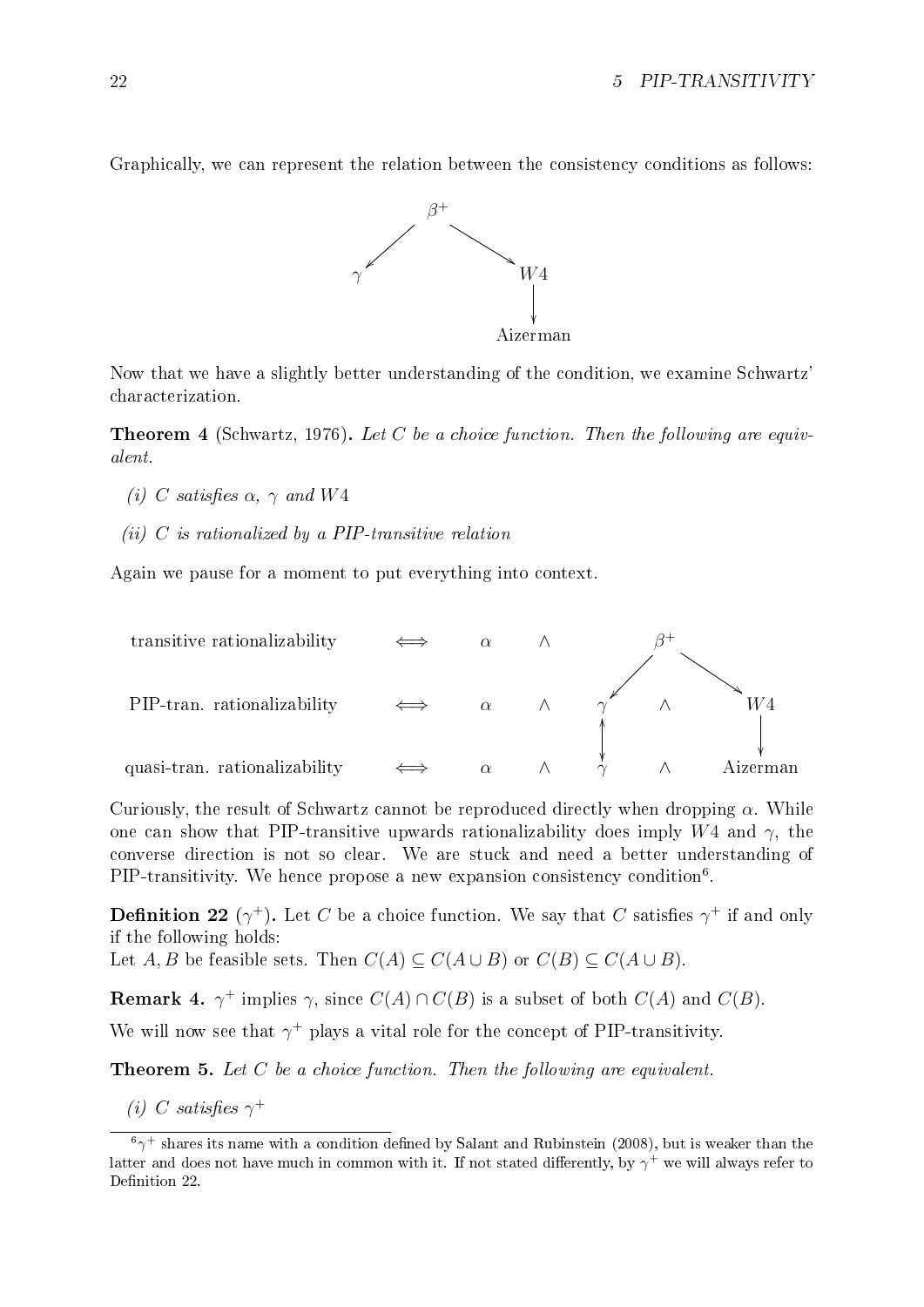Graphically, we can represent the relation between the consistency conditions as follows:



Now that we have a slightly better understanding of the condition, we examine Schwartz' characterization.

<span id="page-27-2"></span>**Theorem 4** [\(Schwartz, 1976\)](#page-71-0). Let C be a choice function. Then the following are equivalent.

- (i) C satisfies  $\alpha$ ,  $\gamma$  and W4
- (ii)  $C$  is rationalized by a PIP-transitive relation

Again we pause for a moment to put everything into context.



Curiously, the result of Schwartz cannot be reproduced directly when dropping  $\alpha$ . While one can show that PIP-transitive upwards rationalizability does imply W4 and  $\gamma$ , the converse direction is not so clear. We are stuck and need a better understanding of PIP-transitivity. We hence propose a new expansion consistency condition<sup>[6](#page-27-0)</sup>.

<span id="page-27-1"></span>**Definition 22** ( $\gamma^+$ ). Let C be a choice function. We say that C satisfies  $\gamma^+$  if and only if the following holds:

Let  $A, B$  be feasible sets. Then  $C(A) \subseteq C(A \cup B)$  or  $C(B) \subseteq C(A \cup B)$ .

**Remark 4.**  $\gamma^+$  implies  $\gamma$ , since  $C(A) \cap C(B)$  is a subset of both  $C(A)$  and  $C(B)$ .

We will now see that  $\gamma^+$  plays a vital role for the concept of PIP-transitivity.

**Theorem 5.** Let  $C$  be a choice function. Then the following are equivalent.

(i) C satisfies  $\gamma^+$ 

<span id="page-27-0"></span> $^6\gamma^+$  shares its name with a condition defined by [Salant and Rubinstein](#page-71-8) [\(2008\)](#page-71-8), but is weaker than the latter and does not have much in common with it. If not stated differently, by  $\gamma^+$  we will always refer to Definition [22](#page-27-1).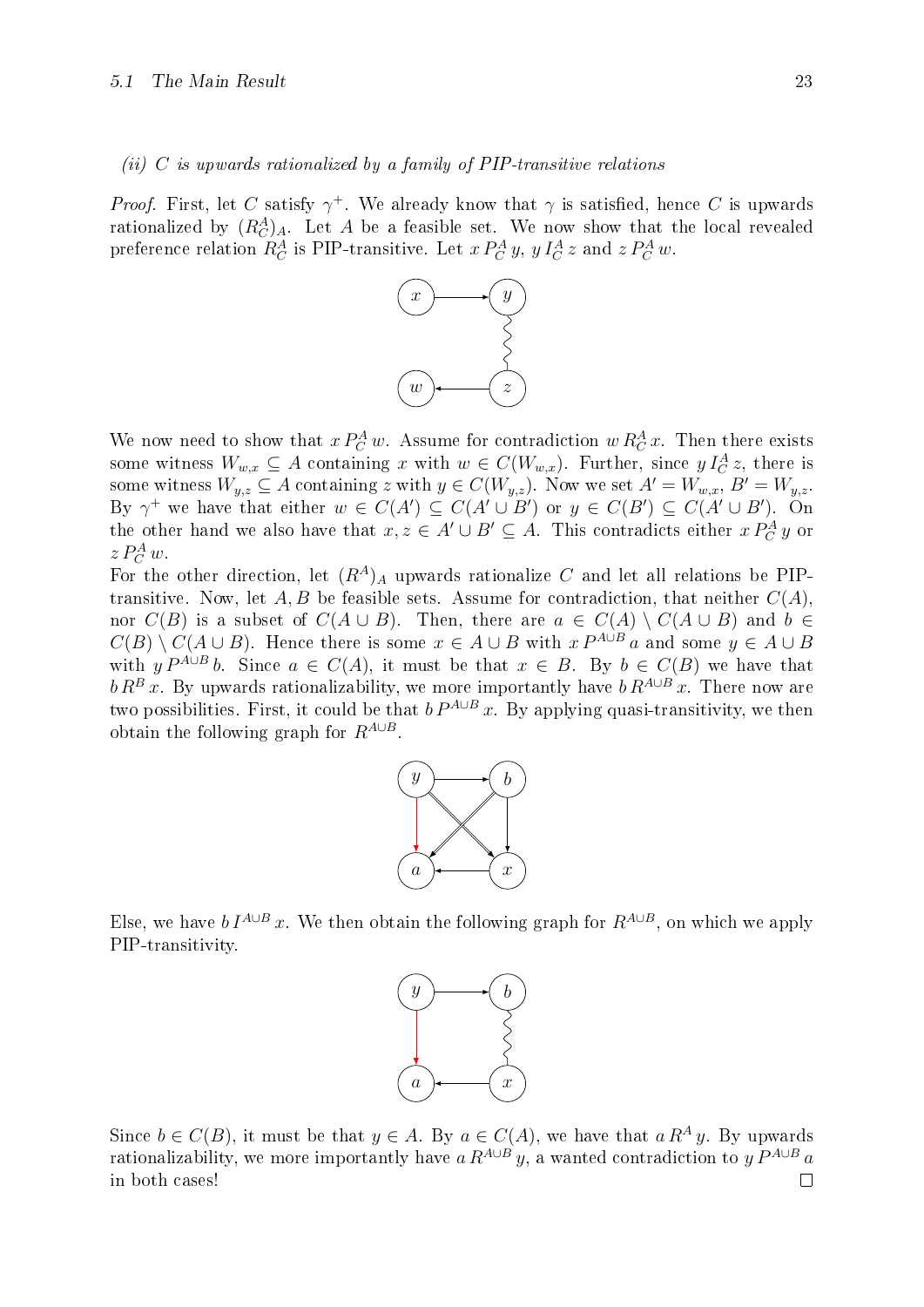#### (ii) C is upwards rationalized by a family of PIP-transitive relations

*Proof.* First, let C satisfy  $\gamma^+$ . We already know that  $\gamma$  is satisfied, hence C is upwards rationalized by  $(R_C^A)_A$ . Let A be a feasible set. We now show that the local revealed preference relation  $R_C^A$  is PIP-transitive. Let  $x P_C^A y$ ,  $y I_C^A z$  and  $z P_C^A w$ .



We now need to show that  $x P_C^A w$ . Assume for contradiction  $w R_C^A x$ . Then there exists some witness  $W_{w,x} \subseteq A$  containing x with  $w \in C(W_{w,x})$ . Further, since  $y I_C^A z$ , there is some witness  $W_{y,z} \subseteq A$  containing z with  $y \in C(W_{y,z})$ . Now we set  $A' = W_{w,x}$ ,  $B' = W_{y,z}$ . By  $\gamma^+$  we have that either  $w \in C(A') \subseteq C(A' \cup B')$  or  $y \in C(B') \subseteq C(A' \cup B')$ . On the other hand we also have that  $x, z \in A' \cup B' \subseteq A$ . This contradicts either  $x P_C^A y$  or  $z P_C^A w$ .

For the other direction, let  $(R^A)_A$  upwards rationalize C and let all relations be PIPtransitive. Now, let A, B be feasible sets. Assume for contradiction, that neither  $C(A)$ , nor  $C(B)$  is a subset of  $C(A \cup B)$ . Then, there are  $a \in C(A) \setminus C(A \cup B)$  and  $b \in$  $C(B) \setminus C(A \cup B)$ . Hence there is some  $x \in A \cup B$  with  $x P^{A \cup B} a$  and some  $y \in A \cup B$ with  $y P^{A\cup B} b$ . Since  $a \in C(A)$ , it must be that  $x \in B$ . By  $b \in C(B)$  we have that  $b R^{B} x$ . By upwards rationalizability, we more importantly have  $b R^{A \cup B} x$ . There now are two possibilities. First, it could be that  $b P^{A \cup B} x$ . By applying quasi-transitivity, we then obtain the following graph for  $R^{A\cup B}$ .



Else, we have  $b I^{A\cup B} x$ . We then obtain the following graph for  $R^{A\cup B}$ , on which we apply PIP-transitivity.



Since  $b \in C(B)$ , it must be that  $y \in A$ . By  $a \in C(A)$ , we have that  $a R^A y$ . By upwards rationalizability, we more importantly have a  $R^{A\cup B}$  y, a wanted contradiction to y  $P^{A\cup B}$  a in both cases! $\Box$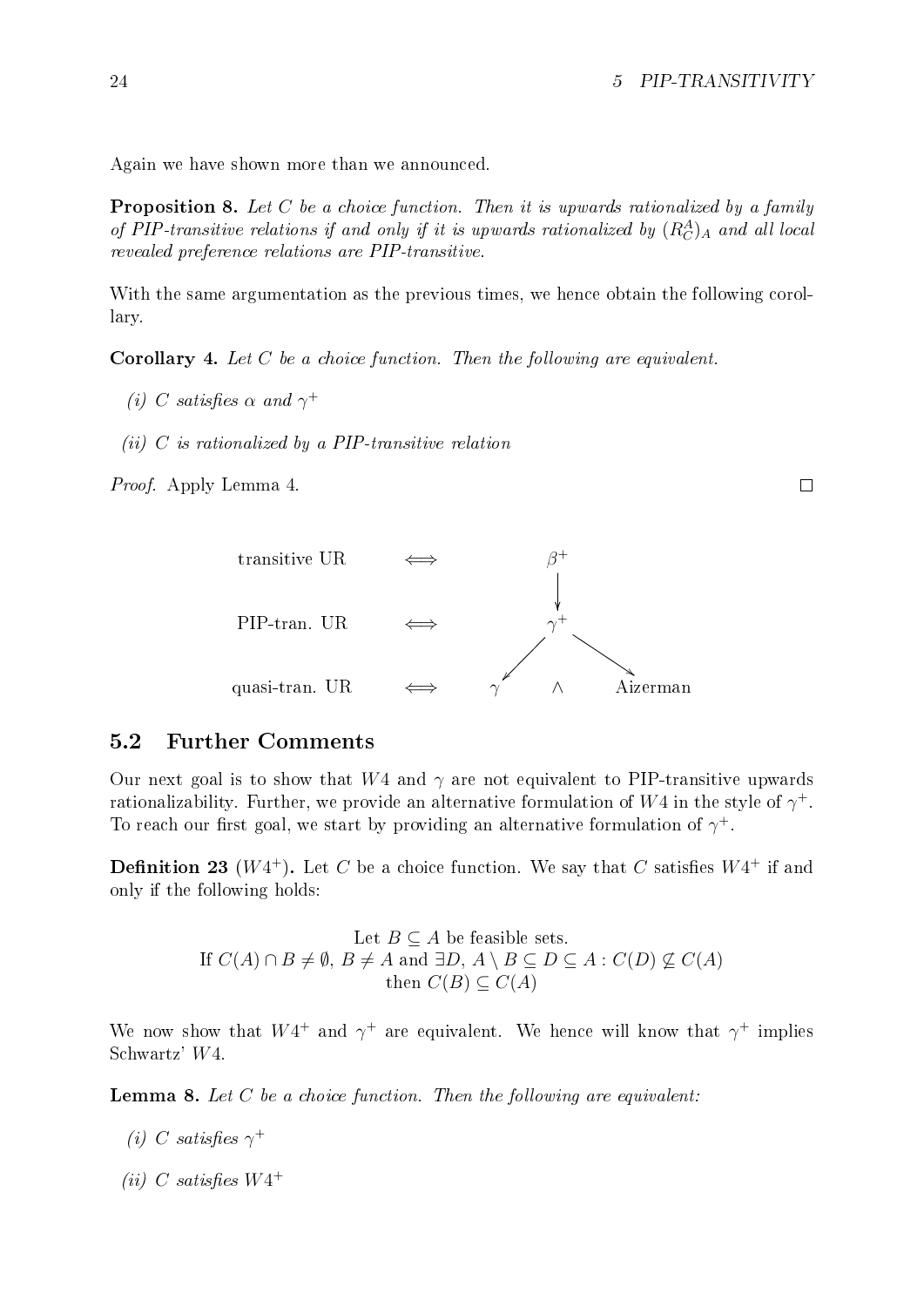$\Box$ 

Again we have shown more than we announced.

**Proposition 8.** Let C be a choice function. Then it is upwards rationalized by a family of PIP-transitive relations if and only if it is upwards rationalized by  $(R_C^A)_A$  and all local revealed preference relations are PIP-transitive.

With the same argumentation as the previous times, we hence obtain the following corollary.

**Corollary 4.** Let  $C$  be a choice function. Then the following are equivalent.

- (i) C satisfies  $\alpha$  and  $\gamma^+$
- (ii)  $C$  is rationalized by a PIP-transitive relation

Proof. Apply Lemma [4](#page-17-2).



#### <span id="page-29-0"></span>5.2 Further Comments

Our next goal is to show that  $W_4$  and  $\gamma$  are not equivalent to PIP-transitive upwards rationalizability. Further, we provide an alternative formulation of  $W4$  in the style of  $\gamma^+.$ To reach our first goal, we start by providing an alternative formulation of  $\gamma^+$ .

**Definition 23** ( $W4^+$ ). Let C be a choice function. We say that C satisfies  $W4^+$  if and only if the following holds:

> Let  $B \subseteq A$  be feasible sets. If  $C(A) \cap B \neq \emptyset$ ,  $B \neq A$  and  $\exists D, A \setminus B \subseteq D \subseteq A : C(D) \not\subseteq C(A)$ then  $C(B) \subset C(A)$

We now show that  $W4^+$  and  $\gamma^+$  are equivalent. We hence will know that  $\gamma^+$  implies Schwartz' W4.

<span id="page-29-1"></span>**Lemma 8.** Let  $C$  be a choice function. Then the following are equivalent:

- (i) C satisfies  $\gamma^+$
- (ii) C satisfies  $W4^+$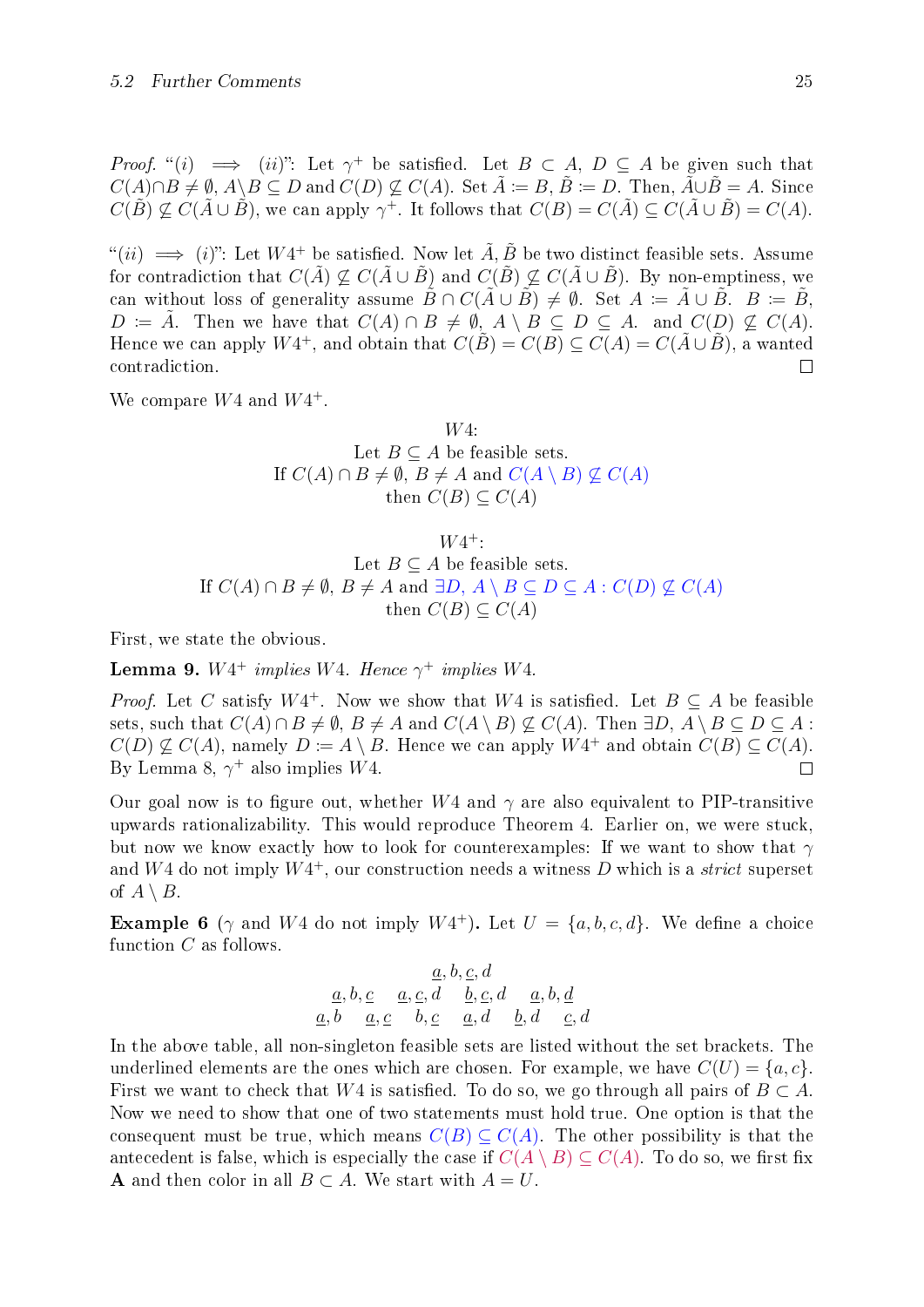*Proof.* "(i)  $\implies$  (ii)": Let  $\gamma^+$  be satisfied. Let  $B \subset A$ ,  $D \subseteq A$  be given such that  $C(A) \cap B \neq \emptyset$ ,  $A \setminus B \subseteq D$  and  $C(D) \nsubseteq C(A)$ . Set  $\tilde{A} := B$ ,  $\tilde{B} := D$ . Then,  $\tilde{A} \cup \tilde{B} = A$ . Since  $C(\tilde{B}) \nsubseteq C(\tilde{A} \cup \tilde{B})$ , we can apply  $\gamma^+$ . It follows that  $C(B) = C(\tilde{A}) \subseteq C(\tilde{A} \cup \tilde{B}) = C(A)$ .

 $f^*(ii) \implies (i)$ ": Let  $W4^+$  be satisfied. Now let  $\tilde{A}, \tilde{B}$  be two distinct feasible sets. Assume for contradiction that  $C(\tilde{A}) \nsubseteq C(\tilde{A} \cup \tilde{B})$  and  $C(\tilde{B}) \nsubseteq C(\tilde{A} \cup \tilde{B})$ . By non-emptiness, we can without loss of generality assume  $\tilde{B} \cap C(\tilde{A} \cup \tilde{B}) \neq \emptyset$ . Set  $A \coloneqq \tilde{A} \cup \tilde{B}$ .  $B \coloneqq \tilde{B}$ ,  $D \coloneqq \tilde{A}$ . Then we have that  $C(A) \cap B \neq \emptyset$ ,  $A \setminus B \subseteq D \subseteq A$ . and  $C(D) \not\subseteq C(A)$ . Hence we can apply  $W4^+$ , and obtain that  $C(\tilde{B}) = C(B) \subseteq C(A) = C(\tilde{A} \cup \tilde{B})$ , a wanted contradiction.  $\Box$ 

We compare  $W4$  and  $W4^+$ .

#### W4: Let  $B \subseteq A$  be feasible sets. If  $C(A) \cap B \neq \emptyset$ ,  $B \neq A$  and  $C(A \setminus B) \not\subseteq C(A)$ then  $C(B) \subseteq C(A)$

 $W4^+$ :

Let  $B \subseteq A$  be feasible sets. If  $C(A) \cap B \neq \emptyset$ ,  $B \neq A$  and  $\exists D, A \setminus B \subseteq D \subseteq A : C(D) \not\subseteq C(A)$ then  $C(B) \subseteq C(A)$ 

First, we state the obvious.

**Lemma 9.**  $W4^+$  implies W4. Hence  $\gamma^+$  implies W4.

*Proof.* Let C satisfy  $W4^+$ . Now we show that  $W4$  is satisfied. Let  $B \subseteq A$  be feasible sets, such that  $C(A) \cap B \neq \emptyset$ ,  $B \neq A$  and  $C(A \setminus B) \not\subset C(A)$ . Then  $\exists D, A \setminus B \subseteq D \subseteq A$ :  $C(D) \nsubseteq C(A)$ , namely  $D \coloneqq A \setminus B$ . Hence we can apply  $W4^+$  and obtain  $C(B) \subseteq C(A)$ . By Lemma [8](#page-29-1),  $\gamma^+$  also implies W4.  $\Box$ 

Our goal now is to figure out, whether  $W4$  and  $\gamma$  are also equivalent to PIP-transitive upwards rationalizability. This would reproduce Theorem [4](#page-27-2). Earlier on, we were stuck, but now we know exactly how to look for counterexamples: If we want to show that  $\gamma$ and  $W4$  do not imply  $W4^+$ , our construction needs a witness D which is a *strict* superset of  $A \setminus B$ .

<span id="page-30-0"></span>**Example 6** ( $\gamma$  and W4 do not imply W4<sup>+</sup>). Let  $U = \{a, b, c, d\}$ . We define a choice function C as follows.

$$
\begin{array}{ccc}\n & a, b, c, d \\
a, b, c & a, c, d & b, c, d & a, b, d \\
a, b & a, c & b, c & a, d & b, d & c, d\n\end{array}
$$

In the above table, all non-singleton feasible sets are listed without the set brackets. The underlined elements are the ones which are chosen. For example, we have  $C(U) = \{a, c\}$ . First we want to check that W4 is satisfied. To do so, we go through all pairs of  $B \subset A$ . Now we need to show that one of two statements must hold true. One option is that the consequent must be true, which means  $C(B) \subseteq C(A)$ . The other possibility is that the antecedent is false, which is especially the case if  $C(A \setminus B) \subseteq C(A)$ . To do so, we first fix **A** and then color in all  $B \subset A$ . We start with  $A = U$ .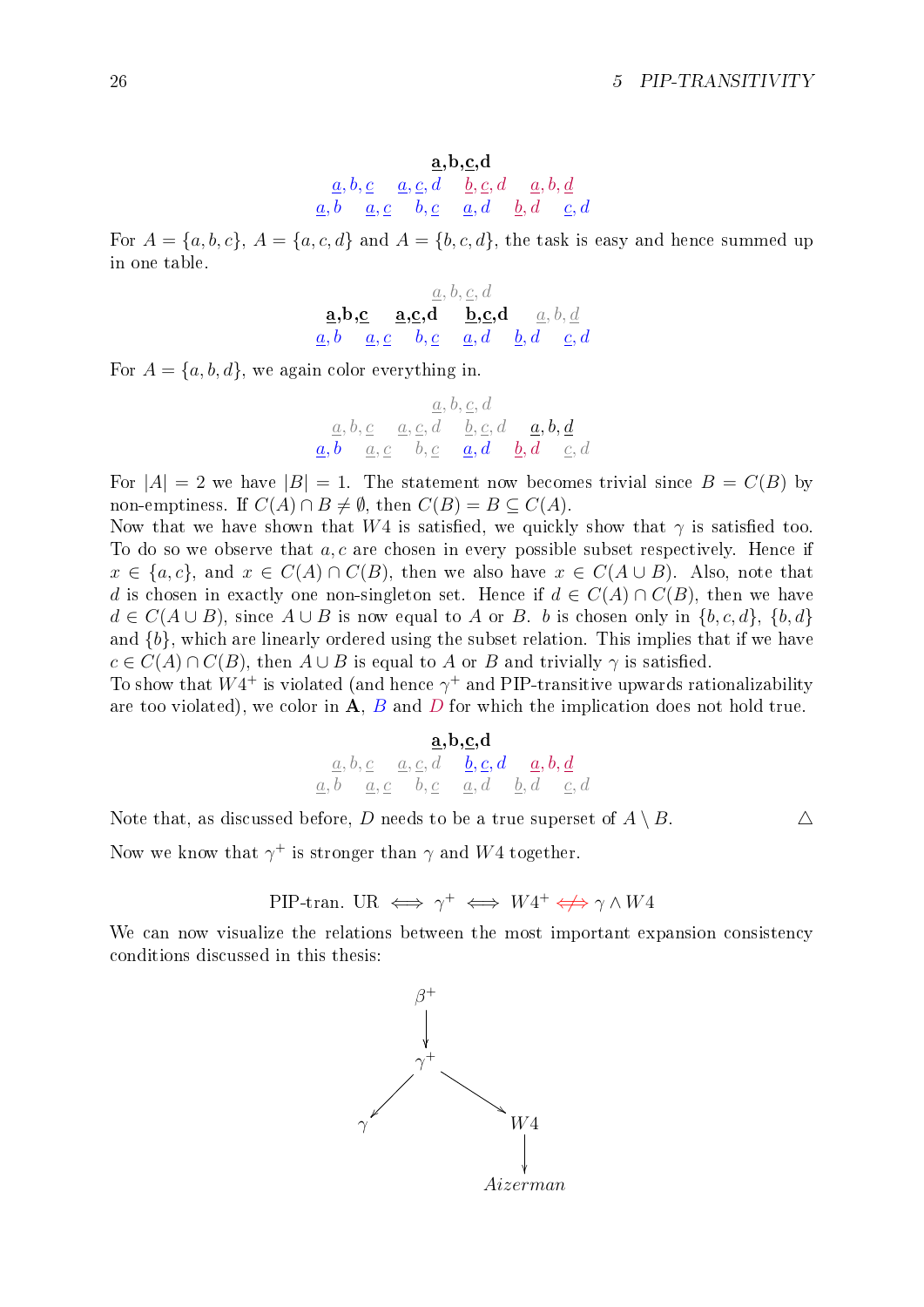$$
\underbrace{a, b, c}_{\underline{a}, b} \quad \underbrace{a, c, d}_{\underline{a}, b} \quad \underbrace{b, c, d}_{\underline{a}, d} \quad \underbrace{a, b, d}_{\underline{c}, d}
$$

For  $A = \{a, b, c\}, A = \{a, c, d\}$  and  $A = \{b, c, d\},$  the task is easy and hence summed up in one table.

$$
\underbrace{\mathbf{a}, \mathbf{b}, \mathbf{c}}_{\mathbf{a}, \mathbf{b}} \underbrace{\mathbf{a}, \mathbf{c}, \mathbf{d}}_{\mathbf{a}, \mathbf{b}} \underbrace{\mathbf{a}, \mathbf{c}, \mathbf{d}}_{\mathbf{b}, \mathbf{c}} \underbrace{\mathbf{b}, \mathbf{c}, \mathbf{d}}_{\mathbf{a}, \mathbf{d}} \underbrace{\mathbf{a}, \mathbf{b}, \mathbf{d}}_{\mathbf{b}, \mathbf{d}} \underbrace{\mathbf{a}, \mathbf{b}, \mathbf{d}}_{\mathbf{c}, \mathbf{d}}
$$

For  $A = \{a, b, d\}$ , we again color everything in.

$$
\begin{array}{ccc}\n & \underline{a}, b, \underline{c}, d \\
\underline{a}, b, \underline{c} & \underline{a}, \underline{c}, d & \underline{b}, \underline{c}, d & \underline{a}, b, \underline{d} \\
\underline{a}, b & \underline{a}, \underline{c} & b, \underline{c} & \underline{a}, d & \underline{b}, d & \underline{c}, d\n\end{array}
$$

For  $|A| = 2$  we have  $|B| = 1$ . The statement now becomes trivial since  $B = C(B)$  by non-emptiness. If  $C(A) \cap B \neq \emptyset$ , then  $C(B) = B \subseteq C(A)$ .

Now that we have shown that W4 is satisfied, we quickly show that  $\gamma$  is satisfied too. To do so we observe that  $a, c$  are chosen in every possible subset respectively. Hence if  $x \in \{a, c\}$ , and  $x \in C(A) \cap C(B)$ , then we also have  $x \in C(A \cup B)$ . Also, note that d is chosen in exactly one non-singleton set. Hence if  $d \in C(A) \cap C(B)$ , then we have  $d \in C(A \cup B)$ , since  $A \cup B$  is now equal to A or B. b is chosen only in  $\{b, c, d\}$ ,  $\{b, d\}$ and  $\{b\}$ , which are linearly ordered using the subset relation. This implies that if we have  $c \in C(A) \cap C(B)$ , then  $A \cup B$  is equal to A or B and trivially  $\gamma$  is satisfied.

To show that  $W4^+$  is violated (and hence  $\gamma^+$  and PIP-transitive upwards rationalizability are too violated), we color in  $A, B$  and  $D$  for which the implication does not hold true.

| $\underline{a},\underline{b},\underline{c},\underline{d}$ |  |                                                                                                                                                                                             |  |  |  |
|-----------------------------------------------------------|--|---------------------------------------------------------------------------------------------------------------------------------------------------------------------------------------------|--|--|--|
|                                                           |  | $\underline{a},\underline{b},\underline{c} \quad \underline{a},\underline{c},\underline{d} \quad \underline{b},\underline{c},\underline{d} \quad \underline{a},\underline{b},\underline{d}$ |  |  |  |
|                                                           |  | $\underline{a}, b \quad \underline{a}, \underline{c} \quad b, \underline{c} \quad \underline{a}, d \quad \underline{b}, d \quad \underline{c}, d$                                           |  |  |  |

Note that, as discussed before, D needs to be a true superset of  $A \setminus B$ .  $\Delta$ 

Now we know that  $\gamma^+$  is stronger than  $\gamma$  and  $W4$  together.

PIP-tran. UR 
$$
\iff \gamma^+ \iff W4^+ \iff \gamma \land W4
$$

We can now visualize the relations between the most important expansion consistency conditions discussed in this thesis:

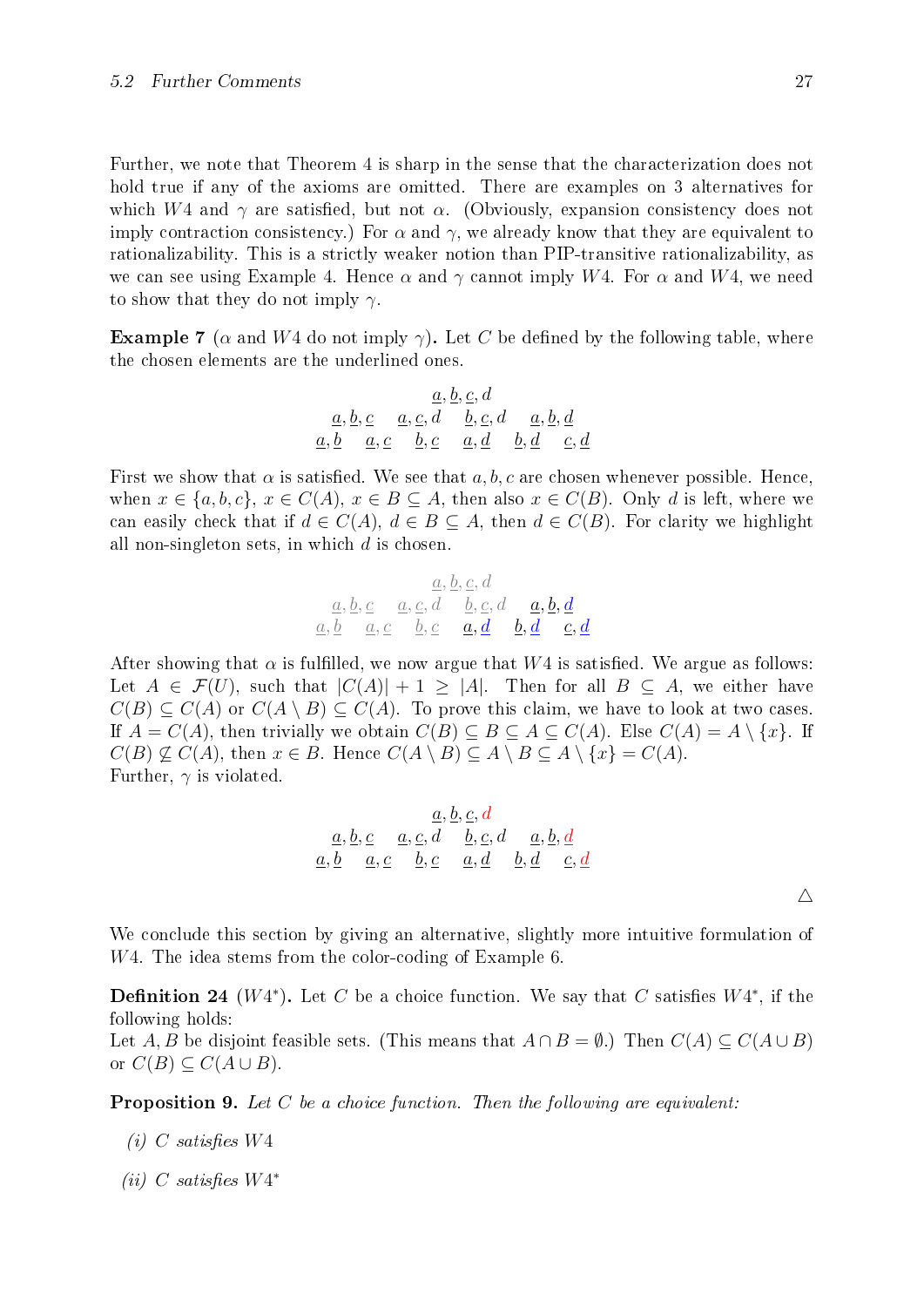Further, we note that Theorem [4](#page-27-2) is sharp in the sense that the characterization does not hold true if any of the axioms are omitted. There are examples on 3 alternatives for which W4 and  $\gamma$  are satisfied, but not  $\alpha$ . (Obviously, expansion consistency does not imply contraction consistency.) For  $\alpha$  and  $\gamma$ , we already know that they are equivalent to rationalizability. This is a strictly weaker notion than PIP-transitive rationalizability, as we can see using Example [4](#page-25-2). Hence  $\alpha$  and  $\gamma$  cannot imply W4. For  $\alpha$  and W4, we need to show that they do not imply  $\gamma$ .

**Example 7** ( $\alpha$  and W4 do not imply  $\gamma$ ). Let C be defined by the following table, where the chosen elements are the underlined ones.

$$
\begin{array}{r} \underline{a}, \underline{b}, \underline{c}, \underline{d} \\ \underline{a}, \underline{b}, \underline{c} \quad \underline{a}, \underline{c}, \underline{d} \quad \underline{b}, \underline{c}, \underline{d} \quad \underline{a}, \underline{b}, \underline{d} \\ \underline{a}, \underline{b} \quad \underline{a}, \underline{c} \quad \underline{b}, \underline{c} \quad \underline{a}, \underline{d} \quad \underline{b}, \underline{d} \quad \underline{c}, \underline{d} \end{array}
$$

First we show that  $\alpha$  is satisfied. We see that  $a, b, c$  are chosen whenever possible. Hence, when  $x \in \{a, b, c\}, x \in C(A), x \in B \subseteq A$ , then also  $x \in C(B)$ . Only d is left, where we can easily check that if  $d \in C(A)$ ,  $d \in B \subseteq A$ , then  $d \in C(B)$ . For clarity we highlight all non-singleton sets, in which  $d$  is chosen.

$$
\underbrace{a, b, c}_{a, b} \quad \underbrace{a, c, d}_{a, c} \quad \underbrace{b, c, d}_{b, c} \quad \underbrace{a, b, d}_{a, d} \quad \underbrace{a, b, d}_{c, d}
$$

After showing that  $\alpha$  is fulfilled, we now argue that W4 is satisfied. We argue as follows: Let  $A \in \mathcal{F}(U)$ , such that  $|C(A)| + 1 \geq |A|$ . Then for all  $B \subseteq A$ , we either have  $C(B) \subseteq C(A)$  or  $C(A \setminus B) \subseteq C(A)$ . To prove this claim, we have to look at two cases. If  $A = C(A)$ , then trivially we obtain  $C(B) \subseteq B \subseteq A \subseteq C(A)$ . Else  $C(A) = A \setminus \{x\}$ . If  $C(B) \nsubseteq C(A)$ , then  $x \in B$ . Hence  $C(A \setminus B) \subseteq A \setminus B \subseteq A \setminus \{x\} = C(A)$ . Further,  $\gamma$  is violated.

$$
\begin{array}{r}\n a, b, c, d \\
 \underline{a}, \underline{b}, \underline{c} \\
 \underline{a}, \underline{b} \\
 \underline{a}, \underline{c}\n \end{array}\n \quad\n \begin{array}{r}\n \underline{a}, \underline{b}, \underline{c}, d \\
 \underline{b}, \underline{c}, d \\
 \underline{a}, \underline{d} \\
 \underline{b}, \underline{d}\n \end{array}\n \quad\n \begin{array}{r}\n \underline{a}, \underline{b}, \underline{d} \\
 \underline{b}, \underline{d} \\
 \underline{c}, \underline{d}\n \end{array}
$$

We conclude this section by giving an alternative, slightly more intuitive formulation of W4. The idea stems from the color-coding of Example [6](#page-30-0).

**Definition 24** ( $W4^*$ ). Let C be a choice function. We say that C satisfies  $W4^*$ , if the following holds:

Let A, B be disjoint feasible sets. (This means that  $A \cap B = \emptyset$ .) Then  $C(A) \subseteq C(A \cup B)$ or  $C(B) \subseteq C(A \cup B)$ .

**Proposition 9.** Let C be a choice function. Then the following are equivalent:

- (i) C satisfies  $W4$
- (ii) C satisfies  $W4^*$

 $\triangle$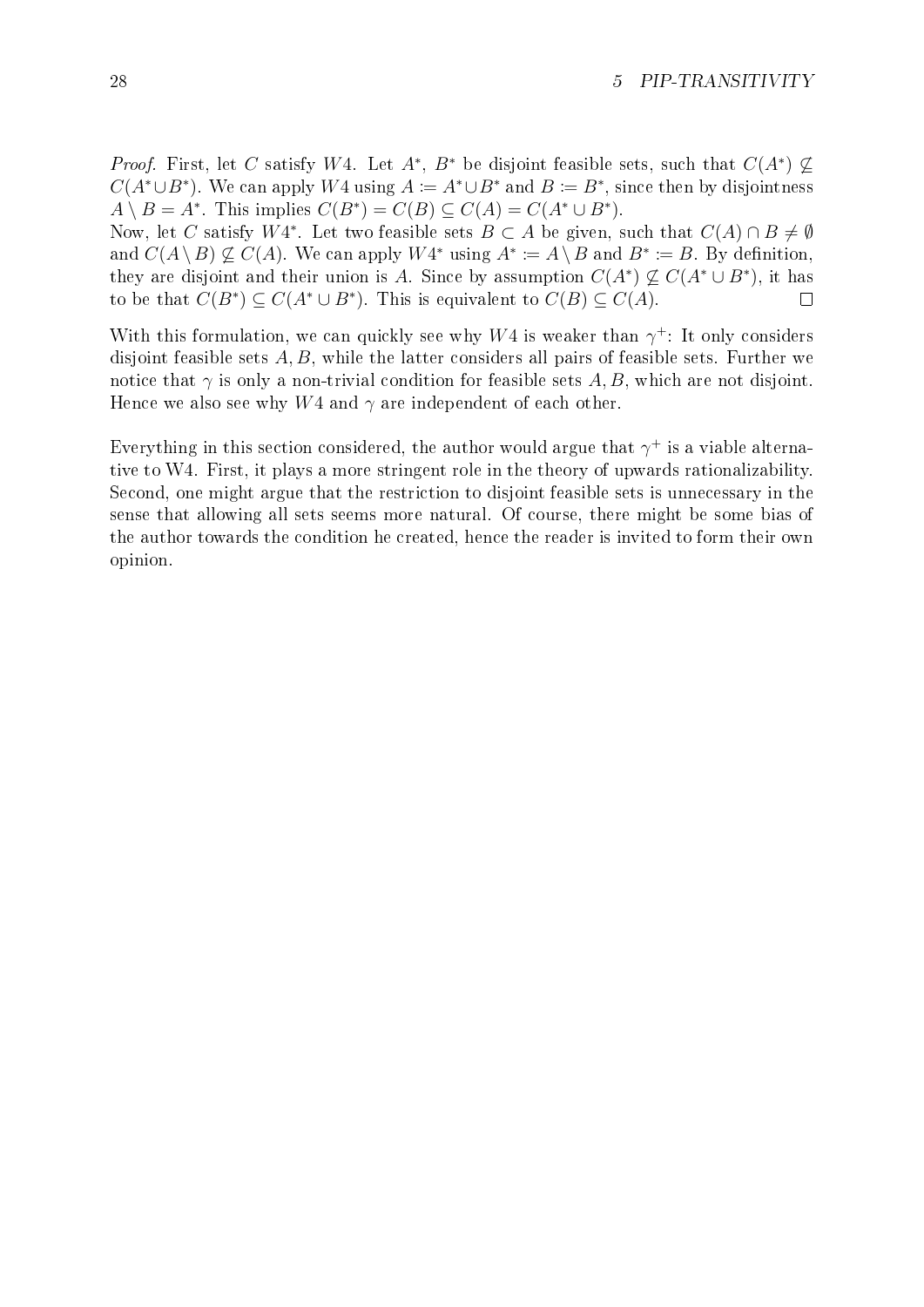*Proof.* First, let C satisfy W4. Let  $A^*$ ,  $B^*$  be disjoint feasible sets, such that  $C(A^*) \nsubseteq$  $C(A^* \cup B^*)$ . We can apply W4 using  $A \coloneqq A^* \cup B^*$  and  $B \coloneqq B^*$ , since then by disjointness  $A \setminus B = A^*$ . This implies  $C(B^*) = C(B) \subseteq C(A) = C(A^* \cup B^*)$ .

Now, let C satisfy W4<sup>\*</sup>. Let two feasible sets  $B \subset A$  be given, such that  $C(A) \cap B \neq \emptyset$ and  $C(A \setminus B) \nsubseteq C(A)$ . We can apply  $W4^*$  using  $A^* \coloneqq A \setminus B$  and  $B^* \coloneqq B$ . By definition, they are disjoint and their union is A. Since by assumption  $C(A^*) \nsubseteq C(A^* \cup B^*)$ , it has to be that  $C(B^*) \subseteq C(A^* \cup B^*)$ . This is equivalent to  $C(B) \subseteq C(A)$ .  $\Box$ 

With this formulation, we can quickly see why  $W4$  is weaker than  $\gamma^+$ : It only considers disjoint feasible sets  $A, B$ , while the latter considers all pairs of feasible sets. Further we notice that  $\gamma$  is only a non-trivial condition for feasible sets A, B, which are not disjoint. Hence we also see why  $W4$  and  $\gamma$  are independent of each other.

Everything in this section considered, the author would argue that  $\gamma^+$  is a viable alternative to W4. First, it plays a more stringent role in the theory of upwards rationalizability. Second, one might argue that the restriction to disjoint feasible sets is unnecessary in the sense that allowing all sets seems more natural. Of course, there might be some bias of the author towards the condition he created, hence the reader is invited to form their own opinion.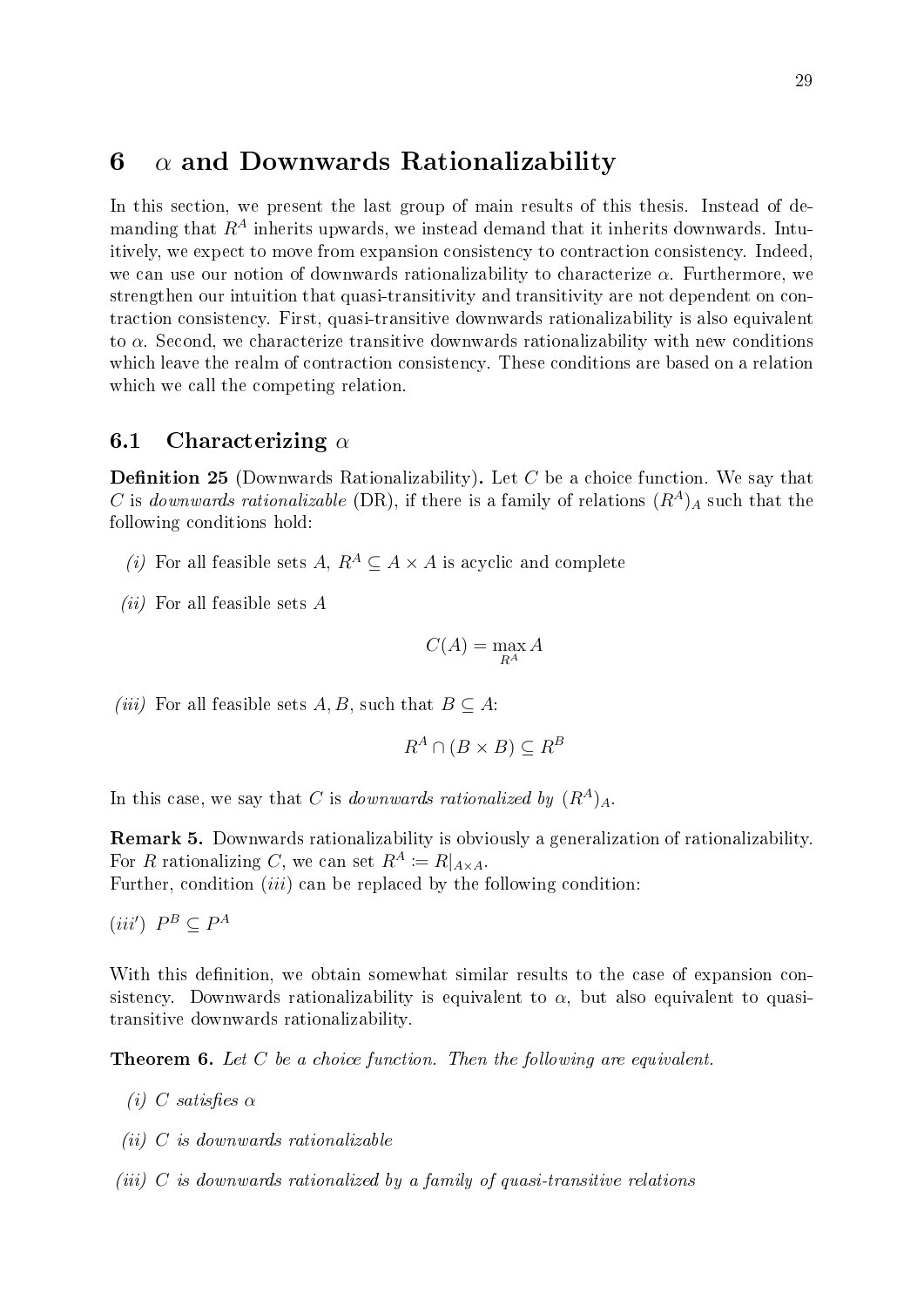### <span id="page-34-0"></span>6  $\alpha$  and Downwards Rationalizability

In this section, we present the last group of main results of this thesis. Instead of demanding that  $R^A$  inherits upwards, we instead demand that it inherits downwards. Intuitively, we expect to move from expansion consistency to contraction consistency. Indeed, we can use our notion of downwards rationalizability to characterize  $\alpha$ . Furthermore, we strengthen our intuition that quasi-transitivity and transitivity are not dependent on contraction consistency. First, quasi-transitive downwards rationalizability is also equivalent to  $\alpha$ . Second, we characterize transitive downwards rationalizability with new conditions which leave the realm of contraction consistency. These conditions are based on a relation which we call the competing relation.

#### <span id="page-34-1"></span>6.1 Characterizing  $\alpha$

**Definition 25** (Downwards Rationalizability). Let  $C$  be a choice function. We say that C is downwards rationalizable (DR), if there is a family of relations  $(R<sup>A</sup>)<sub>A</sub>$  such that the following conditions hold:

- (i) For all feasible sets A,  $R^A \subseteq A \times A$  is acyclic and complete
- (*ii*) For all feasible sets  $A$

$$
C(A) = \max_{R^A} A
$$

(iii) For all feasible sets A, B, such that  $B \subseteq A$ :

$$
R^A \cap (B \times B) \subseteq R^B
$$

In this case, we say that C is downwards rationalized by  $(R^A)_A$ .

Remark 5. Downwards rationalizability is obviously a generalization of rationalizability. For R rationalizing C, we can set  $R^A := R|_{A \times A}$ .

Further, condition  $(iii)$  can be replaced by the following condition:

 $(iii')$   $P^B \subseteq P^A$ 

With this definition, we obtain somewhat similar results to the case of expansion consistency. Downwards rationalizability is equivalent to  $\alpha$ , but also equivalent to quasitransitive downwards rationalizability.

<span id="page-34-2"></span>**Theorem 6.** Let  $C$  be a choice function. Then the following are equivalent.

- (i) C satisfies  $\alpha$
- $(ii)$  C is downwards rationalizable
- $(iii)$  C is downwards rationalized by a family of quasi-transitive relations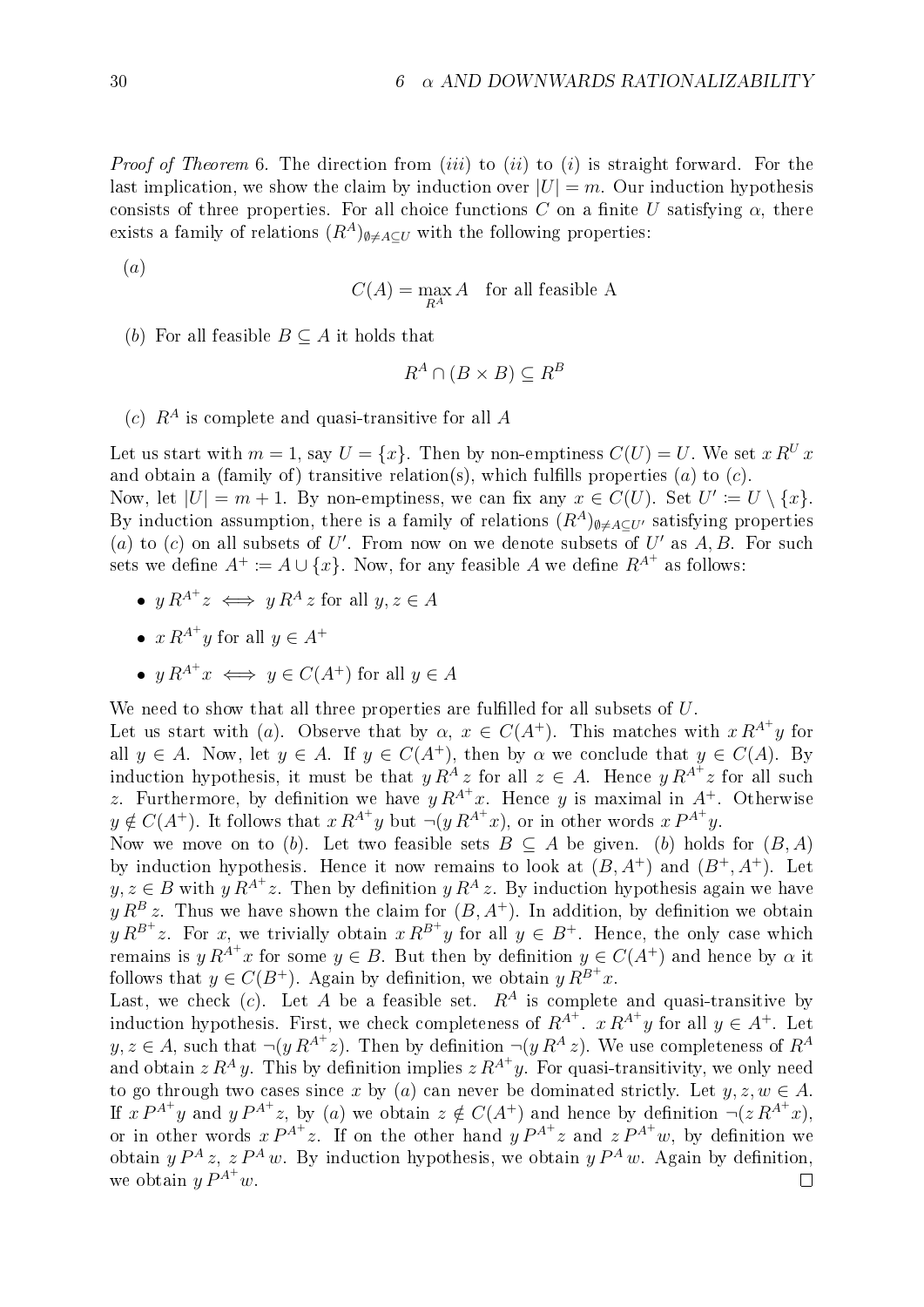*Proof of Theorem* [6](#page-34-2). The direction from *(iii)* to *(ii)* to *(i)* is straight forward. For the last implication, we show the claim by induction over  $|U| = m$ . Our induction hypothesis consists of three properties. For all choice functions C on a finite U satisfying  $\alpha$ , there exists a family of relations  $(R^A)_{\emptyset \neq A \subseteq U}$  with the following properties:

(a)

$$
C(A) = \max_{R^A} A \quad \text{for all feasible A}
$$

(b) For all feasible  $B \subseteq A$  it holds that

$$
R^A \cap (B \times B) \subseteq R^B
$$

(c)  $R^A$  is complete and quasi-transitive for all A

Let us start with  $m = 1$ , say  $U = \{x\}$ . Then by non-emptiness  $C(U) = U$ . We set  $x R^U x$ and obtain a (family of) transitive relation(s), which fulfills properties (a) to  $(c)$ . Now, let  $|U| = m + 1$ . By non-emptiness, we can fix any  $x \in C(U)$ . Set  $U' \coloneqq U \setminus \{x\}$ . By induction assumption, there is a family of relations  $(R^A)_{\emptyset \neq A \subseteq U'}$  satisfying properties (a) to (c) on all subsets of U'. From now on we denote subsets of U' as  $A, B$ . For such sets we define  $A^+ := A \cup \{x\}$ . Now, for any feasible A we define  $R^{A^+}$  as follows:

- $y R^{A^+} z \iff y R^A z$  for all  $y, z \in A$
- $x R^{A^+} y$  for all  $y \in A^+$
- $y R^{A^+} x \iff y \in C(A^+)$  for all  $y \in A$

We need to show that all three properties are fulfilled for all subsets of  $U$ .

Let us start with (a). Observe that by  $\alpha, x \in C(A^+)$ . This matches with  $x R^{A^+} y$  for all  $y \in A$ . Now, let  $y \in A$ . If  $y \in C(A^+)$ , then by  $\alpha$  we conclude that  $y \in C(A)$ . By induction hypothesis, it must be that  $y R^A z$  for all  $z \in A$ . Hence  $y R^{A^+} z$  for all such z. Furthermore, by definition we have  $y R^{A^+}x$ . Hence y is maximal in  $A^+$ . Otherwise  $y \notin C(A^+)$ . It follows that  $x R^{A^+} y$  but  $\neg(y R^{A^+} x)$ , or in other words  $x P^{A^+} y$ .

Now we move on to (b). Let two feasible sets  $B \subseteq A$  be given. (b) holds for  $(B, A)$ by induction hypothesis. Hence it now remains to look at  $(B, A^+)$  and  $(B^+, A^+)$ . Let  $y, z \in B$  with  $y R^{A^+} z$ . Then by definition  $y R^A z$ . By induction hypothesis again we have  $y R^{B} z$ . Thus we have shown the claim for  $(B, A^{+})$ . In addition, by definition we obtain  $y R^{B^+} z$ . For x, we trivially obtain  $x R^{B^+} y$  for all  $y \in B^+$ . Hence, the only case which remains is  $y R^{A^+} x$  for some  $y \in B$ . But then by definition  $y \in C(A^+)$  and hence by  $\alpha$  it follows that  $y \in C(B^+)$ . Again by definition, we obtain  $y R^{B^+} x$ .

Last, we check (c). Let A be a feasible set.  $R^A$  is complete and quasi-transitive by induction hypothesis. First, we check completeness of  $R^{A^+}$ .  $x R^{A^+} y$  for all  $y \in A^+$ . Let  $y, z \in A$ , such that  $\neg(y R^{A^+} z)$ . Then by definition  $\neg(y R^A z)$ . We use completeness of  $R^A$ and obtain  $z R^A y$ . This by definition implies  $z R^{A^+} y$ . For quasi-transitivity, we only need to go through two cases since x by (a) can never be dominated strictly. Let  $y, z, w \in A$ . If  $x P^{A^+} y$  and  $y P^{A^+} z$ , by (a) we obtain  $z \notin C(A^+)$  and hence by definition  $\neg (z R^{A^+} x)$ , or in other words  $x P^{A^+} z$ . If on the other hand  $y P^{A^+} z$  and  $z P^{A^+} w$ , by definition we obtain  $y P^A z$ ,  $z P^A w$ . By induction hypothesis, we obtain  $y P^A w$ . Again by definition, we obtain  $y P^{A^+} w$ .  $\Box$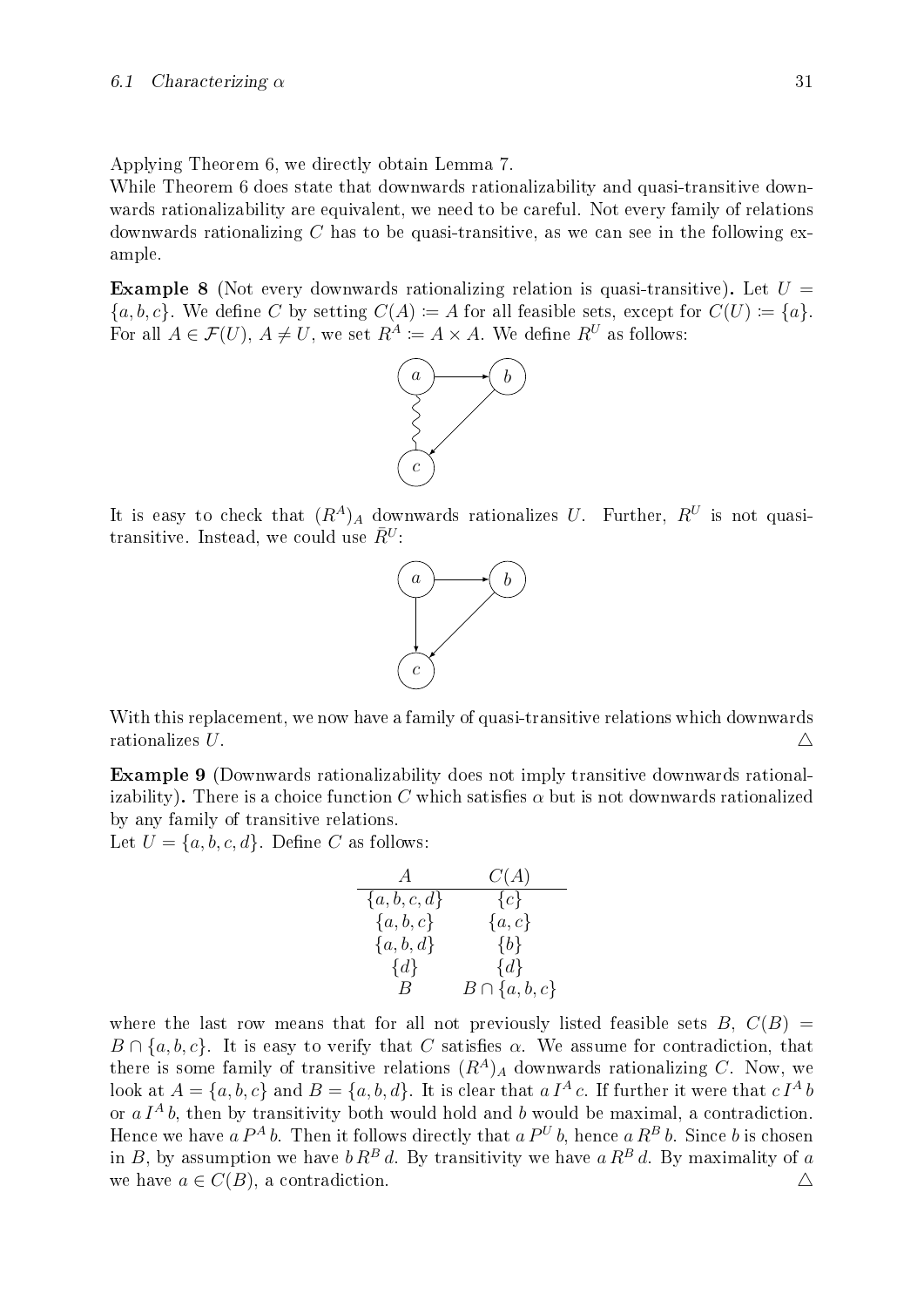Applying Theorem [6](#page-34-0), we directly obtain Lemma [7](#page-19-0).

While Theorem [6](#page-34-0) does state that downwards rationalizability and quasi-transitive downwards rationalizability are equivalent, we need to be careful. Not every family of relations downwards rationalizing C has to be quasi-transitive, as we can see in the following example.

**Example 8** (Not every downwards rationalizing relation is quasi-transitive). Let  $U =$  $\{a, b, c\}$ . We define C by setting  $C(A) := A$  for all feasible sets, except for  $C(U) := \{a\}$ . For all  $A \in \mathcal{F}(U)$ ,  $A \neq U$ , we set  $R^A \coloneqq A \times A$ . We define  $R^U$  as follows:



It is easy to check that  $(R^A)_A$  downwards rationalizes U. Further,  $R^U$  is not quasitransitive. Instead, we could use  $\bar{R}^U$ :



With this replacement, we now have a family of quasi-transitive relations which downwards rationalizes U.

<span id="page-36-0"></span>Example 9 (Downwards rationalizability does not imply transitive downwards rationalizability). There is a choice function C which satisfies  $\alpha$  but is not downwards rationalized by any family of transitive relations.

Let  $U = \{a, b, c, d\}$ . Define C as follows:

$$
\begin{array}{ccc}\nA & C(A) \\
\{a, b, c, d\} & \{c\} \\
\{a, b, c\} & \{a, c\} \\
\{a, b, d\} & \{b\} \\
\{d\} & B & B \cap \{a, b, c\}\n\end{array}
$$

where the last row means that for all not previously listed feasible sets  $B, C(B) =$  $B \cap \{a, b, c\}$ . It is easy to verify that C satisfies  $\alpha$ . We assume for contradiction, that there is some family of transitive relations  $(R<sup>A</sup>)<sub>A</sub>$  downwards rationalizing C. Now, we look at  $A = \{a, b, c\}$  and  $B = \{a, b, d\}$ . It is clear that  $a I^A c$ . If further it were that  $c I^A b$ or  $a I<sup>A</sup> b$ , then by transitivity both would hold and b would be maximal, a contradiction. Hence we have a  $P^A$  b. Then it follows directly that a  $P^U$  b, hence a  $R^B$  b. Since b is chosen in B, by assumption we have  $b R^B d$ . By transitivity we have  $a R^B d$ . By maximality of a we have  $a \in C(B)$ , a contradiction.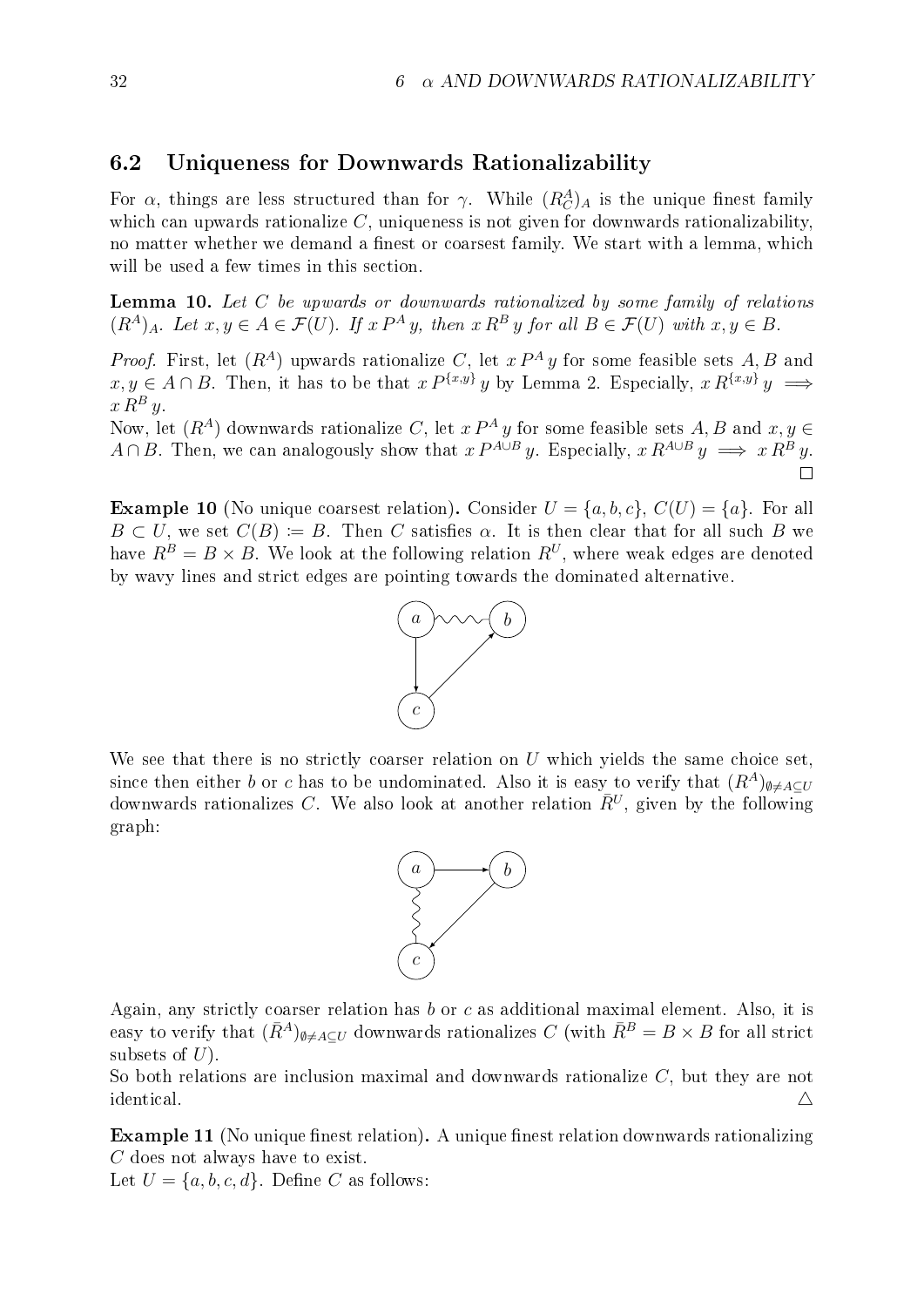### 6.2 Uniqueness for Downwards Rationalizability

For  $\alpha$ , things are less structured than for  $\gamma$ . While  $(R_C^A)_A$  is the unique finest family which can upwards rationalize  $C$ , uniqueness is not given for downwards rationalizability, no matter whether we demand a finest or coarsest family. We start with a lemma, which will be used a few times in this section.

<span id="page-37-0"></span>**Lemma 10.** Let  $C$  be upwards or downwards rationalized by some family of relations  $(R^A)_A$ . Let  $x, y \in A \in \mathcal{F}(U)$ . If  $x P^A y$ , then  $x R^B y$  for all  $B \in \mathcal{F}(U)$  with  $x, y \in B$ .

*Proof.* First, let  $(R^A)$  upwards rationalize C, let  $x P^A y$  for some feasible sets A, B and  $x, y \in A \cap B$ . Then, it has to be that  $x P^{\{x,y\}} y$  by Lemma [2](#page-14-0). Especially,  $x R^{\{x,y\}} y \implies$  $x R^B y$ .

Now, let  $(R^A)$  downwards rationalize C, let  $x P^A y$  for some feasible sets  $A, B$  and  $x, y \in$  $A \cap B$ . Then, we can analogously show that  $x P^{A \cup B} y$ . Especially,  $x R^{A \cup B} y \implies x R^{B} y$ .

**Example 10** (No unique coarsest relation). Consider  $U = \{a, b, c\}$ ,  $C(U) = \{a\}$ . For all  $B \subset U$ , we set  $C(B) := B$ . Then C satisfies  $\alpha$ . It is then clear that for all such B we have  $R^B = B \times B$ . We look at the following relation  $R^U$ , where weak edges are denoted by wavy lines and strict edges are pointing towards the dominated alternative.



We see that there is no strictly coarser relation on  $U$  which yields the same choice set, since then either b or c has to be undominated. Also it is easy to verify that  $(R<sup>A</sup>)_{\emptyset \neq A\subset U}$ downwards rationalizes C. We also look at another relation  $\bar{R}^U$ , given by the following graph:



Again, any strictly coarser relation has  $b$  or  $c$  as additional maximal element. Also, it is easy to verify that  $(R^A)_{\emptyset \neq A\subseteq U}$  downwards rationalizes C (with  $R^B = B \times B$  for all strict subsets of  $U$ ).

So both relations are inclusion maximal and downwards rationalize  $C$ , but they are not identical.  $\triangle$ 

Example 11 (No unique finest relation). A unique finest relation downwards rationalizing C does not always have to exist.

Let  $U = \{a, b, c, d\}$ . Define C as follows: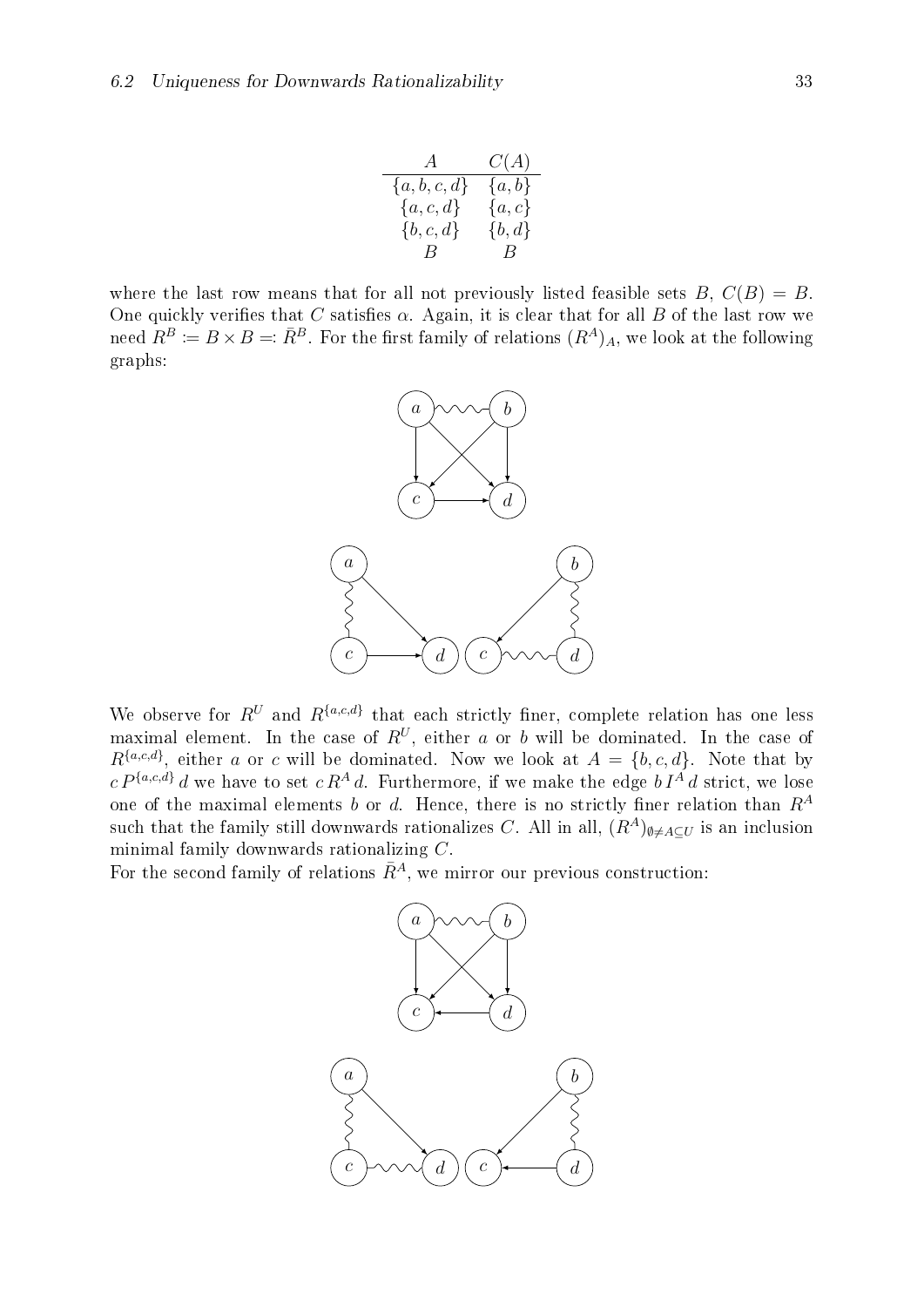| A              | C(A)       |
|----------------|------------|
| ${a,b,c,d\}$   | ${a,b}$    |
| ${a, c, d}$    | $\{a,c\}$  |
| $\{b,c,d\}$    | $\{b, d\}$ |
| $\overline{B}$ | $\Box B$   |

where the last row means that for all not previously listed feasible sets  $B, C(B) = B$ . One quickly verifies that C satisfies  $\alpha$ . Again, it is clear that for all B of the last row we need  $R^B := B \times B =: \overline{R}^B$ . For the first family of relations  $(R^A)_A$ , we look at the following graphs:



We observe for  $R^U$  and  $R^{\{a,c,d\}}$  that each strictly finer, complete relation has one less maximal element. In the case of  $R^U$ , either a or b will be dominated. In the case of  $R^{\{a,c,d\}}$ , either a or c will be dominated. Now we look at  $A = \{b,c,d\}$ . Note that by  $c P^{\{a,c,d\}} d$  we have to set  $c R^A d$ . Furthermore, if we make the edge  $b I^A d$  strict, we lose one of the maximal elements b or d. Hence, there is no strictly finer relation than  $R^A$ such that the family still downwards rationalizes C. All in all,  $(R^A)_{\emptyset \neq A \subseteq U}$  is an inclusion minimal family downwards rationalizing C.

For the second family of relations  $\overline{R}^A$ , we mirror our previous construction:

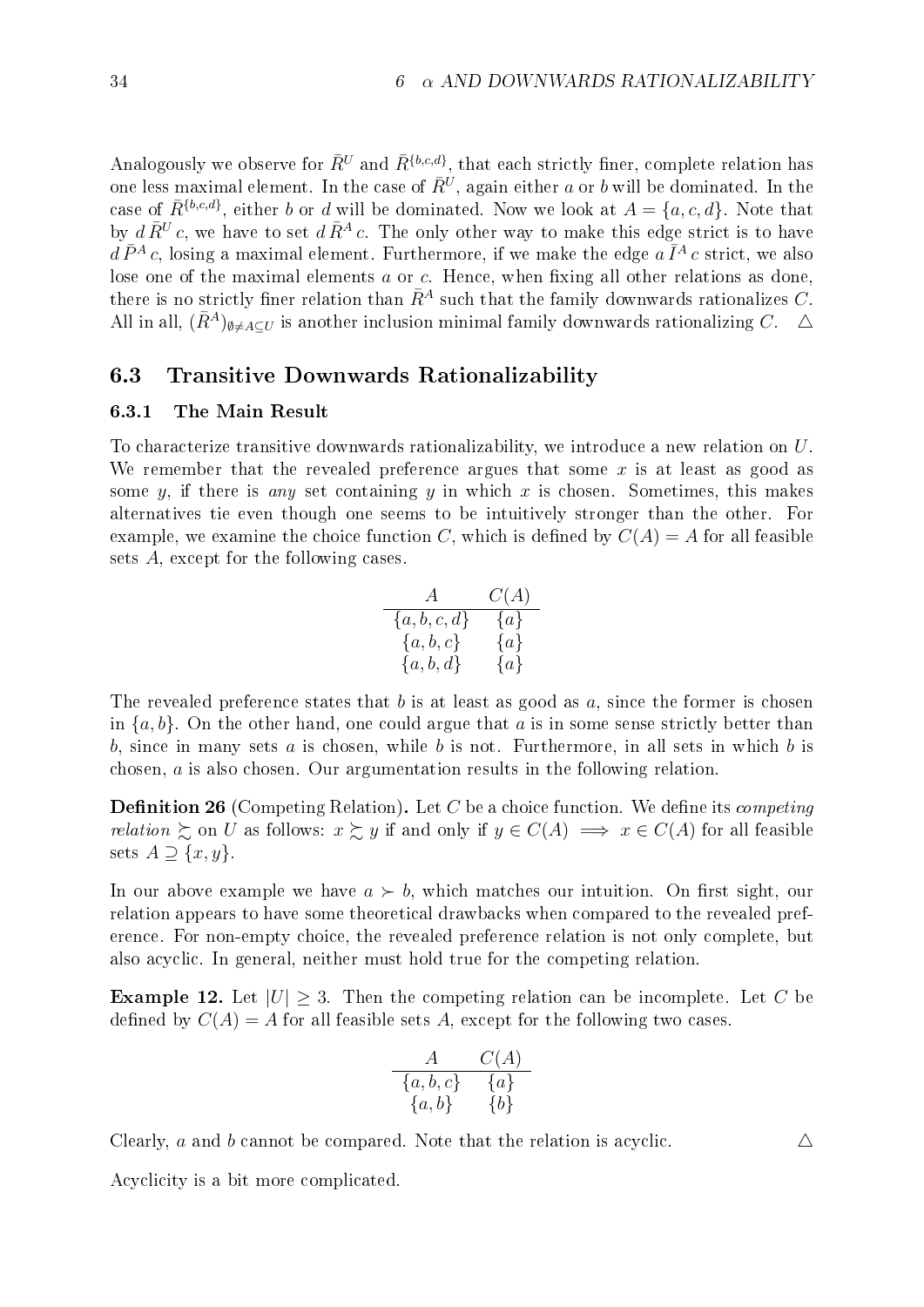Analogously we observe for  $\bar{R}^U$  and  $\bar{R}^{\{b,c,d\}}$ , that each strictly finer, complete relation has one less maximal element. In the case of  $\bar{R}^U$ , again either  $a$  or  $b$  will be dominated. In the case of  $\bar{R}^{\{b,c,d\}}$ , either b or d will be dominated. Now we look at  $A = \{a,c,d\}$ . Note that by  $d\bar{R}^U c$ , we have to set  $d\bar{R}^A c$ . The only other way to make this edge strict is to have  $d\,\bar{P}^{A}\,c$ , losing a maximal element. Furthermore, if we make the edge  $a\,\bar{I}^{A}\,c$  strict, we also lose one of the maximal elements  $a$  or  $c$ . Hence, when fixing all other relations as done, there is no strictly finer relation than  $\bar{R}^A$  such that the family downwards rationalizes C. All in all,  $(\bar{R}^A)_{\emptyset \neq A\subset U}$  is another inclusion minimal family downwards rationalizing C.  $\Delta$ 

#### 6.3 Transitive Downwards Rationalizability

#### 6.3.1 The Main Result

To characterize transitive downwards rationalizability, we introduce a new relation on U. We remember that the revealed preference argues that some x is at least as good as some y, if there is any set containing y in which x is chosen. Sometimes, this makes alternatives tie even though one seems to be intuitively stronger than the other. For example, we examine the choice function C, which is defined by  $C(A) = A$  for all feasible sets A, except for the following cases.

$$
\begin{array}{ccc}\n & A & C(A) \\
\hline\n\{a, b, c, d\} & \{a\} \\
\{a, b, c\} & \{a\} \\
\{a, b, d\} & \{a\}\n\end{array}
$$

The revealed preference states that b is at least as good as a, since the former is chosen in  $\{a, b\}$ . On the other hand, one could argue that a is in some sense strictly better than b, since in many sets  $a$  is chosen, while  $b$  is not. Furthermore, in all sets in which  $b$  is chosen, a is also chosen. Our argumentation results in the following relation.

**Definition 26** (Competing Relation). Let C be a choice function. We define its *competing* relation  $\succsim$  on U as follows:  $x \succsim y$  if and only if  $y \in C(A) \implies x \in C(A)$  for all feasible sets  $A \supseteq \{x, y\}.$ 

In our above example we have  $a \succ b$ , which matches our intuition. On first sight, our relation appears to have some theoretical drawbacks when compared to the revealed preference. For non-empty choice, the revealed preference relation is not only complete, but also acyclic. In general, neither must hold true for the competing relation.

**Example 12.** Let  $|U| \geq 3$ . Then the competing relation can be incomplete. Let C be defined by  $C(A) = A$  for all feasible sets A, except for the following two cases.

$$
\begin{array}{cc}A&C(A)\\ \{a,b,c\}&\{a\}\\ \{a,b\}&\{b\}\end{array}
$$

Clearly, a and b cannot be compared. Note that the relation is acyclic.  $\Delta$ 

<span id="page-39-0"></span>Acyclicity is a bit more complicated.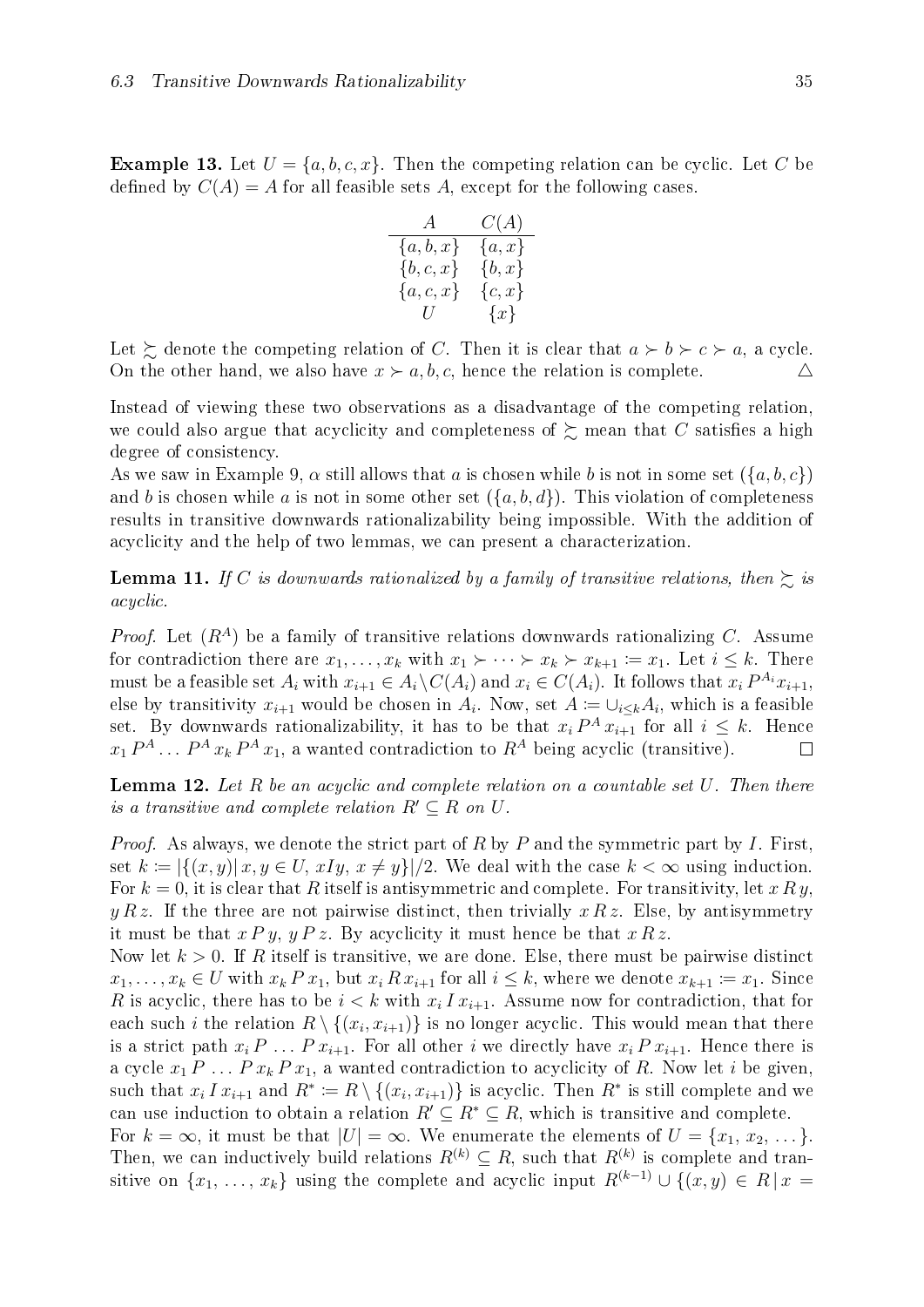**Example 13.** Let  $U = \{a, b, c, x\}$ . Then the competing relation can be cyclic. Let C be defined by  $C(A) = A$  for all feasible sets A, except for the following cases.

$$
\begin{array}{c|cc}\n & A & C(A) \\
\hline\n\{a, b, x\} & \{a, x\} \\
\{b, c, x\} & \{b, x\} \\
\{a, c, x\} & \{c, x\} \\
U & \{x\}\n\end{array}
$$

Let  $\succeq$  denote the competing relation of C. Then it is clear that  $a \succ b \succ c \succ a$ , a cycle. On the other hand, we also have  $x \succ a, b, c$ , hence the relation is complete.  $\triangle$ 

Instead of viewing these two observations as a disadvantage of the competing relation, we could also argue that acyclicity and completeness of  $\succeq$  mean that C satisfies a high degree of consistency.

As we saw in Example [9](#page-36-0),  $\alpha$  still allows that a is chosen while b is not in some set  $(\{a, b, c\})$ and b is chosen while a is not in some other set  $({a, b, d})$ . This violation of completeness results in transitive downwards rationalizability being impossible. With the addition of acyclicity and the help of two lemmas, we can present a characterization.

<span id="page-40-0"></span>**Lemma 11.** If C is downwards rationalized by a family of transitive relations, then  $\gtrsim$  is acyclic.

*Proof.* Let  $(R^A)$  be a family of transitive relations downwards rationalizing C. Assume for contradiction there are  $x_1, \ldots, x_k$  with  $x_1 \succ \cdots \succ x_k \succ x_{k+1} \coloneqq x_1$ . Let  $i \leq k$ . There must be a feasible set  $A_i$  with  $x_{i+1} \in A_i \backslash C(A_i)$  and  $x_i \in C(A_i)$ . It follows that  $x_i P^{A_i} x_{i+1}$ , else by transitivity  $x_{i+1}$  would be chosen in  $A_i$ . Now, set  $A := \cup_{i \leq k} A_i$ , which is a feasible set. By downwards rationalizability, it has to be that  $x_i P^A x_{i+1}$  for all  $i \leq k$ . Hence  $x_1 P^A \dots P^A x_k P^A x_1$ , a wanted contradiction to  $R^A$  being acyclic (transitive).  $\Box$ 

<span id="page-40-1"></span>**Lemma 12.** Let R be an acyclic and complete relation on a countable set  $U$ . Then there is a transitive and complete relation  $R' \subseteq R$  on U.

*Proof.* As always, we denote the strict part of R by P and the symmetric part by I. First, set  $k := |\{(x, y) | x, y \in U, xIy, x \neq y\}|/2$ . We deal with the case  $k < \infty$  using induction. For  $k = 0$ , it is clear that R itself is antisymmetric and complete. For transitivity, let x R y,  $y R z$ . If the three are not pairwise distinct, then trivially  $x R z$ . Else, by antisymmetry it must be that  $x \, P \, y$ ,  $y \, P \, z$ . By acyclicity it must hence be that  $x \, R \, z$ .

Now let  $k > 0$ . If R itself is transitive, we are done. Else, there must be pairwise distinct  $x_1, \ldots, x_k \in U$  with  $x_k P x_1$ , but  $x_i R x_{i+1}$  for all  $i \leq k$ , where we denote  $x_{k+1} \coloneqq x_1$ . Since R is acyclic, there has to be  $i < k$  with  $x_i I x_{i+1}$ . Assume now for contradiction, that for each such i the relation  $R \setminus \{(x_i, x_{i+1})\}$  is no longer acyclic. This would mean that there is a strict path  $x_i P \ldots P x_{i+1}$ . For all other i we directly have  $x_i P x_{i+1}$ . Hence there is a cycle  $x_1 P \ldots P x_k P x_1$ , a wanted contradiction to acyclicity of R. Now let i be given, such that  $x_i I x_{i+1}$  and  $R^* \coloneqq R \setminus \{(x_i, x_{i+1})\}$  is acyclic. Then  $R^*$  is still complete and we can use induction to obtain a relation  $R' \subseteq R^* \subseteq R$ , which is transitive and complete. For  $k = \infty$ , it must be that  $|U| = \infty$ . We enumerate the elements of  $U = \{x_1, x_2, \dots\}$ . Then, we can inductively build relations  $R^{(k)} \subseteq R$ , such that  $R^{(k)}$  is complete and tran-

sitive on  $\{x_1, \ldots, x_k\}$  using the complete and acyclic input  $R^{(k-1)} \cup \{(x, y) \in R | x =$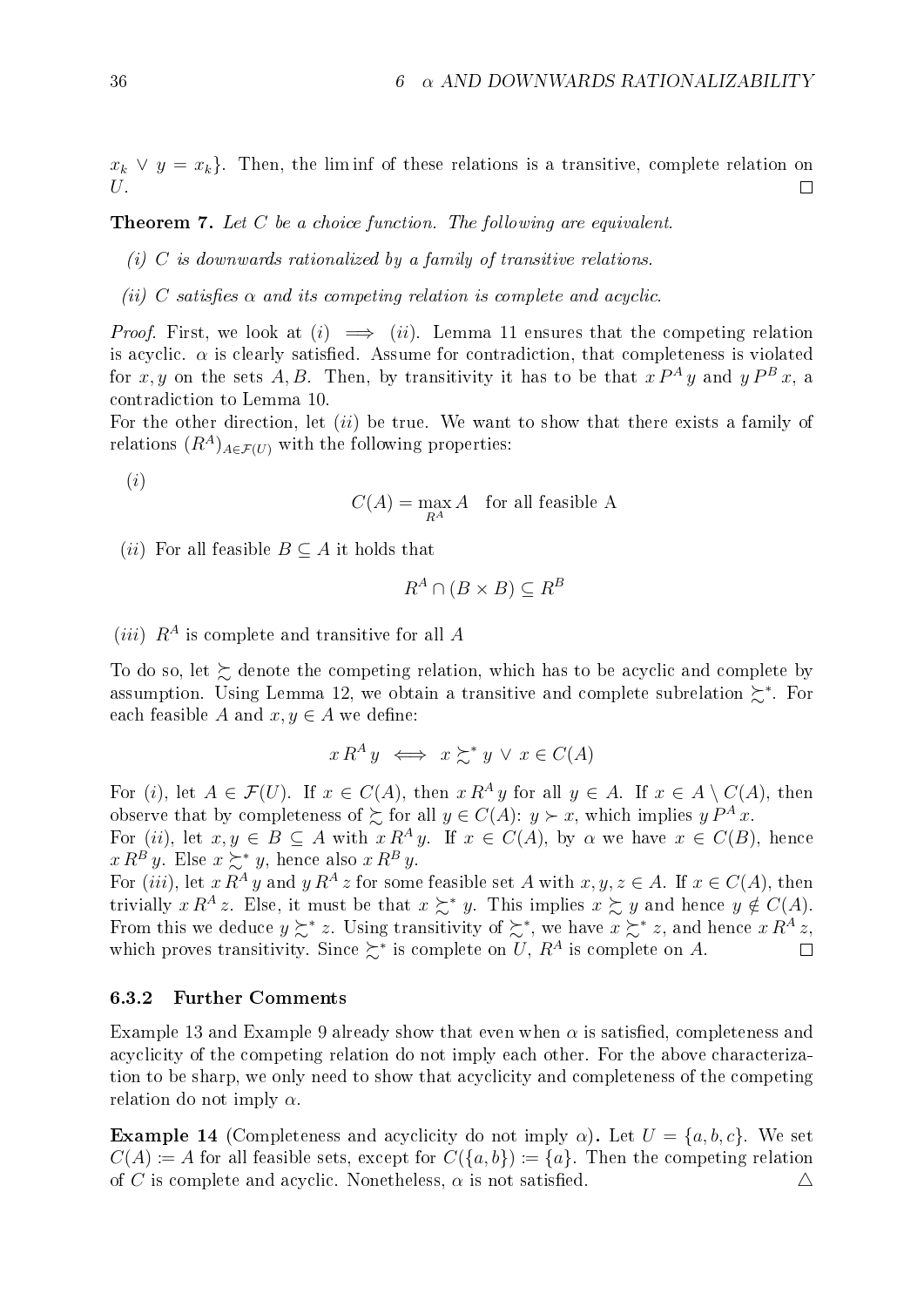$x_k \vee y = x_k$ . Then, the liminf of these relations is a transitive, complete relation on U.  $\Box$ 

<span id="page-41-0"></span>**Theorem 7.** Let C be a choice function. The following are equivalent.

- (i)  $C$  is downwards rationalized by a family of transitive relations.
- (ii) C satisfies  $\alpha$  and its competing relation is complete and acyclic.

*Proof.* First, we look at  $(i) \implies (ii)$ . Lemma [11](#page-40-0) ensures that the competing relation is acyclic.  $\alpha$  is clearly satisfied. Assume for contradiction, that completeness is violated for x, y on the sets A, B. Then, by transitivity it has to be that  $x P^A y$  and  $y P^B x$ , a contradiction to Lemma [10](#page-37-0).

For the other direction, let *(ii)* be true. We want to show that there exists a family of relations  $(R^A)_{A \in \mathcal{F}(U)}$  with the following properties:

(i)

$$
C(A) = \max_{R^A} A \quad \text{for all feasible A}
$$

(*ii*) For all feasible  $B \subseteq A$  it holds that

$$
R^A \cap (B \times B) \subseteq R^B
$$

(*iii*)  $R^A$  is complete and transitive for all A

To do so, let  $\succsim$  denote the competing relation, which has to be acyclic and complete by assumption. Using Lemma [12](#page-40-1), we obtain a transitive and complete subrelation  $\succeq^*$ . For each feasible A and  $x, y \in A$  we define:

$$
x R^A y \iff x \succsim^* y \lor x \in C(A)
$$

For (i), let  $A \in \mathcal{F}(U)$ . If  $x \in C(A)$ , then  $x R^A y$  for all  $y \in A$ . If  $x \in A \setminus C(A)$ , then observe that by completeness of  $\sum$  for all  $y \in C(A)$ :  $y \succ x$ , which implies  $y P^A x$ .

For (ii), let  $x, y \in B \subseteq A$  with  $x R^A y$ . If  $x \in C(A)$ , by  $\alpha$  we have  $x \in C(B)$ , hence  $x R^{B} y$ . Else  $x \succsim^{*} y$ , hence also  $x R^{B} y$ .

For (iii), let  $x R^A y$  and  $y R^A z$  for some feasible set A with  $x, y, z \in A$ . If  $x \in C(A)$ , then trivially  $x R^A z$ . Else, it must be that  $x \succsim^* y$ . This implies  $x \succsim y$  and hence  $y \notin C(A)$ . From this we deduce  $y \succsim^* z$ . Using transitivity of  $\succsim^*$ , we have  $x \succsim^* z$ , and hence  $x R^A z$ , which proves transitivity. Since  $\succcurlyeq^*$  is complete on U,  $R^A$  is complete on A.

#### 6.3.2 Further Comments

Example [13](#page-39-0) and Example [9](#page-36-0) already show that even when  $\alpha$  is satisfied, completeness and acyclicity of the competing relation do not imply each other. For the above characterization to be sharp, we only need to show that acyclicity and completeness of the competing relation do not imply  $\alpha$ .

**Example 14** (Completeness and acyclicity do not imply  $\alpha$ ). Let  $U = \{a, b, c\}$ . We set  $C(A) := A$  for all feasible sets, except for  $C({a,b}) := {a}$ . Then the competing relation of C is complete and acyclic. Nonetheless,  $\alpha$  is not satisfied.  $\Delta$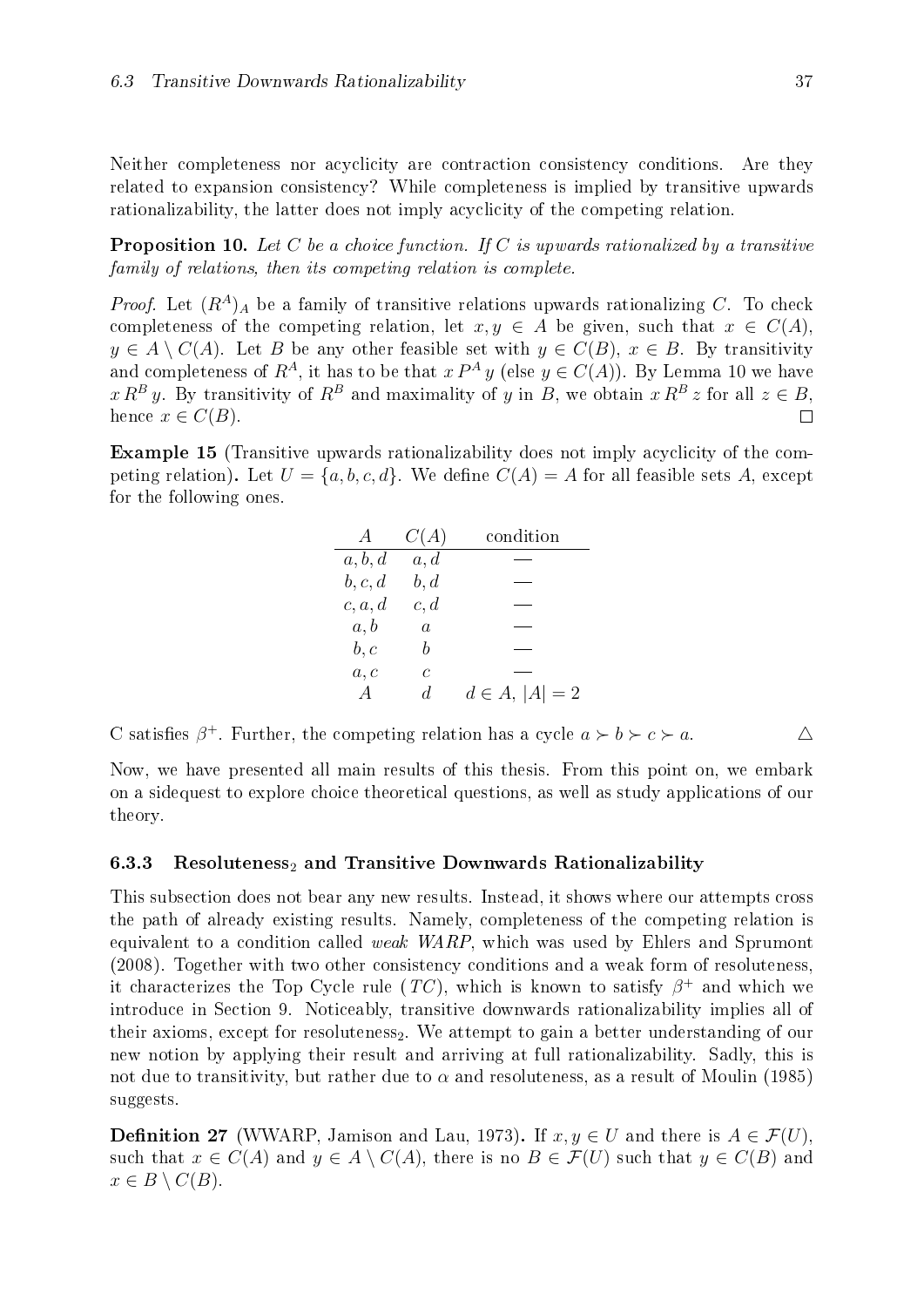Neither completeness nor acyclicity are contraction consistency conditions. Are they related to expansion consistency? While completeness is implied by transitive upwards rationalizability, the latter does not imply acyclicity of the competing relation.

**Proposition 10.** Let C be a choice function. If C is upwards rationalized by a transitive family of relations, then its competing relation is complete.

*Proof.* Let  $(R^A)_A$  be a family of transitive relations upwards rationalizing C. To check completeness of the competing relation, let  $x, y \in A$  be given, such that  $x \in C(A)$ ,  $y \in A \setminus C(A)$ . Let B be any other feasible set with  $y \in C(B)$ ,  $x \in B$ . By transitivity and completeness of  $R^A$ , it has to be that  $x P^A y$  (else  $y \in C(A)$ ). By Lemma [10](#page-37-0) we have  $x R^{B} y$ . By transitivity of  $R^{B}$  and maximality of y in B, we obtain  $x R^{B} z$  for all  $z \in B$ , hence  $x \in C(B)$ .  $\Box$ 

Example 15 (Transitive upwards rationalizability does not imply acyclicity of the competing relation). Let  $U = \{a, b, c, d\}$ . We define  $C(A) = A$  for all feasible sets A, except for the following ones.

| A              | C(A)           | condition          |
|----------------|----------------|--------------------|
| a, b, d        | a, d           |                    |
| b, c, d        | b, d           |                    |
| c, a, d        | c, d           |                    |
| a, b           | $\overline{a}$ |                    |
| b, c           | h              |                    |
| a, c           | C              |                    |
| $\overline{A}$ | d.             | $d \in A,  A  = 2$ |

C satisfies  $\beta^+$ . Further, the competing relation has a cycle  $a \succ b \succ c \succ a$ .

Now, we have presented all main results of this thesis. From this point on, we embark on a sidequest to explore choice theoretical questions, as well as study applications of our theory.

#### 6.3.3 Resoluteness<sub>2</sub> and Transitive Downwards Rationalizability

This subsection does not bear any new results. Instead, it shows where our attempts cross the path of already existing results. Namely, completeness of the competing relation is equivalent to a condition called weak WARP, which was used by [Ehlers and Sprumont](#page-70-0) [\(2008\)](#page-70-0). Together with two other consistency conditions and a weak form of resoluteness, it characterizes the Top Cycle rule  $(TC)$ , which is known to satisfy  $\beta^+$  and which we introduce in Section [9.](#page-56-0) Noticeably, transitive downwards rationalizability implies all of their axioms, except for resoluteness<sub>2</sub>. We attempt to gain a better understanding of our new notion by applying their result and arriving at full rationalizability. Sadly, this is not due to transitivity, but rather due to  $\alpha$  and resoluteness, as a result of [Moulin](#page-71-0) [\(1985\)](#page-71-0) suggests.

**Definition 27** (WWARP, [Jamison and Lau, 1973\)](#page-70-1). If  $x, y \in U$  and there is  $A \in \mathcal{F}(U)$ . such that  $x \in C(A)$  and  $y \in A \setminus C(A)$ , there is no  $B \in \mathcal{F}(U)$  such that  $y \in C(B)$  and  $x \in B \setminus C(B).$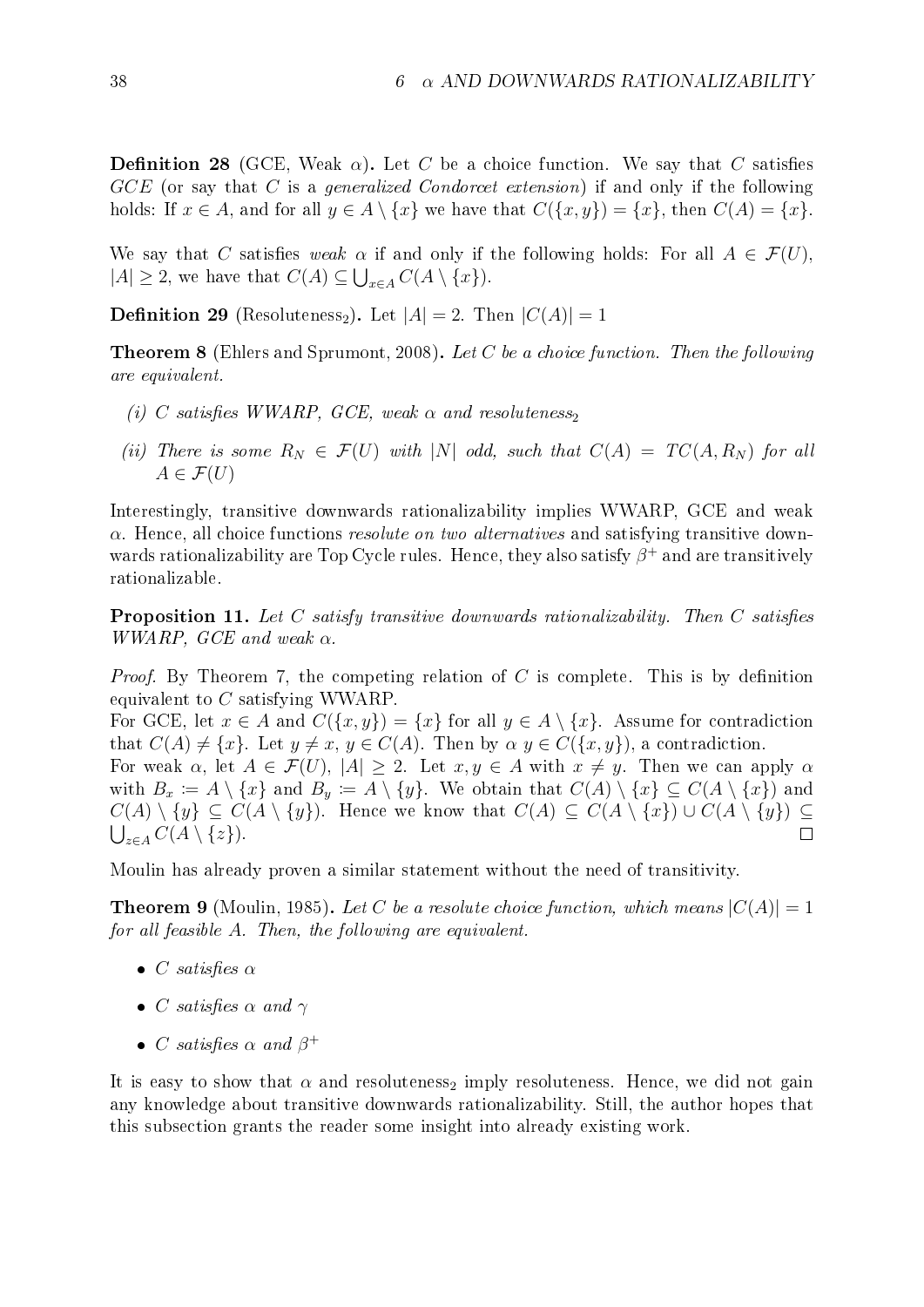**Definition 28** (GCE, Weak  $\alpha$ ). Let C be a choice function. We say that C satisfies GCE (or say that C is a *generalized Condorcet extension*) if and only if the following holds: If  $x \in A$ , and for all  $y \in A \setminus \{x\}$  we have that  $C(\{x, y\}) = \{x\}$ , then  $C(A) = \{x\}$ .

We say that C satisfies weak  $\alpha$  if and only if the following holds: For all  $A \in \mathcal{F}(U)$ ,  $|A| \geq 2$ , we have that  $C(A) \subseteq \bigcup_{x \in A} C(A \setminus \{x\}).$ 

**Definition 29** (Resoluteness<sub>2</sub>). Let  $|A| = 2$ . Then  $|C(A)| = 1$ 

**Theorem 8** [\(Ehlers and Sprumont, 2008\)](#page-70-0). Let C be a choice function. Then the following are equivalent.

- (i) C satisfies WWARP, GCE, weak  $\alpha$  and resoluteness,
- (ii) There is some  $R_N \in \mathcal{F}(U)$  with |N| odd, such that  $C(A) = TC(A, R_N)$  for all  $A \in \mathcal{F}(U)$

Interestingly, transitive downwards rationalizability implies WWARP, GCE and weak  $\alpha$ . Hence, all choice functions *resolute on two alternatives* and satisfying transitive downwards rationalizability are Top Cycle rules. Hence, they also satisfy  $\beta^+$  and are transitively rationalizable.

**Proposition 11.** Let C satisfy transitive downwards rationalizability. Then C satisfies WWARP, GCE and weak  $\alpha$ .

*Proof.* By Theorem [7](#page-41-0), the competing relation of C is complete. This is by definition equivalent to C satisfying WWARP.

For GCE, let  $x \in A$  and  $C({x, y}) = {x}$  for all  $y \in A \setminus {x}$ . Assume for contradiction that  $C(A) \neq \{x\}$ . Let  $y \neq x, y \in C(A)$ . Then by  $\alpha, y \in C(\{x, y\})$ , a contradiction.

For weak  $\alpha$ , let  $A \in \mathcal{F}(U)$ ,  $|A| \geq 2$ . Let  $x, y \in A$  with  $x \neq y$ . Then we can apply  $\alpha$ with  $B_x := A \setminus \{x\}$  and  $B_y := A \setminus \{y\}$ . We obtain that  $C(A) \setminus \{x\} \subseteq C(A \setminus \{x\})$  and  $C(A) \setminus \{y\} \subseteq C(A \setminus \{y\}).$  Hence we know that  $C(A) \subseteq C(A \setminus \{x\}) \cup C(A \setminus \{y\}) \subseteq$  $\bigcup_{z\in A} C(A\setminus\{z\}).$  $\Box$ 

Moulin has already proven a similar statement without the need of transitivity.

**Theorem 9** [\(Moulin, 1985\)](#page-71-0). Let C be a resolute choice function, which means  $|C(A)| = 1$ for all feasible A. Then, the following are equivalent.

- C satisfies  $\alpha$
- C satisfies  $\alpha$  and  $\gamma$
- C satisfies  $\alpha$  and  $\beta^+$

It is easy to show that  $\alpha$  and resoluteness<sub>2</sub> imply resoluteness. Hence, we did not gain any knowledge about transitive downwards rationalizability. Still, the author hopes that this subsection grants the reader some insight into already existing work.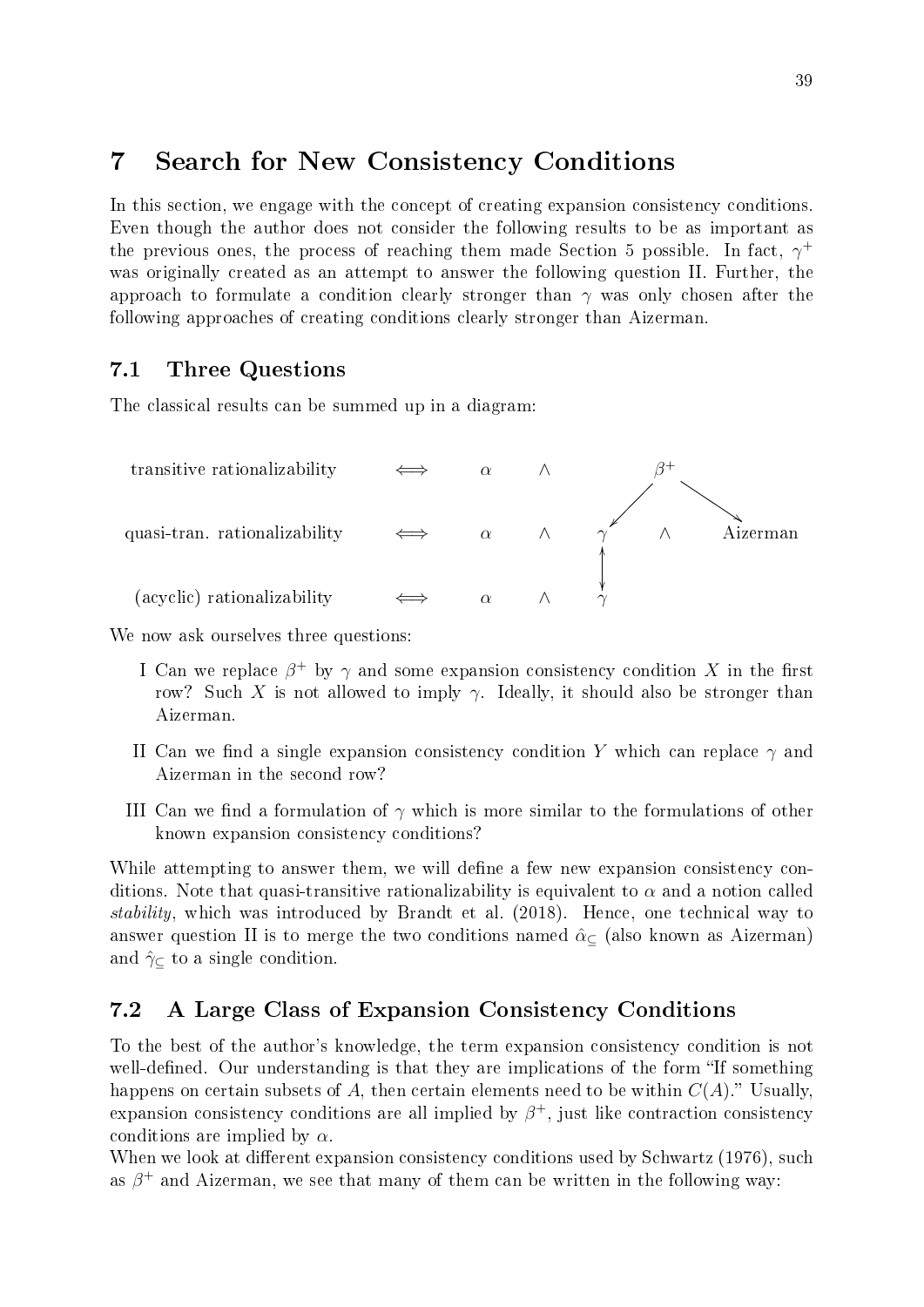# 7 Search for New Consistency Conditions

In this section, we engage with the concept of creating expansion consistency conditions. Even though the author does not consider the following results to be as important as the previous ones, the process of reaching them made Section [5](#page-25-0) possible. In fact,  $\gamma^+$ was originally created as an attempt to answer the following question II. Further, the approach to formulate a condition clearly stronger than  $\gamma$  was only chosen after the following approaches of creating conditions clearly stronger than Aizerman.

## 7.1 Three Questions

The classical results can be summed up in a diagram:



We now ask ourselves three questions:

- I Can we replace  $\beta^+$  by  $\gamma$  and some expansion consistency condition X in the first row? Such X is not allowed to imply  $\gamma$ . Ideally, it should also be stronger than Aizerman.
- II Can we find a single expansion consistency condition Y which can replace  $\gamma$  and Aizerman in the second row?
- III Can we find a formulation of  $\gamma$  which is more similar to the formulations of other known expansion consistency conditions?

While attempting to answer them, we will define a few new expansion consistency conditions. Note that quasi-transitive rationalizability is equivalent to  $\alpha$  and a notion called stability, which was introduced by [Brandt et al.](#page-70-2) [\(2018\)](#page-70-2). Hence, one technical way to answer question II is to merge the two conditions named  $\hat{\alpha}_{\subseteq}$  (also known as Aizerman) and  $\hat{\gamma}_{\subset}$  to a single condition.

## <span id="page-44-0"></span>7.2 A Large Class of Expansion Consistency Conditions

To the best of the author's knowledge, the term expansion consistency condition is not well-defined. Our understanding is that they are implications of the form "If something happens on certain subsets of A, then certain elements need to be within  $C(A)$ . Usually, expansion consistency conditions are all implied by  $\beta^+$ , just like contraction consistency conditions are implied by  $\alpha$ .

When we look at different expansion consistency conditions used by [Schwartz](#page-71-1)  $(1976)$ , such as  $\beta^+$  and Aizerman, we see that many of them can be written in the following way: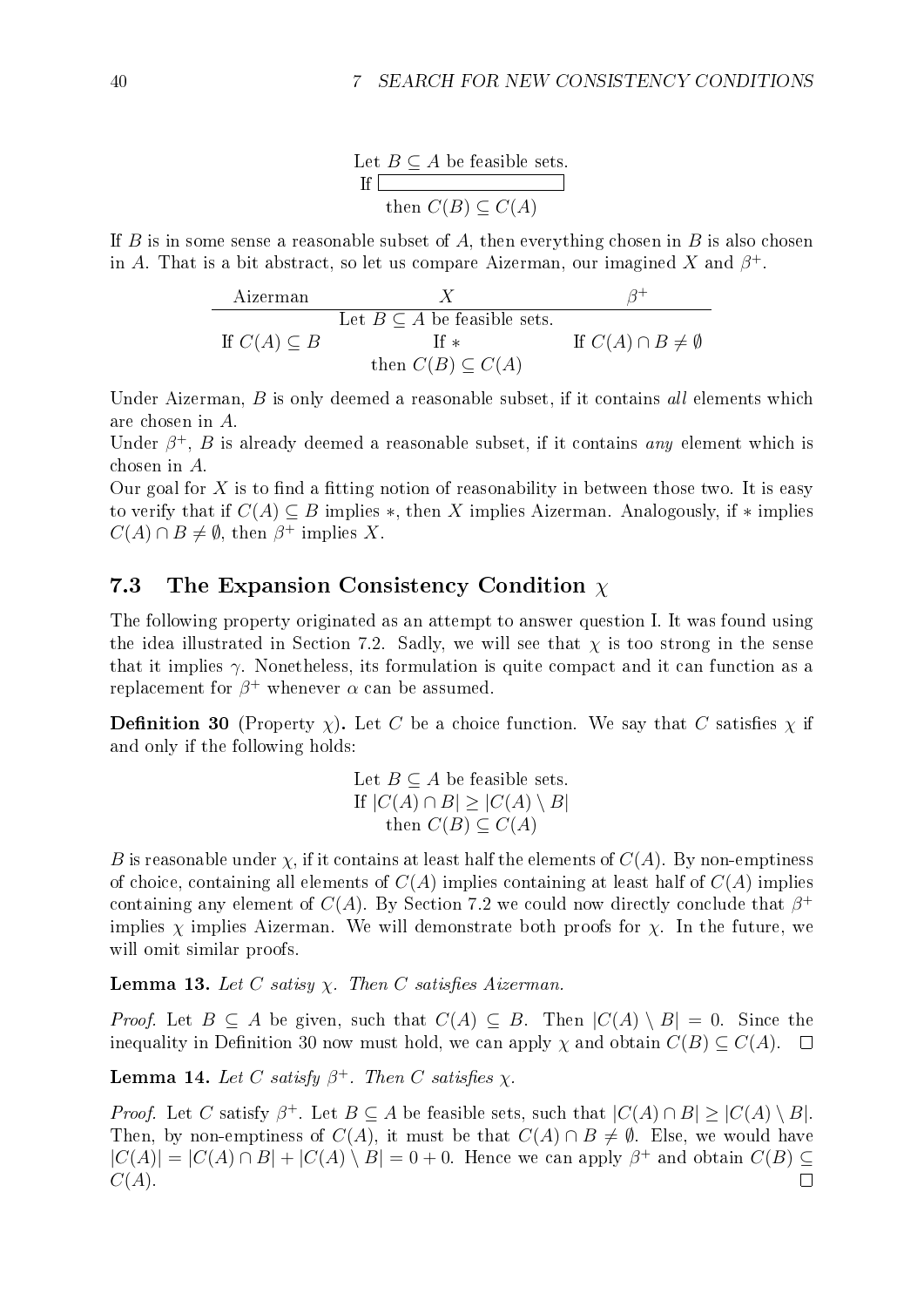Let  $B \subseteq A$  be feasible sets.  $If \Box$ then  $C(B) \subset C(A)$ 

If B is in some sense a reasonable subset of A, then everything chosen in B is also chosen in A. That is a bit abstract, so let us compare Aizerman, our imagined X and  $\beta^+$ .

$$
\begin{array}{c}\n\text{Aizerman} & X & \beta^+ \\
\text{Let } B \subseteq A \text{ be feasible sets.} \\
\text{If } C(A) \subseteq B \qquad \qquad \text{If } \ast \qquad \qquad \text{If } C(A) \cap B \neq \emptyset \\
\text{then } C(B) \subseteq C(A)\n\end{array}
$$

Under Aizerman,  $B$  is only deemed a reasonable subset, if it contains all elements which are chosen in A.

Under  $\beta^+$ , B is already deemed a reasonable subset, if it contains any element which is chosen in A.

Our goal for X is to find a fitting notion of reasonability in between those two. It is easy to verify that if  $C(A) \subseteq B$  implies \*, then X implies Aizerman. Analogously, if \* implies  $C(A) \cap B \neq \emptyset$ , then  $\beta^+$  implies X.

### 7.3 The Expansion Consistency Condition  $\chi$

The following property originated as an attempt to answer question I. It was found using the idea illustrated in Section [7.2.](#page-44-0) Sadly, we will see that  $\chi$  is too strong in the sense that it implies  $\gamma$ . Nonetheless, its formulation is quite compact and it can function as a replacement for  $\beta^+$  whenever  $\alpha$  can be assumed.

<span id="page-45-0"></span>**Definition 30** (Property  $\chi$ ). Let C be a choice function. We say that C satisfies  $\chi$  if and only if the following holds:

Let 
$$
B \subseteq A
$$
 be feasible sets.  
\nIf  $|C(A) \cap B| \ge |C(A) \setminus B|$   
\nthen  $C(B) \subseteq C(A)$ 

B is reasonable under  $\chi$ , if it contains at least half the elements of  $C(A)$ . By non-emptiness of choice, containing all elements of  $C(A)$  implies containing at least half of  $C(A)$  implies containing any element of  $C(A)$ . By Section [7.2](#page-44-0) we could now directly conclude that  $\beta^+$ implies  $\chi$  implies Aizerman. We will demonstrate both proofs for  $\chi$ . In the future, we will omit similar proofs.

**Lemma 13.** Let C satisy  $\chi$ . Then C satisfies Aizerman.

*Proof.* Let  $B \subseteq A$  be given, such that  $C(A) \subseteq B$ . Then  $|C(A) \setminus B| = 0$ . Since the inequality in Definition [30](#page-45-0) now must hold, we can apply  $\chi$  and obtain  $C(B) \subseteq C(A)$ .  $\Box$ 

**Lemma 14.** Let C satisfy  $\beta^+$ . Then C satisfies  $\chi$ .

*Proof.* Let C satisfy  $\beta^+$ . Let  $B \subseteq A$  be feasible sets, such that  $|C(A) \cap B| \ge |C(A) \setminus B|$ . Then, by non-emptiness of  $C(A)$ , it must be that  $C(A) \cap B \neq \emptyset$ . Else, we would have  $|C(A)| = |C(A) \cap B| + |C(A) \setminus B| = 0 + 0$ . Hence we can apply  $\beta^+$  and obtain  $C(B) \subseteq$  $C(A).$  $\Box$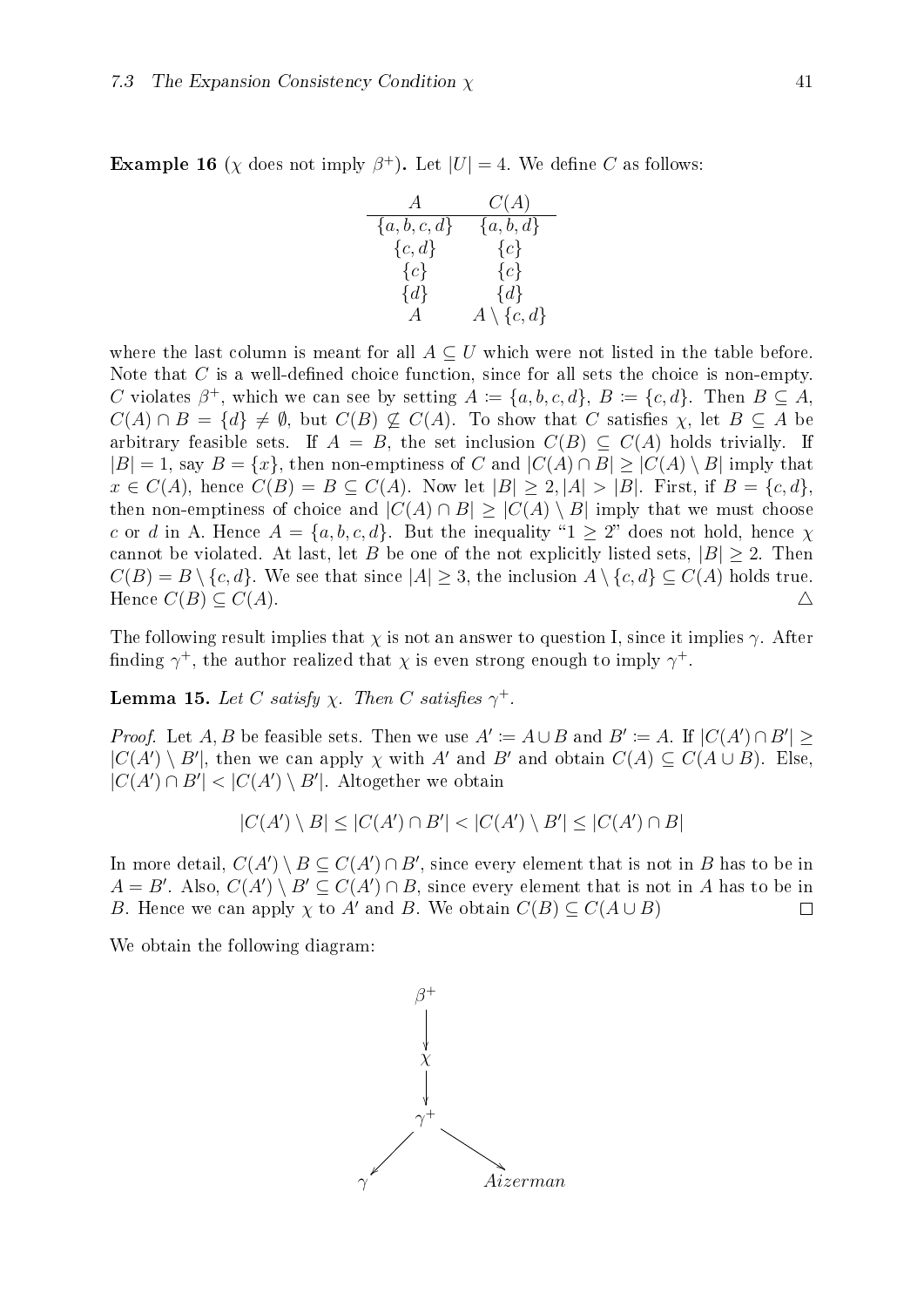**Example 16** ( $\chi$  does not imply  $\beta^+$ ). Let  $|U| = 4$ . We define C as follows:

$$
\begin{array}{ccc}\nA & C(A) \\
\{a, b, c, d\} & \{a, b, d\} \\
\{c, d\} & \{c\} \\
\{c\} & \{c\} \\
\{d\} & \{d\} \\
A & A \setminus \{c, d\}\n\end{array}
$$

where the last column is meant for all  $A \subseteq U$  which were not listed in the table before. Note that  $C$  is a well-defined choice function, since for all sets the choice is non-empty. C violates  $\beta^+$ , which we can see by setting  $A := \{a, b, c, d\}$ ,  $B := \{c, d\}$ . Then  $B \subseteq A$ ,  $C(A) \cap B = \{d\} \neq \emptyset$ , but  $C(B) \not\subseteq C(A)$ . To show that C satisfies  $\chi$ , let  $B \subseteq A$  be arbitrary feasible sets. If  $A = B$ , the set inclusion  $C(B) \subseteq C(A)$  holds trivially. If  $|B| = 1$ , say  $B = \{x\}$ , then non-emptiness of C and  $|C(A) \cap B| \ge |C(A) \setminus B|$  imply that  $x \in C(A)$ , hence  $C(B) = B \subseteq C(A)$ . Now let  $|B| \geq 2, |A| > |B|$ . First, if  $B = \{c, d\}$ , then non-emptiness of choice and  $|C(A) \cap B| \geq |C(A) \setminus B|$  imply that we must choose c or d in A. Hence  $A = \{a, b, c, d\}$ . But the inequality " $1 \geq 2$ " does not hold, hence  $\chi$ cannot be violated. At last, let B be one of the not explicitly listed sets,  $|B| \geq 2$ . Then  $C(B) = B \setminus \{c, d\}.$  We see that since  $|A| \geq 3$ , the inclusion  $A \setminus \{c, d\} \subseteq C(A)$  holds true. Hence  $C(B) \subseteq C(A)$ .

The following result implies that  $\chi$  is not an answer to question I, since it implies  $\gamma$ . After finding  $\gamma^+$ , the author realized that  $\chi$  is even strong enough to imply  $\gamma^+$ .

**Lemma 15.** Let C satisfy  $\chi$ . Then C satisfies  $\gamma^+$ .

*Proof.* Let A, B be feasible sets. Then we use  $A' \coloneqq A \cup B$  and  $B' \coloneqq A$ . If  $|C(A') \cap B'| \ge$  $|C(A') \setminus B'|$ , then we can apply  $\chi$  with A' and B' and obtain  $C(A) \subseteq C(A \cup B)$ . Else,  $|C(A') \cap B'| < |C(A') \setminus B'|$ . Altogether we obtain

$$
|C(A') \setminus B| \le |C(A') \cap B'| < |C(A') \setminus B'| \le |C(A') \cap B|
$$

In more detail,  $C(A') \setminus B \subseteq C(A') \cap B'$ , since every element that is not in B has to be in  $A = B'$ . Also,  $C(A') \setminus B' \subseteq C(A') \cap B$ , since every element that is not in A has to be in B. Hence we can apply  $\chi$  to A' and B. We obtain  $C(B) \subseteq C(A \cup B)$  $\Box$ 

<span id="page-46-0"></span>We obtain the following diagram:

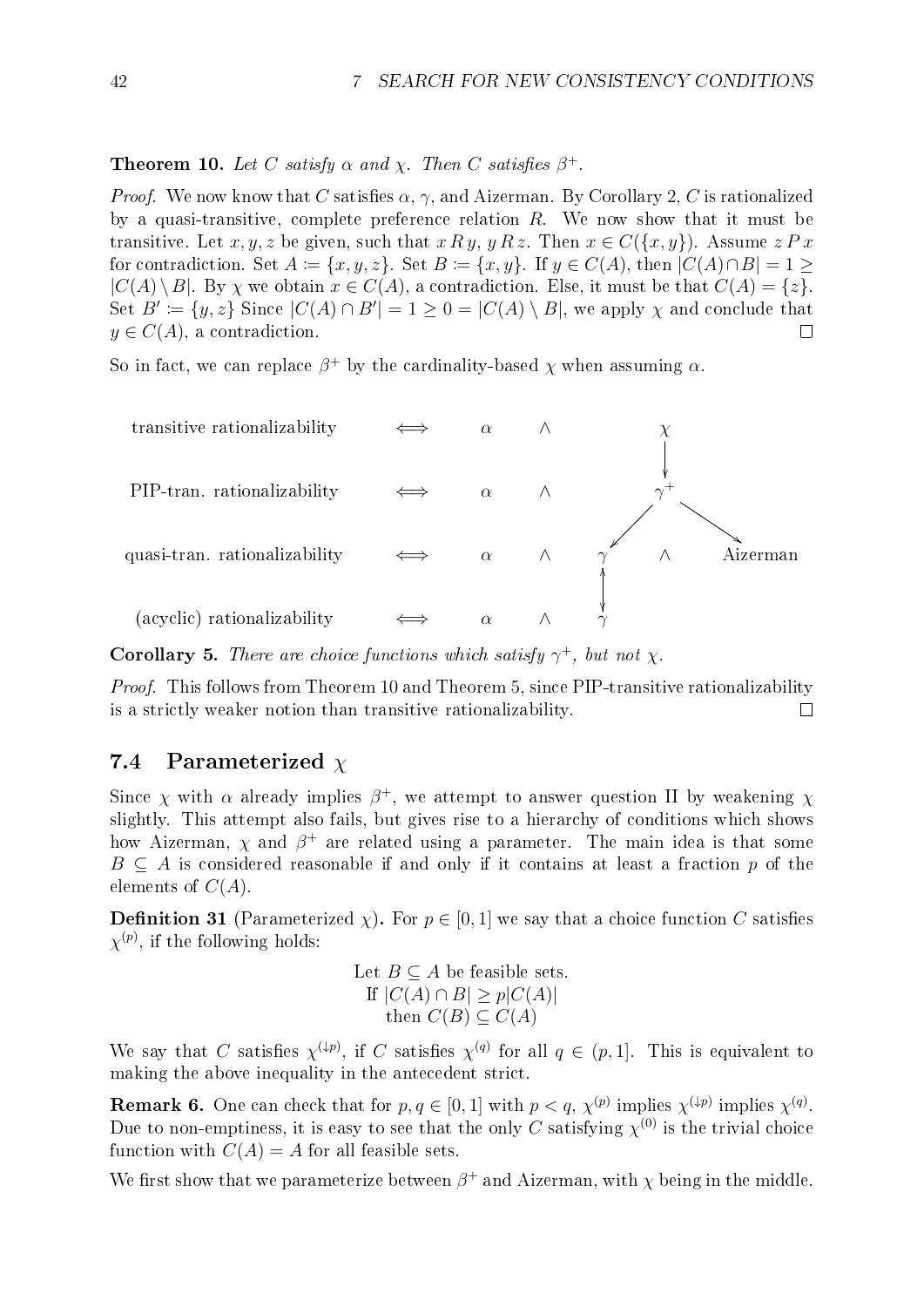### **Theorem 10.** Let C satisfy  $\alpha$  and  $\chi$ . Then C satisfies  $\beta^+$ .

*Proof.* We now know that C satisfies  $\alpha$ ,  $\gamma$ , and Aizerman. By Corollary [2](#page-22-0), C is rationalized by a quasi-transitive, complete preference relation  $R$ . We now show that it must be transitive. Let x, y, z be given, such that  $x R y$ ,  $y R z$ . Then  $x \in C({x, y})$ . Assume  $z P x$ for contradiction. Set  $A := \{x, y, z\}$ . Set  $B := \{x, y\}$ . If  $y \in C(A)$ , then  $|C(A) \cap B| = 1$  $|C(A) \setminus B|$ . By  $\chi$  we obtain  $x \in C(A)$ , a contradiction. Else, it must be that  $C(A) = \{z\}$ . Set  $B' := \{y, z\}$  Since  $|C(A) \cap B'| = 1 \geq 0 = |C(A) \setminus B|$ , we apply  $\chi$  and conclude that  $y \in C(A)$ , a contradiction.  $\Box$ 

So in fact, we can replace  $\beta^+$  by the cardinality-based  $\chi$  when assuming  $\alpha$ .



**Corollary 5.** There are choice functions which satisfy  $\gamma^+$ , but not  $\chi$ .

Proof. This follows from Theorem [10](#page-46-0) and Theorem [5](#page-27-0), since PIP-transitive rationalizability is a strictly weaker notion than transitive rationalizability.  $\Box$ 

### 7.4 Parameterized  $\chi$

Since  $\chi$  with  $\alpha$  already implies  $\beta^+$ , we attempt to answer question II by weakening  $\chi$ slightly. This attempt also fails, but gives rise to a hierarchy of conditions which shows how Aizerman,  $\chi$  and  $\beta^+$  are related using a parameter. The main idea is that some  $B \subseteq A$  is considered reasonable if and only if it contains at least a fraction p of the elements of  $C(A)$ .

<span id="page-47-1"></span>**Definition 31** (Parameterized  $\chi$ ). For  $p \in [0, 1]$  we say that a choice function C satisfies  $\chi^{(p)}$ , if the following holds:

Let 
$$
B \subseteq A
$$
 be feasible sets.  
\nIf  $|C(A) \cap B| \ge p|C(A)|$   
\nthen  $C(B) \subseteq C(A)$ 

We say that C satisfies  $\chi^{(\downarrow p)}$ , if C satisfies  $\chi^{(q)}$  for all  $q \in (p,1]$ . This is equivalent to making the above inequality in the antecedent strict.

**Remark 6.** One can check that for  $p, q \in [0, 1]$  with  $p < q$ ,  $\chi^{(p)}$  implies  $\chi^{(\downarrow p)}$  implies  $\chi^{(q)}$ . Due to non-emptiness, it is easy to see that the only  $C$  satisfying  $\chi^{(0)}$  is the trivial choice function with  $C(A) = A$  for all feasible sets.

<span id="page-47-0"></span>We first show that we parameterize between  $\beta^+$  and Aizerman, with  $\chi$  being in the middle.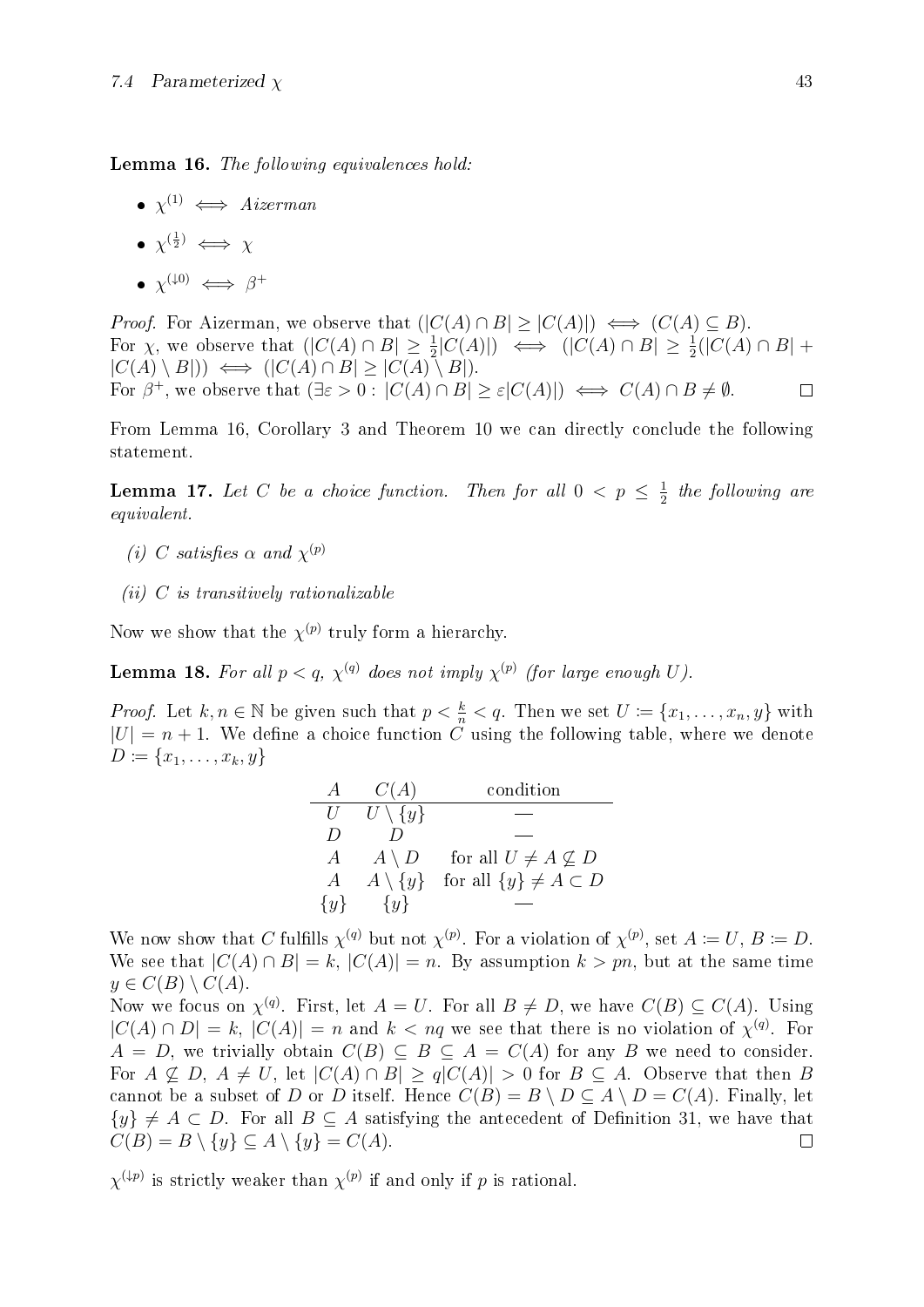Lemma 16. The following equivalences hold:

- $\bullet \; \chi^{(1)} \iff \text{Aizerman}$
- $\bullet$   $\chi^{(\frac{1}{2})} \iff \chi$
- $\bullet$   $\chi^{(\downarrow 0)} \iff \beta^+$

*Proof.* For Aizerman, we observe that  $(|C(A) \cap B| \geq |C(A)|) \iff (C(A) \subseteq B)$ . For  $\chi$ , we observe that  $(|C(A) \cap B| \ge \frac{1}{2}|C(A)|) \iff (|C(A) \cap B| \ge \frac{1}{2}(|C(A) \cap B| +$  $|C(A) \setminus B|) \iff (|C(A) \cap B| > |C(A) \setminus B|).$ For  $\beta^+$ , we observe that  $(\exists \varepsilon > 0 : |C(A) \cap B| \geq \varepsilon |C(A)|) \iff C(A) \cap B \neq \emptyset$ .  $\Box$ 

From Lemma [16](#page-47-0), Corollary [3](#page-24-0) and Theorem [10](#page-46-0) we can directly conclude the following statement.

**Lemma 17.** Let C be a choice function. Then for all  $0 < p \leq \frac{1}{2}$  $rac{1}{2}$  the following are equivalent.

- (i) C satisfies  $\alpha$  and  $\chi^{(p)}$
- $(ii)$  C is transitively rationalizable

Now we show that the  $\chi^{(p)}$  truly form a hierarchy.

**Lemma 18.** For all  $p < q$ ,  $\chi^{(q)}$  does not imply  $\chi^{(p)}$  (for large enough U).

*Proof.* Let  $k, n \in \mathbb{N}$  be given such that  $p < \frac{k}{n} < q$ . Then we set  $U := \{x_1, \ldots, x_n, y\}$  with  $|U| = n + 1$ . We define a choice function C using the following table, where we denote  $D \coloneqq \{x_1, \ldots, x_k, y\}$ 

| $\overline{A}$ | C(A)                | condition                        |
|----------------|---------------------|----------------------------------|
| U              | $U \setminus \{y\}$ |                                  |
| D              |                     |                                  |
| A              | $A \setminus D$     | for all $U \neq A \nsubseteq D$  |
| $\overline{A}$ | $A \setminus \{y\}$ | for all $\{y\} \neq A \subset D$ |
| $\{y\}$        | $\{y\}$             |                                  |

We now show that C fulfills  $\chi^{(q)}$  but not  $\chi^{(p)}$ . For a violation of  $\chi^{(p)}$ , set  $A := U, B := D$ . We see that  $|C(A) \cap B| = k$ ,  $|C(A)| = n$ . By assumption  $k > pn$ , but at the same time  $y \in C(B) \setminus C(A).$ 

Now we focus on  $\chi^{(q)}$ . First, let  $A = U$ . For all  $B \neq D$ , we have  $C(B) \subseteq C(A)$ . Using  $|C(A) \cap D| = k, |C(A)| = n$  and  $k < nq$  we see that there is no violation of  $\chi^{(q)}$ . For  $A = D$ , we trivially obtain  $C(B) \subseteq B \subseteq A = C(A)$  for any B we need to consider. For  $A \nsubseteq D$ ,  $A \neq U$ , let  $|C(A) \cap B| \geq q|C(A)| > 0$  for  $B \subseteq A$ . Observe that then B cannot be a subset of D or D itself. Hence  $C(B) = B \setminus D \subset A \setminus D = C(A)$ . Finally, let  $\{y\} \neq A \subset D$ . For all  $B \subseteq A$  satisfying the antecedent of Definition [31](#page-47-1), we have that  $C(B) = B \setminus \{y\} \subseteq A \setminus \{y\} = C(A).$  $\Box$ 

 $\chi^{(\downarrow p)}$  is strictly weaker than  $\chi^{(p)}$  if and only if p is rational.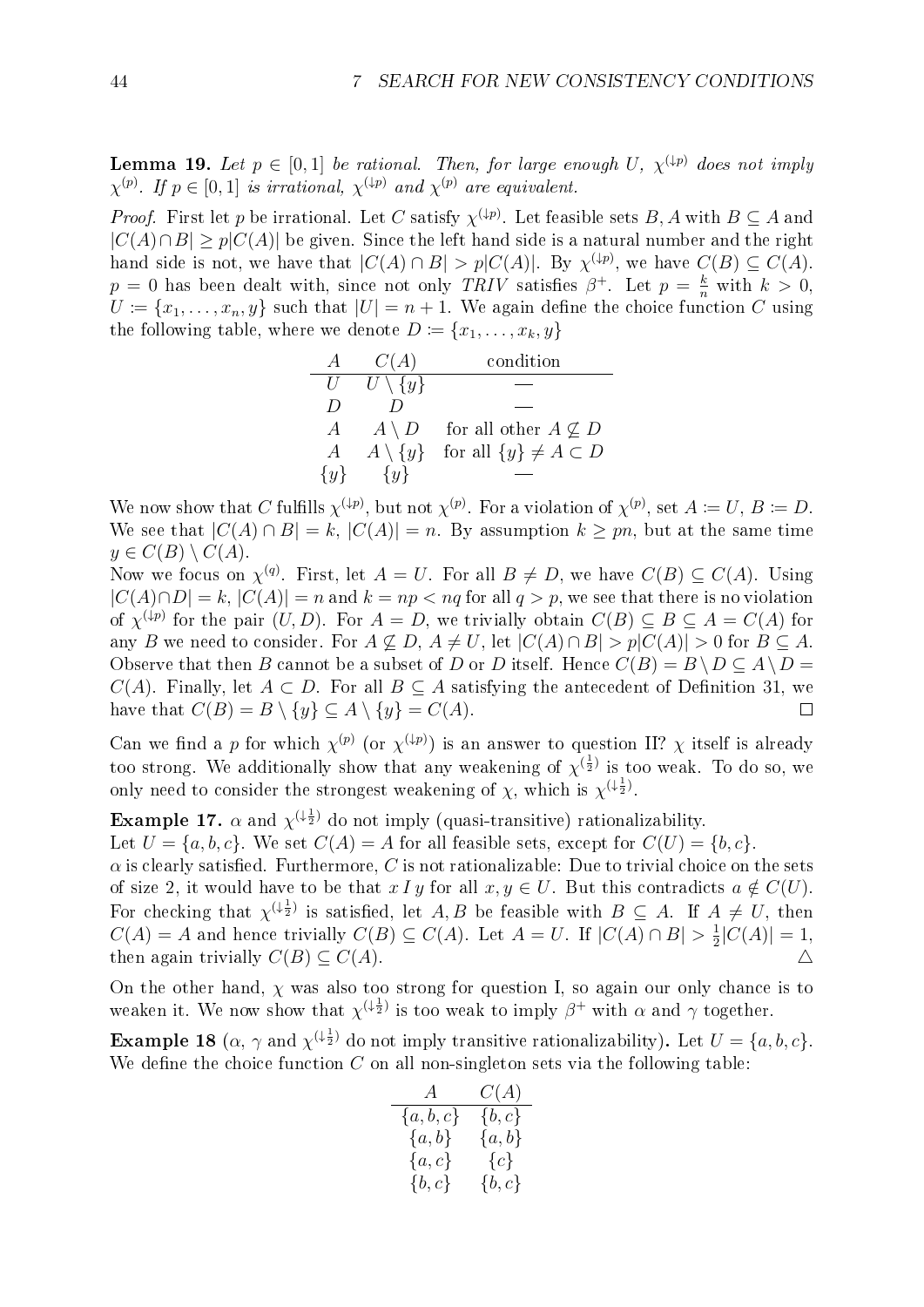**Lemma 19.** Let  $p \in [0,1]$  be rational. Then, for large enough U,  $\chi^{(\downarrow p)}$  does not imply  $\chi^{(p)}$ . If  $p \in [0,1]$  is irrational,  $\chi^{(\downarrow p)}$  and  $\chi^{(p)}$  are equivalent.

*Proof.* First let p be irrational. Let C satisfy  $\chi^{(\downarrow p)}$ . Let feasible sets B, A with  $B \subseteq A$  and  $|C(A) \cap B| \geq p|C(A)|$  be given. Since the left hand side is a natural number and the right hand side is not, we have that  $|C(A) \cap B| > p|C(A)|$ . By  $\chi^{(\downarrow p)}$ , we have  $C(B) \subseteq C(A)$ .  $p = 0$  has been dealt with, since not only TRIV satisfies  $\beta^+$ . Let  $p = \frac{k}{n}$  with  $k > 0$ ,  $U := \{x_1, \ldots, x_n, y\}$  such that  $|U| = n + 1$ . We again define the choice function C using the following table, where we denote  $D := \{x_1, \ldots, x_k, y\}$ 

| A                | C(A)                | condition                         |
|------------------|---------------------|-----------------------------------|
| U                | $U \setminus \{y\}$ |                                   |
| $\left( \right)$ |                     |                                   |
| A                | $A \setminus D$     | for all other $A \not\subseteq D$ |
| $\boldsymbol{A}$ | $A \setminus \{y\}$ | for all $\{y\} \neq A \subset D$  |
| $\{y\}$          | $\{y\}$             |                                   |

We now show that C fulfills  $\chi^{(\downarrow p)}$ , but not  $\chi^{(p)}$ . For a violation of  $\chi^{(p)}$ , set  $A \coloneqq U, B \coloneqq D$ . We see that  $|C(A) \cap B| = k$ ,  $|C(A)| = n$ . By assumption  $k \geq pn$ , but at the same time  $y \in C(B) \setminus C(A)$ .

Now we focus on  $\chi^{(q)}$ . First, let  $A = U$ . For all  $B \neq D$ , we have  $C(B) \subseteq C(A)$ . Using  $|C(A) \cap D| = k$ ,  $|C(A)| = n$  and  $k = np < nq$  for all  $q > p$ , we see that there is no violation of  $\chi^{(\downarrow p)}$  for the pair  $(U, D)$ . For  $A = D$ , we trivially obtain  $C(B) \subseteq B \subseteq A = C(A)$  for any B we need to consider. For  $A \not\subseteq D$ ,  $A \neq U$ , let  $|C(A) \cap B| > p|C(A)| > 0$  for  $B \subseteq A$ . Observe that then B cannot be a subset of D or D itself. Hence  $C(B) = B \setminus D \subseteq A \setminus D =$  $C(A)$ . Finally, let  $A \subset D$ . For all  $B \subset A$  satisfying the antecedent of Definition [31](#page-47-1), we have that  $C(B) = B \setminus \{y\} \subseteq A \setminus \{y\} = C(A)$ .  $\Box$ 

Can we find a p for which  $\chi^{(p)}$  (or  $\chi^{(\downarrow p)}$ ) is an answer to question II?  $\chi$  itself is already too strong. We additionally show that any weakening of  $\chi^{(\frac{1}{2})}$  is too weak. To do so, we only need to consider the strongest weakening of  $\chi$ , which is  $\chi^{(\frac{1}{2})}$ .

**Example 17.**  $\alpha$  and  $\chi^{(\frac{1}{2})}$  do not imply (quasi-transitive) rationalizability.

Let  $U = \{a, b, c\}$ . We set  $C(A) = A$  for all feasible sets, except for  $C(U) = \{b, c\}$ .

 $\alpha$  is clearly satisfied. Furthermore, C is not rationalizable: Due to trivial choice on the sets of size 2, it would have to be that  $x \, I \, y$  for all  $x, y \in U$ . But this contradicts  $a \notin C(U)$ . For checking that  $\chi^{(\frac{1}{2})}$  is satisfied, let  $A, B$  be feasible with  $B \subseteq A$ . If  $A \neq U$ , then  $C(A) = A$  and hence trivially  $C(B) \subseteq C(A)$ . Let  $A = U$ . If  $|C(A) \cap B| > \frac{1}{2}$  $\frac{1}{2}|C(A)|=1,$ then again trivially  $C(B) \subseteq C(A)$ .

On the other hand,  $\chi$  was also too strong for question I, so again our only chance is to weaken it. We now show that  $\chi^{(\frac{1}{2})}$  is too weak to imply  $\beta^+$  with  $\alpha$  and  $\gamma$  together.

**Example 18** ( $\alpha$ ,  $\gamma$  and  $\chi^{(\frac{1}{2})}$  do not imply transitive rationalizability). Let  $U = \{a, b, c\}$ . We define the choice function  $C$  on all non-singleton sets via the following table:

| A         | C(A)      |
|-----------|-----------|
| ${a,b,c}$ | $\{b,c\}$ |
| $\{a,b\}$ | ${a,b}$   |
| $\{a,c\}$ | ${c}$     |
| $\{b,c\}$ | $\{b,c\}$ |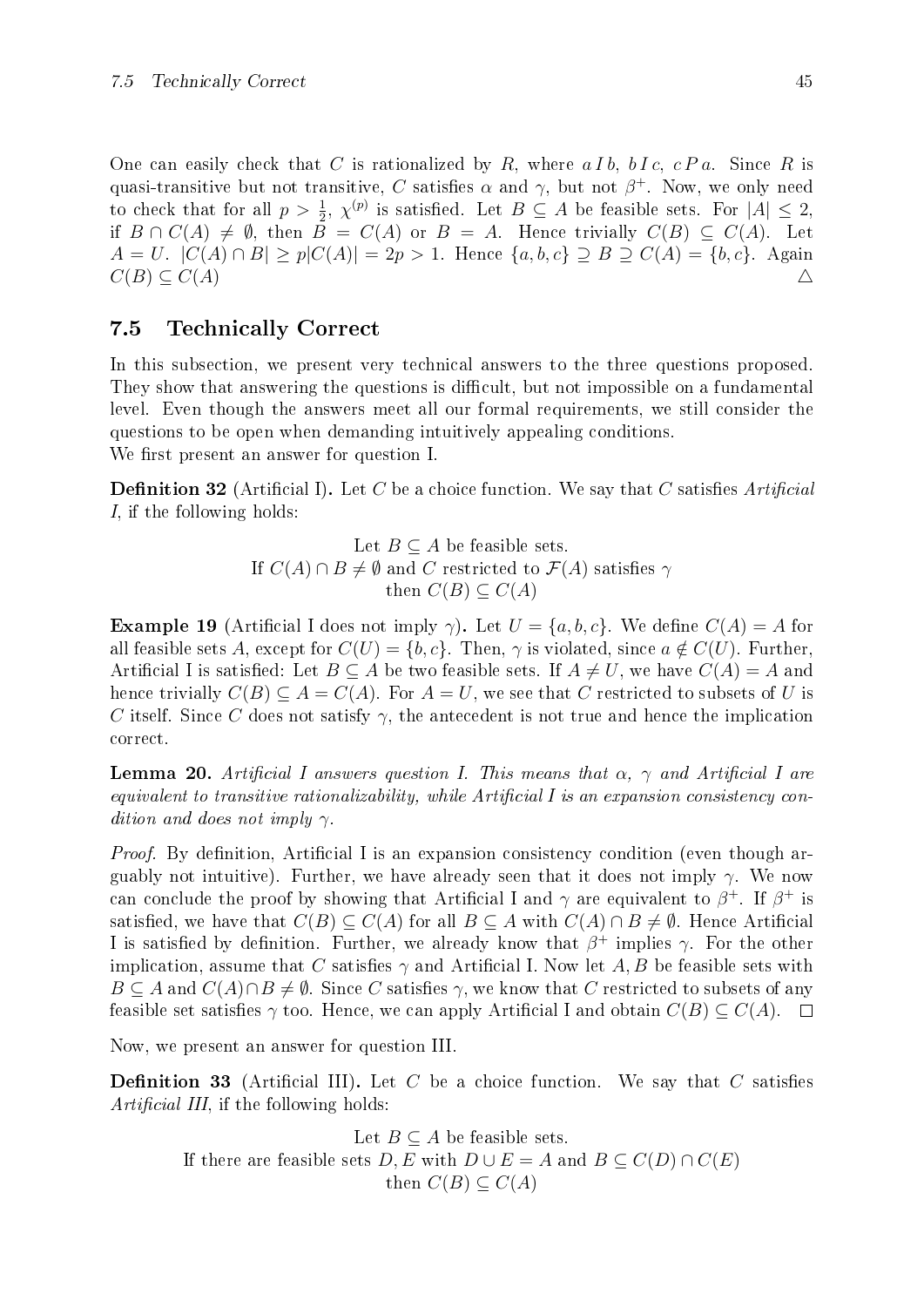One can easily check that C is rationalized by R, where  $a I b$ ,  $b I c$ ,  $c P a$ . Since R is quasi-transitive but not transitive, C satisfies  $\alpha$  and  $\gamma$ , but not  $\beta^+$ . Now, we only need to check that for all  $p > \frac{1}{2}$ ,  $\chi^{(p)}$  is satisfied. Let  $B \subseteq A$  be feasible sets. For  $|A| \leq 2$ , if  $B \cap C(A) \neq \emptyset$ , then  $B = C(A)$  or  $B = A$ . Hence trivially  $C(B) \subseteq C(A)$ . Let  $A = U$ .  $|C(A) \cap B| > p|C(A)| = 2p > 1$ . Hence  $\{a, b, c\} \supseteq B \supseteq C(A) = \{b, c\}$ . Again  $C(B) \subseteq C(A)$   $\triangle$ 

## 7.5 Technically Correct

In this subsection, we present very technical answers to the three questions proposed. They show that answering the questions is difficult, but not impossible on a fundamental level. Even though the answers meet all our formal requirements, we still consider the questions to be open when demanding intuitively appealing conditions. We first present an answer for question I.

**Definition 32** (Artificial I). Let C be a choice function. We say that C satisfies Artificial I, if the following holds:

Let 
$$
B \subseteq A
$$
 be feasible sets.  
If  $C(A) \cap B \neq \emptyset$  and C restricted to  $\mathcal{F}(A)$  satisfies  $\gamma$   
then  $C(B) \subseteq C(A)$ 

**Example 19** (Artificial I does not imply  $\gamma$ ). Let  $U = \{a, b, c\}$ . We define  $C(A) = A$  for all feasible sets A, except for  $C(U) = \{b, c\}$ . Then,  $\gamma$  is violated, since  $a \notin C(U)$ . Further, Artificial I is satisfied: Let  $B \subseteq A$  be two feasible sets. If  $A \neq U$ , we have  $C(A) = A$  and hence trivially  $C(B) \subseteq A = C(A)$ . For  $A = U$ , we see that C restricted to subsets of U is C itself. Since C does not satisfy  $\gamma$ , the antecedent is not true and hence the implication correct.

**Lemma 20.** Artificial I answers question I. This means that  $\alpha$ ,  $\gamma$  and Artificial I are equivalent to transitive rationalizability, while Artificial I is an expansion consistency condition and does not imply  $\gamma$ .

*Proof.* By definition, Artificial I is an expansion consistency condition (even though arguably not intuitive). Further, we have already seen that it does not imply  $\gamma$ . We now can conclude the proof by showing that Artificial I and  $\gamma$  are equivalent to  $\beta^+$ . If  $\beta^+$  is satisfied, we have that  $C(B) \subseteq C(A)$  for all  $B \subseteq A$  with  $C(A) \cap B \neq \emptyset$ . Hence Artificial I is satisfied by definition. Further, we already know that  $\beta^+$  implies  $\gamma$ . For the other implication, assume that C satisfies  $\gamma$  and Artificial I. Now let A, B be feasible sets with  $B \subseteq A$  and  $C(A) \cap B \neq \emptyset$ . Since C satisfies  $\gamma$ , we know that C restricted to subsets of any feasible set satisfies  $\gamma$  too. Hence, we can apply Artificial I and obtain  $C(B) \subseteq C(A)$ .  $\Box$ 

<span id="page-50-0"></span>Now, we present an answer for question III.

**Definition 33** (Artificial III). Let C be a choice function. We say that C satisfies Artificial III, if the following holds:

Let  $B \subseteq A$  be feasible sets. If there are feasible sets  $D, E$  with  $D \cup E = A$  and  $B \subseteq C(D) \cap C(E)$ then  $C(B) \subset C(A)$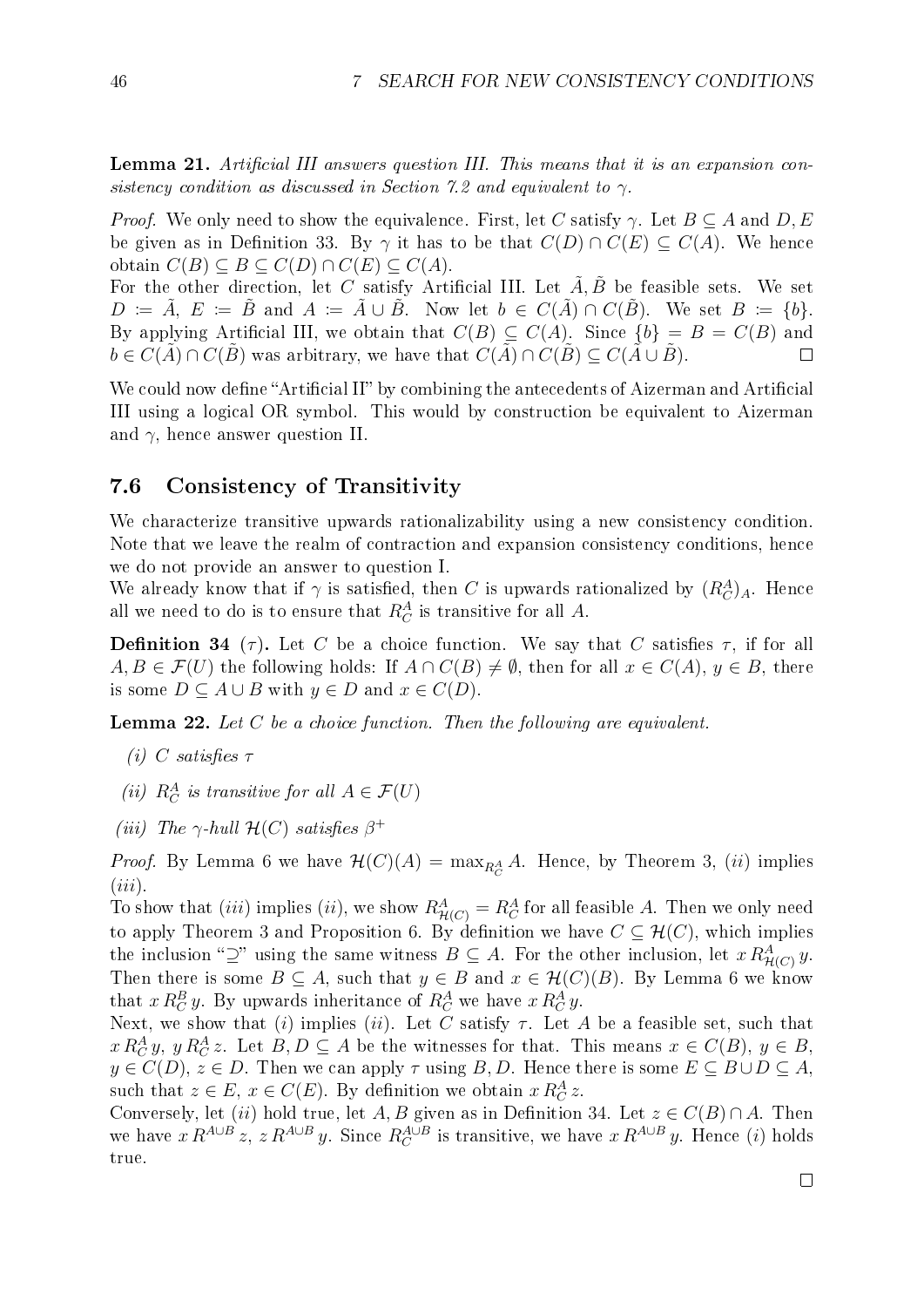**Lemma 21.** Artificial III answers question III. This means that it is an expansion con-sistency condition as discussed in Section [7.2](#page-44-0) and equivalent to  $\gamma$ .

*Proof.* We only need to show the equivalence. First, let C satisfy  $\gamma$ . Let  $B \subseteq A$  and  $D, E$ be given as in Definition [33](#page-50-0). By  $\gamma$  it has to be that  $C(D) \cap C(E) \subseteq C(A)$ . We hence obtain  $C(B) \subseteq B \subseteq C(D) \cap C(E) \subseteq C(A)$ .

For the other direction, let C satisfy Artificial III. Let  $\tilde{A}, \tilde{B}$  be feasible sets. We set  $D := \tilde{A}, E := \tilde{B}$  and  $A := \tilde{A} \cup \tilde{B}$ . Now let  $b \in C(\tilde{A}) \cap C(\tilde{B})$ . We set  $B := \{b\}$ . By applying Artificial III, we obtain that  $C(B) \subseteq C(A)$ . Since  $\{b\} = B = C(B)$  and  $b \in C(\tilde{A}) \cap C(\tilde{B})$  was arbitrary, we have that  $C(\tilde{A}) \cap C(\tilde{B}) \subseteq C(\tilde{A} \cup \tilde{B})$ .  $\Box$ 

We could now define "Artificial II" by combining the antecedents of Aizerman and Artificial III using a logical OR symbol. This would by construction be equivalent to Aizerman and  $\gamma$ , hence answer question II.

### 7.6 Consistency of Transitivity

We characterize transitive upwards rationalizability using a new consistency condition. Note that we leave the realm of contraction and expansion consistency conditions, hence we do not provide an answer to question I.

We already know that if  $\gamma$  is satisfied, then C is upwards rationalized by  $(R_C^A)_A$ . Hence all we need to do is to ensure that  $R_C^A$  is transitive for all A.

<span id="page-51-0"></span>**Definition 34** (τ). Let C be a choice function. We say that C satisfies  $\tau$ , if for all  $A, B \in \mathcal{F}(U)$  the following holds: If  $A \cap C(B) \neq \emptyset$ , then for all  $x \in C(A), y \in B$ , there is some  $D \subseteq A \cup B$  with  $y \in D$  and  $x \in C(D)$ .

<span id="page-51-1"></span>**Lemma 22.** Let  $C$  be a choice function. Then the following are equivalent.

- (i) C satisfies  $\tau$
- (ii)  $R_C^A$  is transitive for all  $A \in \mathcal{F}(U)$
- (iii) The  $\gamma$ -hull  $\mathcal{H}(C)$  satisfies  $\beta^+$

*Proof.* By Lemma [6](#page-18-0) we have  $\mathcal{H}(C)(A) = \max_{R_C^A} A$ . Hence, by Theorem [3](#page-23-0), *(ii)* implies  $(iii)$ .

To show that *(iii)* implies *(ii)*, we show  $R_{\mathcal{H}(C)}^A = R_C^A$  for all feasible A. Then we only need to apply Theorem [3](#page-23-0) and Proposition [6](#page-24-1). By definition we have  $C \subseteq \mathcal{H}(C)$ , which implies the inclusion "2" using the same witness  $B \subseteq A$ . For the other inclusion, let  $x R_{\mathcal{H}(C)}^A y$ . Then there is some  $B \subseteq A$ , such that  $y \in B$  and  $x \in \mathcal{H}(C)(B)$ . By Lemma [6](#page-18-0) we know that  $x R_C^B y$ . By upwards inheritance of  $R_C^A$  we have  $x R_C^A y$ .

Next, we show that (i) implies (ii). Let  $\check{C}$  satisfy  $\tau$ . Let A be a feasible set, such that  $x R_C^A y$ ,  $y R_C^A z$ . Let  $B, D \subseteq A$  be the witnesses for that. This means  $x \in C(B)$ ,  $y \in B$ ,  $y \in C(D)$ ,  $z \in D$ . Then we can apply  $\tau$  using B, D. Hence there is some  $E \subseteq B \cup D \subseteq A$ , such that  $z \in E$ ,  $x \in C(E)$ . By definition we obtain  $x R_C^A z$ .

Conversely, let (ii) hold true, let A, B given as in Definition [34](#page-51-0). Let  $z \in C(B) \cap A$ . Then we have  $x R^{A \cup B} z$ ,  $z R^{A \cup B} y$ . Since  $R_C^{A \cup B}$  is transitive, we have  $x R^{A \cup B} y$ . Hence (i) holds true.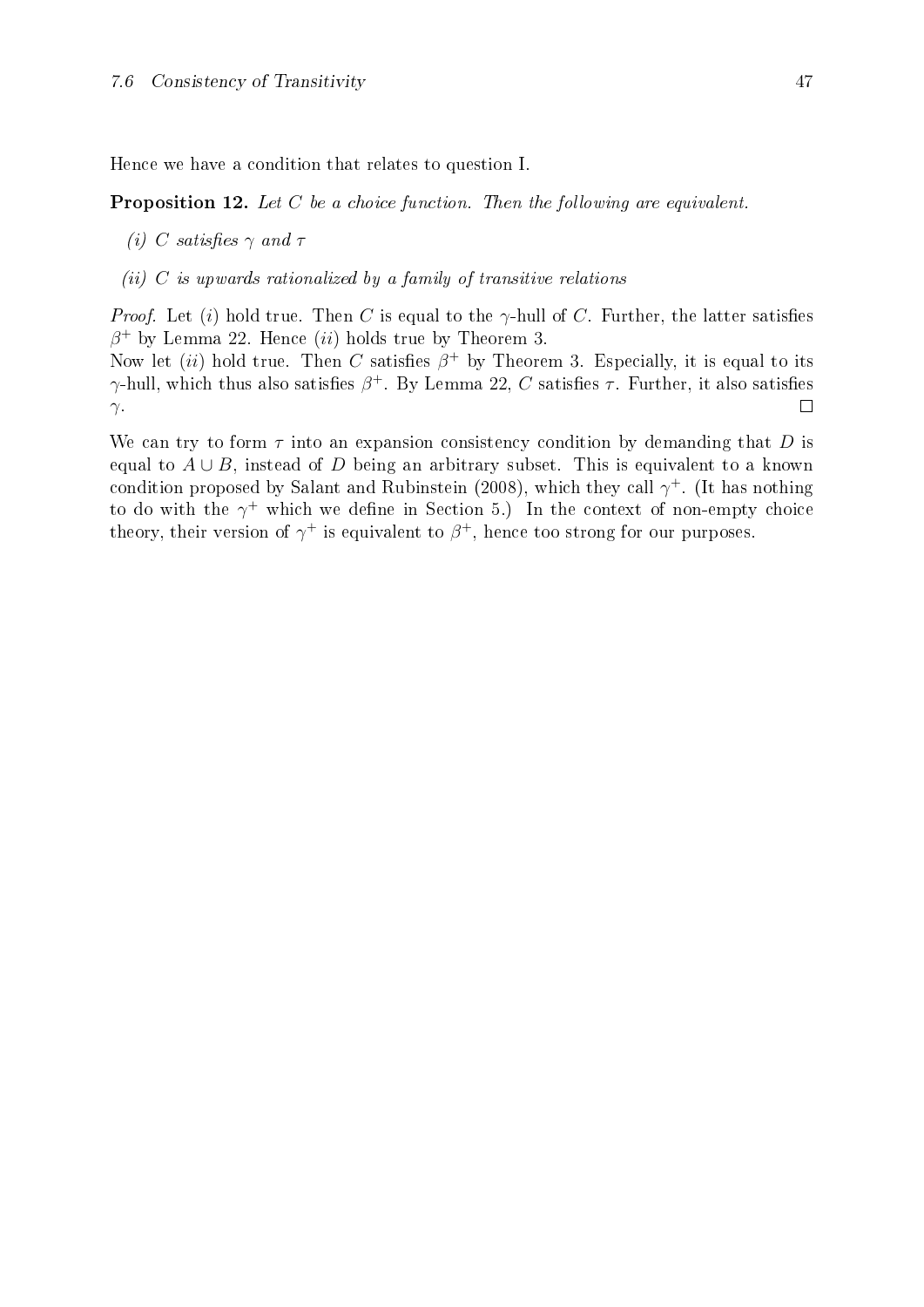Hence we have a condition that relates to question I.

Proposition 12. Let C be a choice function. Then the following are equivalent.

- (i) C satisfies  $\gamma$  and  $\tau$
- (ii)  $C$  is upwards rationalized by a family of transitive relations

*Proof.* Let (i) hold true. Then C is equal to the  $\gamma$ -hull of C. Further, the latter satisfies  $\beta^+$  by Lemma [22](#page-51-1). Hence (ii) holds true by Theorem [3](#page-23-0).

Now let (ii) hold true. Then C satisfies  $\beta^+$  by Theorem [3](#page-23-0). Especially, it is equal to its  $\gamma$ -hull, which thus also satisfies  $\beta^+$ . By Lemma [22](#page-51-1),  $C$  satisfies  $\tau$ . Further, it also satisfies  $\Box$  $\gamma$ .

We can try to form  $\tau$  into an expansion consistency condition by demanding that D is equal to  $A \cup B$ , instead of D being an arbitrary subset. This is equivalent to a known condition proposed by [Salant and Rubinstein](#page-71-2) [\(2008\)](#page-71-2), which they call  $\gamma^+$ . (It has nothing to do with the  $\gamma^+$  which we define in Section [5.](#page-25-0)) In the context of non-empty choice theory, their version of  $\gamma^+$  is equivalent to  $\beta^+$ , hence too strong for our purposes.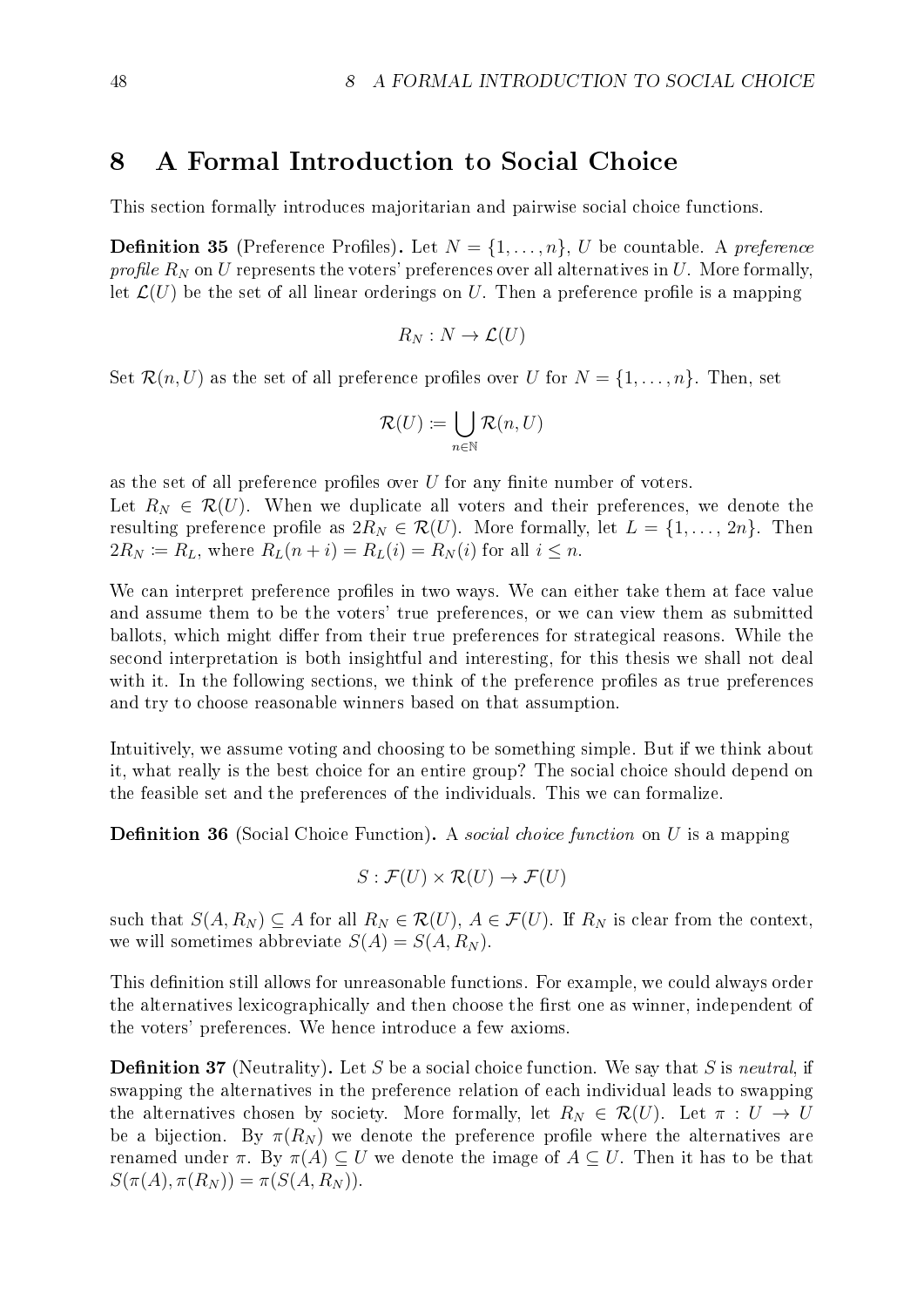## 8 A Formal Introduction to Social Choice

This section formally introduces majoritarian and pairwise social choice functions.

**Definition 35** (Preference Profiles). Let  $N = \{1, \ldots, n\}$ , U be countable. A preference profile  $R_N$  on U represents the voters' preferences over all alternatives in U. More formally, let  $\mathcal{L}(U)$  be the set of all linear orderings on U. Then a preference profile is a mapping

$$
R_N : N \to \mathcal{L}(U)
$$

Set  $\mathcal{R}(n, U)$  as the set of all preference profiles over U for  $N = \{1, \ldots, n\}$ . Then, set

$$
\mathcal{R}(U) \coloneqq \bigcup_{n \in \mathbb{N}} \mathcal{R}(n,U)
$$

as the set of all preference profiles over  $U$  for any finite number of voters.

Let  $R_N \in \mathcal{R}(U)$ . When we duplicate all voters and their preferences, we denote the resulting preference profile as  $2R_N \in \mathcal{R}(U)$ . More formally, let  $L = \{1, \ldots, 2n\}$ . Then  $2R_N \coloneqq R_L$ , where  $R_L(n+i) = R_L(i) = R_N(i)$  for all  $i \leq n$ .

We can interpret preference profiles in two ways. We can either take them at face value and assume them to be the voters' true preferences, or we can view them as submitted ballots, which might differ from their true preferences for strategical reasons. While the second interpretation is both insightful and interesting, for this thesis we shall not deal with it. In the following sections, we think of the preference profiles as true preferences and try to choose reasonable winners based on that assumption.

Intuitively, we assume voting and choosing to be something simple. But if we think about it, what really is the best choice for an entire group? The social choice should depend on the feasible set and the preferences of the individuals. This we can formalize.

**Definition 36** (Social Choice Function). A *social choice function* on  $U$  is a mapping

$$
S: \mathcal{F}(U) \times \mathcal{R}(U) \to \mathcal{F}(U)
$$

such that  $S(A, R_N) \subseteq A$  for all  $R_N \in \mathcal{R}(U)$ ,  $A \in \mathcal{F}(U)$ . If  $R_N$  is clear from the context, we will sometimes abbreviate  $S(A) = S(A, R_N)$ .

This definition still allows for unreasonable functions. For example, we could always order the alternatives lexicographically and then choose the first one as winner, independent of the voters' preferences. We hence introduce a few axioms.

**Definition 37** (Neutrality). Let S be a social choice function. We say that S is neutral, if swapping the alternatives in the preference relation of each individual leads to swapping the alternatives chosen by society. More formally, let  $R_N \in \mathcal{R}(U)$ . Let  $\pi : U \to U$ be a bijection. By  $\pi(R_N)$  we denote the preference profile where the alternatives are renamed under  $\pi$ . By  $\pi(A) \subseteq U$  we denote the image of  $A \subseteq U$ . Then it has to be that  $S(\pi(A), \pi(R_N)) = \pi(S(A, R_N)).$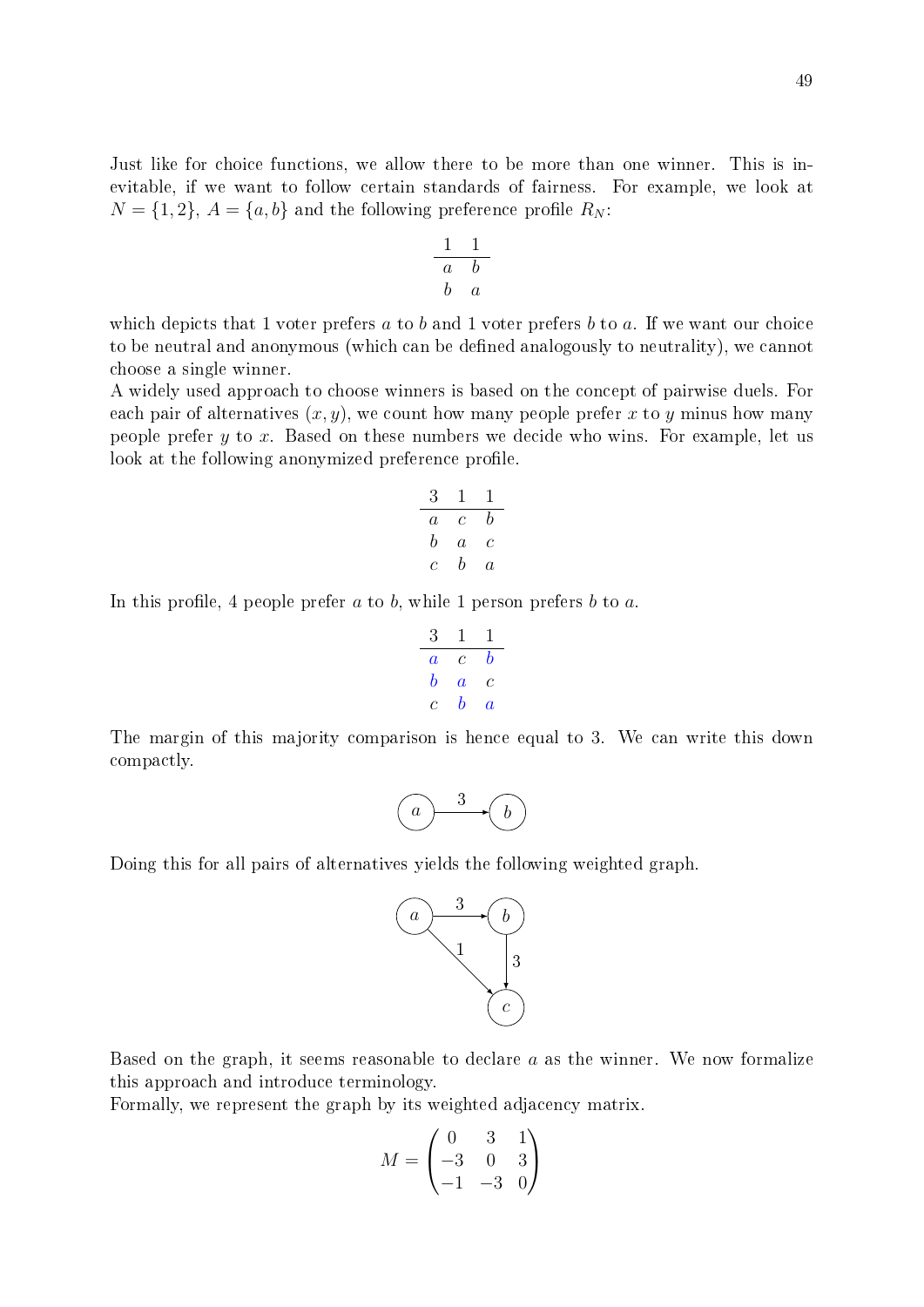Just like for choice functions, we allow there to be more than one winner. This is inevitable, if we want to follow certain standards of fairness. For example, we look at  $N = \{1, 2\}, A = \{a, b\}$  and the following preference profile  $R_N$ :

$$
\begin{array}{c|cc}\n1 & 1 \\
\hline\na & b \\
b & a\n\end{array}
$$

which depicts that 1 voter prefers  $a$  to  $b$  and 1 voter prefers  $b$  to  $a$ . If we want our choice to be neutral and anonymous (which can be defined analogously to neutrality), we cannot choose a single winner.

A widely used approach to choose winners is based on the concept of pairwise duels. For each pair of alternatives  $(x, y)$ , we count how many people prefer x to y minus how many people prefer  $y$  to  $x$ . Based on these numbers we decide who wins. For example, let us look at the following anonymized preference profile.

$$
\begin{array}{c c c c}\n3 & 1 & 1 \\
a & c & b \\
b & a & c \\
c & b & a\n\end{array}
$$

In this profile, 4 people prefer  $a$  to  $b$ , while 1 person prefers  $b$  to  $a$ .

$$
\begin{array}{ccccc}\n3 & 1 & 1 \\
a & c & b \\
b & a & c \\
c & b & a\n\end{array}
$$

The margin of this majority comparison is hence equal to 3. We can write this down compactly.

$$
\begin{pmatrix} a & 3 \\ 0 & 6 \end{pmatrix}
$$

Doing this for all pairs of alternatives yields the following weighted graph.



Based on the graph, it seems reasonable to declare  $a$  as the winner. We now formalize this approach and introduce terminology.

Formally, we represent the graph by its weighted adjacency matrix.

$$
M = \begin{pmatrix} 0 & 3 & 1 \\ -3 & 0 & 3 \\ -1 & -3 & 0 \end{pmatrix}
$$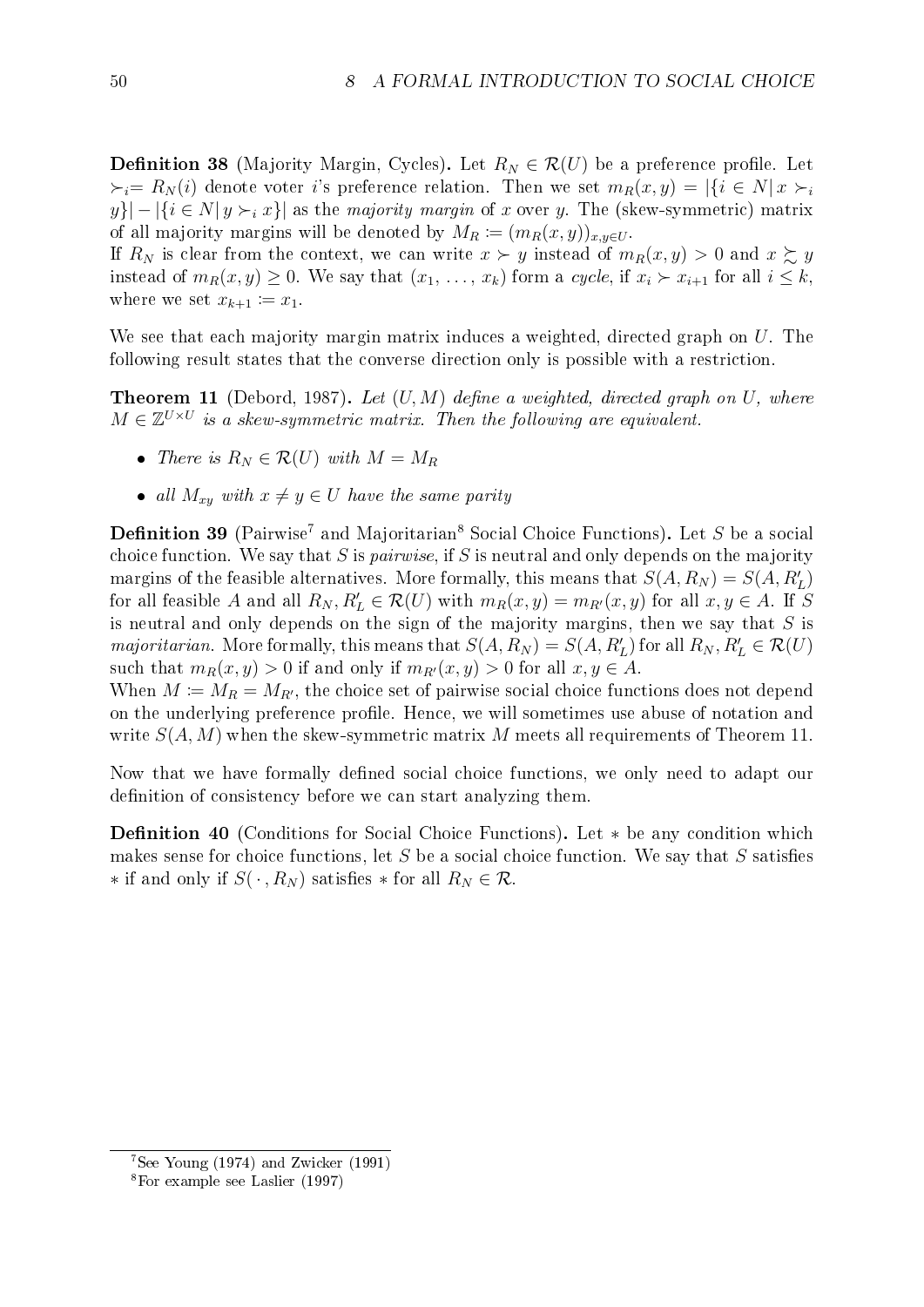**Definition 38** (Majority Margin, Cycles). Let  $R_N \in \mathcal{R}(U)$  be a preference profile. Let  $\epsilon_i= R_N(i)$  denote voter i's preference relation. Then we set  $m_R(x, y) = |\{i \in N | x \succ_i$  $y\}$ | -  $|\{i \in N | y \succ_i x\}|$  as the *majority margin* of x over y. The (skew-symmetric) matrix of all majority margins will be denoted by  $M_R := (m_R(x, y))_{x, y \in U}$ .

If  $R_N$  is clear from the context, we can write  $x \succ y$  instead of  $m_R(x, y) > 0$  and  $x \succ z$ , y instead of  $m_R(x, y) \geq 0$ . We say that  $(x_1, \ldots, x_k)$  form a cycle, if  $x_i \succ x_{i+1}$  for all  $i \leq k$ , where we set  $x_{k+1} \coloneqq x_1$ .

We see that each majority margin matrix induces a weighted, directed graph on U. The following result states that the converse direction only is possible with a restriction.

<span id="page-55-2"></span>**Theorem 11** [\(Debord, 1987\)](#page-70-3). Let  $(U, M)$  define a weighted, directed graph on U, where  $M \in \mathbb{Z}^{U \times U}$  is a skew-symmetric matrix. Then the following are equivalent.

- There is  $R_N \in \mathcal{R}(U)$  with  $M = M_R$
- all  $M_{xy}$  with  $x \neq y \in U$  have the same parity

**Definition 39** (Pairwise<sup>[7](#page-55-0)</sup> and Majoritarian<sup>[8](#page-55-1)</sup> Social Choice Functions). Let S be a social choice function. We say that S is pairwise, if S is neutral and only depends on the majority margins of the feasible alternatives. More formally, this means that  $S(A, R_N) = S(A, R'_L)$ for all feasible A and all  $R_N, R'_L \in \mathcal{R}(U)$  with  $m_R(x, y) = m_{R'}(x, y)$  for all  $x, y \in A$ . If S is neutral and only depends on the sign of the majority margins, then we say that  $S$  is majoritarian. More formally, this means that  $S(A, R_N) = S(A, R'_L)$  for all  $R_N, R'_L \in \mathcal{R}(U)$ such that  $m_R(x, y) > 0$  if and only if  $m_{R'}(x, y) > 0$  for all  $x, y \in A$ .

When  $M \coloneqq M_R = M_{R'}$ , the choice set of pairwise social choice functions does not depend on the underlying preference profile. Hence, we will sometimes use abuse of notation and write  $S(A, M)$  when the skew-symmetric matrix M meets all requirements of Theorem [11](#page-55-2).

Now that we have formally defined social choice functions, we only need to adapt our definition of consistency before we can start analyzing them.

Definition 40 (Conditions for Social Choice Functions). Let ∗ be any condition which makes sense for choice functions, let  $S$  be a social choice function. We say that  $S$  satisfies ∗ if and only if  $S(\cdot, R_N)$  satisfies ∗ for all  $R_N \in \mathcal{R}$ .

<span id="page-55-0"></span> $7$ See [Young](#page-71-3) [\(1974\)](#page-71-3) and [Zwicker](#page-71-4) [\(1991\)](#page-71-4)

<span id="page-55-1"></span><sup>8</sup>For example see [Laslier](#page-71-5) [\(1997\)](#page-71-5)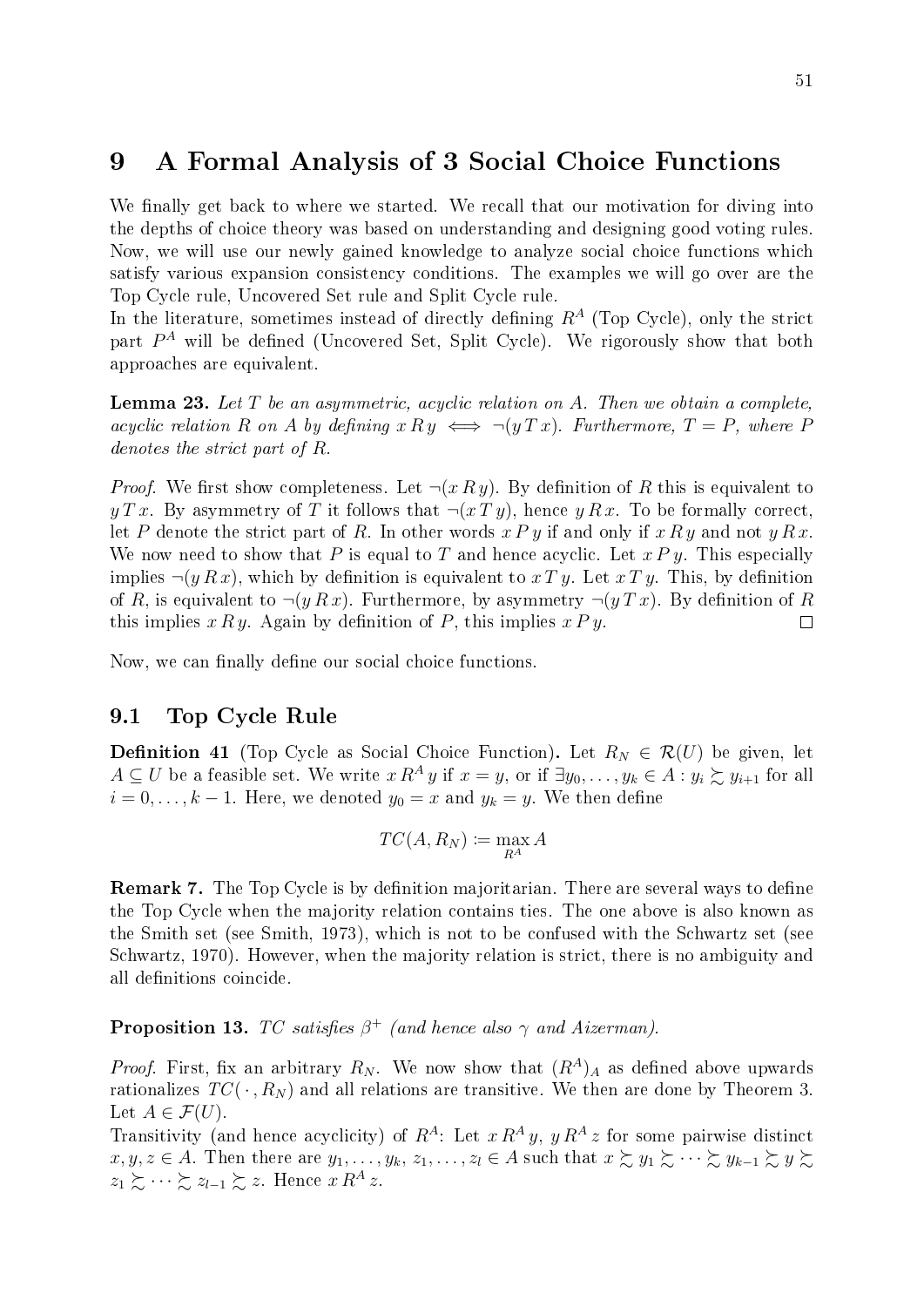# <span id="page-56-0"></span>9 A Formal Analysis of 3 Social Choice Functions

We finally get back to where we started. We recall that our motivation for diving into the depths of choice theory was based on understanding and designing good voting rules. Now, we will use our newly gained knowledge to analyze social choice functions which satisfy various expansion consistency conditions. The examples we will go over are the Top Cycle rule, Uncovered Set rule and Split Cycle rule.

In the literature, sometimes instead of directly defining  $R<sup>A</sup>$  (Top Cycle), only the strict part  $P^A$  will be defined (Uncovered Set, Split Cycle). We rigorously show that both approaches are equivalent.

<span id="page-56-1"></span>**Lemma 23.** Let T be an asymmetric, acyclic relation on A. Then we obtain a complete, acyclic relation R on A by defining  $x R y \iff \neg(y T x)$ . Furthermore,  $T = P$ , where P denotes the strict part of R.

*Proof.* We first show completeness. Let  $\neg(x \, R \, y)$ . By definition of R this is equivalent to y T x. By asymmetry of T it follows that  $\neg(x Ty)$ , hence y R x. To be formally correct, let P denote the strict part of R. In other words  $x Py$  if and only if  $x Ry$  and not  $y Rx$ . We now need to show that P is equal to T and hence acyclic. Let  $x \, P \, y$ . This especially implies  $\neg(y \, R \, x)$ , which by definition is equivalent to  $x \, T \, y$ . Let  $x \, T \, y$ . This, by definition of R, is equivalent to  $\neg(y \, R \, x)$ . Furthermore, by asymmetry  $\neg(y \, T \, x)$ . By definition of R this implies  $x \, R \, y$ . Again by definition of P, this implies  $x \, P \, y$ .  $\Box$ 

Now, we can finally define our social choice functions.

#### 9.1 Top Cycle Rule

**Definition 41** (Top Cycle as Social Choice Function). Let  $R_N \in \mathcal{R}(U)$  be given, let  $A \subseteq U$  be a feasible set. We write  $x R^A y$  if  $x = y$ , or if  $\exists y_0, \ldots, y_k \in A : y_i \succsim y_{i+1}$  for all  $i = 0, \ldots, k - 1$ . Here, we denoted  $y_0 = x$  and  $y_k = y$ . We then define

$$
TC(A, R_N) \coloneqq \max_{R^A} A
$$

**Remark 7.** The Top Cycle is by definition majoritarian. There are several ways to define the Top Cycle when the majority relation contains ties. The one above is also known as the Smith set (see [Smith, 1973\)](#page-71-6), which is not to be confused with the Schwartz set (see [Schwartz, 1970\)](#page-71-7). However, when the majority relation is strict, there is no ambiguity and all definitions coincide.

**Proposition 13.** TC satisfies  $\beta^+$  (and hence also  $\gamma$  and Aizerman).

*Proof.* First, fix an arbitrary  $R_N$ . We now show that  $(R^A)_A$  as defined above upwards rationalizes  $TC(\cdot, R_N)$  and all relations are transitive. We then are done by Theorem [3](#page-23-0). Let  $A \in \mathcal{F}(U)$ .

Transitivity (and hence acyclicity) of  $R^A$ : Let  $x R^A y$ ,  $y R^A z$  for some pairwise distinct  $x, y, z \in A$ . Then there are  $y_1, \ldots, y_k, z_1, \ldots, z_l \in A$  such that  $x \succsim y_1 \succsim \cdots \succsim y_{k-1} \succsim y \succsim$  $z_1 \succsim \cdots \succsim z_{l-1} \succsim z$ . Hence  $x R^A z$ .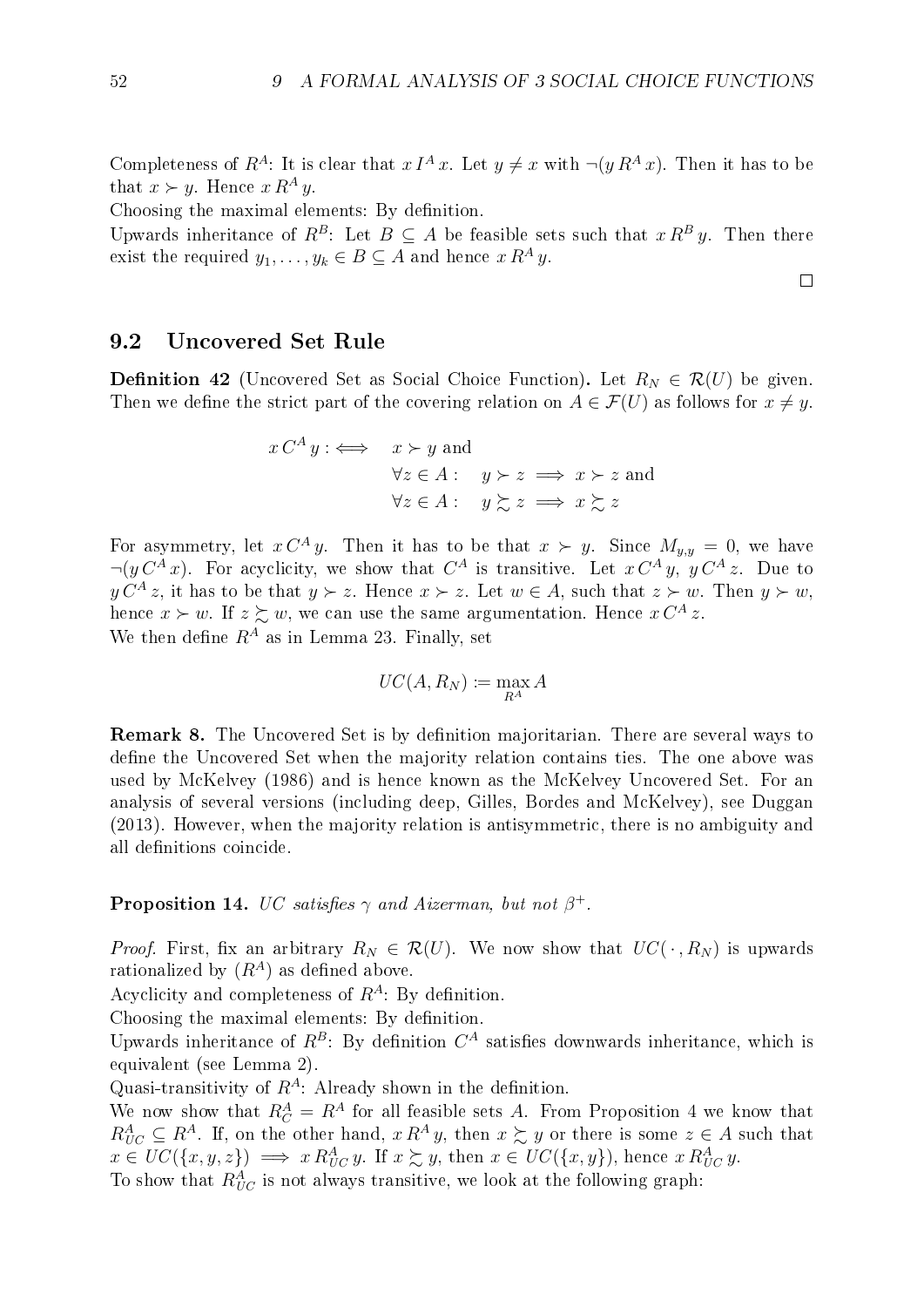$\Box$ 

Completeness of  $R^A$ : It is clear that  $x I^A x$ . Let  $y \neq x$  with  $\neg(y R^A x)$ . Then it has to be that  $x \succ y$ . Hence  $x R^A y$ .

Choosing the maximal elements: By definition.

Upwards inheritance of  $R^B$ : Let  $B \subseteq A$  be feasible sets such that  $x R^B y$ . Then there exist the required  $y_1, \ldots, y_k \in B \subseteq A$  and hence  $x R^A y$ .

#### 9.2 Uncovered Set Rule

**Definition 42** (Uncovered Set as Social Choice Function). Let  $R_N \in \mathcal{R}(U)$  be given. Then we define the strict part of the covering relation on  $A \in \mathcal{F}(U)$  as follows for  $x \neq y$ .

$$
x C^{A} y : \iff x \succ y \text{ and}
$$
  
\n
$$
\forall z \in A : y \succ z \implies x \succ z \text{ and}
$$
  
\n
$$
\forall z \in A : y \succsim z \implies x \succsim z
$$

For asymmetry, let  $x C^A y$ . Then it has to be that  $x \succ y$ . Since  $M_{y,y} = 0$ , we have  $\neg(y C^A x)$ . For acyclicity, we show that  $C^A$  is transitive. Let  $x C^A y$ ,  $y C^A z$ . Due to  $y C<sup>A</sup> z$ , it has to be that  $y \succ z$ . Hence  $x \succ z$ . Let  $w \in A$ , such that  $z \succ w$ . Then  $y \succ w$ , hence  $x \succ w$ . If  $z \succsim w$ , we can use the same argumentation. Hence  $x C^A z$ . We then define  $R^A$  as in Lemma [23](#page-56-1). Finally, set

$$
UC(A, R_N) \coloneqq \max_{R^A} A
$$

**Remark 8.** The Uncovered Set is by definition majoritarian. There are several ways to define the Uncovered Set when the majority relation contains ties. The one above was used by [McKelvey](#page-71-8) [\(1986\)](#page-71-8) and is hence known as the McKelvey Uncovered Set. For an analysis of several versions (including deep, Gilles, Bordes and McKelvey), see [Duggan](#page-70-4) [\(2013\)](#page-70-4). However, when the majority relation is antisymmetric, there is no ambiguity and all definitions coincide.

#### **Proposition 14.** UC satisfies  $\gamma$  and Aizerman, but not  $\beta^+$ .

*Proof.* First, fix an arbitrary  $R_N \in \mathcal{R}(U)$ . We now show that  $UC(\cdot, R_N)$  is upwards rationalized by  $(R<sup>A</sup>)$  as defined above.

Acyclicity and completeness of  $R^A$ : By definition.

Choosing the maximal elements: By definition.

Upwards inheritance of  $R^B$ : By definition  $C^A$  satisfies downwards inheritance, which is equivalent (see Lemma [2](#page-14-0)).

Quasi-transitivity of  $R^A$ : Already shown in the definition.

We now show that  $R_C^A = R^A$  for all feasible sets A. From Proposition [4](#page-21-0) we know that  $R_{UC}^A \subseteq R^A$ . If, on the other hand,  $x R^A y$ , then  $x \gtrsim y$  or there is some  $z \in A$  such that  $x \in UC({x,y,z}) \implies x R_{UC}^A y$ . If  $x \succsim y$ , then  $x \in UC({x,y}),$  hence  $x R_{UC}^A y$ .

To show that  $R_{UC}^A$  is not always transitive, we look at the following graph: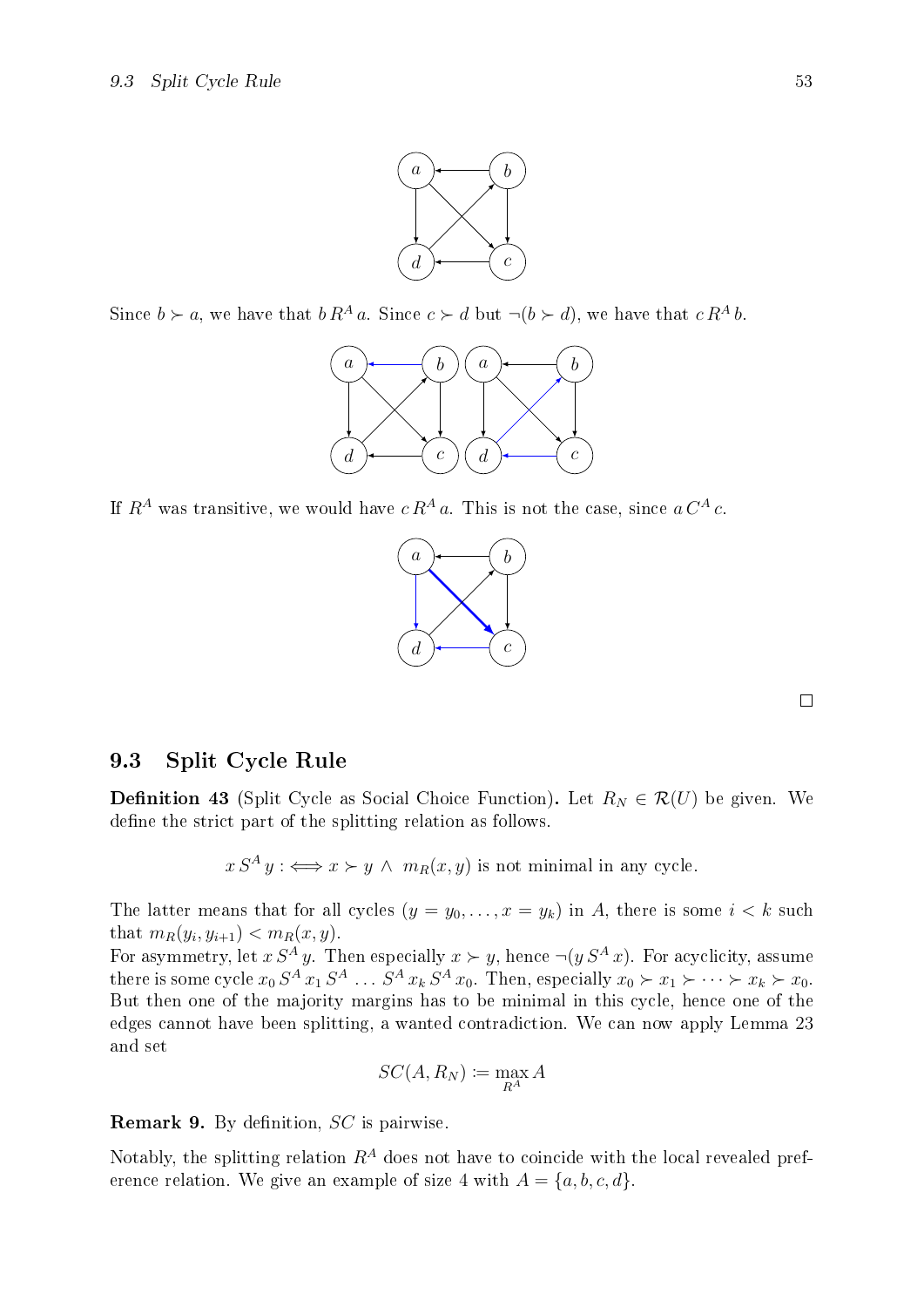

Since  $b \succ a$ , we have that  $b R^A a$ . Since  $c \succ d$  but  $\neg (b \succ d)$ , we have that  $c R^A b$ .



If  $R^A$  was transitive, we would have  $c R^A a$ . This is not the case, since  $a C^A c$ .



 $\Box$ 

#### 9.3 Split Cycle Rule

**Definition 43** (Split Cycle as Social Choice Function). Let  $R_N \in \mathcal{R}(U)$  be given. We define the strict part of the splitting relation as follows.

 $x S^A y : \iff x \succ y \land m_R(x, y)$  is not minimal in any cycle.

The latter means that for all cycles  $(y = y_0, \ldots, x = y_k)$  in A, there is some  $i < k$  such that  $m_R(y_i, y_{i+1}) < m_R(x, y)$ .

For asymmetry, let  $x S^A y$ . Then especially  $x \succ y$ , hence  $\neg(y S^A x)$ . For acyclicity, assume there is some cycle  $x_0 S^A x_1 S^A \dots S^A x_k S^A x_0$ . Then, especially  $x_0 \succ x_1 \succ \dots \succ x_k \succ x_0$ . But then one of the majority margins has to be minimal in this cycle, hence one of the edges cannot have been splitting, a wanted contradiction. We can now apply Lemma [23](#page-56-1) and set

$$
SC(A, R_N) \coloneqq \max_{R^A} A
$$

**Remark 9.** By definition,  $SC$  is pairwise.

Notably, the splitting relation  $R^A$  does not have to coincide with the local revealed preference relation. We give an example of size 4 with  $A = \{a, b, c, d\}.$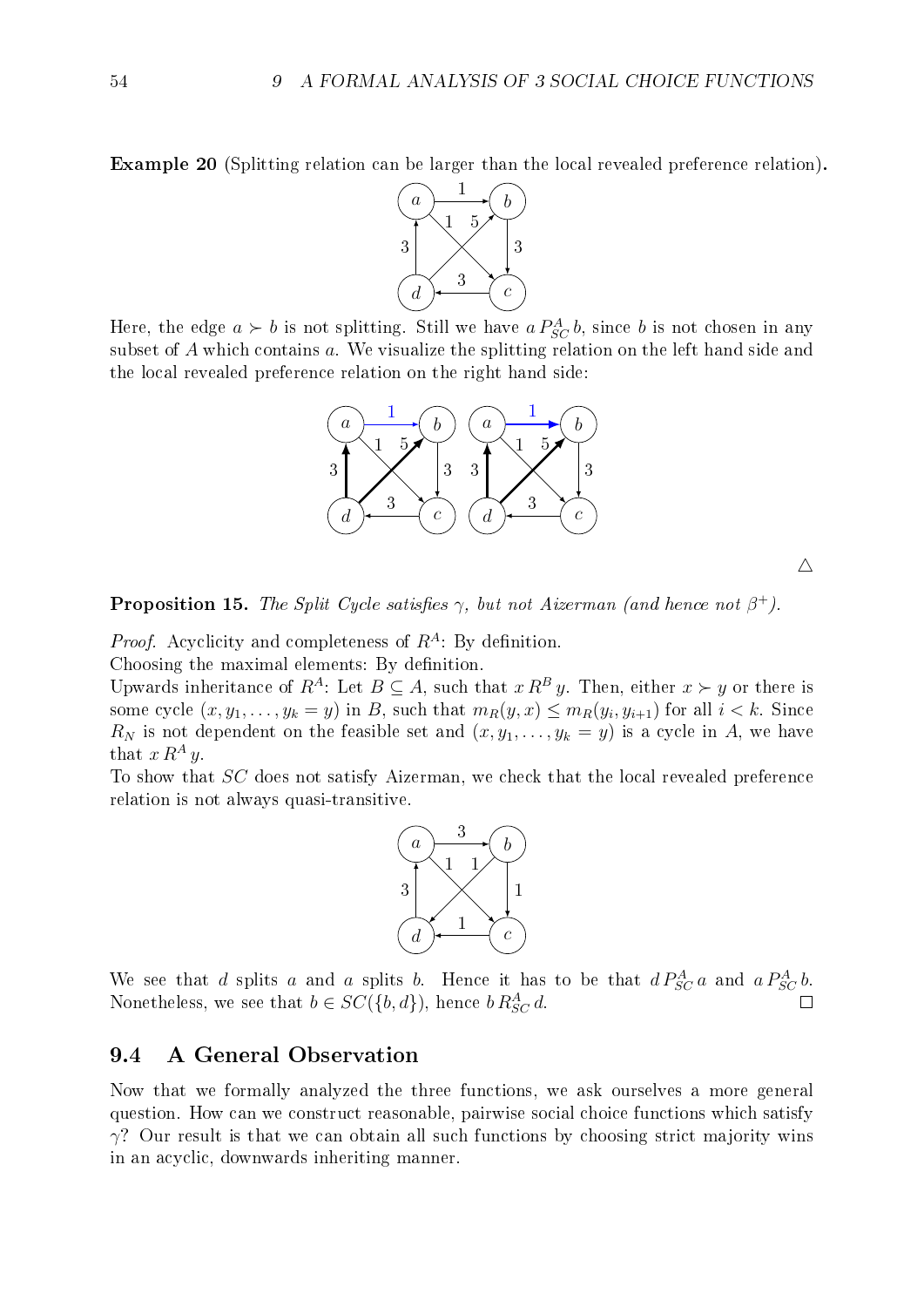Example 20 (Splitting relation can be larger than the local revealed preference relation).



Here, the edge  $a \succ b$  is not splitting. Still we have  $a P_{SC}^{A} b$ , since b is not chosen in any subset of A which contains a. We visualize the splitting relation on the left hand side and the local revealed preference relation on the right hand side:



 $\triangle$ 

**Proposition 15.** The Split Cycle satisfies  $\gamma$ , but not Aizerman (and hence not  $\beta^+$ ).

*Proof.* Acyclicity and completeness of  $R^A$ : By definition. Choosing the maximal elements: By definition.

Upwards inheritance of  $R^A$ : Let  $B \subseteq A$ , such that  $x R^B y$ . Then, either  $x \succ y$  or there is some cycle  $(x, y_1, \ldots, y_k = y)$  in B, such that  $m_R(y, x) \leq m_R(y_i, y_{i+1})$  for all  $i < k$ . Since  $R_N$  is not dependent on the feasible set and  $(x, y_1, \ldots, y_k = y)$  is a cycle in A, we have that  $x R^A y$ .

To show that SC does not satisfy Aizerman, we check that the local revealed preference relation is not always quasi-transitive.



We see that d splits a and a splits b. Hence it has to be that  $d P_{SC}^A a$  and  $a P_{SC}^A b$ . Nonetheless, we see that  $b \in SC(\{b, d\})$ , hence  $b \, R_{SC}^A d$ .

#### 9.4 A General Observation

Now that we formally analyzed the three functions, we ask ourselves a more general question. How can we construct reasonable, pairwise social choice functions which satisfy  $\gamma$ ? Our result is that we can obtain all such functions by choosing strict majority wins in an acyclic, downwards inheriting manner.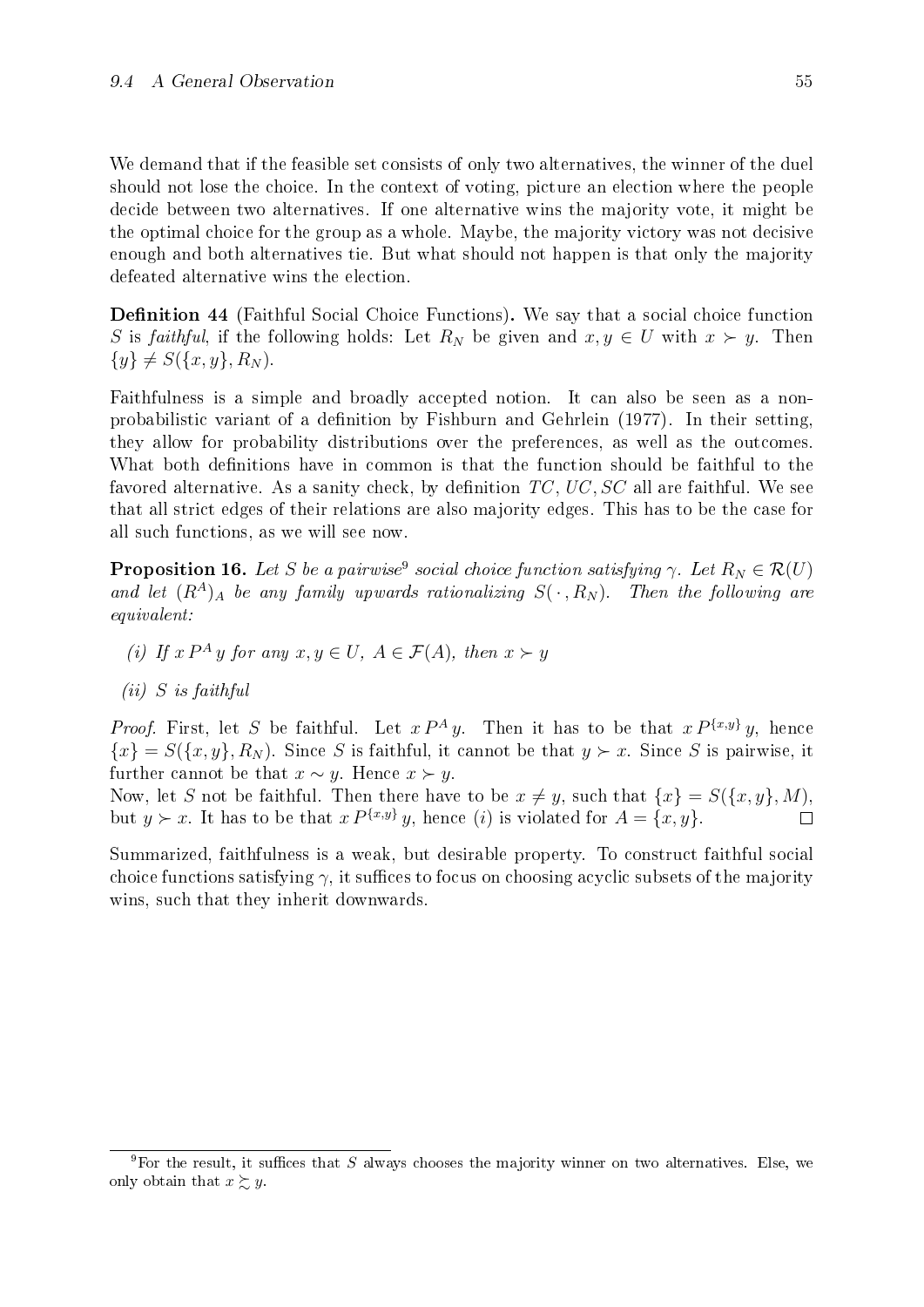We demand that if the feasible set consists of only two alternatives, the winner of the duel should not lose the choice. In the context of voting, picture an election where the people decide between two alternatives. If one alternative wins the majority vote, it might be the optimal choice for the group as a whole. Maybe, the majority victory was not decisive enough and both alternatives tie. But what should not happen is that only the majority defeated alternative wins the election.

**Definition 44** (Faithful Social Choice Functions). We say that a social choice function S is faithful, if the following holds: Let  $R_N$  be given and  $x, y \in U$  with  $x \succ y$ . Then  $\{y\} \neq S(\{x, y\}, R_N).$ 

Faithfulness is a simple and broadly accepted notion. It can also be seen as a non-probabilistic variant of a definition by [Fishburn and Gehrlein](#page-70-5) [\(1977\)](#page-70-5). In their setting, they allow for probability distributions over the preferences, as well as the outcomes. What both definitions have in common is that the function should be faithful to the favored alternative. As a sanity check, by definition  $TC$ ,  $UC$ ,  $SC$  all are faithful. We see that all strict edges of their relations are also majority edges. This has to be the case for all such functions, as we will see now.

**Proposition 16.** Let S be a pairwise<sup>[9](#page-60-0)</sup> social choice function satisfying  $\gamma$ . Let  $R_N \in \mathcal{R}(U)$ and let  $(R^A)_A$  be any family upwards rationalizing  $S(\cdot, R_N)$ . Then the following are equivalent:

- (i) If  $x P^A y$  for any  $x, y \in U$ ,  $A \in \mathcal{F}(A)$ , then  $x \succ y$
- $(ii)$  S is faithful

*Proof.* First, let S be faithful. Let  $x P^A y$ . Then it has to be that  $x P^{\{x,y\}} y$ , hence  ${x} = S({x, y}, R_N)$ . Since S is faithful, it cannot be that  $y \succ x$ . Since S is pairwise, it further cannot be that  $x \sim y$ . Hence  $x \succ y$ .

Now, let S not be faithful. Then there have to be  $x \neq y$ , such that  $\{x\} = S(\{x, y\}, M)$ , but  $y \succ x$ . It has to be that  $x P^{\{x,y\}} y$ , hence (i) is violated for  $A = \{x, y\}$ .

Summarized, faithfulness is a weak, but desirable property. To construct faithful social choice functions satisfying  $\gamma$ , it suffices to focus on choosing acyclic subsets of the majority wins, such that they inherit downwards.

<span id="page-60-0"></span><sup>&</sup>lt;sup>9</sup>For the result, it suffices that S always chooses the majority winner on two alternatives. Else, we only obtain that  $x \succsim y$ .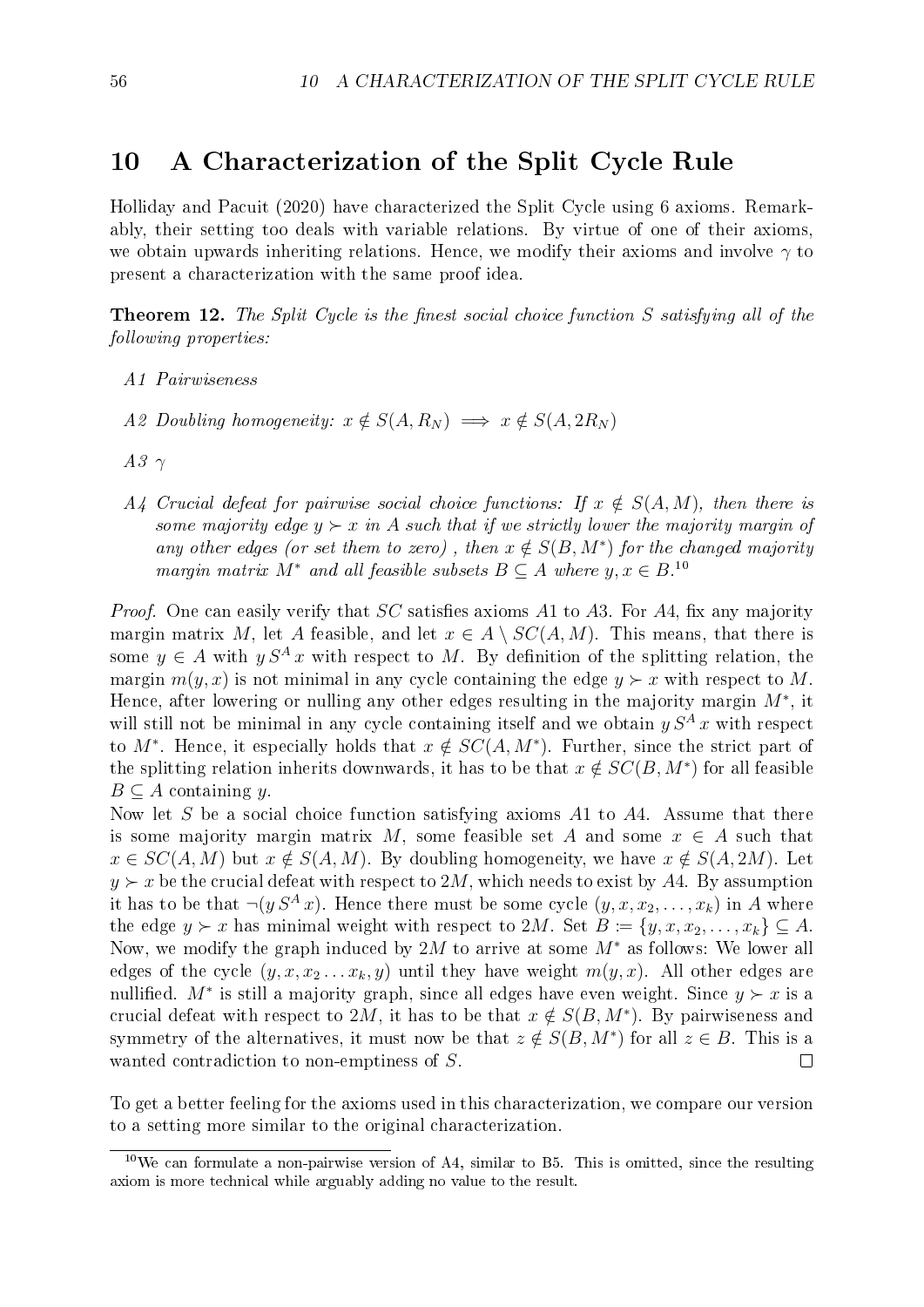## <span id="page-61-1"></span>10 A Characterization of the Split Cycle Rule

[Holliday and Pacuit](#page-70-6) [\(2020\)](#page-70-6) have characterized the Split Cycle using 6 axioms. Remarkably, their setting too deals with variable relations. By virtue of one of their axioms, we obtain upwards inheriting relations. Hence, we modify their axioms and involve  $\gamma$  to present a characterization with the same proof idea.

**Theorem 12.** The Split Cycle is the finest social choice function S satisfying all of the following properties:

- A1 Pairwiseness
- A2 Doubling homogeneity:  $x \notin S(A, R_N) \implies x \notin S(A, 2R_N)$
- $A3$   $\gamma$
- A4 Crucial defeat for pairwise social choice functions: If  $x \notin S(A, M)$ , then there is some majority edge  $y \succ x$  in A such that if we strictly lower the majority margin of any other edges (or set them to zero), then  $x \notin S(B, M^*)$  for the changed majority margin matrix  $M^*$  and all feasible subsets  $B \subseteq A$  where  $y, x \in B$ .<sup>[10](#page-61-0)</sup>

*Proof.* One can easily verify that  $SC$  satisfies axioms A1 to A3. For A4, fix any majority margin matrix M, let A feasible, and let  $x \in A \setminus SC(A, M)$ . This means, that there is some  $y \in A$  with  $y S<sup>A</sup> x$  with respect to M. By definition of the splitting relation, the margin  $m(y, x)$  is not minimal in any cycle containing the edge  $y \succ x$  with respect to M. Hence, after lowering or nulling any other edges resulting in the majority margin  $M^*$ , it will still not be minimal in any cycle containing itself and we obtain  $y S<sup>A</sup> x$  with respect to M<sup>\*</sup>. Hence, it especially holds that  $x \notin SC(A, M^*)$ . Further, since the strict part of the splitting relation inherits downwards, it has to be that  $x \notin SC(B, M^*)$  for all feasible  $B \subseteq A$  containing y.

Now let  $S$  be a social choice function satisfying axioms  $A1$  to  $A4$ . Assume that there is some majority margin matrix M, some feasible set A and some  $x \in A$  such that  $x \in SC(A, M)$  but  $x \notin S(A, M)$ . By doubling homogeneity, we have  $x \notin S(A, 2M)$ . Let  $y \succ x$  be the crucial defeat with respect to 2M, which needs to exist by A4. By assumption it has to be that  $\neg(y, S^A x)$ . Hence there must be some cycle  $(y, x, x_2, \ldots, x_k)$  in A where the edge  $y \succ x$  has minimal weight with respect to 2M. Set  $B := \{y, x, x_2, \ldots, x_k\} \subseteq A$ . Now, we modify the graph induced by 2M to arrive at some  $M^*$  as follows: We lower all edges of the cycle  $(y, x, x_2 \ldots x_k, y)$  until they have weight  $m(y, x)$ . All other edges are nullified.  $M^*$  is still a majority graph, since all edges have even weight. Since  $y \succ x$  is a crucial defeat with respect to 2M, it has to be that  $x \notin S(B, M^*)$ . By pairwiseness and symmetry of the alternatives, it must now be that  $z \notin S(B, M^*)$  for all  $z \in B$ . This is a wanted contradiction to non-emptiness of S.  $\Box$ 

To get a better feeling for the axioms used in this characterization, we compare our version to a setting more similar to the original characterization.

<span id="page-61-0"></span> $10$ We can formulate a non-pairwise version of A4, similar to B5. This is omitted, since the resulting axiom is more technical while arguably adding no value to the result.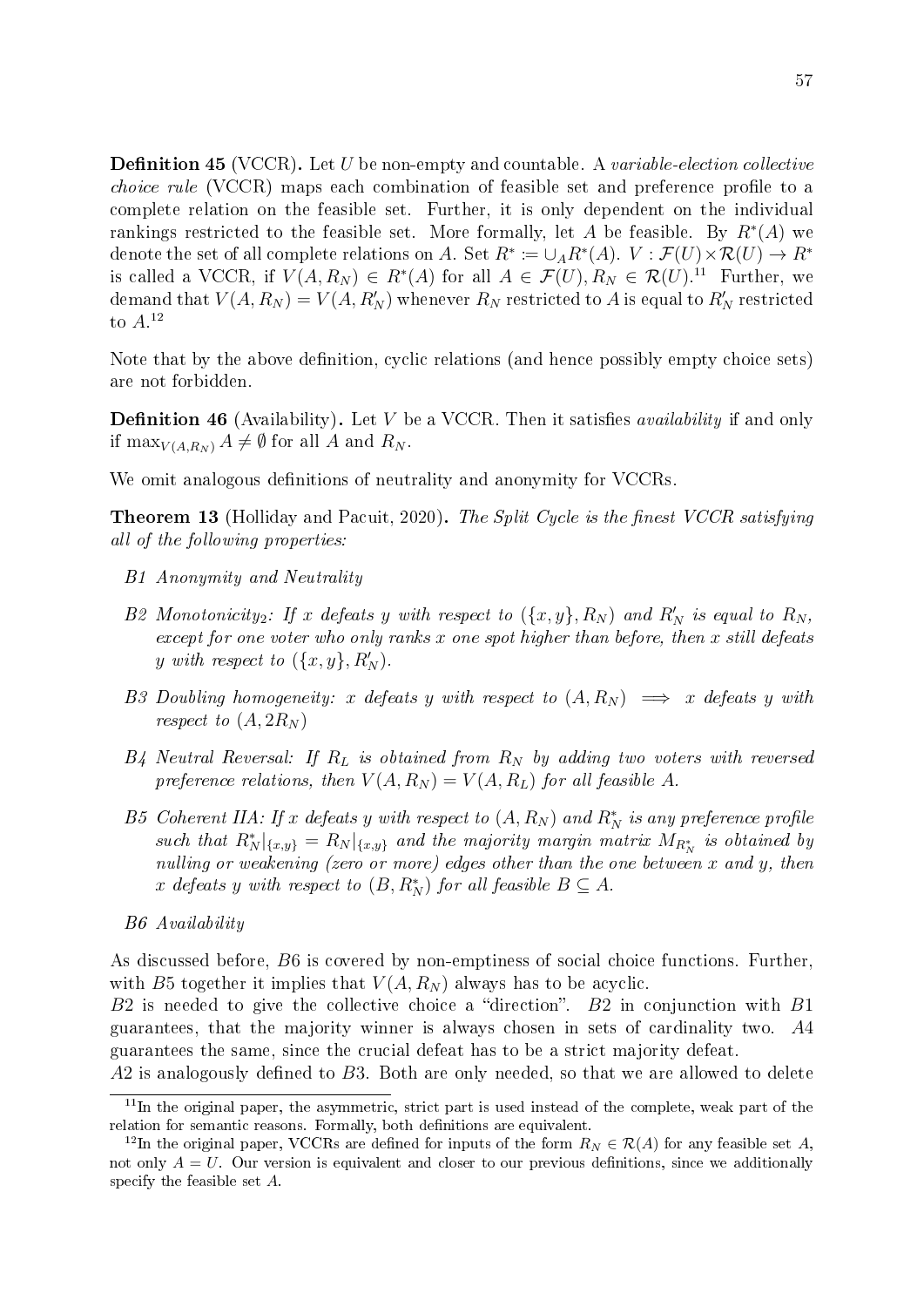**Definition 45** (VCCR). Let U be non-empty and countable. A variable-election collective *choice rule* (VCCR) maps each combination of feasible set and preference profile to a complete relation on the feasible set. Further, it is only dependent on the individual rankings restricted to the feasible set. More formally, let A be feasible. By  $R^*(A)$  we denote the set of all complete relations on A. Set  $R^* \coloneqq \cup_A R^*(A)$ .  $V : \mathcal{F}(U) \times \mathcal{R}(U) \to R^*$ is called a VCCR, if  $V(A, R_N) \in R^*(A)$  for all  $A \in \mathcal{F}(U), R_N \in \mathcal{R}(U)$ .<sup>[11](#page-62-0)</sup> Further, we demand that  $V(A,R_N)=V(A,R_N^{\prime})$  whenever  $R_N$  restricted to  $A$  is equal to  $R_N^{\prime}$  restricted to  $A$ <sup>[12](#page-62-1)</sup>

Note that by the above definition, cyclic relations (and hence possibly empty choice sets) are not forbidden.

**Definition 46** (Availability). Let V be a VCCR. Then it satisfies *availability* if and only if max $_{V(A,R_N)} A \neq \emptyset$  for all A and  $R_N$ .

We omit analogous definitions of neutrality and anonymity for VCCRs.

**Theorem 13** [\(Holliday and Pacuit, 2020\)](#page-70-6). The Split Cycle is the finest VCCR satisfying all of the following properties:

- B1 Anonymity and Neutrality
- B2 Monotonicity<sub>2</sub>: If x defeats y with respect to  $(\{x,y\}, R_N)$  and  $R'_N$  is equal to  $R_N$ , except for one voter who only ranks  $x$  one spot higher than before, then  $x$  still defeats y with respect to  $(\{x,y\}, R_N')$ .
- B3 Doubling homogeneity: x defeats y with respect to  $(A, R_N) \implies x$  defeats y with respect to  $(A, 2R_N)$
- $B_4$  Neutral Reversal: If  $R_L$  is obtained from  $R_N$  by adding two voters with reversed preference relations, then  $V(A, R_N) = V(A, R_L)$  for all feasible A.
- B5 Coherent IIA: If x defeats y with respect to  $(A, R_N)$  and  $R_N^*$  is any preference profile such that  $R^*_{N}|_{\{x,y\}} = R_N|_{\{x,y\}}$  and the majority margin matrix  $M_{R^*_{N}}$  is obtained by nulling or weakening (zero or more) edges other than the one between x and y, then x defeats y with respect to  $(B, R_N^*)$  for all feasible  $B \subseteq A$ .
- B6 Availability

As discussed before, B6 is covered by non-emptiness of social choice functions. Further, with B5 together it implies that  $V(A, R_N)$  always has to be acyclic.

B2 is needed to give the collective choice a "direction". B2 in conjunction with B1 guarantees, that the majority winner is always chosen in sets of cardinality two. A4 guarantees the same, since the crucial defeat has to be a strict majority defeat.

 $A2$  is analogously defined to  $B3$ . Both are only needed, so that we are allowed to delete

<span id="page-62-0"></span> $11$ In the original paper, the asymmetric, strict part is used instead of the complete, weak part of the relation for semantic reasons. Formally, both definitions are equivalent.

<span id="page-62-1"></span><sup>&</sup>lt;sup>12</sup>In the original paper, VCCRs are defined for inputs of the form  $R_N \in \mathcal{R}(A)$  for any feasible set A, not only  $A = U$ . Our version is equivalent and closer to our previous definitions, since we additionally specify the feasible set A.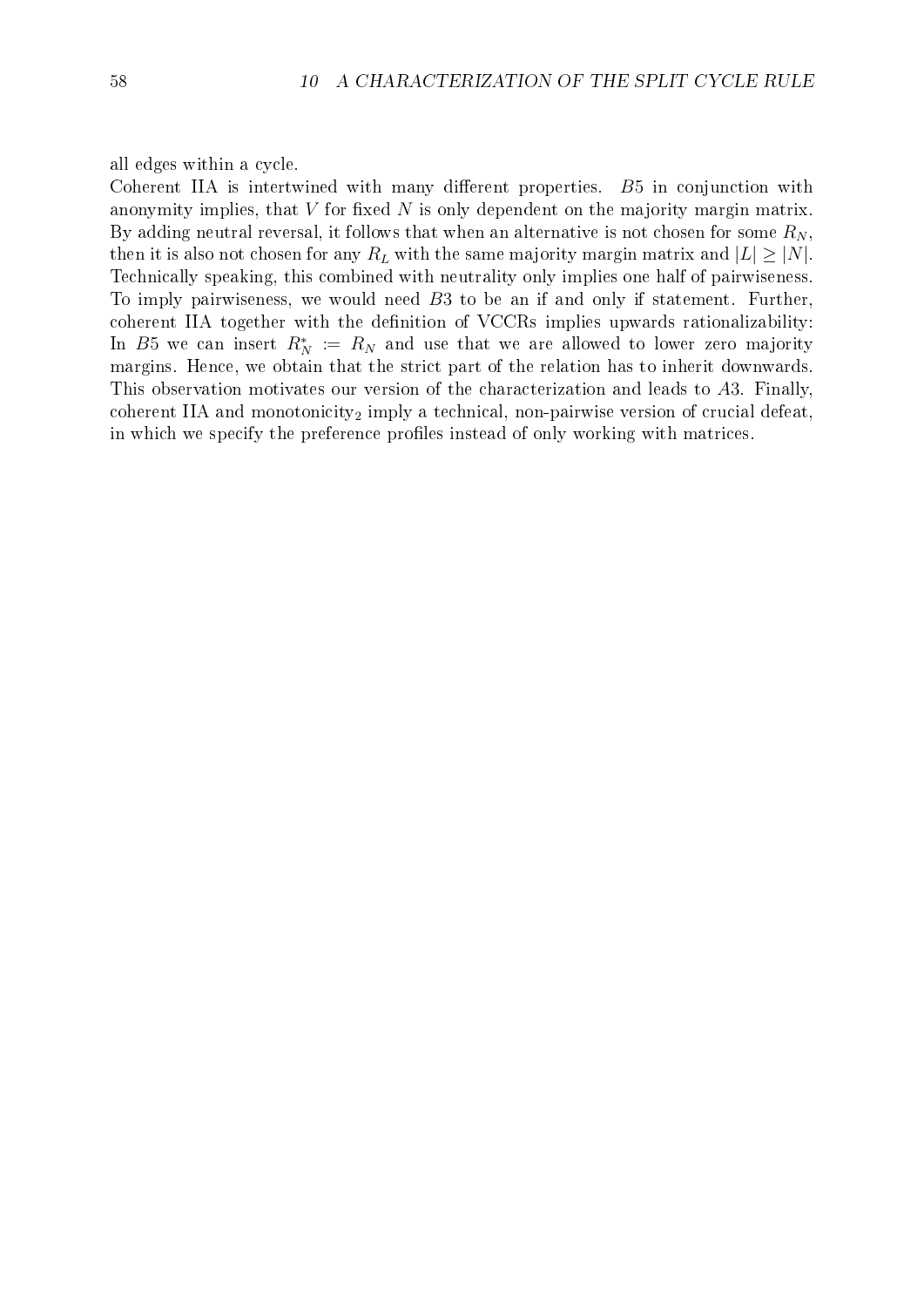#### all edges within a cycle.

Coherent IIA is intertwined with many different properties.  $B5$  in conjunction with anonymity implies, that  $V$  for fixed  $N$  is only dependent on the majority margin matrix. By adding neutral reversal, it follows that when an alternative is not chosen for some  $R_N$ , then it is also not chosen for any  $R_L$  with the same majority margin matrix and  $|L| \geq |N|$ . Technically speaking, this combined with neutrality only implies one half of pairwiseness. To imply pairwiseness, we would need B3 to be an if and only if statement. Further, coherent IIA together with the definition of VCCRs implies upwards rationalizability: In B5 we can insert  $R_N^* := R_N$  and use that we are allowed to lower zero majority margins. Hence, we obtain that the strict part of the relation has to inherit downwards. This observation motivates our version of the characterization and leads to A3. Finally, coherent IIA and monotonicity<sub>2</sub> imply a technical, non-pairwise version of crucial defeat, in which we specify the preference profiles instead of only working with matrices.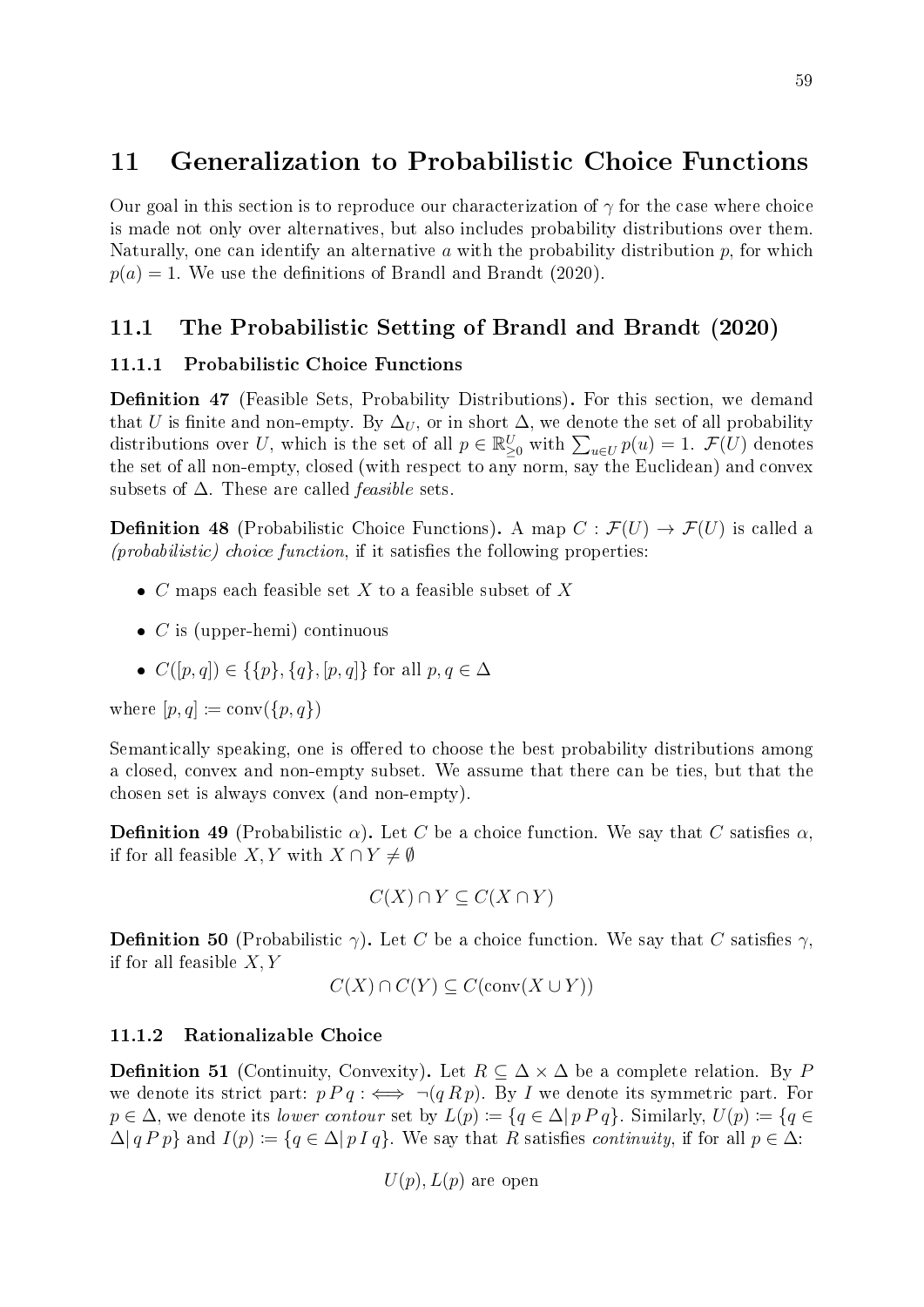# <span id="page-64-1"></span>11 Generalization to Probabilistic Choice Functions

Our goal in this section is to reproduce our characterization of  $\gamma$  for the case where choice is made not only over alternatives, but also includes probability distributions over them. Naturally, one can identify an alternative a with the probability distribution  $p$ , for which  $p(a) = 1$ . We use the definitions of [Brandl and Brandt](#page-70-7) [\(2020\)](#page-70-7).

## 11.1 The Probabilistic Setting of [Brandl and Brandt](#page-70-7) [\(2020\)](#page-70-7)

#### 11.1.1 Probabilistic Choice Functions

**Definition 47** (Feasible Sets, Probability Distributions). For this section, we demand that U is finite and non-empty. By  $\Delta_U$ , or in short  $\Delta$ , we denote the set of all probability distributions over U, which is the set of all  $p \in \mathbb{R}^U_{\geq 0}$  with  $\sum_{u \in U} p(u) = 1$ .  $\mathcal{F}(U)$  denotes the set of all non-empty, closed (with respect to any norm, say the Euclidean) and convex subsets of  $\Delta$ . These are called *feasible* sets.

<span id="page-64-0"></span>**Definition 48** (Probabilistic Choice Functions). A map  $C : \mathcal{F}(U) \to \mathcal{F}(U)$  is called a  $(probabilistic)$  choice function, if it satisfies the following properties:

- $\bullet$  *C* maps each feasible set *X* to a feasible subset of *X*
- $\bullet$  *C* is (upper-hemi) continuous
- $C([p, q]) \in \{\{p\}, \{q\}, [p, q]\}$  for all  $p, q \in \Delta$

where  $[p, q] \coloneqq \text{conv}(\{p, q\})$ 

Semantically speaking, one is offered to choose the best probability distributions among a closed, convex and non-empty subset. We assume that there can be ties, but that the chosen set is always convex (and non-empty).

**Definition 49** (Probabilistic  $\alpha$ ). Let C be a choice function. We say that C satisfies  $\alpha$ , if for all feasible X, Y with  $X \cap Y \neq \emptyset$ 

$$
C(X) \cap Y \subseteq C(X \cap Y)
$$

**Definition 50** (Probabilistic  $\gamma$ ). Let C be a choice function. We say that C satisfies  $\gamma$ , if for all feasible  $X, Y$ 

$$
C(X) \cap C(Y) \subseteq C(\text{conv}(X \cup Y))
$$

#### 11.1.2 Rationalizable Choice

**Definition 51** (Continuity, Convexity). Let  $R \subseteq \Delta \times \Delta$  be a complete relation. By P we denote its strict part:  $p P q : \iff \neg (q R p)$ . By I we denote its symmetric part. For  $p \in \Delta$ , we denote its lower contour set by  $L(p) := \{q \in \Delta | p \, p \, q\}$ . Similarly,  $U(p) := \{q \in \Delta | p \, p \, q\}$ .  $\Delta |q P p\rangle$  and  $I(p) := \{q \in \Delta | p I q\}$ . We say that R satisfies *continuity*, if for all  $p \in \Delta$ :

 $U(p)$ ,  $L(p)$  are open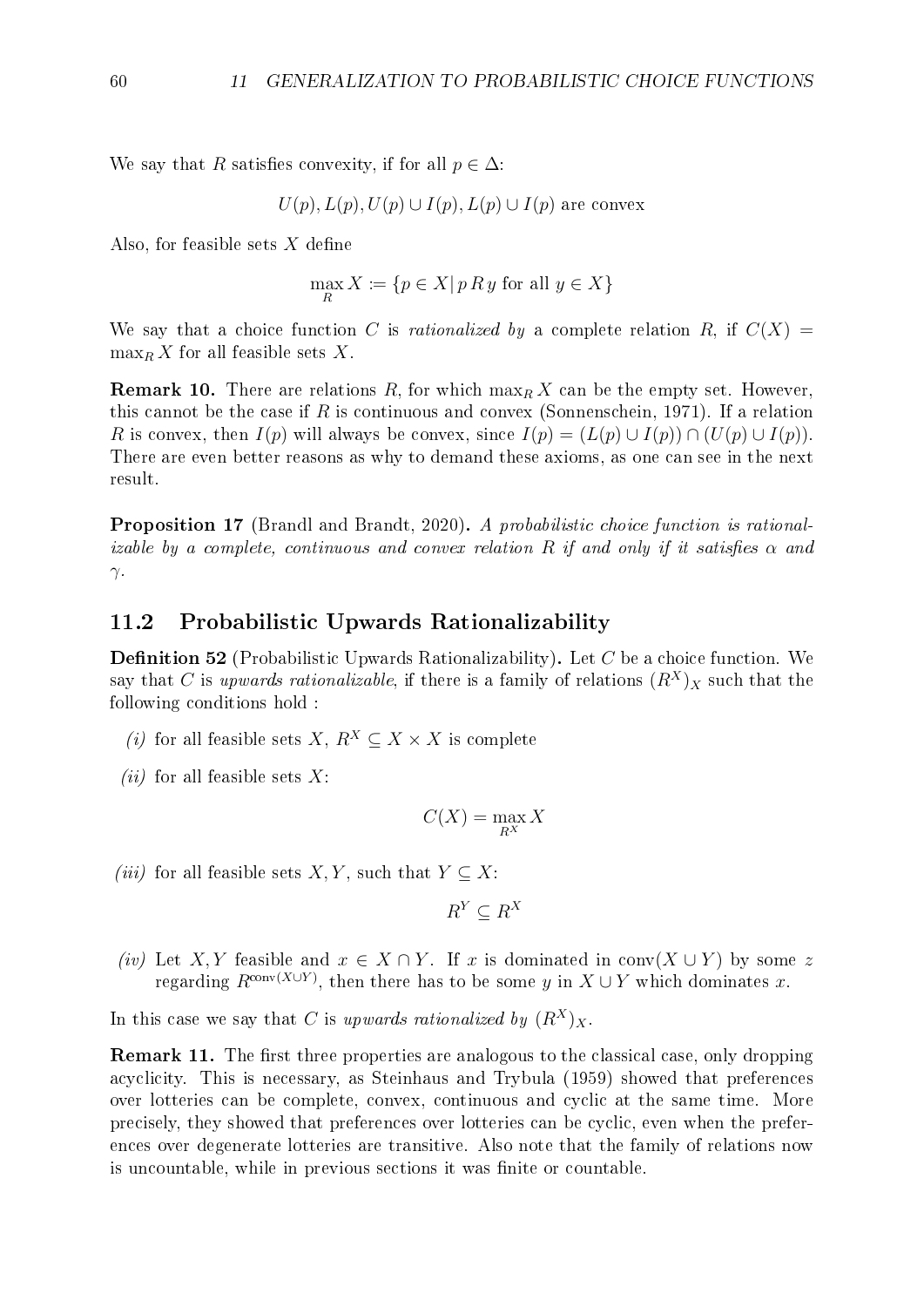We say that R satisfies convexity, if for all  $p \in \Delta$ :

$$
U(p), L(p), U(p) \cup I(p), L(p) \cup I(p)
$$
 are convex

Also, for feasible sets  $X$  define

$$
\max_{R} X := \{ p \in X | p R y \text{ for all } y \in X \}
$$

We say that a choice function C is rationalized by a complete relation R, if  $C(X)$  $\max_R X$  for all feasible sets X.

**Remark 10.** There are relations R, for which  $\max_R X$  can be the empty set. However, this cannot be the case if R is continuous and convex [\(Sonnenschein, 1971\)](#page-71-9). If a relation R is convex, then  $I(p)$  will always be convex, since  $I(p) = (L(p) \cup I(p)) \cap (U(p) \cup I(p)).$ There are even better reasons as why to demand these axioms, as one can see in the next result.

<span id="page-65-2"></span>Proposition 17 [\(Brandl and Brandt, 2020\)](#page-70-7). A probabilistic choice function is rationalizable by a complete, continuous and convex relation R if and only if it satisfies  $\alpha$  and γ.

### 11.2 Probabilistic Upwards Rationalizability

<span id="page-65-0"></span>**Definition 52** (Probabilistic Upwards Rationalizability). Let C be a choice function. We say that C is upwards rationalizable, if there is a family of relations  $(R^X)_X$  such that the following conditions hold :

- (i) for all feasible sets X,  $R^X \subseteq X \times X$  is complete
- (*ii*) for all feasible sets  $X$ :

$$
C(X) = \max_{R^X} X
$$

(iii) for all feasible sets  $X, Y$ , such that  $Y \subseteq X$ :

$$
R^Y \subseteq R^X
$$

(iv) Let X, Y feasible and  $x \in X \cap Y$ . If x is dominated in conv(X  $\cup$  Y) by some z regarding  $R^{\text{conv}(X \cup Y)}$ , then there has to be some y in  $X \cup Y$  which dominates x.

In this case we say that C is upwards rationalized by  $(R^X)_X$ .

<span id="page-65-1"></span>**Remark 11.** The first three properties are analogous to the classical case, only dropping acyclicity. This is necessary, as [Steinhaus and Trybula](#page-71-10) [\(1959\)](#page-71-10) showed that preferences over lotteries can be complete, convex, continuous and cyclic at the same time. More precisely, they showed that preferences over lotteries can be cyclic, even when the preferences over degenerate lotteries are transitive. Also note that the family of relations now is uncountable, while in previous sections it was finite or countable.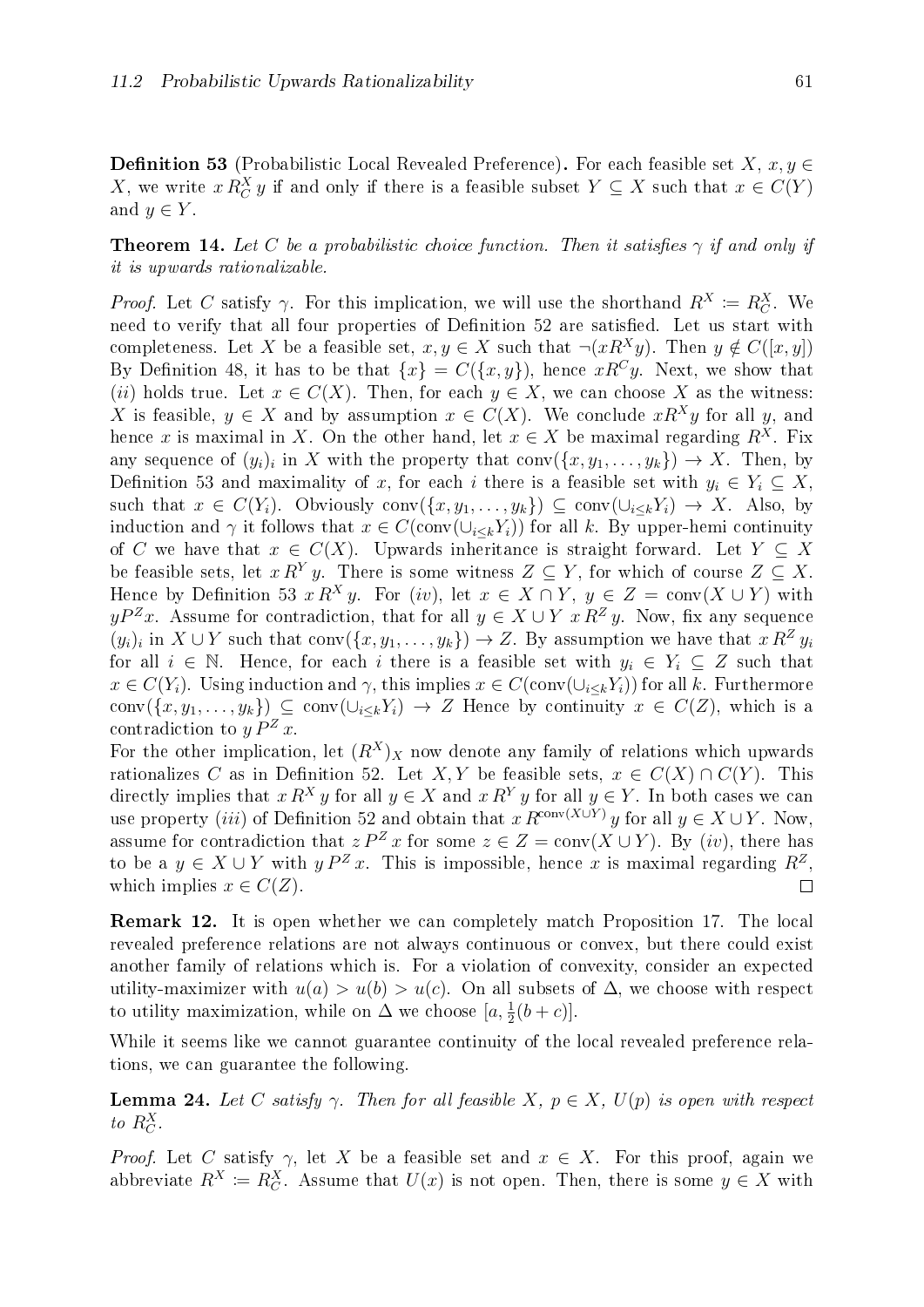**Definition 53** (Probabilistic Local Revealed Preference). For each feasible set  $X, x, y \in$ X, we write  $x R_C^X y$  if and only if there is a feasible subset  $Y \subseteq X$  such that  $x \in C(Y)$ and  $y \in Y$ .

**Theorem 14.** Let C be a probabilistic choice function. Then it satisfies  $\gamma$  if and only if it is upwards rationalizable.

*Proof.* Let C satisfy  $\gamma$ . For this implication, we will use the shorthand  $R^X \coloneqq R_C^X$ . We need to verify that all four properties of Definition [52](#page-65-0) are satisfied. Let us start with completeness. Let X be a feasible set,  $x, y \in X$  such that  $\neg(xR^Xy)$ . Then  $y \notin C([x, y])$ By Definition [48](#page-64-0), it has to be that  $\{x\} = C(\{x, y\})$ , hence  $xR^{C}y$ . Next, we show that (ii) holds true. Let  $x \in C(X)$ . Then, for each  $y \in X$ , we can choose X as the witness: X is feasible,  $y \in X$  and by assumption  $x \in C(X)$ . We conclude  $xR^{X}y$  for all y, and hence x is maximal in X. On the other hand, let  $x \in X$  be maximal regarding  $R^{X}$ . Fix any sequence of  $(y_i)_i$  in X with the property that  $\text{conv}(\{x, y_1, \ldots, y_k\}) \to X$ . Then, by Definition [53](#page-65-1) and maximality of x, for each i there is a feasible set with  $y_i \in Y_i \subseteq X$ , such that  $x \in C(Y_i)$ . Obviously conv $(\{x, y_1, \ldots, y_k\}) \subseteq \text{conv}(\cup_{i \leq k} Y_i) \to X$ . Also, by induction and  $\gamma$  it follows that  $x \in C(\text{conv}(\cup_{i\leq k} Y_i))$  for all k. By upper-hemi continuity of C we have that  $x \in C(X)$ . Upwards inheritance is straight forward. Let  $Y \subseteq X$ be feasible sets, let  $x R^{Y} y$ . There is some witness  $Z \subseteq Y$ , for which of course  $Z \subseteq X$ . Hence by Definition [53](#page-65-1)  $x R^X y$ . For (iv), let  $x \in X \cap Y$ ,  $y \in Z = \text{conv}(X \cup Y)$  with  $yP^{Z}x$ . Assume for contradiction, that for all  $y \in X \cup Y$   $x R^{Z} y$ . Now, fix any sequence  $(y_i)_i$  in  $X \cup Y$  such that conv $(\{x, y_1, \ldots, y_k\}) \to Z$ . By assumption we have that  $x R^Z y_i$ for all  $i \in \mathbb{N}$ . Hence, for each i there is a feasible set with  $y_i \in Y_i \subseteq Z$  such that  $x \in C(Y_i)$ . Using induction and  $\gamma$ , this implies  $x \in C(\text{conv}(\cup_{i\leq k} Y_i))$  for all k. Furthermore conv $(\{x, y_1, \ldots, y_k\}) \subseteq \text{conv}(\cup_{i\leq k} Y_i) \to Z$  Hence by continuity  $x \in C(Z)$ , which is a contradiction to  $y P^Z x$ .

For the other implication, let  $(R^X)_X$  now denote any family of relations which upwards rationalizes C as in Definition [52](#page-65-0). Let X, Y be feasible sets,  $x \in C(X) \cap C(Y)$ . This directly implies that  $x R^X y$  for all  $y \in X$  and  $x R^Y y$  for all  $y \in Y$ . In both cases we can use property (iii) of Definition [52](#page-65-0) and obtain that  $x R^{\text{conv}(X \cup Y)} y$  for all  $y \in X \cup Y$ . Now, assume for contradiction that  $z P^Z x$  for some  $z \in Z = \text{conv}(X \cup Y)$ . By (iv), there has to be a  $y \in X \cup Y$  with  $y P^Z x$ . This is impossible, hence x is maximal regarding  $R^Z$ , which implies  $x \in C(Z)$ .  $\Box$ 

Remark 12. It is open whether we can completely match Proposition [17](#page-65-2). The local revealed preference relations are not always continuous or convex, but there could exist another family of relations which is. For a violation of convexity, consider an expected utility-maximizer with  $u(a) > u(b) > u(c)$ . On all subsets of  $\Delta$ , we choose with respect to utility maximization, while on  $\Delta$  we choose  $[a, \frac{1}{2}(b+c)].$ 

While it seems like we cannot guarantee continuity of the local revealed preference relations, we can guarantee the following.

**Lemma 24.** Let C satisfy  $\gamma$ . Then for all feasible X,  $p \in X$ ,  $U(p)$  is open with respect to  $R_C^X$ .

*Proof.* Let C satisfy  $\gamma$ , let X be a feasible set and  $x \in X$ . For this proof, again we abbreviate  $R^X \coloneqq R_C^X$ . Assume that  $U(x)$  is not open. Then, there is some  $y \in X$  with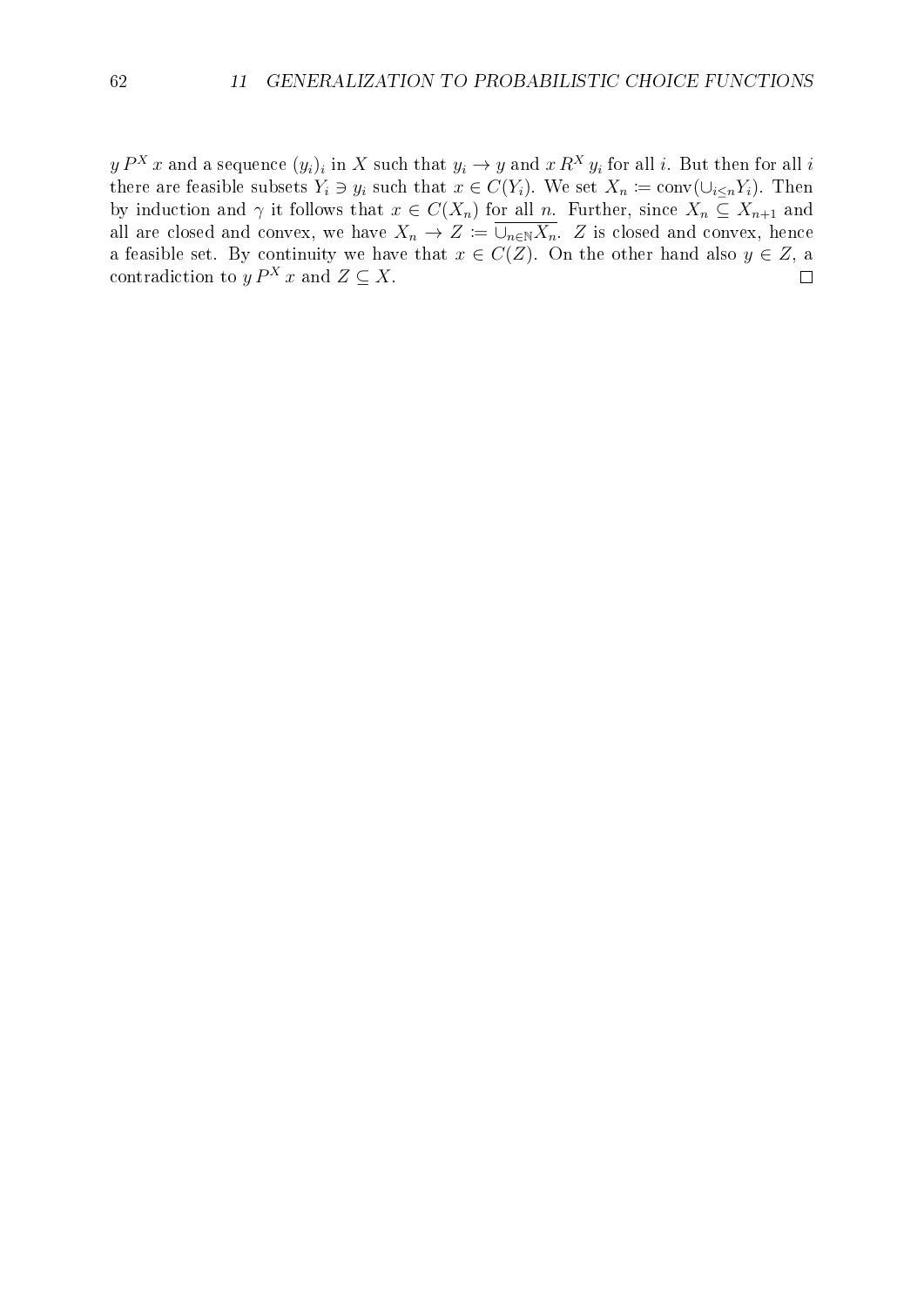$y P^X x$  and a sequence  $(y_i)_i$  in  $X$  such that  $y_i \to y$  and  $x R^X y_i$  for all  $i$ . But then for all  $i$ there are feasible subsets  $Y_i \ni y_i$  such that  $x \in C(Y_i)$ . We set  $X_n := \text{conv}(\cup_{i \leq n} Y_i)$ . Then by induction and  $\gamma$  it follows that  $x \in C(X_n)$  for all n. Further, since  $X_n \subseteq X_{n+1}$  and all are closed and convex, we have  $X_n \to Z \coloneqq \overline{\cup_{n\in\mathbb{N}} X_n}$ . Z is closed and convex, hence a feasible set. By continuity we have that  $x \in C(Z)$ . On the other hand also  $y \in Z$ , a contradiction to  $y P^X x$  and  $Z \subseteq X$ .  $\Box$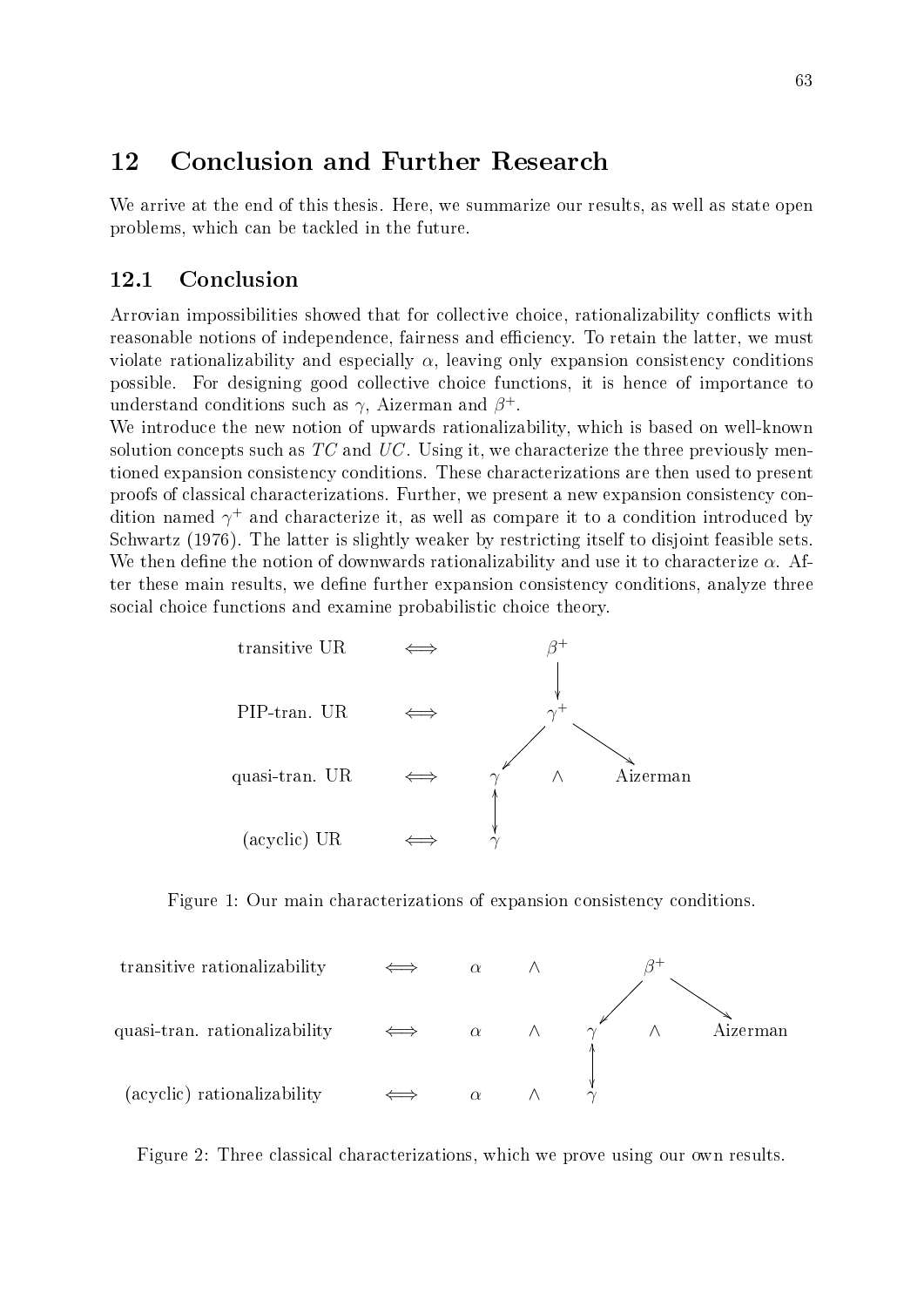# 12 Conclusion and Further Research

We arrive at the end of this thesis. Here, we summarize our results, as well as state open problems, which can be tackled in the future.

## 12.1 Conclusion

Arrovian impossibilities showed that for collective choice, rationalizability conflicts with reasonable notions of independence, fairness and efficiency. To retain the latter, we must violate rationalizability and especially  $\alpha$ , leaving only expansion consistency conditions possible. For designing good collective choice functions, it is hence of importance to understand conditions such as  $\gamma$ , Aizerman and  $\beta^+$ .

We introduce the new notion of upwards rationalizability, which is based on well-known solution concepts such as  $TC$  and  $UC$ . Using it, we characterize the three previously mentioned expansion consistency conditions. These characterizations are then used to present proofs of classical characterizations. Further, we present a new expansion consistency condition named  $\gamma^+$  and characterize it, as well as compare it to a condition introduced by [Schwartz](#page-71-1) [\(1976\)](#page-71-1). The latter is slightly weaker by restricting itself to disjoint feasible sets. We then define the notion of downwards rationalizability and use it to characterize  $\alpha$ . After these main results, we define further expansion consistency conditions, analyze three social choice functions and examine probabilistic choice theory.



Figure 1: Our main characterizations of expansion consistency conditions.



Figure 2: Three classical characterizations, which we prove using our own results.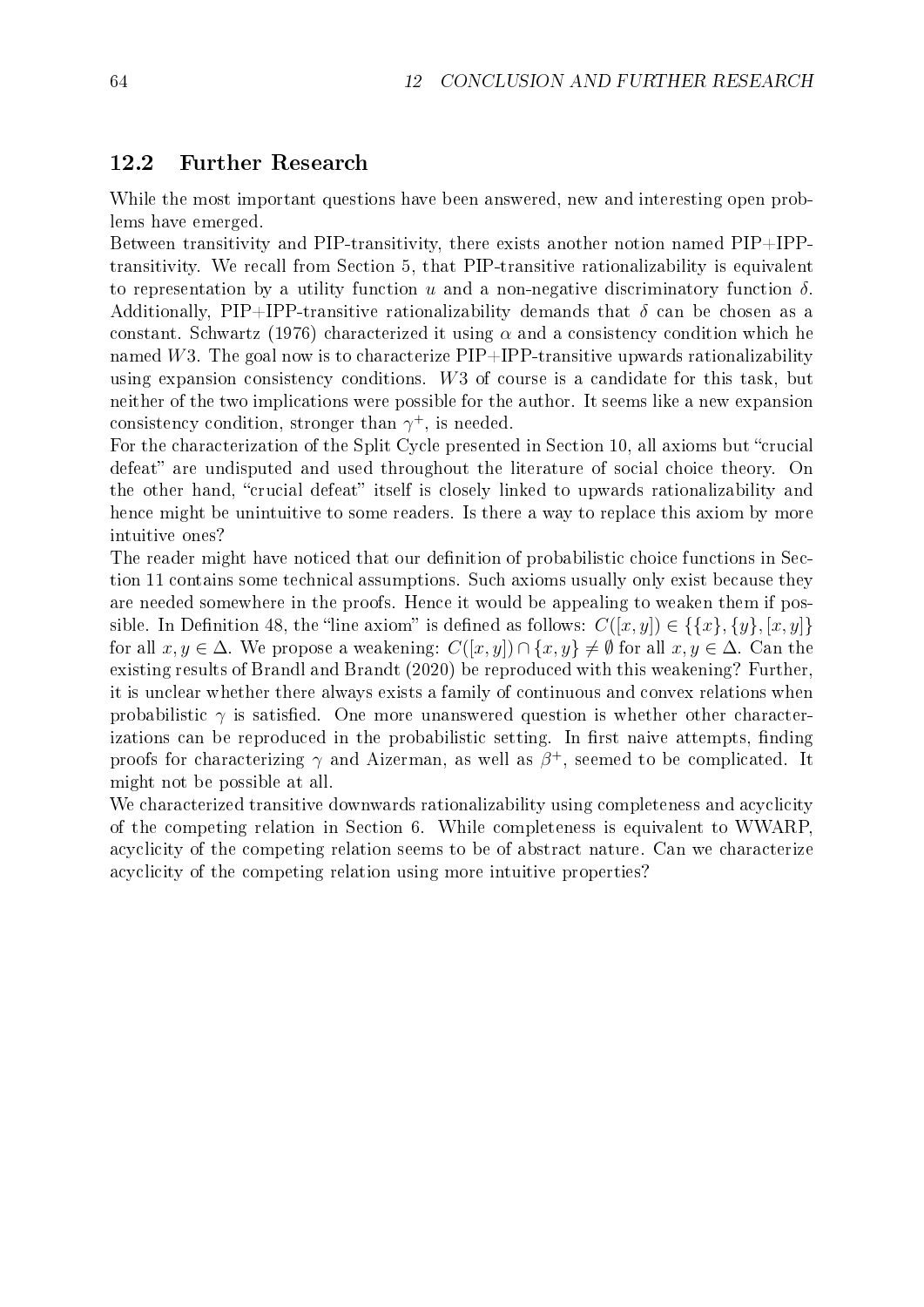#### 12.2 Further Research

While the most important questions have been answered, new and interesting open problems have emerged.

Between transitivity and PIP-transitivity, there exists another notion named PIP+IPPtransitivity. We recall from Section [5,](#page-25-0) that PIP-transitive rationalizability is equivalent to representation by a utility function u and a non-negative discriminatory function  $\delta$ . Additionally, PIP+IPP-transitive rationalizability demands that  $\delta$  can be chosen as a constant. [Schwartz](#page-71-1) [\(1976\)](#page-71-1) characterized it using  $\alpha$  and a consistency condition which he named W3. The goal now is to characterize  $\text{PIP}+\text{IPP}$ -transitive upwards rationalizability using expansion consistency conditions. W3 of course is a candidate for this task, but neither of the two implications were possible for the author. It seems like a new expansion consistency condition, stronger than  $\gamma^+$ , is needed.

For the characterization of the Split Cycle presented in Section [10,](#page-61-1) all axioms but "crucial defeat" are undisputed and used throughout the literature of social choice theory. On the other hand, "crucial defeat" itself is closely linked to upwards rationalizability and hence might be unintuitive to some readers. Is there a way to replace this axiom by more intuitive ones?

The reader might have noticed that our definition of probabilistic choice functions in Section [11](#page-64-1) contains some technical assumptions. Such axioms usually only exist because they are needed somewhere in the proofs. Hence it would be appealing to weaken them if pos-sible. In Definition [48](#page-64-0), the "line axiom" is defined as follows:  $C([x, y]) \in \{\{x\}, \{y\}, [x, y]\}$ for all  $x, y \in \Delta$ . We propose a weakening:  $C([x, y]) \cap \{x, y\} \neq \emptyset$  for all  $x, y \in \Delta$ . Can the existing results of [Brandl and Brandt](#page-70-7) [\(2020\)](#page-70-7) be reproduced with this weakening? Further, it is unclear whether there always exists a family of continuous and convex relations when probabilistic  $\gamma$  is satisfied. One more unanswered question is whether other characterizations can be reproduced in the probabilistic setting. In first naive attempts, finding proofs for characterizing  $\gamma$  and Aizerman, as well as  $\beta^+$ , seemed to be complicated. It might not be possible at all.

We characterized transitive downwards rationalizability using completeness and acyclicity of the competing relation in Section [6.](#page-34-1) While completeness is equivalent to WWARP, acyclicity of the competing relation seems to be of abstract nature. Can we characterize acyclicity of the competing relation using more intuitive properties?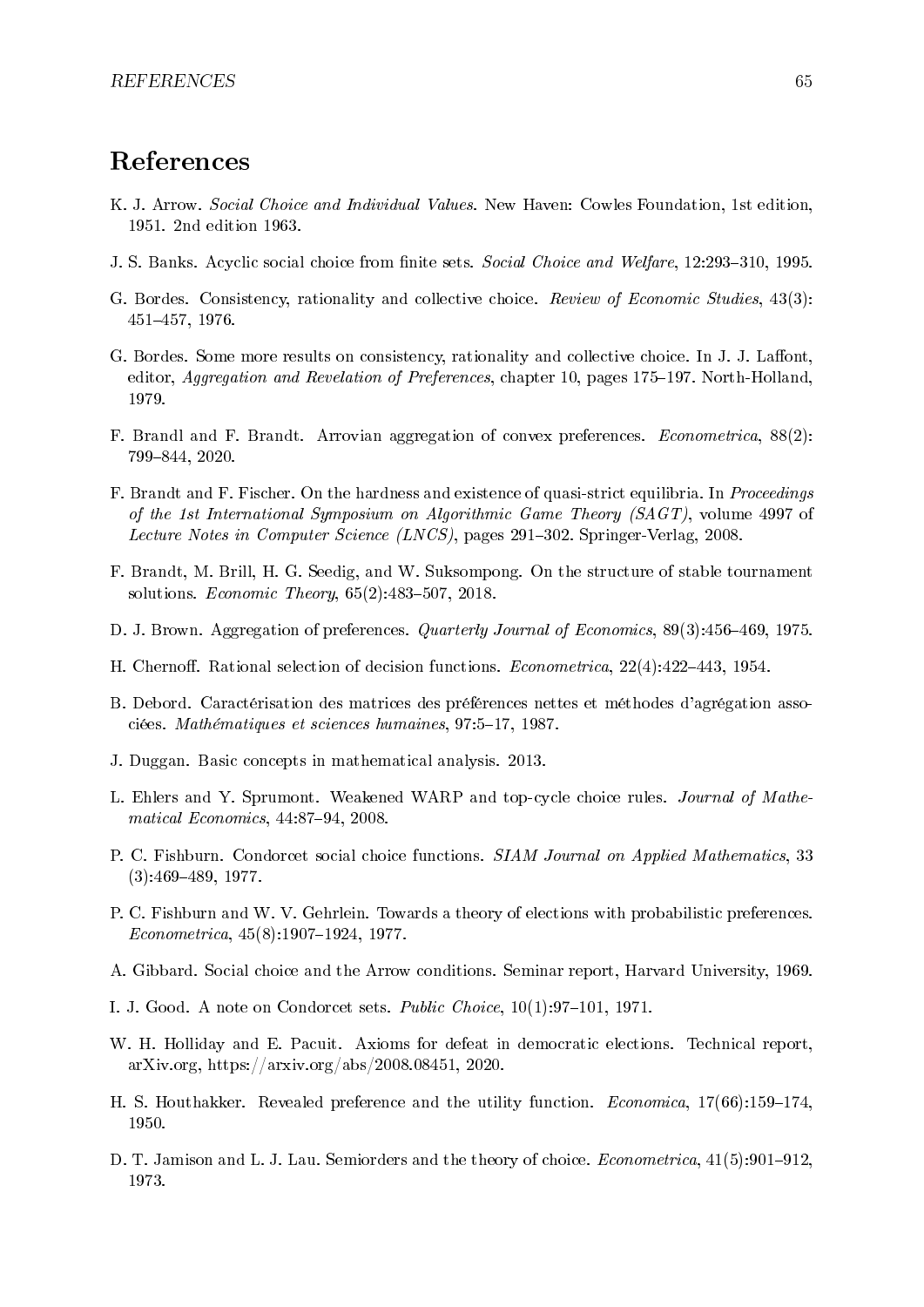# References

- K. J. Arrow. Social Choice and Individual Values. New Haven: Cowles Foundation, 1st edition, 1951. 2nd edition 1963.
- J. S. Banks. Acyclic social choice from finite sets. Social Choice and Welfare, 12:293-310, 1995.
- G. Bordes. Consistency, rationality and collective choice. Review of Economic Studies, 43(3): 451457, 1976.
- G. Bordes. Some more results on consistency, rationality and collective choice. In J. J. Laffont, editor, Aggregation and Revelation of Preferences, chapter 10, pages 175–197. North-Holland, 1979.
- <span id="page-70-7"></span>F. Brandl and F. Brandt. Arrovian aggregation of convex preferences. Econometrica, 88(2): 799844, 2020.
- F. Brandt and F. Fischer. On the hardness and existence of quasi-strict equilibria. In Proceedings of the 1st International Symposium on Algorithmic Game Theory (SAGT), volume 4997 of Lecture Notes in Computer Science (LNCS), pages 291-302. Springer-Verlag, 2008.
- <span id="page-70-2"></span>F. Brandt, M. Brill, H. G. Seedig, and W. Suksompong. On the structure of stable tournament solutions. Economic Theory,  $65(2):483-507$ ,  $2018$ .
- D. J. Brown. Aggregation of preferences. *Quarterly Journal of Economics*, 89(3):456–469, 1975.
- H. Chernoff. Rational selection of decision functions. *Econometrica*,  $22(4):422-443$ ,  $1954$ .
- <span id="page-70-3"></span>B. Debord. Caractérisation des matrices des préférences nettes et méthodes d'agrégation associées. Mathématiques et sciences humaines, 97:5-17, 1987.
- <span id="page-70-4"></span>J. Duggan. Basic concepts in mathematical analysis. 2013.
- <span id="page-70-0"></span>L. Ehlers and Y. Sprumont. Weakened WARP and top-cycle choice rules. Journal of Mathematical Economics,  $44:87-94$ ,  $2008$ .
- P. C. Fishburn. Condorcet social choice functions. SIAM Journal on Applied Mathematics, 33  $(3):469-489, 1977.$
- <span id="page-70-5"></span>P. C. Fishburn and W. V. Gehrlein. Towards a theory of elections with probabilistic preferences.  $Econometrica, 45(8):1907-1924, 1977.$
- A. Gibbard. Social choice and the Arrow conditions. Seminar report, Harvard University, 1969.
- I. J. Good. A note on Condorcet sets. *Public Choice*,  $10(1):97-101$ , 1971.
- <span id="page-70-6"></span>W. H. Holliday and E. Pacuit. Axioms for defeat in democratic elections. Technical report, arXiv.org, https://arxiv.org/abs/2008.08451, 2020.
- H. S. Houthakker. Revealed preference and the utility function. *Economica*,  $17(66):159-174$ , 1950.
- <span id="page-70-1"></span>D. T. Jamison and L. J. Lau. Semiorders and the theory of choice. *Econometrica*,  $41(5):901-912$ , 1973.